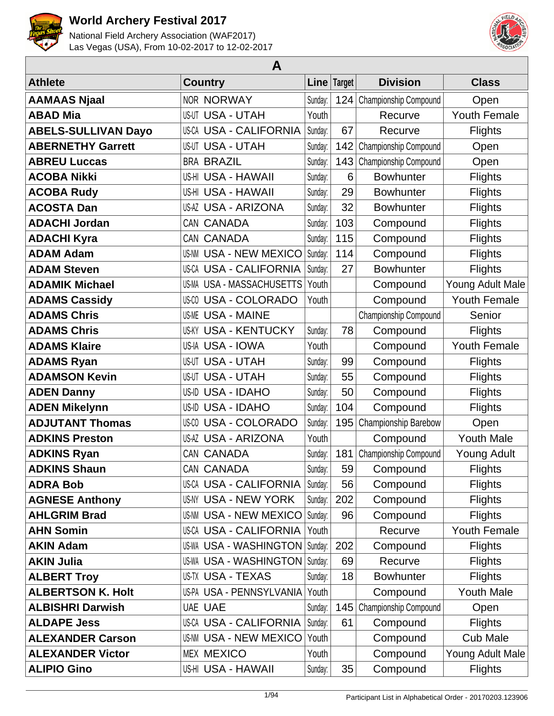



| A                          |                                |         |             |                       |                     |  |  |  |
|----------------------------|--------------------------------|---------|-------------|-----------------------|---------------------|--|--|--|
| <b>Athlete</b>             | <b>Country</b>                 |         | Line Target | <b>Division</b>       | <b>Class</b>        |  |  |  |
| <b>AAMAAS Njaal</b>        | <b>NOR NORWAY</b>              | Sunday: | 124         | Championship Compound | Open                |  |  |  |
| <b>ABAD Mia</b>            | <b>US-UT USA - UTAH</b>        | Youth   |             | Recurve               | <b>Youth Female</b> |  |  |  |
| <b>ABELS-SULLIVAN Dayo</b> | US-CA USA - CALIFORNIA         | Sunday: | 67          | Recurve               | <b>Flights</b>      |  |  |  |
| <b>ABERNETHY Garrett</b>   | <b>US-UT USA - UTAH</b>        | Sunday: | 142         | Championship Compound | Open                |  |  |  |
| <b>ABREU Luccas</b>        | <b>BRA BRAZIL</b>              | Sunday: | 143         | Championship Compound | Open                |  |  |  |
| <b>ACOBA Nikki</b>         | US-HI USA - HAWAII             | Sunday: | 6           | <b>Bowhunter</b>      | <b>Flights</b>      |  |  |  |
| <b>ACOBA Rudy</b>          | US-HI USA - HAWAII             | Sunday: | 29          | <b>Bowhunter</b>      | <b>Flights</b>      |  |  |  |
| <b>ACOSTA Dan</b>          | US-AZ USA - ARIZONA            | Sunday: | 32          | <b>Bowhunter</b>      | <b>Flights</b>      |  |  |  |
| <b>ADACHI Jordan</b>       | CAN CANADA                     | Sunday: | 103         | Compound              | <b>Flights</b>      |  |  |  |
| <b>ADACHI Kyra</b>         | CAN CANADA                     | Sunday: | 115         | Compound              | <b>Flights</b>      |  |  |  |
| <b>ADAM Adam</b>           | <b>US-NM USA - NEW MEXICO</b>  | Sunday: | 114         | Compound              | <b>Flights</b>      |  |  |  |
| <b>ADAM Steven</b>         | US-CA USA - CALIFORNIA         | Sunday: | 27          | <b>Bowhunter</b>      | <b>Flights</b>      |  |  |  |
| <b>ADAMIK Michael</b>      | US-MA USA - MASSACHUSETTS      | Youth   |             | Compound              | Young Adult Male    |  |  |  |
| <b>ADAMS Cassidy</b>       | <b>US-CO USA - COLORADO</b>    | Youth   |             | Compound              | <b>Youth Female</b> |  |  |  |
| <b>ADAMS Chris</b>         | <b>US-ME USA - MAINE</b>       |         |             | Championship Compound | Senior              |  |  |  |
| <b>ADAMS Chris</b>         | <b>US-KY USA - KENTUCKY</b>    | Sunday: | 78          | Compound              | <b>Flights</b>      |  |  |  |
| <b>ADAMS Klaire</b>        | US-IA USA - IOWA               | Youth   |             | Compound              | <b>Youth Female</b> |  |  |  |
| <b>ADAMS Ryan</b>          | US-UT USA - UTAH               | Sunday: | 99          | Compound              | <b>Flights</b>      |  |  |  |
| <b>ADAMSON Kevin</b>       | <b>US-UT USA - UTAH</b>        | Sunday: | 55          | Compound              | <b>Flights</b>      |  |  |  |
| <b>ADEN Danny</b>          | US-ID USA - IDAHO              | Sunday: | 50          | Compound              | <b>Flights</b>      |  |  |  |
| <b>ADEN Mikelynn</b>       | US-ID USA - IDAHO              | Sunday: | 104         | Compound              | <b>Flights</b>      |  |  |  |
| <b>ADJUTANT Thomas</b>     | <b>US-CO USA - COLORADO</b>    | Sunday: | 195         | Championship Barebow  | Open                |  |  |  |
| <b>ADKINS Preston</b>      | <b>US-AZ USA - ARIZONA</b>     | Youth   |             | Compound              | <b>Youth Male</b>   |  |  |  |
| <b>ADKINS Ryan</b>         | CAN CANADA                     | Sunday: | 181         | Championship Compound | <b>Young Adult</b>  |  |  |  |
| <b>ADKINS Shaun</b>        | CAN CANADA                     | Sunday: | 59          | Compound              | Flights             |  |  |  |
| <b>ADRA Bob</b>            | US-CA USA - CALIFORNIA         | Sunday: | 56          | Compound              | <b>Flights</b>      |  |  |  |
| <b>AGNESE Anthony</b>      | US-NY USA - NEW YORK           | Sunday: | 202         | Compound              | <b>Flights</b>      |  |  |  |
| <b>AHLGRIM Brad</b>        | US-NM USA - NEW MEXICO Sunday: |         | 96          | Compound              | <b>Flights</b>      |  |  |  |
| <b>AHN Somin</b>           | <b>US-CA USA - CALIFORNIA</b>  | Youth   |             | Recurve               | Youth Female        |  |  |  |
| <b>AKIN Adam</b>           | US-WA USA - WASHINGTON         | Sunday: | 202         | Compound              | <b>Flights</b>      |  |  |  |
| <b>AKIN Julia</b>          | <b>US-WA USA - WASHINGTON</b>  | Sunday: | 69          | Recurve               | <b>Flights</b>      |  |  |  |
| <b>ALBERT Troy</b>         | US-TX USA - TEXAS              | Sunday: | 18          | <b>Bowhunter</b>      | <b>Flights</b>      |  |  |  |
| <b>ALBERTSON K. Holt</b>   | US-PA USA - PENNSYLVANIA       | Youth   |             | Compound              | <b>Youth Male</b>   |  |  |  |
| <b>ALBISHRI Darwish</b>    | <b>UAE UAE</b>                 | Sunday: | 145         | Championship Compound | Open                |  |  |  |
| <b>ALDAPE Jess</b>         | US-CA USA - CALIFORNIA         | Sunday: | 61          | Compound              | <b>Flights</b>      |  |  |  |
| <b>ALEXANDER Carson</b>    | <b>US-NM USA - NEW MEXICO</b>  | Youth   |             | Compound              | <b>Cub Male</b>     |  |  |  |
| <b>ALEXANDER Victor</b>    | <b>MEX MEXICO</b>              | Youth   |             | Compound              | Young Adult Male    |  |  |  |
| <b>ALIPIO Gino</b>         | US-HI USA - HAWAII             | Sunday: | 35          | Compound              | <b>Flights</b>      |  |  |  |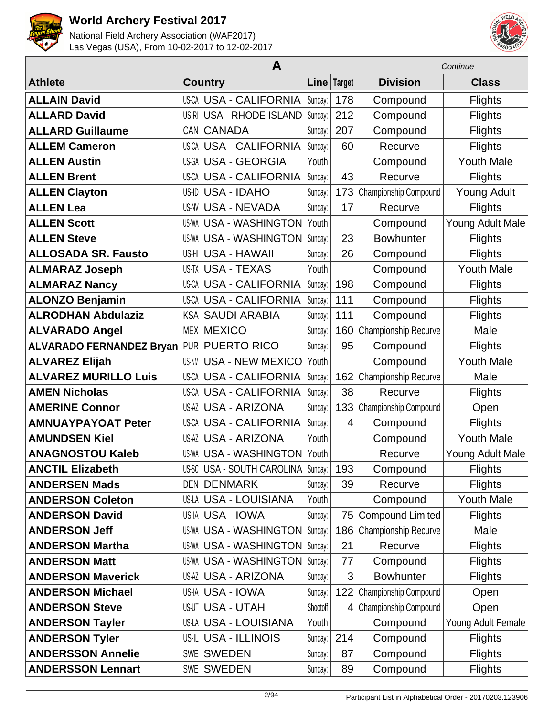



|                                 | A                                    |          | Continue    |                         |                    |
|---------------------------------|--------------------------------------|----------|-------------|-------------------------|--------------------|
| <b>Athlete</b>                  | <b>Country</b>                       |          | Line Target | <b>Division</b>         | <b>Class</b>       |
| <b>ALLAIN David</b>             | <b>US-CA USA - CALIFORNIA</b>        | Sunday:  | 178         | Compound                | <b>Flights</b>     |
| <b>ALLARD David</b>             | US-RI USA - RHODE ISLAND             | Sunday:  | 212         | Compound                | <b>Flights</b>     |
| <b>ALLARD Guillaume</b>         | CAN CANADA                           | Sunday:  | 207         | Compound                | <b>Flights</b>     |
| <b>ALLEM Cameron</b>            | <b>US-CA USA - CALIFORNIA</b>        | Sunday:  | 60          | Recurve                 | <b>Flights</b>     |
| <b>ALLEN Austin</b>             | US-GA USA - GEORGIA                  | Youth    |             | Compound                | <b>Youth Male</b>  |
| <b>ALLEN Brent</b>              | <b>US-CA USA - CALIFORNIA</b>        | Sunday:  | 43          | Recurve                 | <b>Flights</b>     |
| <b>ALLEN Clayton</b>            | US-ID USA - IDAHO                    | Sunday:  | 173         | Championship Compound   | <b>Young Adult</b> |
| <b>ALLEN Lea</b>                | <b>US-NV USA - NEVADA</b>            | Sunday:  | 17          | Recurve                 | <b>Flights</b>     |
| <b>ALLEN Scott</b>              | <b>US-WA USA - WASHINGTON</b>        | Youth    |             | Compound                | Young Adult Male   |
| <b>ALLEN Steve</b>              | <b>US-WA USA - WASHINGTON</b>        | Sunday:  | 23          | <b>Bowhunter</b>        | <b>Flights</b>     |
| <b>ALLOSADA SR. Fausto</b>      | US-HI USA - HAWAII                   | Sunday:  | 26          | Compound                | <b>Flights</b>     |
| <b>ALMARAZ Joseph</b>           | <b>US-TX USA - TEXAS</b>             | Youth    |             | Compound                | <b>Youth Male</b>  |
| <b>ALMARAZ Nancy</b>            | <b>US-CA USA - CALIFORNIA</b>        | Sunday:  | 198         | Compound                | <b>Flights</b>     |
| <b>ALONZO Benjamin</b>          | <b>US-CA USA - CALIFORNIA</b>        | Sunday:  | 111         | Compound                | <b>Flights</b>     |
| <b>ALRODHAN Abdulaziz</b>       | <b>KSA SAUDI ARABIA</b>              | Sunday:  | 111         | Compound                | <b>Flights</b>     |
| <b>ALVARADO Angel</b>           | <b>MEX MEXICO</b>                    | Sunday:  | 160         | Championship Recurve    | Male               |
| <b>ALVARADO FERNANDEZ Bryan</b> | <b>PUR PUERTO RICO</b>               | Sunday:  | 95          | Compound                | <b>Flights</b>     |
| <b>ALVAREZ Elijah</b>           | US-NM<br><b>USA - NEW MEXICO</b>     | Youth    |             | Compound                | <b>Youth Male</b>  |
| <b>ALVAREZ MURILLO Luis</b>     | <b>US-CA USA - CALIFORNIA</b>        | Sunday:  | 162         | Championship Recurve    | Male               |
| <b>AMEN Nicholas</b>            | <b>US-CA USA - CALIFORNIA</b>        | Sunday:  | 38          | Recurve                 | <b>Flights</b>     |
| <b>AMERINE Connor</b>           | <b>US-AZ USA - ARIZONA</b>           | Sunday:  | 133         | Championship Compound   | Open               |
| <b>AMNUAYPAYOAT Peter</b>       | <b>US-CA USA - CALIFORNIA</b>        | Sunday:  | 4           | Compound                | <b>Flights</b>     |
| <b>AMUNDSEN Kiel</b>            | <b>US-AZ USA - ARIZONA</b>           | Youth    |             | Compound                | <b>Youth Male</b>  |
| <b>ANAGNOSTOU Kaleb</b>         | <b>US-WA USA - WASHINGTON</b>        | Youth    |             | Recurve                 | Young Adult Male   |
| <b>ANCTIL Elizabeth</b>         | US-SC USA - SOUTH CAROLINA   Sunday: |          | 193         | Compound                | <b>Flights</b>     |
| <b>ANDERSEN Mads</b>            | <b>DEN DENMARK</b>                   | Sunday:  | 39          | Recurve                 | <b>Flights</b>     |
| <b>ANDERSON Coleton</b>         | US-LA USA - LOUISIANA                | Youth    |             | Compound                | <b>Youth Male</b>  |
| <b>ANDERSON David</b>           | US-IA USA - IOWA                     | Sunday:  | 75          | <b>Compound Limited</b> | <b>Flights</b>     |
| <b>ANDERSON Jeff</b>            | <b>US-WA USA - WASHINGTON</b>        | Sunday:  | 186         | Championship Recurve    | Male               |
| <b>ANDERSON Martha</b>          | US-WA USA - WASHINGTON               | Sunday:  | 21          | Recurve                 | <b>Flights</b>     |
| <b>ANDERSON Matt</b>            | <b>US-WA USA - WASHINGTON</b>        | Sunday:  | 77          | Compound                | <b>Flights</b>     |
| <b>ANDERSON Maverick</b>        | <b>US-AZ USA - ARIZONA</b>           | Sunday:  | 3           | <b>Bowhunter</b>        | <b>Flights</b>     |
| <b>ANDERSON Michael</b>         | US-IA USA - IOWA                     | Sunday:  | 122         | Championship Compound   | Open               |
| <b>ANDERSON Steve</b>           | <b>US-UT USA - UTAH</b>              | Shootoff | 4           | Championship Compound   | Open               |
| <b>ANDERSON Tayler</b>          | <b>US-LA USA - LOUISIANA</b>         | Youth    |             | Compound                | Young Adult Female |
| <b>ANDERSON Tyler</b>           | <b>US-IL USA - ILLINOIS</b>          | Sunday:  | 214         | Compound                | <b>Flights</b>     |
| <b>ANDERSSON Annelie</b>        | <b>SWE SWEDEN</b>                    | Sunday:  | 87          | Compound                | <b>Flights</b>     |
| <b>ANDERSSON Lennart</b>        | <b>SWE SWEDEN</b>                    | Sunday:  | 89          | Compound                | <b>Flights</b>     |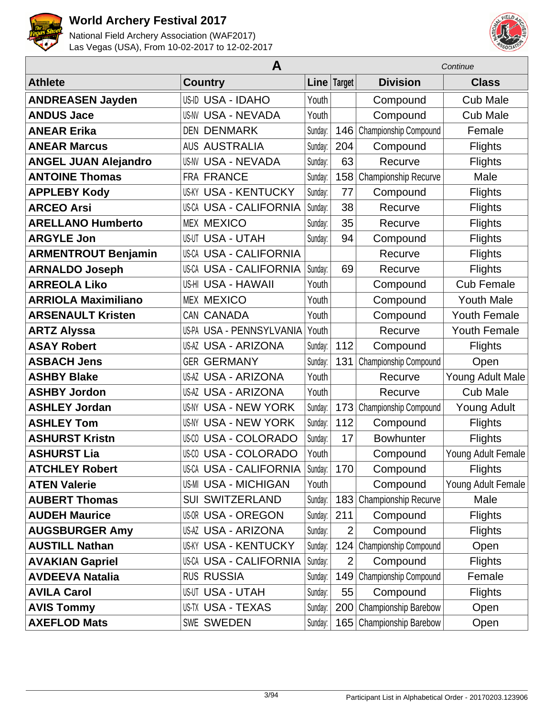



|                             |                               |         | Continue       |                          |                     |
|-----------------------------|-------------------------------|---------|----------------|--------------------------|---------------------|
| <b>Athlete</b>              | <b>Country</b>                |         | Line Target    | <b>Division</b>          | <b>Class</b>        |
| <b>ANDREASEN Jayden</b>     | <b>US-ID USA - IDAHO</b>      | Youth   |                | Compound                 | <b>Cub Male</b>     |
| <b>ANDUS Jace</b>           | <b>US-NV USA - NEVADA</b>     | Youth   |                | Compound                 | <b>Cub Male</b>     |
| <b>ANEAR Erika</b>          | <b>DEN DENMARK</b>            | Sunday: | 146            | Championship Compound    | Female              |
| <b>ANEAR Marcus</b>         | <b>AUS AUSTRALIA</b>          | Sunday: | 204            | Compound                 | <b>Flights</b>      |
| <b>ANGEL JUAN Alejandro</b> | <b>US-NV USA - NEVADA</b>     | Sunday: | 63             | Recurve                  | <b>Flights</b>      |
| <b>ANTOINE Thomas</b>       | FRA FRANCE                    | Sunday: | 158            | Championship Recurve     | Male                |
| <b>APPLEBY Kody</b>         | <b>US-KY USA - KENTUCKY</b>   | Sunday: | 77             | Compound                 | <b>Flights</b>      |
| <b>ARCEO Arsi</b>           | <b>US-CA USA - CALIFORNIA</b> | Sunday: | 38             | Recurve                  | <b>Flights</b>      |
| <b>ARELLANO Humberto</b>    | <b>MEX MEXICO</b>             | Sunday: | 35             | Recurve                  | <b>Flights</b>      |
| <b>ARGYLE Jon</b>           | <b>US-UT USA - UTAH</b>       | Sunday: | 94             | Compound                 | <b>Flights</b>      |
| <b>ARMENTROUT Benjamin</b>  | <b>US-CA USA - CALIFORNIA</b> |         |                | Recurve                  | <b>Flights</b>      |
| <b>ARNALDO Joseph</b>       | <b>US-CA USA - CALIFORNIA</b> | Sunday: | 69             | Recurve                  | <b>Flights</b>      |
| <b>ARREOLA Liko</b>         | US-HI USA - HAWAII            | Youth   |                | Compound                 | <b>Cub Female</b>   |
| <b>ARRIOLA Maximiliano</b>  | <b>MEX MEXICO</b>             | Youth   |                | Compound                 | <b>Youth Male</b>   |
| <b>ARSENAULT Kristen</b>    | CAN CANADA                    | Youth   |                | Compound                 | <b>Youth Female</b> |
| <b>ARTZ Alyssa</b>          | US-PA USA - PENNSYLVANIA      | Youth   |                | Recurve                  | <b>Youth Female</b> |
| <b>ASAY Robert</b>          | <b>US-AZ USA - ARIZONA</b>    | Sunday: | 112            | Compound                 | <b>Flights</b>      |
| <b>ASBACH Jens</b>          | <b>GER GERMANY</b>            | Sunday: | 131            | Championship Compound    | Open                |
| <b>ASHBY Blake</b>          | <b>US-AZ USA - ARIZONA</b>    | Youth   |                | Recurve                  | Young Adult Male    |
| <b>ASHBY Jordon</b>         | <b>US-AZ USA - ARIZONA</b>    | Youth   |                | Recurve                  | <b>Cub Male</b>     |
| <b>ASHLEY Jordan</b>        | <b>US-NY USA - NEW YORK</b>   | Sunday: | 173            | Championship Compound    | <b>Young Adult</b>  |
| <b>ASHLEY Tom</b>           | US-NY USA - NEW YORK          | Sunday: | 112            | Compound                 | <b>Flights</b>      |
| <b>ASHURST Kristn</b>       | US-00 USA - COLORADO          | Sunday: | 17             | <b>Bowhunter</b>         | <b>Flights</b>      |
| <b>ASHURST Lia</b>          | <b>US-CO USA - COLORADO</b>   | Youth   |                | Compound                 | Young Adult Female  |
| <b>ATCHLEY Robert</b>       | US-CA USA - CALIFORNIA        | Sunday: | 170            | Compound                 | <b>Flights</b>      |
| <b>ATEN Valerie</b>         | <b>US-MI USA - MICHIGAN</b>   | Youth   |                | Compound                 | Young Adult Female  |
| <b>AUBERT Thomas</b>        | <b>SUI SWITZERLAND</b>        | Sunday: | 183            | Championship Recurve     | Male                |
| <b>AUDEH Maurice</b>        | <b>US-OR USA - OREGON</b>     | Sunday: | 211            | Compound                 | <b>Flights</b>      |
| <b>AUGSBURGER Amy</b>       | <b>US-AZ USA - ARIZONA</b>    | Sunday: | $\overline{2}$ | Compound                 | <b>Flights</b>      |
| <b>AUSTILL Nathan</b>       | <b>US-KY USA - KENTUCKY</b>   | Sunday: | 124            | Championship Compound    | Open                |
| <b>AVAKIAN Gapriel</b>      | <b>US-CA USA - CALIFORNIA</b> | Sunday: | $\overline{2}$ | Compound                 | <b>Flights</b>      |
| <b>AVDEEVA Natalia</b>      | <b>RUS RUSSIA</b>             | Sunday: | 149            | Championship Compound    | Female              |
| <b>AVILA Carol</b>          | <b>US-UT USA - UTAH</b>       | Sunday: | 55             | Compound                 | <b>Flights</b>      |
| <b>AVIS Tommy</b>           | US-TX USA - TEXAS             | Sunday: | 200            | Championship Barebow     | Open                |
| <b>AXEFLOD Mats</b>         | SWE SWEDEN                    | Sunday: |                | 165 Championship Barebow | Open                |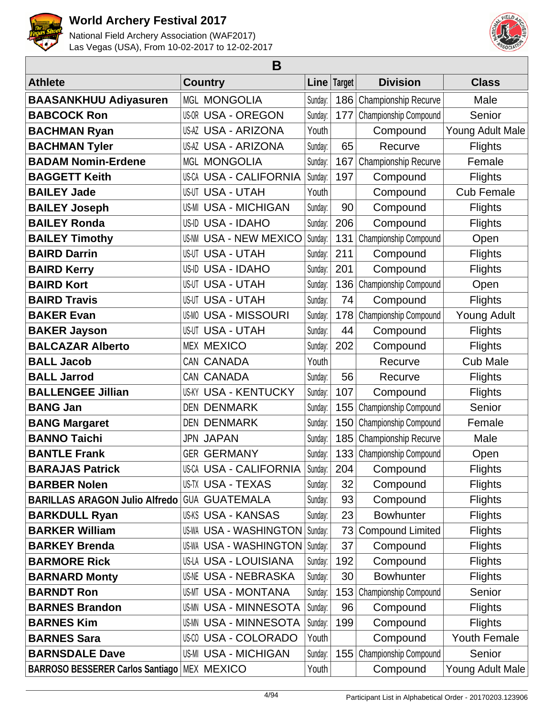



| B                                             |       |                                  |         |             |                         |                     |  |  |
|-----------------------------------------------|-------|----------------------------------|---------|-------------|-------------------------|---------------------|--|--|
| <b>Athlete</b>                                |       | <b>Country</b>                   |         | Line Target | <b>Division</b>         | <b>Class</b>        |  |  |
| <b>BAASANKHUU Adiyasuren</b>                  |       | <b>MGL MONGOLIA</b>              | Sunday: | 186         | Championship Recurve    | Male                |  |  |
| <b>BABCOCK Ron</b>                            |       | US-OR USA - OREGON               | Sunday: | 177         | Championship Compound   | Senior              |  |  |
| <b>BACHMAN Ryan</b>                           |       | US-AZ USA - ARIZONA              | Youth   |             | Compound                | Young Adult Male    |  |  |
| <b>BACHMAN Tyler</b>                          |       | <b>US-AZ USA - ARIZONA</b>       | Sunday: | 65          | Recurve                 | <b>Flights</b>      |  |  |
| <b>BADAM Nomin-Erdene</b>                     |       | <b>MGL MONGOLIA</b>              | Sunday: | 167         | Championship Recurve    | Female              |  |  |
| <b>BAGGETT Keith</b>                          |       | <b>US-CA USA - CALIFORNIA</b>    | Sunday: | 197         | Compound                | <b>Flights</b>      |  |  |
| <b>BAILEY Jade</b>                            |       | <b>US-UT USA - UTAH</b>          | Youth   |             | Compound                | <b>Cub Female</b>   |  |  |
| <b>BAILEY Joseph</b>                          |       | <b>US-MI USA - MICHIGAN</b>      | Sunday: | 90          | Compound                | <b>Flights</b>      |  |  |
| <b>BAILEY Ronda</b>                           |       | US-ID USA - IDAHO                | Sunday: | 206         | Compound                | <b>Flights</b>      |  |  |
| <b>BAILEY Timothy</b>                         |       | <b>US-NM USA - NEW MEXICO</b>    | Sunday: | 131         | Championship Compound   | Open                |  |  |
| <b>BAIRD Darrin</b>                           |       | <b>US-UT USA - UTAH</b>          | Sunday: | 211         | Compound                | <b>Flights</b>      |  |  |
| <b>BAIRD Kerry</b>                            | US-ID | <b>USA - IDAHO</b>               | Sunday: | 201         | Compound                | <b>Flights</b>      |  |  |
| <b>BAIRD Kort</b>                             |       | <b>US-UT USA - UTAH</b>          | Sunday: | 136         | Championship Compound   | Open                |  |  |
| <b>BAIRD Travis</b>                           |       | <b>US-UT USA - UTAH</b>          | Sunday: | 74          | Compound                | <b>Flights</b>      |  |  |
| <b>BAKER Evan</b>                             |       | <b>US-MO USA - MISSOURI</b>      | Sunday: | 178         | Championship Compound   | <b>Young Adult</b>  |  |  |
| <b>BAKER Jayson</b>                           |       | <b>US-UT USA - UTAH</b>          | Sunday: | 44          | Compound                | <b>Flights</b>      |  |  |
| <b>BALCAZAR Alberto</b>                       |       | <b>MEX MEXICO</b>                | Sunday: | 202         | Compound                | <b>Flights</b>      |  |  |
| <b>BALL Jacob</b>                             |       | CAN CANADA                       | Youth   |             | Recurve                 | <b>Cub Male</b>     |  |  |
| <b>BALL Jarrod</b>                            |       | CAN CANADA                       | Sunday: | 56          | Recurve                 | <b>Flights</b>      |  |  |
| <b>BALLENGEE Jillian</b>                      | US-KY | <b>USA - KENTUCKY</b>            | Sunday: | 107         | Compound                | <b>Flights</b>      |  |  |
| <b>BANG Jan</b>                               | DEN   | <b>DENMARK</b>                   | Sunday: | 155         | Championship Compound   | Senior              |  |  |
| <b>BANG Margaret</b>                          |       | <b>DEN DENMARK</b>               | Sunday: | 150         | Championship Compound   | Female              |  |  |
| <b>BANNO Taichi</b>                           |       | <b>JPN JAPAN</b>                 | Sunday: | 185         | Championship Recurve    | Male                |  |  |
| <b>BANTLE Frank</b>                           |       | <b>GER GERMANY</b>               | Sunday: | 133         | Championship Compound   | Open                |  |  |
| <b>BARAJAS Patrick</b>                        |       | US-CA USA - CALIFORNIA   Sunday: |         | 204         | Compound                | <b>Flights</b>      |  |  |
| <b>BARBER Nolen</b>                           |       | <b>US-TX USA - TEXAS</b>         | Sunday: | 32          | Compound                | <b>Flights</b>      |  |  |
| <b>BARILLAS ARAGON Julio Alfredo</b>          |       | <b>GUA GUATEMALA</b>             | Sunday: | 93          | Compound                | <b>Flights</b>      |  |  |
| <b>BARKDULL Ryan</b>                          |       | <b>US-KS USA - KANSAS</b>        | Sunday: | 23          | <b>Bowhunter</b>        | <b>Flights</b>      |  |  |
| <b>BARKER William</b>                         |       | US-WA USA - WASHINGTON           | Sunday: | 73          | <b>Compound Limited</b> | <b>Flights</b>      |  |  |
| <b>BARKEY Brenda</b>                          |       | US-WA USA - WASHINGTON           | Sunday: | 37          | Compound                | <b>Flights</b>      |  |  |
| <b>BARMORE Rick</b>                           |       | US-LA USA - LOUISIANA            | Sunday: | 192         | Compound                | <b>Flights</b>      |  |  |
| <b>BARNARD Monty</b>                          |       | US-NE USA - NEBRASKA             | Sunday: | 30          | <b>Bowhunter</b>        | <b>Flights</b>      |  |  |
| <b>BARNDT Ron</b>                             |       | US-MT USA - MONTANA              | Sunday: | 153         | Championship Compound   | Senior              |  |  |
| <b>BARNES Brandon</b>                         |       | US-MN USA - MINNESOTA            | Sunday: | 96          | Compound                | <b>Flights</b>      |  |  |
| <b>BARNES Kim</b>                             |       | US-MN USA - MINNESOTA            | Sunday: | 199         | Compound                | <b>Flights</b>      |  |  |
| <b>BARNES Sara</b>                            |       | US-00 USA - COLORADO             | Youth   |             | Compound                | <b>Youth Female</b> |  |  |
| <b>BARNSDALE Dave</b>                         |       | <b>US-MI USA - MICHIGAN</b>      | Sunday: | 155         | Championship Compound   | Senior              |  |  |
| BARROSO BESSERER Carlos Santiago   MEX MEXICO |       |                                  | Youth   |             | Compound                | Young Adult Male    |  |  |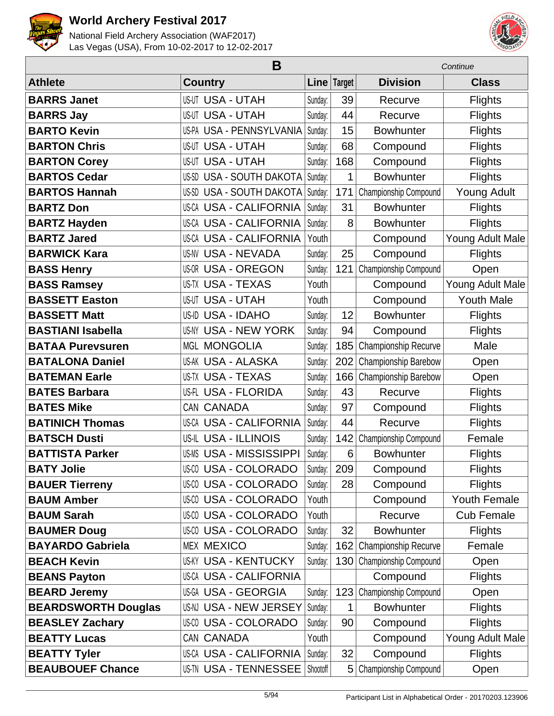



|                            |                                | Continue |             |                       |                    |
|----------------------------|--------------------------------|----------|-------------|-----------------------|--------------------|
| <b>Athlete</b>             | <b>Country</b>                 |          | Line Target | <b>Division</b>       | <b>Class</b>       |
| <b>BARRS Janet</b>         | <b>US-UT USA - UTAH</b>        | Sunday:  | 39          | Recurve               | <b>Flights</b>     |
| <b>BARRS Jay</b>           | <b>US-UT USA - UTAH</b>        | Sunday:  | 44          | Recurve               | <b>Flights</b>     |
| <b>BARTO Kevin</b>         | US-PA USA - PENNSYLVANIA       | Sunday:  | 15          | <b>Bowhunter</b>      | Flights            |
| <b>BARTON Chris</b>        | <b>US-UT USA - UTAH</b>        | Sunday:  | 68          | Compound              | <b>Flights</b>     |
| <b>BARTON Corey</b>        | <b>US-UT USA - UTAH</b>        | Sunday:  | 168         | Compound              | <b>Flights</b>     |
| <b>BARTOS Cedar</b>        | US-SD USA - SOUTH DAKOTA       | Sunday:  | 1           | <b>Bowhunter</b>      | <b>Flights</b>     |
| <b>BARTOS Hannah</b>       | US-SD USA - SOUTH DAKOTA       | Sunday:  | 171         | Championship Compound | <b>Young Adult</b> |
| <b>BARTZ Don</b>           | <b>US-CA USA - CALIFORNIA</b>  | Sunday:  | 31          | <b>Bowhunter</b>      | <b>Flights</b>     |
| <b>BARTZ Hayden</b>        | <b>US-CA USA - CALIFORNIA</b>  | Sunday:  | 8           | <b>Bowhunter</b>      | <b>Flights</b>     |
| <b>BARTZ Jared</b>         | <b>US-CA USA - CALIFORNIA</b>  | Youth    |             | Compound              | Young Adult Male   |
| <b>BARWICK Kara</b>        | <b>US-NV USA - NEVADA</b>      | Sunday:  | 25          | Compound              | <b>Flights</b>     |
| <b>BASS Henry</b>          | <b>US-OR USA - OREGON</b>      | Sunday:  | 121         | Championship Compound | Open               |
| <b>BASS Ramsey</b>         | <b>US-TX USA - TEXAS</b>       | Youth    |             | Compound              | Young Adult Male   |
| <b>BASSETT Easton</b>      | <b>US-UT USA - UTAH</b>        | Youth    |             | Compound              | <b>Youth Male</b>  |
| <b>BASSETT Matt</b>        | US-ID USA - IDAHO              | Sunday:  | 12          | <b>Bowhunter</b>      | <b>Flights</b>     |
| <b>BASTIANI Isabella</b>   | US-NY USA - NEW YORK           | Sunday:  | 94          | Compound              | <b>Flights</b>     |
| <b>BATAA Purevsuren</b>    | <b>MGL MONGOLIA</b>            | Sunday:  | 185         | Championship Recurve  | Male               |
| <b>BATALONA Daniel</b>     | <b>US-AK USA - ALASKA</b>      | Sunday:  | 202         | Championship Barebow  | Open               |
| <b>BATEMAN Earle</b>       | <b>US-TX USA - TEXAS</b>       | Sunday:  | 166         | Championship Barebow  | Open               |
| <b>BATES Barbara</b>       | <b>US-FL USA - FLORIDA</b>     | Sunday:  | 43          | Recurve               | <b>Flights</b>     |
| <b>BATES Mike</b>          | CAN CANADA                     | Sunday:  | 97          | Compound              | <b>Flights</b>     |
| <b>BATINICH Thomas</b>     | <b>US-CA USA - CALIFORNIA</b>  | Sunday:  | 44          | Recurve               | <b>Flights</b>     |
| <b>BATSCH Dusti</b>        | <b>US-IL USA - ILLINOIS</b>    | Sunday:  | 142         | Championship Compound | Female             |
| <b>BATTISTA Parker</b>     | <b>US-MS USA - MISSISSIPPI</b> | Sunday:  | 6           | <b>Bowhunter</b>      | <b>Flights</b>     |
| <b>BATY Jolie</b>          | US-00 USA - COLORADO           | Sunday:  | 209         | Compound              | <b>Flights</b>     |
| <b>BAUER Tierreny</b>      | <b>US-CO USA - COLORADO</b>    | Sunday:  | 28          | Compound              | <b>Flights</b>     |
| <b>BAUM Amber</b>          | <b>US-CO USA - COLORADO</b>    | Youth    |             | Compound              | Youth Female       |
| <b>BAUM Sarah</b>          | <b>US-CO USA - COLORADO</b>    | Youth    |             | Recurve               | <b>Cub Female</b>  |
| <b>BAUMER Doug</b>         | US-00 USA - COLORADO           | Sunday:  | 32          | <b>Bowhunter</b>      | <b>Flights</b>     |
| <b>BAYARDO Gabriela</b>    | <b>MEX MEXICO</b>              | Sunday:  | 162         | Championship Recurve  | Female             |
| <b>BEACH Kevin</b>         | <b>US-KY USA - KENTUCKY</b>    | Sunday:  | 130         | Championship Compound | Open               |
| <b>BEANS Payton</b>        | <b>US-CA USA - CALIFORNIA</b>  |          |             | Compound              | <b>Flights</b>     |
| <b>BEARD Jeremy</b>        | US-GA USA - GEORGIA            | Sunday:  | 123         | Championship Compound | Open               |
| <b>BEARDSWORTH Douglas</b> | US-NJ USA - NEW JERSEY         | Sunday:  | 1           | <b>Bowhunter</b>      | <b>Flights</b>     |
| <b>BEASLEY Zachary</b>     | US-00 USA - COLORADO           | Sunday:  | 90          | Compound              | <b>Flights</b>     |
| <b>BEATTY Lucas</b>        | CAN CANADA                     | Youth    |             | Compound              | Young Adult Male   |
| <b>BEATTY Tyler</b>        | <b>US-CA USA - CALIFORNIA</b>  | Sunday:  | 32          | Compound              | <b>Flights</b>     |
| <b>BEAUBOUEF Chance</b>    | US-TN USA - TENNESSEE          | Shootoff | 5           | Championship Compound | Open               |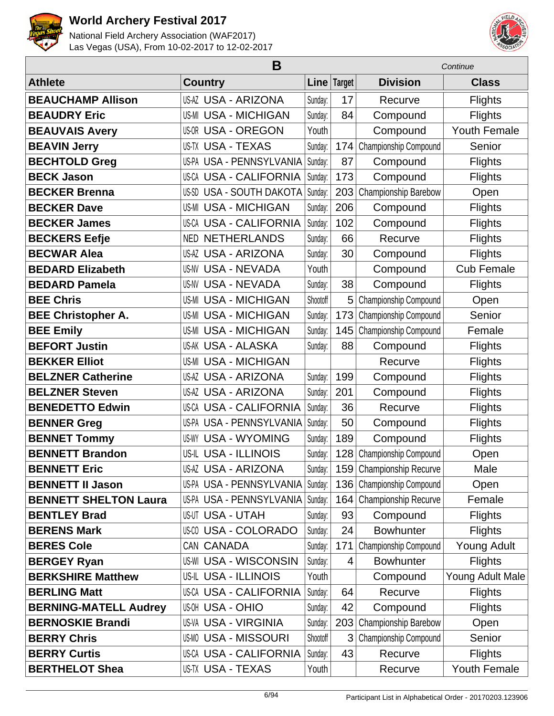



|                              | B                             | Continue |             |                          |                     |
|------------------------------|-------------------------------|----------|-------------|--------------------------|---------------------|
| <b>Athlete</b>               | <b>Country</b>                |          | Line Target | <b>Division</b>          | <b>Class</b>        |
| <b>BEAUCHAMP Allison</b>     | <b>US-AZ USA - ARIZONA</b>    | Sunday:  | 17          | Recurve                  | <b>Flights</b>      |
| <b>BEAUDRY Eric</b>          | <b>US-MI USA - MICHIGAN</b>   | Sunday:  | 84          | Compound                 | <b>Flights</b>      |
| <b>BEAUVAIS Avery</b>        | <b>US-OR USA - OREGON</b>     | Youth    |             | Compound                 | <b>Youth Female</b> |
| <b>BEAVIN Jerry</b>          | <b>US-TX USA - TEXAS</b>      | Sunday:  | 174         | Championship Compound    | Senior              |
| <b>BECHTOLD Greg</b>         | US-PA USA - PENNSYLVANIA      | Sunday:  | 87          | Compound                 | <b>Flights</b>      |
| <b>BECK Jason</b>            | <b>US-CA USA - CALIFORNIA</b> | Sunday:  | 173         | Compound                 | <b>Flights</b>      |
| <b>BECKER Brenna</b>         | US-SD USA - SOUTH DAKOTA      | Sunday:  | 203         | Championship Barebow     | Open                |
| <b>BECKER Dave</b>           | <b>US-MI USA - MICHIGAN</b>   | Sunday:  | 206         | Compound                 | <b>Flights</b>      |
| <b>BECKER James</b>          | <b>US-CA USA - CALIFORNIA</b> | Sunday:  | 102         | Compound                 | <b>Flights</b>      |
| <b>BECKERS Eefje</b>         | <b>NED NETHERLANDS</b>        | Sunday:  | 66          | Recurve                  | <b>Flights</b>      |
| <b>BECWAR Alea</b>           | <b>US-AZ USA - ARIZONA</b>    | Sunday:  | 30          | Compound                 | <b>Flights</b>      |
| <b>BEDARD Elizabeth</b>      | <b>US-NV USA - NEVADA</b>     | Youth    |             | Compound                 | <b>Cub Female</b>   |
| <b>BEDARD Pamela</b>         | <b>US-NV USA - NEVADA</b>     | Sunday:  | 38          | Compound                 | <b>Flights</b>      |
| <b>BEE Chris</b>             | <b>US-MI USA - MICHIGAN</b>   | Shootoff | 5           | Championship Compound    | Open                |
| <b>BEE Christopher A.</b>    | <b>US-MI USA - MICHIGAN</b>   | Sunday:  | 173         | Championship Compound    | Senior              |
| <b>BEE Emily</b>             | <b>US-MI USA - MICHIGAN</b>   | Sunday:  | 145         | Championship Compound    | Female              |
| <b>BEFORT Justin</b>         | <b>US-AK USA - ALASKA</b>     | Sunday:  | 88          | Compound                 | <b>Flights</b>      |
| <b>BEKKER Elliot</b>         | <b>US-MI USA - MICHIGAN</b>   |          |             | Recurve                  | <b>Flights</b>      |
| <b>BELZNER Catherine</b>     | <b>US-AZ USA - ARIZONA</b>    | Sunday:  | 199         | Compound                 | <b>Flights</b>      |
| <b>BELZNER Steven</b>        | <b>US-AZ USA - ARIZONA</b>    | Sunday:  | 201         | Compound                 | <b>Flights</b>      |
| <b>BENEDETTO Edwin</b>       | <b>US-CA USA - CALIFORNIA</b> | Sunday:  | 36          | Recurve                  | <b>Flights</b>      |
| <b>BENNER Greg</b>           | US-PA USA - PENNSYLVANIA      | Sunday:  | 50          | Compound                 | <b>Flights</b>      |
| <b>BENNET Tommy</b>          | <b>US-WY USA - WYOMING</b>    | Sunday:  | 189         | Compound                 | <b>Flights</b>      |
| <b>BENNETT Brandon</b>       | <b>US-IL USA - ILLINOIS</b>   | Sunday:  | 128         | Championship Compound    | Open                |
| <b>BENNETT Eric</b>          | <b>US-AZ USA - ARIZONA</b>    | Sunday:  |             | 159 Championship Recurve | Male                |
| <b>BENNETT II Jason</b>      | US-PA USA - PENNSYLVANIA      | Sunday:  | 136         | Championship Compound    | Open                |
| <b>BENNETT SHELTON Laura</b> | US-PA USA - PENNSYLVANIA      | Sunday:  | 164         | Championship Recurve     | Female              |
| <b>BENTLEY Brad</b>          | <b>US-UT USA - UTAH</b>       | Sunday:  | 93          | Compound                 | <b>Flights</b>      |
| <b>BERENS Mark</b>           | <b>US-CO USA - COLORADO</b>   | Sunday:  | 24          | <b>Bowhunter</b>         | <b>Flights</b>      |
| <b>BERES Cole</b>            | CAN CANADA                    | Sunday:  | 171         | Championship Compound    | Young Adult         |
| <b>BERGEY Ryan</b>           | <b>US-WI USA - WISCONSIN</b>  | Sunday:  | 4           | <b>Bowhunter</b>         | <b>Flights</b>      |
| <b>BERKSHIRE Matthew</b>     | US-IL USA - ILLINOIS          | Youth    |             | Compound                 | Young Adult Male    |
| <b>BERLING Matt</b>          | <b>US-CA USA - CALIFORNIA</b> | Sunday:  | 64          | Recurve                  | Flights             |
| <b>BERNING-MATELL Audrey</b> | <b>US-OH USA - OHIO</b>       | Sunday:  | 42          | Compound                 | <b>Flights</b>      |
| <b>BERNOSKIE Brandi</b>      | <b>US-VA USA - VIRGINIA</b>   | Sunday:  | 203         | Championship Barebow     | Open                |
| <b>BERRY Chris</b>           | <b>US-MO USA - MISSOURI</b>   | Shootoff | 3           | Championship Compound    | Senior              |
| <b>BERRY Curtis</b>          | <b>US-CA USA - CALIFORNIA</b> | Sunday:  | 43          | Recurve                  | <b>Flights</b>      |
| <b>BERTHELOT Shea</b>        | US-TX USA - TEXAS             | Youth    |             | Recurve                  | Youth Female        |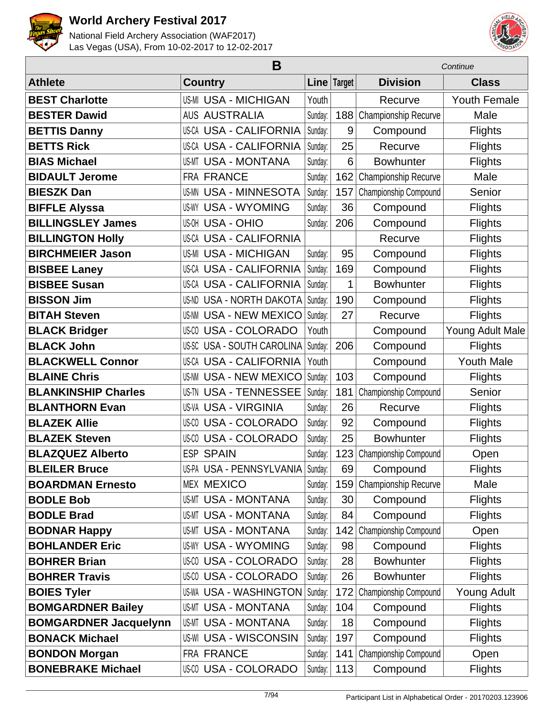



|                              | B                               |         |               |                       |                    |
|------------------------------|---------------------------------|---------|---------------|-----------------------|--------------------|
| <b>Athlete</b>               | <b>Country</b>                  |         | Line   Target | <b>Division</b>       | <b>Class</b>       |
| <b>BEST Charlotte</b>        | <b>US-MI USA - MICHIGAN</b>     | Youth   |               | Recurve               | Youth Female       |
| <b>BESTER Dawid</b>          | <b>AUS AUSTRALIA</b>            | Sunday: | 188           | Championship Recurve  | Male               |
| <b>BETTIS Danny</b>          | <b>US-CA USA - CALIFORNIA</b>   | Sunday: | 9             | Compound              | Flights            |
| <b>BETTS Rick</b>            | <b>US-CA USA - CALIFORNIA</b>   | Sunday: | 25            | Recurve               | <b>Flights</b>     |
| <b>BIAS Michael</b>          | <b>US-MT USA - MONTANA</b>      | Sunday: | 6             | <b>Bowhunter</b>      | <b>Flights</b>     |
| <b>BIDAULT Jerome</b>        | FRA FRANCE                      | Sunday: | 162           | Championship Recurve  | Male               |
| <b>BIESZK Dan</b>            | <b>US-MN USA - MINNESOTA</b>    | Sunday: | 157           | Championship Compound | Senior             |
| <b>BIFFLE Alyssa</b>         | <b>US-WY USA - WYOMING</b>      | Sunday: | 36            | Compound              | <b>Flights</b>     |
| <b>BILLINGSLEY James</b>     | <b>US-OH USA - OHIO</b>         | Sunday: | 206           | Compound              | <b>Flights</b>     |
| <b>BILLINGTON Holly</b>      | US-CA USA - CALIFORNIA          |         |               | Recurve               | <b>Flights</b>     |
| <b>BIRCHMEIER Jason</b>      | <b>US-MI USA - MICHIGAN</b>     | Sunday: | 95            | Compound              | <b>Flights</b>     |
| <b>BISBEE Laney</b>          | <b>US-CA USA - CALIFORNIA</b>   | Sunday: | 169           | Compound              | <b>Flights</b>     |
| <b>BISBEE Susan</b>          | <b>US-CA USA - CALIFORNIA</b>   | Sunday: | 1             | <b>Bowhunter</b>      | <b>Flights</b>     |
| <b>BISSON Jim</b>            | <b>US-ND USA - NORTH DAKOTA</b> | Sunday: | 190           | Compound              | <b>Flights</b>     |
| <b>BITAH Steven</b>          | <b>US-NM USA - NEW MEXICO</b>   | Sunday: | 27            | Recurve               | <b>Flights</b>     |
| <b>BLACK Bridger</b>         | <b>US-CO USA - COLORADO</b>     | Youth   |               | Compound              | Young Adult Male   |
| <b>BLACK John</b>            | US-SC USA - SOUTH CAROLINA      | Sunday: | 206           | Compound              | <b>Flights</b>     |
| <b>BLACKWELL Connor</b>      | <b>US-CA USA - CALIFORNIA</b>   | Youth   |               | Compound              | <b>Youth Male</b>  |
| <b>BLAINE Chris</b>          | <b>US-NM USA - NEW MEXICO</b>   | Sunday: | 103           | Compound              | <b>Flights</b>     |
| <b>BLANKINSHIP Charles</b>   | <b>US-TN USA - TENNESSEE</b>    | Sunday: | 181           | Championship Compound | Senior             |
| <b>BLANTHORN Evan</b>        | <b>US-VA USA - VIRGINIA</b>     | Sunday: | 26            | Recurve               | <b>Flights</b>     |
| <b>BLAZEK Allie</b>          | <b>US-CO USA - COLORADO</b>     | Sunday: | 92            | Compound              | <b>Flights</b>     |
| <b>BLAZEK Steven</b>         | <b>US-CO USA - COLORADO</b>     | Sunday: | 25            | <b>Bowhunter</b>      | <b>Flights</b>     |
| <b>BLAZQUEZ Alberto</b>      | <b>ESP SPAIN</b>                | Sunday: | 123           | Championship Compound | Open               |
| <b>BLEILER Bruce</b>         | US-PA USA - PENNSYLVANIA        | Sunday: | 69            | Compound              | <b>Flights</b>     |
| <b>BOARDMAN Ernesto</b>      | <b>MEX MEXICO</b>               | Sunday: | 159           | Championship Recurve  | Male               |
| <b>BODLE Bob</b>             | <b>US-MT USA - MONTANA</b>      | Sunday: | 30            | Compound              | <b>Flights</b>     |
| <b>BODLE Brad</b>            | <b>US-MT USA - MONTANA</b>      | Sunday: | 84            | Compound              | <b>Flights</b>     |
| <b>BODNAR Happy</b>          | <b>US-MT USA - MONTANA</b>      | Sunday: | 142           | Championship Compound | Open               |
| <b>BOHLANDER Eric</b>        | <b>US-WY USA - WYOMING</b>      | Sunday: | 98            | Compound              | <b>Flights</b>     |
| <b>BOHRER Brian</b>          | US-00 USA - COLORADO            | Sunday: | 28            | <b>Bowhunter</b>      | <b>Flights</b>     |
| <b>BOHRER Travis</b>         | <b>US-CO USA - COLORADO</b>     | Sunday: | 26            | <b>Bowhunter</b>      | <b>Flights</b>     |
| <b>BOIES Tyler</b>           | <b>US-WA USA - WASHINGTON</b>   | Sunday: | 172           | Championship Compound | <b>Young Adult</b> |
| <b>BOMGARDNER Bailey</b>     | <b>US-MT USA - MONTANA</b>      | Sunday: | 104           | Compound              | <b>Flights</b>     |
| <b>BOMGARDNER Jacquelynn</b> | <b>US-MT USA - MONTANA</b>      | Sunday: | 18            | Compound              | <b>Flights</b>     |
| <b>BONACK Michael</b>        | <b>US-WI USA - WISCONSIN</b>    | Sunday: | 197           | Compound              | <b>Flights</b>     |
| <b>BONDON Morgan</b>         | FRA FRANCE                      | Sunday: | 141           | Championship Compound | Open               |
| <b>BONEBRAKE Michael</b>     | US-00 USA - COLORADO            | Sunday: | 113           | Compound              | <b>Flights</b>     |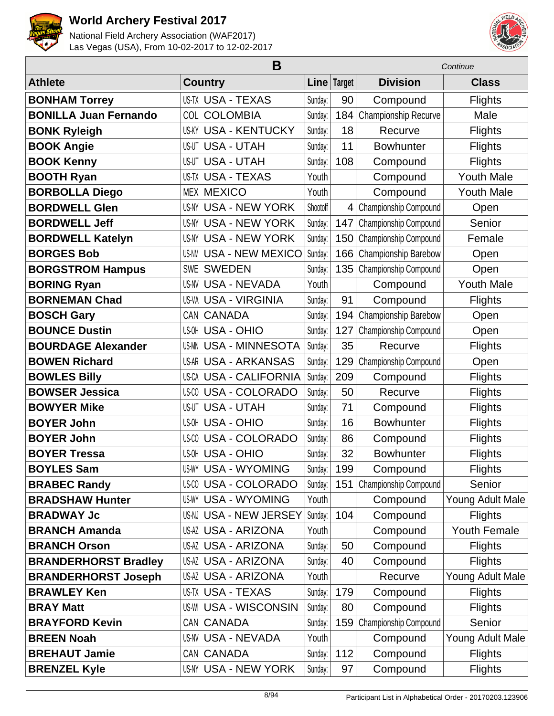



|                              | B                             |          |             |                       | Continue            |  |  |
|------------------------------|-------------------------------|----------|-------------|-----------------------|---------------------|--|--|
| <b>Athlete</b>               | <b>Country</b>                |          | Line Target | <b>Division</b>       | <b>Class</b>        |  |  |
| <b>BONHAM Torrey</b>         | US-TX USA - TEXAS             | Sunday:  | 90          | Compound              | <b>Flights</b>      |  |  |
| <b>BONILLA Juan Fernando</b> | COL COLOMBIA                  | Sunday:  | 184         | Championship Recurve  | Male                |  |  |
| <b>BONK Ryleigh</b>          | US-KY USA - KENTUCKY          | Sunday:  | 18          | Recurve               | <b>Flights</b>      |  |  |
| <b>BOOK Angie</b>            | US-UT USA - UTAH              | Sunday:  | 11          | <b>Bowhunter</b>      | <b>Flights</b>      |  |  |
| <b>BOOK Kenny</b>            | <b>US-UT USA - UTAH</b>       | Sunday:  | 108         | Compound              | <b>Flights</b>      |  |  |
| <b>BOOTH Ryan</b>            | US-TX USA - TEXAS             | Youth    |             | Compound              | <b>Youth Male</b>   |  |  |
| <b>BORBOLLA Diego</b>        | <b>MEX MEXICO</b>             | Youth    |             | Compound              | <b>Youth Male</b>   |  |  |
| <b>BORDWELL Glen</b>         | <b>US-NY USA - NEW YORK</b>   | Shootoff | 4           | Championship Compound | Open                |  |  |
| <b>BORDWELL Jeff</b>         | US-NY USA - NEW YORK          | Sunday:  | 147         | Championship Compound | Senior              |  |  |
| <b>BORDWELL Katelyn</b>      | US-NY USA - NEW YORK          | Sunday:  | 150         | Championship Compound | Female              |  |  |
| <b>BORGES Bob</b>            | <b>US-NM USA - NEW MEXICO</b> | Sunday:  | 166         | Championship Barebow  | Open                |  |  |
| <b>BORGSTROM Hampus</b>      | <b>SWE SWEDEN</b>             | Sunday:  | 135         | Championship Compound | Open                |  |  |
| <b>BORING Ryan</b>           | US-NV USA - NEVADA            | Youth    |             | Compound              | <b>Youth Male</b>   |  |  |
| <b>BORNEMAN Chad</b>         | US-VA USA - VIRGINIA          | Sunday:  | 91          | Compound              | <b>Flights</b>      |  |  |
| <b>BOSCH Gary</b>            | CAN CANADA                    | Sunday:  | 194         | Championship Barebow  | Open                |  |  |
| <b>BOUNCE Dustin</b>         | US-OH USA - OHIO              | Sunday:  | 127         | Championship Compound | Open                |  |  |
| <b>BOURDAGE Alexander</b>    | <b>US-MN USA - MINNESOTA</b>  | Sunday:  | 35          | Recurve               | <b>Flights</b>      |  |  |
| <b>BOWEN Richard</b>         | US-AR USA - ARKANSAS          | Sunday:  | 129         | Championship Compound | Open                |  |  |
| <b>BOWLES Billy</b>          | US-CA USA - CALIFORNIA        | Sunday:  | 209         | Compound              | <b>Flights</b>      |  |  |
| <b>BOWSER Jessica</b>        | <b>US-CO USA - COLORADO</b>   | Sunday:  | 50          | Recurve               | <b>Flights</b>      |  |  |
| <b>BOWYER Mike</b>           | US-UT USA - UTAH              | Sunday:  | 71          | Compound              | <b>Flights</b>      |  |  |
| <b>BOYER John</b>            | US-OH USA - OHIO              | Sunday:  | 16          | <b>Bowhunter</b>      | <b>Flights</b>      |  |  |
| <b>BOYER John</b>            | <b>US-CO USA - COLORADO</b>   | Sunday:  | 86          | Compound              | <b>Flights</b>      |  |  |
| <b>BOYER Tressa</b>          | <b>US-OH USA - OHIO</b>       | Sunday:  | 32          | <b>Bowhunter</b>      | <b>Flights</b>      |  |  |
| <b>BOYLES Sam</b>            | <b>US-WY USA - WYOMING</b>    | Sunday:  | 199         | Compound              | <b>Flights</b>      |  |  |
| <b>BRABEC Randy</b>          | <b>US-CO USA - COLORADO</b>   | Sunday:  | 151         | Championship Compound | Senior              |  |  |
| <b>BRADSHAW Hunter</b>       | <b>US-WY USA - WYOMING</b>    | Youth    |             | Compound              | Young Adult Male    |  |  |
| <b>BRADWAY Jc</b>            | US-NJ USA - NEW JERSEY        | Sunday:  | 104         | Compound              | Flights             |  |  |
| <b>BRANCH Amanda</b>         | US-AZ USA - ARIZONA           | Youth    |             | Compound              | <b>Youth Female</b> |  |  |
| <b>BRANCH Orson</b>          | US-AZ USA - ARIZONA           | Sunday:  | 50          | Compound              | <b>Flights</b>      |  |  |
| <b>BRANDERHORST Bradley</b>  | US-AZ USA - ARIZONA           | Sunday:  | 40          | Compound              | <b>Flights</b>      |  |  |
| <b>BRANDERHORST Joseph</b>   | US-AZ USA - ARIZONA           | Youth    |             | Recurve               | Young Adult Male    |  |  |
| <b>BRAWLEY Ken</b>           | US-TX USA - TEXAS             | Sunday:  | 179         | Compound              | <b>Flights</b>      |  |  |
| <b>BRAY Matt</b>             | US-WI USA - WISCONSIN         | Sunday:  | 80          | Compound              | <b>Flights</b>      |  |  |
| <b>BRAYFORD Kevin</b>        | CAN CANADA                    | Sunday:  | 159         | Championship Compound | Senior              |  |  |
| <b>BREEN Noah</b>            | US-NV USA - NEVADA            | Youth    |             | Compound              | Young Adult Male    |  |  |
| <b>BREHAUT Jamie</b>         | CAN CANADA                    | Sunday:  | 112         | Compound              | <b>Flights</b>      |  |  |
| <b>BRENZEL Kyle</b>          | US-NY USA - NEW YORK          | Sunday:  | 97          | Compound              | <b>Flights</b>      |  |  |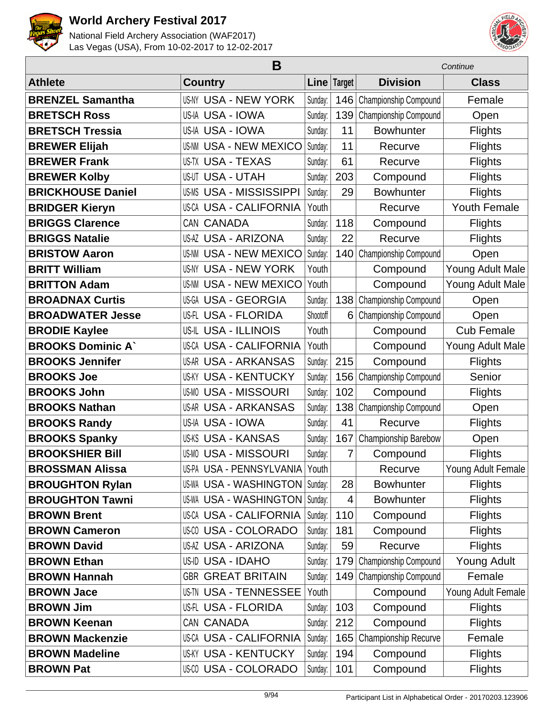



|                          |                                  | Continue |             |                       |                     |
|--------------------------|----------------------------------|----------|-------------|-----------------------|---------------------|
| <b>Athlete</b>           | <b>Country</b>                   |          | Line Target | <b>Division</b>       | <b>Class</b>        |
| <b>BRENZEL Samantha</b>  | <b>US-NY USA - NEW YORK</b>      | Sunday:  | 146         | Championship Compound | Female              |
| <b>BRETSCH Ross</b>      | US-IA USA - IOWA                 | Sunday:  | 139         | Championship Compound | Open                |
| <b>BRETSCH Tressia</b>   | US-IA USA - IOWA                 | Sunday:  | 11          | <b>Bowhunter</b>      | <b>Flights</b>      |
| <b>BREWER Elijah</b>     | <b>USA - NEW MEXICO</b><br>US-NM | Sunday:  | 11          | Recurve               | <b>Flights</b>      |
| <b>BREWER Frank</b>      | <b>US-TX USA - TEXAS</b>         | Sunday:  | 61          | Recurve               | <b>Flights</b>      |
| <b>BREWER Kolby</b>      | <b>US-UT USA - UTAH</b>          | Sunday:  | 203         | Compound              | <b>Flights</b>      |
| <b>BRICKHOUSE Daniel</b> | USA - MISSISSIPPI<br>US-MS       | Sunday:  | 29          | <b>Bowhunter</b>      | <b>Flights</b>      |
| <b>BRIDGER Kieryn</b>    | <b>US-CA USA - CALIFORNIA</b>    | Youth    |             | Recurve               | <b>Youth Female</b> |
| <b>BRIGGS Clarence</b>   | CAN CANADA                       | Sunday:  | 118         | Compound              | <b>Flights</b>      |
| <b>BRIGGS Natalie</b>    | US-AZ USA - ARIZONA              | Sunday:  | 22          | Recurve               | <b>Flights</b>      |
| <b>BRISTOW Aaron</b>     | <b>US-NM USA - NEW MEXICO</b>    | Sunday:  | 140         | Championship Compound | Open                |
| <b>BRITT William</b>     | <b>US-NY USA - NEW YORK</b>      | Youth    |             | Compound              | Young Adult Male    |
| <b>BRITTON Adam</b>      | <b>USA - NEW MEXICO</b><br>US-NM | Youth    |             | Compound              | Young Adult Male    |
| <b>BROADNAX Curtis</b>   | US-GA USA - GEORGIA              | Sunday:  | 138         | Championship Compound | Open                |
| <b>BROADWATER Jesse</b>  | US-FL USA - FLORIDA              | Shootoff | 6           | Championship Compound | Open                |
| <b>BRODIE Kaylee</b>     | <b>US-IL USA - ILLINOIS</b>      | Youth    |             | Compound              | <b>Cub Female</b>   |
| <b>BROOKS Dominic A'</b> | <b>US-CA USA - CALIFORNIA</b>    | Youth    |             | Compound              | Young Adult Male    |
| <b>BROOKS Jennifer</b>   | <b>US-AR USA - ARKANSAS</b>      | Sunday:  | 215         | Compound              | <b>Flights</b>      |
| <b>BROOKS Joe</b>        | <b>USA - KENTUCKY</b><br>US-KY   | Sunday:  | 156         | Championship Compound | Senior              |
| <b>BROOKS John</b>       | <b>US-MO USA - MISSOURI</b>      | Sunday:  | 102         | Compound              | <b>Flights</b>      |
| <b>BROOKS Nathan</b>     | <b>US-AR USA - ARKANSAS</b>      | Sunday:  | 138         | Championship Compound | Open                |
| <b>BROOKS Randy</b>      | US-IA USA - IOWA                 | Sunday:  | 41          | Recurve               | <b>Flights</b>      |
| <b>BROOKS Spanky</b>     | <b>US-KS USA - KANSAS</b>        | Sunday:  | 167         | Championship Barebow  | Open                |
| <b>BROOKSHIER Bill</b>   | <b>US-MO USA - MISSOURI</b>      | Sunday:  | 7           | Compound              | <b>Flights</b>      |
| <b>BROSSMAN Alissa</b>   | US-PA USA - PENNSYLVANIA Youth   |          |             | Recurve               | Young Adult Female  |
| <b>BROUGHTON Rylan</b>   | US-WA USA - WASHINGTON   Sunday: |          | 28          | <b>Bowhunter</b>      | <b>Flights</b>      |
| <b>BROUGHTON Tawni</b>   | US-WA USA - WASHINGTON   Sunday: |          | 4           | <b>Bowhunter</b>      | <b>Flights</b>      |
| <b>BROWN Brent</b>       | US-CA USA - CALIFORNIA           | Sunday:  | 110         | Compound              | <b>Flights</b>      |
| <b>BROWN Cameron</b>     | <b>US-CO USA - COLORADO</b>      | Sunday:  | 181         | Compound              | <b>Flights</b>      |
| <b>BROWN David</b>       | <b>US-AZ USA - ARIZONA</b>       | Sunday:  | 59          | Recurve               | <b>Flights</b>      |
| <b>BROWN Ethan</b>       | US-ID USA - IDAHO                | Sunday:  | 179         | Championship Compound | Young Adult         |
| <b>BROWN Hannah</b>      | <b>GBR GREAT BRITAIN</b>         | Sunday:  | 149         | Championship Compound | Female              |
| <b>BROWN Jace</b>        | <b>US-TN USA - TENNESSEE</b>     | Youth    |             | Compound              | Young Adult Female  |
| <b>BROWN Jim</b>         | US-FL USA - FLORIDA              | Sunday:  | 103         | Compound              | <b>Flights</b>      |
| <b>BROWN Keenan</b>      | CAN CANADA                       | Sunday:  | 212         | Compound              | <b>Flights</b>      |
| <b>BROWN Mackenzie</b>   | US-CA USA - CALIFORNIA           | Sunday:  | 165         | Championship Recurve  | Female              |
| <b>BROWN Madeline</b>    | <b>US-KY USA - KENTUCKY</b>      | Sunday:  | 194         | Compound              | <b>Flights</b>      |
| <b>BROWN Pat</b>         | US-00 USA - COLORADO             | Sunday:  | 101         | Compound              | <b>Flights</b>      |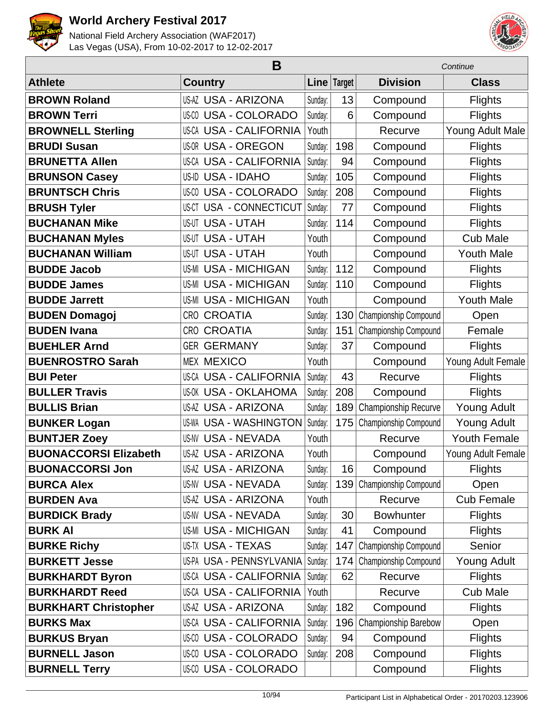



|                              |                                | Continue |             |                       |                     |
|------------------------------|--------------------------------|----------|-------------|-----------------------|---------------------|
| <b>Athlete</b>               | <b>Country</b>                 |          | Line Target | <b>Division</b>       | <b>Class</b>        |
| <b>BROWN Roland</b>          | <b>US-AZ USA - ARIZONA</b>     | Sunday:  | 13          | Compound              | <b>Flights</b>      |
| <b>BROWN Terri</b>           | US-00 USA - COLORADO           | Sunday:  | 6           | Compound              | <b>Flights</b>      |
| <b>BROWNELL Sterling</b>     | <b>US-CA USA - CALIFORNIA</b>  | Youth    |             | Recurve               | Young Adult Male    |
| <b>BRUDI Susan</b>           | US-OR USA - OREGON             | Sunday:  | 198         | Compound              | <b>Flights</b>      |
| <b>BRUNETTA Allen</b>        | <b>US-CA USA - CALIFORNIA</b>  | Sunday:  | 94          | Compound              | <b>Flights</b>      |
| <b>BRUNSON Casey</b>         | <b>USA - IDAHO</b><br>US-ID    | Sunday:  | 105         | Compound              | <b>Flights</b>      |
| <b>BRUNTSCH Chris</b>        | <b>US-CO USA - COLORADO</b>    | Sunday:  | 208         | Compound              | <b>Flights</b>      |
| <b>BRUSH Tyler</b>           | US-CT USA - CONNECTICUT        | Sunday:  | 77          | Compound              | <b>Flights</b>      |
| <b>BUCHANAN Mike</b>         | <b>US-UT USA - UTAH</b>        | Sunday:  | 114         | Compound              | <b>Flights</b>      |
| <b>BUCHANAN Myles</b>        | <b>US-UT USA - UTAH</b>        | Youth    |             | Compound              | <b>Cub Male</b>     |
| <b>BUCHANAN William</b>      | <b>US-UT USA - UTAH</b>        | Youth    |             | Compound              | <b>Youth Male</b>   |
| <b>BUDDE Jacob</b>           | <b>US-MI USA - MICHIGAN</b>    | Sunday:  | 112         | Compound              | <b>Flights</b>      |
| <b>BUDDE James</b>           | <b>USA - MICHIGAN</b><br>US-MI | Sunday:  | 110         | Compound              | Flights             |
| <b>BUDDE Jarrett</b>         | <b>US-MI USA - MICHIGAN</b>    | Youth    |             | Compound              | <b>Youth Male</b>   |
| <b>BUDEN Domagoj</b>         | <b>CROATIA</b><br>CRO          | Sunday:  | 130         | Championship Compound | Open                |
| <b>BUDEN Ivana</b>           | <b>CROATIA</b><br>CRO          | Sunday:  | 151         | Championship Compound | Female              |
| <b>BUEHLER Arnd</b>          | <b>GER GERMANY</b>             | Sunday:  | 37          | Compound              | <b>Flights</b>      |
| <b>BUENROSTRO Sarah</b>      | <b>MEX MEXICO</b>              | Youth    |             | Compound              | Young Adult Female  |
| <b>BUI Peter</b>             | <b>US-CA USA - CALIFORNIA</b>  | Sunday:  | 43          | Recurve               | <b>Flights</b>      |
| <b>BULLER Travis</b>         | <b>US-OK USA - OKLAHOMA</b>    | Sunday:  | 208         | Compound              | <b>Flights</b>      |
| <b>BULLIS Brian</b>          | US-AZ USA - ARIZONA            | Sunday:  | 189         | Championship Recurve  | <b>Young Adult</b>  |
| <b>BUNKER Logan</b>          | <b>US-WA USA - WASHINGTON</b>  | Sunday:  | 175         | Championship Compound | <b>Young Adult</b>  |
| <b>BUNTJER Zoey</b>          | <b>US-NV USA - NEVADA</b>      | Youth    |             | Recurve               | <b>Youth Female</b> |
| <b>BUONACCORSI Elizabeth</b> | <b>US-AZ USA - ARIZONA</b>     | Youth    |             | Compound              | Young Adult Female  |
| <b>BUONACCORSI Jon</b>       | US-AZ USA - ARIZONA            | Sunday:  | 16          | Compound              | <b>Flights</b>      |
| <b>BURCA Alex</b>            | <b>US-NV USA - NEVADA</b>      | Sunday:  | 139         | Championship Compound | Open                |
| <b>BURDEN Ava</b>            | <b>US-AZ USA - ARIZONA</b>     | Youth    |             | Recurve               | <b>Cub Female</b>   |
| <b>BURDICK Brady</b>         | <b>US-NV USA - NEVADA</b>      | Sunday:  | 30          | <b>Bowhunter</b>      | <b>Flights</b>      |
| <b>BURK AI</b>               | <b>US-MI USA - MICHIGAN</b>    | Sunday:  | 41          | Compound              | <b>Flights</b>      |
| <b>BURKE Richy</b>           | US-TX USA - TEXAS              | Sunday:  | 147         | Championship Compound | Senior              |
| <b>BURKETT Jesse</b>         | US-PA USA - PENNSYLVANIA       | Sunday:  | 174         | Championship Compound | <b>Young Adult</b>  |
| <b>BURKHARDT Byron</b>       | US-CA USA - CALIFORNIA         | Sunday:  | 62          | Recurve               | <b>Flights</b>      |
| <b>BURKHARDT Reed</b>        | US-CA USA - CALIFORNIA         | Youth    |             | Recurve               | <b>Cub Male</b>     |
| <b>BURKHART Christopher</b>  | <b>US-AZ USA - ARIZONA</b>     | Sunday:  | 182         | Compound              | <b>Flights</b>      |
| <b>BURKS Max</b>             | US-CA USA - CALIFORNIA         | Sunday:  | 196         | Championship Barebow  | Open                |
| <b>BURKUS Bryan</b>          | <b>US-CO USA - COLORADO</b>    | Sunday:  | 94          | Compound              | <b>Flights</b>      |
| <b>BURNELL Jason</b>         | <b>US-CO USA - COLORADO</b>    | Sunday:  | 208         | Compound              | <b>Flights</b>      |
| <b>BURNELL Terry</b>         | <b>US-CO USA - COLORADO</b>    |          |             | Compound              | <b>Flights</b>      |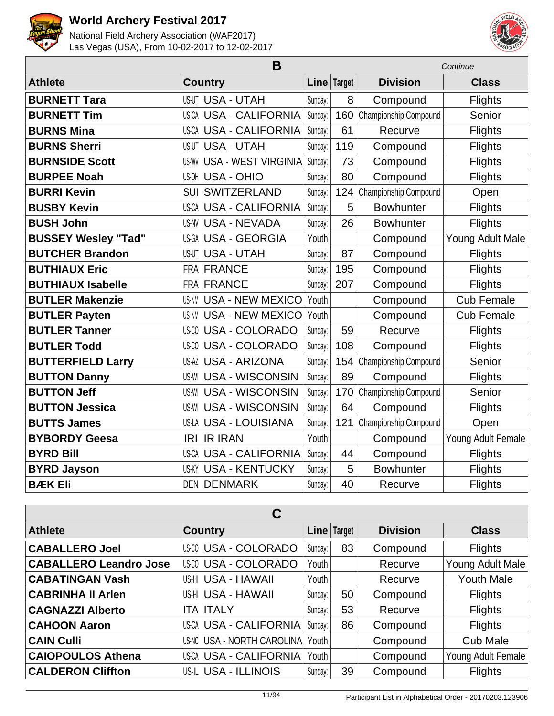



|                            | Continue                         |         |             |                       |                    |
|----------------------------|----------------------------------|---------|-------------|-----------------------|--------------------|
| <b>Athlete</b>             | <b>Country</b>                   |         | Line Target | <b>Division</b>       | <b>Class</b>       |
| <b>BURNETT Tara</b>        | <b>US-UT USA - UTAH</b>          | Sunday: | 8           | Compound              | <b>Flights</b>     |
| <b>BURNETT Tim</b>         | US-CA USA - CALIFORNIA           | Sunday: | 160         | Championship Compound | Senior             |
| <b>BURNS Mina</b>          | <b>US-CA USA - CALIFORNIA</b>    | Sunday: | 61          | Recurve               | <b>Flights</b>     |
| <b>BURNS Sherri</b>        | <b>US-UT USA - UTAH</b>          | Sunday: | 119         | Compound              | <b>Flights</b>     |
| <b>BURNSIDE Scott</b>      | <b>US-WV USA - WEST VIRGINIA</b> | Sunday: | 73          | Compound              | <b>Flights</b>     |
| <b>BURPEE Noah</b>         | <b>US-OH USA - OHIO</b>          | Sunday: | 80          | Compound              | Flights            |
| <b>BURRI Kevin</b>         | <b>SUI SWITZERLAND</b>           | Sunday: | 124         | Championship Compound | Open               |
| <b>BUSBY Kevin</b>         | <b>US-CA USA - CALIFORNIA</b>    | Sunday: | 5           | <b>Bowhunter</b>      | Flights            |
| <b>BUSH John</b>           | <b>US-NV USA - NEVADA</b>        | Sunday: | 26          | <b>Bowhunter</b>      | <b>Flights</b>     |
| <b>BUSSEY Wesley "Tad"</b> | <b>US-GA USA - GEORGIA</b>       | Youth   |             | Compound              | Young Adult Male   |
| <b>BUTCHER Brandon</b>     | <b>US-UT USA - UTAH</b>          | Sunday: | 87          | Compound              | Flights            |
| <b>BUTHIAUX Eric</b>       | <b>FRA FRANCE</b>                | Sunday: | 195         | Compound              | <b>Flights</b>     |
| <b>BUTHIAUX Isabelle</b>   | <b>FRA FRANCE</b>                | Sunday: | 207         | Compound              | <b>Flights</b>     |
| <b>BUTLER Makenzie</b>     | <b>US-NM USA - NEW MEXICO</b>    | Youth   |             | Compound              | <b>Cub Female</b>  |
| <b>BUTLER Payten</b>       | <b>US-NM USA - NEW MEXICO</b>    | Youth   |             | Compound              | <b>Cub Female</b>  |
| <b>BUTLER Tanner</b>       | <b>USA - COLORADO</b><br>US-CO   | Sunday: | 59          | Recurve               | Flights            |
| <b>BUTLER Todd</b>         | <b>USA - COLORADO</b><br>US-CO   | Sunday: | 108         | Compound              | Flights            |
| <b>BUTTERFIELD Larry</b>   | <b>US-AZ USA - ARIZONA</b>       | Sunday: | 154         | Championship Compound | Senior             |
| <b>BUTTON Danny</b>        | <b>US-WI USA - WISCONSIN</b>     | Sunday: | 89          | Compound              | Flights            |
| <b>BUTTON Jeff</b>         | <b>US-WI USA - WISCONSIN</b>     | Sunday: | 170         | Championship Compound | Senior             |
| <b>BUTTON Jessica</b>      | <b>US-WI USA - WISCONSIN</b>     | Sunday: | 64          | Compound              | <b>Flights</b>     |
| <b>BUTTS James</b>         | <b>US-LA USA - LOUISIANA</b>     | Sunday: | 121         | Championship Compound | Open               |
| <b>BYBORDY Geesa</b>       | <b>IR IRAN</b><br>IRI            | Youth   |             | Compound              | Young Adult Female |
| <b>BYRD Bill</b>           | <b>US-CA USA - CALIFORNIA</b>    | Sunday: | 44          | Compound              | Flights            |
| <b>BYRD Jayson</b>         | <b>US-KY USA - KENTUCKY</b>      | Sunday: | 5           | <b>Bowhunter</b>      | <b>Flights</b>     |
| <b>BÆK Eli</b>             | <b>DEN DENMARK</b>               | Sunday: | 40          | Recurve               | Flights            |

| C                             |                             |         |               |                 |                    |  |  |  |
|-------------------------------|-----------------------------|---------|---------------|-----------------|--------------------|--|--|--|
| <b>Athlete</b>                | <b>Country</b>              |         | Line   Target | <b>Division</b> | <b>Class</b>       |  |  |  |
| <b>CABALLERO Joel</b>         | <b>US-CO USA - COLORADO</b> | Sunday: | 83            | Compound        | <b>Flights</b>     |  |  |  |
| <b>CABALLERO Leandro Jose</b> | <b>US-CO USA - COLORADO</b> | Youth   |               | Recurve         | Young Adult Male   |  |  |  |
| <b>CABATINGAN Vash</b>        | <b>US-HI USA - HAWAII</b>   | Youth   |               | Recurve         | <b>Youth Male</b>  |  |  |  |
| <b>CABRINHA II Arlen</b>      | <b>US-HI USA - HAWAII</b>   | Sunday: | 50            | Compound        | <b>Flights</b>     |  |  |  |
| <b>CAGNAZZI Alberto</b>       | <b>ITA ITALY</b>            | Sunday: | 53            | Recurve         | <b>Flights</b>     |  |  |  |
| <b>CAHOON Aaron</b>           | US-CA USA - CALIFORNIA      | Sunday: | 86            | Compound        | <b>Flights</b>     |  |  |  |
| <b>CAIN Culli</b>             | US-NC USA - NORTH CAROLINA  | Youth   |               | Compound        | <b>Cub Male</b>    |  |  |  |
| <b>CAIOPOULOS Athena</b>      | US-CA USA - CALIFORNIA      | Youth   |               | Compound        | Young Adult Female |  |  |  |
| <b>CALDERON Cliffton</b>      | US-IL USA - ILLINOIS        | Sunday: | 39            | Compound        | <b>Flights</b>     |  |  |  |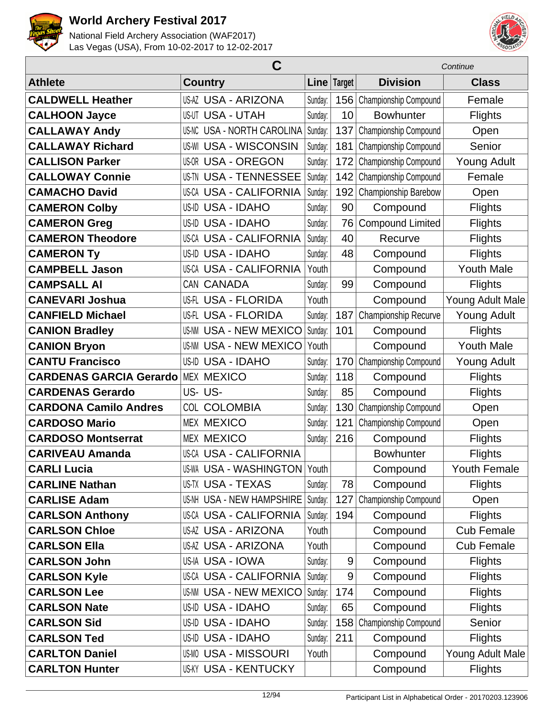



|                                | C                                 |         |               | Continue                |                     |  |
|--------------------------------|-----------------------------------|---------|---------------|-------------------------|---------------------|--|
| <b>Athlete</b>                 | <b>Country</b>                    |         | Line   Target | <b>Division</b>         | <b>Class</b>        |  |
| <b>CALDWELL Heather</b>        | <b>US-AZ USA - ARIZONA</b>        | Sunday: | 156           | Championship Compound   | Female              |  |
| <b>CALHOON Jayce</b>           | <b>US-UT USA - UTAH</b>           | Sunday: | 10            | <b>Bowhunter</b>        | <b>Flights</b>      |  |
| <b>CALLAWAY Andy</b>           | <b>US-NC USA - NORTH CAROLINA</b> | Sunday: | 137           | Championship Compound   | Open                |  |
| <b>CALLAWAY Richard</b>        | <b>US-WI USA - WISCONSIN</b>      | Sunday: | 181           | Championship Compound   | Senior              |  |
| <b>CALLISON Parker</b>         | <b>US-OR USA - OREGON</b>         | Sunday: | 172           | Championship Compound   | <b>Young Adult</b>  |  |
| <b>CALLOWAY Connie</b>         | <b>US-TN USA - TENNESSEE</b>      | Sunday: | 142           | Championship Compound   | Female              |  |
| <b>CAMACHO David</b>           | <b>USA - CALIFORNIA</b><br>US-CA  | Sunday: | 192           | Championship Barebow    | Open                |  |
| <b>CAMERON Colby</b>           | US-ID USA - IDAHO                 | Sunday: | 90            | Compound                | <b>Flights</b>      |  |
| <b>CAMERON Greg</b>            | US-ID USA - IDAHO                 | Sunday: | 76            | <b>Compound Limited</b> | Flights             |  |
| <b>CAMERON Theodore</b>        | <b>US-CA USA - CALIFORNIA</b>     | Sunday: | 40            | Recurve                 | <b>Flights</b>      |  |
| <b>CAMERON Ty</b>              | <b>USA - IDAHO</b><br>US-ID       | Sunday: | 48            | Compound                | <b>Flights</b>      |  |
| <b>CAMPBELL Jason</b>          | <b>US-CA USA - CALIFORNIA</b>     | Youth   |               | Compound                | <b>Youth Male</b>   |  |
| <b>CAMPSALL AI</b>             | CAN CANADA                        | Sunday: | 99            | Compound                | <b>Flights</b>      |  |
| <b>CANEVARI Joshua</b>         | US-FL USA - FLORIDA               | Youth   |               | Compound                | Young Adult Male    |  |
| <b>CANFIELD Michael</b>        | US-FL USA - FLORIDA               | Sunday: | 187           | Championship Recurve    | <b>Young Adult</b>  |  |
| <b>CANION Bradley</b>          | <b>USA - NEW MEXICO</b><br>US-NM  | Sunday: | 101           | Compound                | <b>Flights</b>      |  |
| <b>CANION Bryon</b>            | <b>US-NM USA - NEW MEXICO</b>     | Youth   |               | Compound                | <b>Youth Male</b>   |  |
| <b>CANTU Francisco</b>         | US-ID USA - IDAHO                 | Sunday: | 170           | Championship Compound   | <b>Young Adult</b>  |  |
| <b>CARDENAS GARCIA Gerardo</b> | <b>MEX MEXICO</b>                 | Sunday: | 118           | Compound                | <b>Flights</b>      |  |
| <b>CARDENAS Gerardo</b>        | US-US-                            | Sunday: | 85            | Compound                | <b>Flights</b>      |  |
| <b>CARDONA Camilo Andres</b>   | <b>COL COLOMBIA</b>               | Sunday: | 130           | Championship Compound   | Open                |  |
| <b>CARDOSO Mario</b>           | <b>MEX MEXICO</b>                 | Sunday: | 121           | Championship Compound   | Open                |  |
| <b>CARDOSO Montserrat</b>      | <b>MEX MEXICO</b>                 | Sunday: | 216           | Compound                | <b>Flights</b>      |  |
| <b>CARIVEAU Amanda</b>         | <b>US-CA USA - CALIFORNIA</b>     |         |               | <b>Bowhunter</b>        | <b>Flights</b>      |  |
| <b>CARLI Lucia</b>             | US-WA USA - WASHINGTON Youth      |         |               | Compound                | <b>Youth Female</b> |  |
| <b>CARLINE Nathan</b>          | US-TX USA - TEXAS                 | Sunday: | 78            | Compound                | <b>Flights</b>      |  |
| <b>CARLISE Adam</b>            | <b>US-NH USA - NEW HAMPSHIRE</b>  | Sunday: | 127           | Championship Compound   | Open                |  |
| <b>CARLSON Anthony</b>         | <b>US-CA USA - CALIFORNIA</b>     | Sunday: | 194           | Compound                | <b>Flights</b>      |  |
| <b>CARLSON Chloe</b>           | <b>US-AZ USA - ARIZONA</b>        | Youth   |               | Compound                | <b>Cub Female</b>   |  |
| <b>CARLSON Ella</b>            | <b>US-AZ USA - ARIZONA</b>        | Youth   |               | Compound                | <b>Cub Female</b>   |  |
| <b>CARLSON John</b>            | US-IA USA - IOWA                  | Sunday: | $9\,$         | Compound                | <b>Flights</b>      |  |
| <b>CARLSON Kyle</b>            | US-CA USA - CALIFORNIA            | Sunday: | 9             | Compound                | <b>Flights</b>      |  |
| <b>CARLSON Lee</b>             | US-NM USA - NEW MEXICO            | Sunday: | 174           | Compound                | <b>Flights</b>      |  |
| <b>CARLSON Nate</b>            | US-ID USA - IDAHO                 | Sunday: | 65            | Compound                | <b>Flights</b>      |  |
| <b>CARLSON Sid</b>             | US-ID USA - IDAHO                 | Sunday: | 158           | Championship Compound   | Senior              |  |
| <b>CARLSON Ted</b>             | US-ID USA - IDAHO                 | Sunday: | 211           | Compound                | <b>Flights</b>      |  |
| <b>CARLTON Daniel</b>          | US-MO USA - MISSOURI              | Youth   |               | Compound                | Young Adult Male    |  |
| <b>CARLTON Hunter</b>          | <b>US-KY USA - KENTUCKY</b>       |         |               | Compound                | <b>Flights</b>      |  |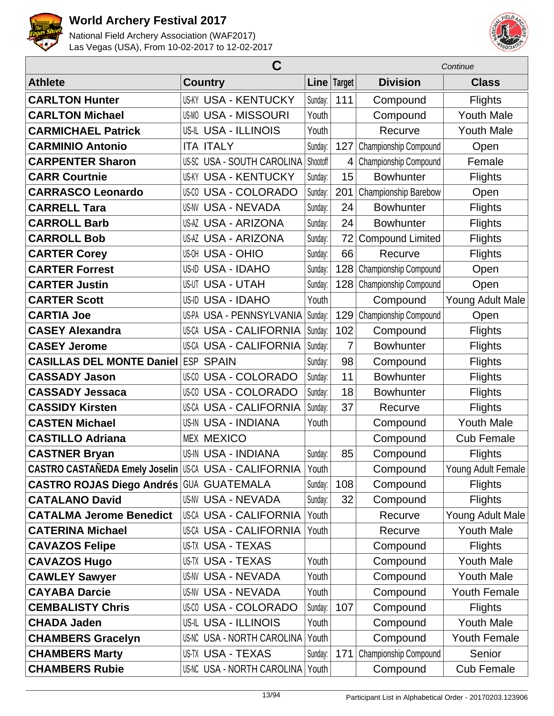



|                                                       | С                             |          |                | Continue                |                     |  |
|-------------------------------------------------------|-------------------------------|----------|----------------|-------------------------|---------------------|--|
| <b>Athlete</b>                                        | <b>Country</b>                |          | Line Target    | <b>Division</b>         | <b>Class</b>        |  |
| <b>CARLTON Hunter</b>                                 | <b>US-KY USA - KENTUCKY</b>   | Sunday:  | 111            | Compound                | <b>Flights</b>      |  |
| <b>CARLTON Michael</b>                                | <b>US-MO USA - MISSOURI</b>   | Youth    |                | Compound                | <b>Youth Male</b>   |  |
| <b>CARMICHAEL Patrick</b>                             | US-IL USA - ILLINOIS          | Youth    |                | Recurve                 | <b>Youth Male</b>   |  |
| <b>CARMINIO Antonio</b>                               | <b>ITA ITALY</b>              | Sunday:  | 127            | Championship Compound   | Open                |  |
| <b>CARPENTER Sharon</b>                               | US-SC USA - SOUTH CAROLINA    | Shootoff | $\overline{4}$ | Championship Compound   | Female              |  |
| <b>CARR Courtnie</b>                                  | <b>US-KY USA - KENTUCKY</b>   | Sunday:  | 15             | <b>Bowhunter</b>        | <b>Flights</b>      |  |
| <b>CARRASCO Leonardo</b>                              | <b>US-CO USA - COLORADO</b>   | Sunday:  | 201            | Championship Barebow    | Open                |  |
| <b>CARRELL Tara</b>                                   | <b>US-NV USA - NEVADA</b>     | Sunday:  | 24             | <b>Bowhunter</b>        | <b>Flights</b>      |  |
| <b>CARROLL Barb</b>                                   | <b>US-AZ USA - ARIZONA</b>    | Sunday:  | 24             | <b>Bowhunter</b>        | <b>Flights</b>      |  |
| <b>CARROLL Bob</b>                                    | <b>US-AZ USA - ARIZONA</b>    | Sunday:  | 72             | <b>Compound Limited</b> | <b>Flights</b>      |  |
| <b>CARTER Corey</b>                                   | <b>US-OH USA - OHIO</b>       | Sunday:  | 66             | Recurve                 | <b>Flights</b>      |  |
| <b>CARTER Forrest</b>                                 | US-ID USA - IDAHO             | Sunday:  | 128            | Championship Compound   | Open                |  |
| <b>CARTER Justin</b>                                  | <b>US-UT USA - UTAH</b>       | Sunday:  | 128            | Championship Compound   | Open                |  |
| <b>CARTER Scott</b>                                   | US-ID USA - IDAHO             | Youth    |                | Compound                | Young Adult Male    |  |
| <b>CARTIA Joe</b>                                     | US-PA USA - PENNSYLVANIA      | Sunday:  | 129            | Championship Compound   | Open                |  |
| <b>CASEY Alexandra</b>                                | US-CA USA - CALIFORNIA        | Sunday:  | 102            | Compound                | <b>Flights</b>      |  |
| <b>CASEY Jerome</b>                                   | <b>US-CA USA - CALIFORNIA</b> | Sunday:  | 7              | <b>Bowhunter</b>        | <b>Flights</b>      |  |
| <b>CASILLAS DEL MONTE Daniel</b>                      | <b>ESP</b><br><b>SPAIN</b>    | Sunday:  | 98             | Compound                | <b>Flights</b>      |  |
| <b>CASSADY Jason</b>                                  | US-CO USA - COLORADO          | Sunday:  | 11             | <b>Bowhunter</b>        | <b>Flights</b>      |  |
| <b>CASSADY Jessaca</b>                                | <b>US-CO USA - COLORADO</b>   | Sunday:  | 18             | <b>Bowhunter</b>        | <b>Flights</b>      |  |
| <b>CASSIDY Kirsten</b>                                | US-CA USA - CALIFORNIA        | Sunday:  | 37             | Recurve                 | <b>Flights</b>      |  |
| <b>CASTEN Michael</b>                                 | <b>US-IN USA - INDIANA</b>    | Youth    |                | Compound                | <b>Youth Male</b>   |  |
| <b>CASTILLO Adriana</b>                               | <b>MEX MEXICO</b>             |          |                | Compound                | <b>Cub Female</b>   |  |
| <b>CASTNER Bryan</b>                                  | <b>US-IN USA - INDIANA</b>    | Sunday:  | 85             | Compound                | <b>Flights</b>      |  |
| CASTRO CASTAÑEDA Emely Joselin US-CA USA - CALIFORNIA |                               | Youth    |                | Compound                | Young Adult Female  |  |
| <b>CASTRO ROJAS Diego Andrés GUA GUATEMALA</b>        |                               | Sunday:  | 108            | Compound                | <b>Flights</b>      |  |
| <b>CATALANO David</b>                                 | <b>US-NV USA - NEVADA</b>     | Sunday:  | 32             | Compound                | <b>Flights</b>      |  |
| <b>CATALMA Jerome Benedict</b>                        | US-CA USA - CALIFORNIA        | Youth    |                | Recurve                 | Young Adult Male    |  |
| <b>CATERINA Michael</b>                               | US-CA USA - CALIFORNIA        | Youth    |                | Recurve                 | <b>Youth Male</b>   |  |
| <b>CAVAZOS Felipe</b>                                 | US-TX USA - TEXAS             |          |                | Compound                | <b>Flights</b>      |  |
| <b>CAVAZOS Hugo</b>                                   | US-TX USA - TEXAS             | Youth    |                | Compound                | <b>Youth Male</b>   |  |
| <b>CAWLEY Sawyer</b>                                  | <b>US-NV USA - NEVADA</b>     | Youth    |                | Compound                | <b>Youth Male</b>   |  |
| <b>CAYABA Darcie</b>                                  | US-NV USA - NEVADA            | Youth    |                | Compound                | <b>Youth Female</b> |  |
| <b>CEMBALISTY Chris</b>                               | <b>US-CO USA - COLORADO</b>   | Sunday:  | 107            | Compound                | <b>Flights</b>      |  |
| <b>CHADA Jaden</b>                                    | US-IL USA - ILLINOIS          | Youth    |                | Compound                | <b>Youth Male</b>   |  |
| <b>CHAMBERS Gracelyn</b>                              | US-NC USA - NORTH CAROLINA    | Youth    |                | Compound                | <b>Youth Female</b> |  |
| <b>CHAMBERS Marty</b>                                 | US-TX USA - TEXAS             | Sunday:  | 171            | Championship Compound   | Senior              |  |
| <b>CHAMBERS Rubie</b>                                 | US-NC USA - NORTH CAROLINA    | Youth    |                | Compound                | <b>Cub Female</b>   |  |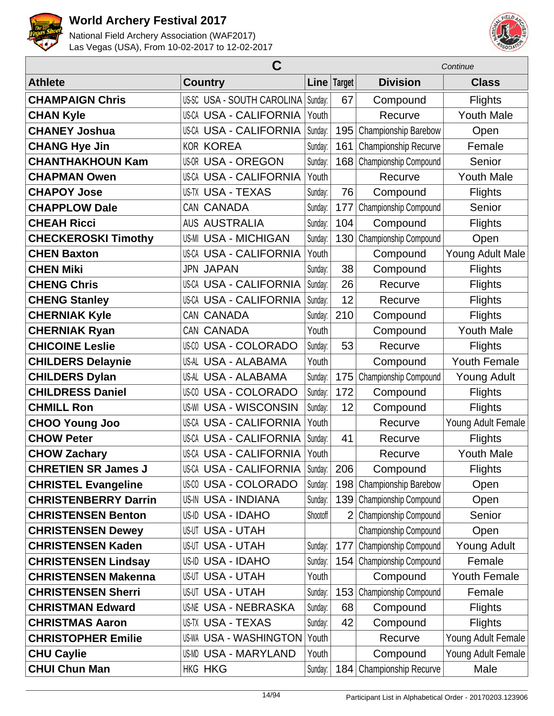



|                             | C                              |          | Continue       |                              |                     |
|-----------------------------|--------------------------------|----------|----------------|------------------------------|---------------------|
| <b>Athlete</b>              | <b>Country</b>                 |          | Line Target    | <b>Division</b>              | <b>Class</b>        |
| <b>CHAMPAIGN Chris</b>      | US-SC USA - SOUTH CAROLINA     | Sunday:  | 67             | Compound                     | <b>Flights</b>      |
| <b>CHAN Kyle</b>            | <b>US-CA USA - CALIFORNIA</b>  | Youth    |                | Recurve                      | <b>Youth Male</b>   |
| <b>CHANEY Joshua</b>        | <b>US-CA USA - CALIFORNIA</b>  | Sunday:  | 195            | Championship Barebow         | Open                |
| <b>CHANG Hye Jin</b>        | <b>KOR KOREA</b>               | Sunday:  | 161            | Championship Recurve         | Female              |
| <b>CHANTHAKHOUN Kam</b>     | <b>US-OR USA - OREGON</b>      | Sunday:  | 168            | Championship Compound        | Senior              |
| <b>CHAPMAN Owen</b>         | <b>US-CA USA - CALIFORNIA</b>  | Youth    |                | Recurve                      | <b>Youth Male</b>   |
| <b>CHAPOY Jose</b>          | <b>US-TX USA - TEXAS</b>       | Sunday:  | 76             | Compound                     | <b>Flights</b>      |
| <b>CHAPPLOW Dale</b>        | CAN CANADA                     | Sunday:  | 177            | Championship Compound        | Senior              |
| <b>CHEAH Ricci</b>          | <b>AUS AUSTRALIA</b>           | Sunday:  | 104            | Compound                     | <b>Flights</b>      |
| <b>CHECKEROSKI Timothy</b>  | <b>US-MI USA - MICHIGAN</b>    | Sunday:  | 130            | Championship Compound        | Open                |
| <b>CHEN Baxton</b>          | <b>US-CA USA - CALIFORNIA</b>  | Youth    |                | Compound                     | Young Adult Male    |
| <b>CHEN Miki</b>            | <b>JPN JAPAN</b>               | Sunday:  | 38             | Compound                     | <b>Flights</b>      |
| <b>CHENG Chris</b>          | <b>US-CA USA - CALIFORNIA</b>  | Sunday:  | 26             | Recurve                      | <b>Flights</b>      |
| <b>CHENG Stanley</b>        | <b>US-CA USA - CALIFORNIA</b>  | Sunday:  | 12             | Recurve                      | <b>Flights</b>      |
| <b>CHERNIAK Kyle</b>        | CAN CANADA                     | Sunday:  | 210            | Compound                     | <b>Flights</b>      |
| <b>CHERNIAK Ryan</b>        | CAN CANADA                     | Youth    |                | Compound                     | <b>Youth Male</b>   |
| <b>CHICOINE Leslie</b>      | <b>US-CO USA - COLORADO</b>    | Sunday:  | 53             | Recurve                      | <b>Flights</b>      |
| <b>CHILDERS Delaynie</b>    | US-AL USA - ALABAMA            | Youth    |                | Compound                     | <b>Youth Female</b> |
| <b>CHILDERS Dylan</b>       | US-AL USA - ALABAMA            | Sunday:  | 175            | Championship Compound        | <b>Young Adult</b>  |
| <b>CHILDRESS Daniel</b>     | US-00 USA - COLORADO           | Sunday:  | 172            | Compound                     | <b>Flights</b>      |
| <b>CHMILL Ron</b>           | <b>US-WI USA - WISCONSIN</b>   | Sunday:  | 12             | Compound                     | <b>Flights</b>      |
| <b>CHOO Young Joo</b>       | <b>US-CA USA - CALIFORNIA</b>  | Youth    |                | Recurve                      | Young Adult Female  |
| <b>CHOW Peter</b>           | <b>US-CA USA - CALIFORNIA</b>  | Sunday:  | 41             | Recurve                      | <b>Flights</b>      |
| <b>CHOW Zachary</b>         | <b>US-CA USA - CALIFORNIA</b>  | Youth    |                | Recurve                      | <b>Youth Male</b>   |
| <b>CHRETIEN SR James J</b>  | US-CA USA - CALIFORNIA Sunday: |          | 206            | Compound                     | <b>Flights</b>      |
| <b>CHRISTEL Evangeline</b>  | <b>US-CO USA - COLORADO</b>    | Sunday:  | 198            | Championship Barebow         | Open                |
| <b>CHRISTENBERRY Darrin</b> | <b>US-IN USA - INDIANA</b>     | Sunday:  | 139            | <b>Championship Compound</b> | Open                |
| <b>CHRISTENSEN Benton</b>   | US-ID USA - IDAHO              | Shootoff | $\overline{2}$ | Championship Compound        | Senior              |
| <b>CHRISTENSEN Dewey</b>    | <b>US-UT USA - UTAH</b>        |          |                | Championship Compound        | Open                |
| <b>CHRISTENSEN Kaden</b>    | <b>US-UT USA - UTAH</b>        | Sunday:  | 177            | Championship Compound        | <b>Young Adult</b>  |
| <b>CHRISTENSEN Lindsay</b>  | US-ID USA - IDAHO              | Sunday:  | 154            | Championship Compound        | Female              |
| <b>CHRISTENSEN Makenna</b>  | <b>US-UT USA - UTAH</b>        | Youth    |                | Compound                     | <b>Youth Female</b> |
| <b>CHRISTENSEN Sherri</b>   | <b>US-UT USA - UTAH</b>        | Sunday:  | 153            | Championship Compound        | Female              |
| <b>CHRISTMAN Edward</b>     | US-NE USA - NEBRASKA           | Sunday:  | 68             | Compound                     | <b>Flights</b>      |
| <b>CHRISTMAS Aaron</b>      | <b>US-TX USA - TEXAS</b>       | Sunday:  | 42             | Compound                     | <b>Flights</b>      |
| <b>CHRISTOPHER Emilie</b>   | <b>US-WA USA - WASHINGTON</b>  | Youth    |                | Recurve                      | Young Adult Female  |
| <b>CHU Caylie</b>           | US-MD USA - MARYLAND           | Youth    |                | Compound                     | Young Adult Female  |
| <b>CHUI Chun Man</b>        | <b>HKG HKG</b>                 | Sunday:  | 184            | <b>Championship Recurve</b>  | Male                |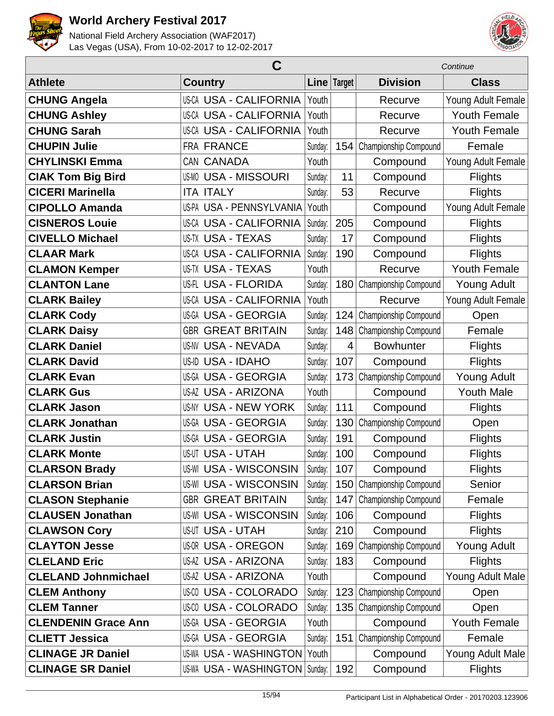



|                            | C                             |         |                |                              | Continue            |  |  |
|----------------------------|-------------------------------|---------|----------------|------------------------------|---------------------|--|--|
| <b>Athlete</b>             | <b>Country</b>                |         | Line Target    | <b>Division</b>              | <b>Class</b>        |  |  |
| <b>CHUNG Angela</b>        | US-CA USA - CALIFORNIA        | Youth   |                | Recurve                      | Young Adult Female  |  |  |
| <b>CHUNG Ashley</b>        | US-CA USA - CALIFORNIA        | Youth   |                | Recurve                      | <b>Youth Female</b> |  |  |
| <b>CHUNG Sarah</b>         | <b>US-CA USA - CALIFORNIA</b> | Youth   |                | Recurve                      | <b>Youth Female</b> |  |  |
| <b>CHUPIN Julie</b>        | FRA FRANCE                    | Sunday: | 154            | Championship Compound        | Female              |  |  |
| <b>CHYLINSKI Emma</b>      | CAN CANADA                    | Youth   |                | Compound                     | Young Adult Female  |  |  |
| <b>CIAK Tom Big Bird</b>   | <b>US-MO USA - MISSOURI</b>   | Sunday: | 11             | Compound                     | <b>Flights</b>      |  |  |
| <b>CICERI Marinella</b>    | <b>ITA ITALY</b>              | Sunday: | 53             | Recurve                      | <b>Flights</b>      |  |  |
| <b>CIPOLLO Amanda</b>      | US-PA USA - PENNSYLVANIA      | Youth   |                | Compound                     | Young Adult Female  |  |  |
| <b>CISNEROS Louie</b>      | <b>US-CA USA - CALIFORNIA</b> | Sunday: | 205            | Compound                     | <b>Flights</b>      |  |  |
| <b>CIVELLO Michael</b>     | US-TX USA - TEXAS             | Sunday: | 17             | Compound                     | <b>Flights</b>      |  |  |
| <b>CLAAR Mark</b>          | <b>US-CA USA - CALIFORNIA</b> | Sunday: | 190            | Compound                     | <b>Flights</b>      |  |  |
| <b>CLAMON Kemper</b>       | <b>US-TX USA - TEXAS</b>      | Youth   |                | Recurve                      | <b>Youth Female</b> |  |  |
| <b>CLANTON Lane</b>        | US-FL USA - FLORIDA           | Sunday: | 180            | Championship Compound        | <b>Young Adult</b>  |  |  |
| <b>CLARK Bailey</b>        | US-CA USA - CALIFORNIA        | Youth   |                | Recurve                      | Young Adult Female  |  |  |
| <b>CLARK Cody</b>          | US-GA USA - GEORGIA           | Sunday: | 124            | Championship Compound        | Open                |  |  |
| <b>CLARK Daisy</b>         | <b>GBR GREAT BRITAIN</b>      | Sunday: | 148            | Championship Compound        | Female              |  |  |
| <b>CLARK Daniel</b>        | US-NV USA - NEVADA            | Sunday: | $\overline{4}$ | <b>Bowhunter</b>             | <b>Flights</b>      |  |  |
| <b>CLARK David</b>         | US-ID USA - IDAHO             | Sunday: | 107            | Compound                     | <b>Flights</b>      |  |  |
| <b>CLARK Evan</b>          | US-GA USA - GEORGIA           | Sunday: | 173            | Championship Compound        | <b>Young Adult</b>  |  |  |
| <b>CLARK Gus</b>           | US-AZ USA - ARIZONA           | Youth   |                | Compound                     | <b>Youth Male</b>   |  |  |
| <b>CLARK Jason</b>         | US-NY USA - NEW YORK          | Sunday: | 111            | Compound                     | <b>Flights</b>      |  |  |
| <b>CLARK Jonathan</b>      | <b>US-GA USA - GEORGIA</b>    | Sunday: | 130            | Championship Compound        | Open                |  |  |
| <b>CLARK Justin</b>        | <b>US-GA USA - GEORGIA</b>    | Sunday: | 191            | Compound                     | Flights             |  |  |
| <b>CLARK Monte</b>         | <b>US-UT USA - UTAH</b>       | Sunday: | 100            | Compound                     | Flights             |  |  |
| <b>CLARSON Brady</b>       | US-WI USA - WISCONSIN         | Sunday: | 107            | Compound                     | <b>Flights</b>      |  |  |
| <b>CLARSON Brian</b>       | <b>US-WI USA - WISCONSIN</b>  | Sunday: | 150            | <b>Championship Compound</b> | Senior              |  |  |
| <b>CLASON Stephanie</b>    | <b>GBR GREAT BRITAIN</b>      | Sunday: | 147            | Championship Compound        | Female              |  |  |
| <b>CLAUSEN Jonathan</b>    | US-WI USA - WISCONSIN         | Sunday: | 106            | Compound                     | <b>Flights</b>      |  |  |
| <b>CLAWSON Cory</b>        | US-UT USA - UTAH              | Sunday: | 210            | Compound                     | <b>Flights</b>      |  |  |
| <b>CLAYTON Jesse</b>       | <b>US-OR USA - OREGON</b>     | Sunday: | 169            | Championship Compound        | Young Adult         |  |  |
| <b>CLELAND Eric</b>        | <b>US-AZ USA - ARIZONA</b>    | Sunday: | 183            | Compound                     | <b>Flights</b>      |  |  |
| <b>CLELAND Johnmichael</b> | US-AZ USA - ARIZONA           | Youth   |                | Compound                     | Young Adult Male    |  |  |
| <b>CLEM Anthony</b>        | <b>US-CO USA - COLORADO</b>   | Sunday: | 123            | Championship Compound        | Open                |  |  |
| <b>CLEM Tanner</b>         | US-CO USA - COLORADO          | Sunday: | 135            | Championship Compound        | Open                |  |  |
| <b>CLENDENIN Grace Ann</b> | US-GA USA - GEORGIA           | Youth   |                | Compound                     | <b>Youth Female</b> |  |  |
| <b>CLIETT Jessica</b>      | US-GA USA - GEORGIA           | Sunday: | 151            | Championship Compound        | Female              |  |  |
| <b>CLINAGE JR Daniel</b>   | <b>US-WA USA - WASHINGTON</b> | Youth   |                | Compound                     | Young Adult Male    |  |  |
| <b>CLINAGE SR Daniel</b>   | US-WA USA - WASHINGTON        | Sunday: | 192            | Compound                     | <b>Flights</b>      |  |  |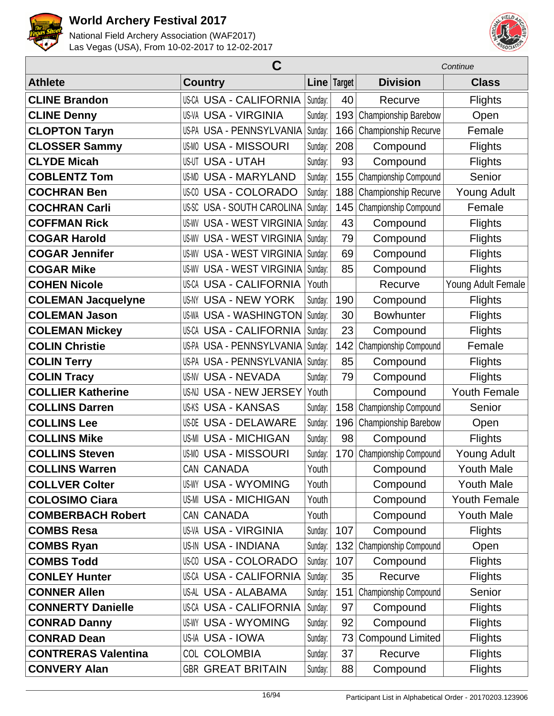



|                            | C                                   |         | Continue    |                         |                     |
|----------------------------|-------------------------------------|---------|-------------|-------------------------|---------------------|
| <b>Athlete</b>             | <b>Country</b>                      |         | Line Target | <b>Division</b>         | <b>Class</b>        |
| <b>CLINE Brandon</b>       | <b>US-CA USA - CALIFORNIA</b>       | Sunday: | 40          | Recurve                 | <b>Flights</b>      |
| <b>CLINE Denny</b>         | <b>US-VA USA - VIRGINIA</b>         | Sunday: | 193         | Championship Barebow    | Open                |
| <b>CLOPTON Taryn</b>       | US-PA USA - PENNSYLVANIA            | Sunday: | 166         | Championship Recurve    | Female              |
| <b>CLOSSER Sammy</b>       | <b>USA - MISSOURI</b><br>US-MO      | Sunday: | 208         | Compound                | <b>Flights</b>      |
| <b>CLYDE Micah</b>         | <b>USA - UTAH</b><br>US-UT          | Sunday: | 93          | Compound                | <b>Flights</b>      |
| <b>COBLENTZ Tom</b>        | <b>USA - MARYLAND</b><br>US-MD      | Sunday: | 155         | Championship Compound   | Senior              |
| <b>COCHRAN Ben</b>         | <b>USA - COLORADO</b><br>US-CO      | Sunday: | 188         | Championship Recurve    | <b>Young Adult</b>  |
| <b>COCHRAN Carli</b>       | US-SC USA - SOUTH CAROLINA          | Sunday: | 145         | Championship Compound   | Female              |
| <b>COFFMAN Rick</b>        | <b>US-WV USA - WEST VIRGINIA</b>    | Sunday: | 43          | Compound                | <b>Flights</b>      |
| <b>COGAR Harold</b>        | <b>USA - WEST VIRGINIA</b><br>US-WV | Sunday: | 79          | Compound                | <b>Flights</b>      |
| <b>COGAR Jennifer</b>      | <b>USA - WEST VIRGINIA</b><br>US-WV | Sunday: | 69          | Compound                | <b>Flights</b>      |
| <b>COGAR Mike</b>          | <b>USA - WEST VIRGINIA</b><br>US-WV | Sunday: | 85          | Compound                | <b>Flights</b>      |
| <b>COHEN Nicole</b>        | <b>US-CA USA - CALIFORNIA</b>       | Youth   |             | Recurve                 | Young Adult Female  |
| <b>COLEMAN Jacquelyne</b>  | <b>USA - NEW YORK</b><br>US-NY      | Sunday: | 190         | Compound                | <b>Flights</b>      |
| <b>COLEMAN Jason</b>       | US-WA USA - WASHINGTON              | Sunday: | 30          | <b>Bowhunter</b>        | <b>Flights</b>      |
| <b>COLEMAN Mickey</b>      | <b>US-CA USA - CALIFORNIA</b>       | Sunday: | 23          | Compound                | <b>Flights</b>      |
| <b>COLIN Christie</b>      | US-PA USA - PENNSYLVANIA            | Sunday: | 142         | Championship Compound   | Female              |
| <b>COLIN Terry</b>         | US-PA USA - PENNSYLVANIA            | Sunday: | 85          | Compound                | <b>Flights</b>      |
| <b>COLIN Tracy</b>         | <b>US-NV USA - NEVADA</b>           | Sunday: | 79          | Compound                | <b>Flights</b>      |
| <b>COLLIER Katherine</b>   | US-NJ USA - NEW JERSEY              | Youth   |             | Compound                | Youth Female        |
| <b>COLLINS Darren</b>      | <b>US-KS USA - KANSAS</b>           | Sunday: | 158         | Championship Compound   | Senior              |
| <b>COLLINS Lee</b>         | US-DE USA - DELAWARE                | Sunday: | 196         | Championship Barebow    | Open                |
| <b>COLLINS Mike</b>        | <b>US-MI USA - MICHIGAN</b>         | Sunday: | 98          | Compound                | <b>Flights</b>      |
| <b>COLLINS Steven</b>      | <b>US-MO USA - MISSOURI</b>         | Sunday: | 170         | Championship Compound   | <b>Young Adult</b>  |
| <b>COLLINS Warren</b>      | CAN CANADA                          | Youth   |             | Compound                | <b>Youth Male</b>   |
| <b>COLLVER Colter</b>      | <b>US-WY USA - WYOMING</b>          | Youth   |             | Compound                | <b>Youth Male</b>   |
| <b>COLOSIMO Ciara</b>      | <b>US-MI USA - MICHIGAN</b>         | Youth   |             | Compound                | <b>Youth Female</b> |
| <b>COMBERBACH Robert</b>   | CAN CANADA                          | Youth   |             | Compound                | <b>Youth Male</b>   |
| <b>COMBS Resa</b>          | <b>US-VA USA - VIRGINIA</b>         | Sunday: | 107         | Compound                | <b>Flights</b>      |
| <b>COMBS Ryan</b>          | US-IN USA - INDIANA                 | Sunday: | 132         | Championship Compound   | Open                |
| <b>COMBS Todd</b>          | <b>US-CO USA - COLORADO</b>         | Sunday: | 107         | Compound                | <b>Flights</b>      |
| <b>CONLEY Hunter</b>       | US-CA USA - CALIFORNIA              | Sunday: | 35          | Recurve                 | <b>Flights</b>      |
| <b>CONNER Allen</b>        | US-AL USA - ALABAMA                 | Sunday: | 151         | Championship Compound   | Senior              |
| <b>CONNERTY Danielle</b>   | US-CA USA - CALIFORNIA              | Sunday: | 97          | Compound                | <b>Flights</b>      |
| <b>CONRAD Danny</b>        | US-WY USA - WYOMING                 | Sunday: | 92          | Compound                | <b>Flights</b>      |
| <b>CONRAD Dean</b>         | US-IA USA - IOWA                    | Sunday: | 73          | <b>Compound Limited</b> | <b>Flights</b>      |
| <b>CONTRERAS Valentina</b> | COL COLOMBIA                        | Sunday: | 37          | Recurve                 | <b>Flights</b>      |
| <b>CONVERY Alan</b>        | <b>GBR GREAT BRITAIN</b>            | Sunday: | 88          | Compound                | <b>Flights</b>      |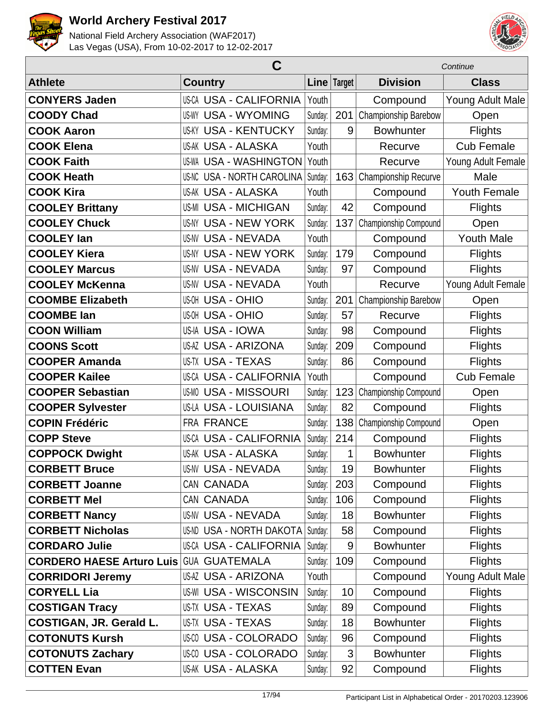



|                                                | Continue                        |         |               |                       |                     |
|------------------------------------------------|---------------------------------|---------|---------------|-----------------------|---------------------|
| <b>Athlete</b>                                 | <b>Country</b>                  |         | Line   Target | <b>Division</b>       | <b>Class</b>        |
| <b>CONYERS Jaden</b>                           | <b>US-CA USA - CALIFORNIA</b>   | Youth   |               | Compound              | Young Adult Male    |
| <b>COODY Chad</b>                              | <b>US-WY USA - WYOMING</b>      | Sunday: | 201           | Championship Barebow  | Open                |
| <b>COOK Aaron</b>                              | <b>US-KY USA - KENTUCKY</b>     | Sunday: | 9             | <b>Bowhunter</b>      | <b>Flights</b>      |
| <b>COOK Elena</b>                              | <b>US-AK USA - ALASKA</b>       | Youth   |               | Recurve               | <b>Cub Female</b>   |
| <b>COOK Faith</b>                              | <b>US-WA USA - WASHINGTON</b>   | Youth   |               | Recurve               | Young Adult Female  |
| <b>COOK Heath</b>                              | US-NC USA - NORTH CAROLINA      | Sunday: | 163           | Championship Recurve  | Male                |
| <b>COOK Kira</b>                               | US-AK USA - ALASKA              | Youth   |               | Compound              | <b>Youth Female</b> |
| <b>COOLEY Brittany</b>                         | <b>US-MI USA - MICHIGAN</b>     | Sunday: | 42            | Compound              | <b>Flights</b>      |
| <b>COOLEY Chuck</b>                            | <b>US-NY USA - NEW YORK</b>     | Sunday: | 137           | Championship Compound | Open                |
| <b>COOLEY lan</b>                              | <b>US-NV USA - NEVADA</b>       | Youth   |               | Compound              | <b>Youth Male</b>   |
| <b>COOLEY Kiera</b>                            | <b>US-NY USA - NEW YORK</b>     | Sunday: | 179           | Compound              | <b>Flights</b>      |
| <b>COOLEY Marcus</b>                           | <b>US-NV USA - NEVADA</b>       | Sunday: | 97            | Compound              | <b>Flights</b>      |
| <b>COOLEY McKenna</b>                          | <b>US-NV USA - NEVADA</b>       | Youth   |               | Recurve               | Young Adult Female  |
| <b>COOMBE Elizabeth</b>                        | <b>US-OH USA - OHIO</b>         | Sunday: | 201           | Championship Barebow  | Open                |
| <b>COOMBE lan</b>                              | <b>US-OH USA - OHIO</b>         | Sunday: | 57            | Recurve               | Flights             |
| <b>COON William</b>                            | US-IA USA - IOWA                | Sunday: | 98            | Compound              | <b>Flights</b>      |
| <b>COONS Scott</b>                             | <b>US-AZ USA - ARIZONA</b>      | Sunday: | 209           | Compound              | <b>Flights</b>      |
| <b>COOPER Amanda</b>                           | <b>US-TX USA - TEXAS</b>        | Sunday: | 86            | Compound              | <b>Flights</b>      |
| <b>COOPER Kailee</b>                           | <b>US-CA USA - CALIFORNIA</b>   | Youth   |               | Compound              | <b>Cub Female</b>   |
| <b>COOPER Sebastian</b>                        | <b>US-MO USA - MISSOURI</b>     | Sunday: | 123           | Championship Compound | Open                |
| <b>COOPER Sylvester</b>                        | US-LA USA - LOUISIANA           | Sunday: | 82            | Compound              | <b>Flights</b>      |
| <b>COPIN Frédéric</b>                          | <b>FRA FRANCE</b>               | Sunday: | 138           | Championship Compound | Open                |
| <b>COPP Steve</b>                              | <b>US-CA USA - CALIFORNIA</b>   | Sunday: | 214           | Compound              | <b>Flights</b>      |
| <b>COPPOCK Dwight</b>                          | <b>US-AK USA - ALASKA</b>       | Sunday: | 1             | <b>Bowhunter</b>      | <b>Flights</b>      |
| <b>CORBETT Bruce</b>                           | <b>US-NV USA - NEVADA</b>       | Sunday: | 19            | <b>Bowhunter</b>      | <b>Flights</b>      |
| <b>CORBETT Joanne</b>                          | CAN CANADA                      | Sunday: | 203           | Compound              | <b>Flights</b>      |
| <b>CORBETT Mel</b>                             | CAN CANADA                      | Sunday: | 106           | Compound              | <b>Flights</b>      |
| <b>CORBETT Nancy</b>                           | <b>US-NV USA - NEVADA</b>       | Sunday: | 18            | <b>Bowhunter</b>      | <b>Flights</b>      |
| <b>CORBETT Nicholas</b>                        | <b>US-ND USA - NORTH DAKOTA</b> | Sunday: | 58            | Compound              | <b>Flights</b>      |
| <b>CORDARO Julie</b>                           | US-CA USA - CALIFORNIA          | Sunday: | 9             | <b>Bowhunter</b>      | <b>Flights</b>      |
| <b>CORDERO HAESE Arturo Luis GUA GUATEMALA</b> |                                 | Sunday: | 109           | Compound              | <b>Flights</b>      |
| <b>CORRIDORI Jeremy</b>                        | <b>US-AZ USA - ARIZONA</b>      | Youth   |               | Compound              | Young Adult Male    |
| <b>CORYELL Lia</b>                             | <b>US-WI USA - WISCONSIN</b>    | Sunday: | 10            | Compound              | <b>Flights</b>      |
| <b>COSTIGAN Tracy</b>                          | US-TX USA - TEXAS               | Sunday: | 89            | Compound              | <b>Flights</b>      |
| <b>COSTIGAN, JR. Gerald L.</b>                 | US-TX USA - TEXAS               | Sunday: | 18            | <b>Bowhunter</b>      | <b>Flights</b>      |
| <b>COTONUTS Kursh</b>                          | <b>US-CO USA - COLORADO</b>     | Sunday: | 96            | Compound              | <b>Flights</b>      |
| <b>COTONUTS Zachary</b>                        | US-00 USA - COLORADO            | Sunday: | 3             | <b>Bowhunter</b>      | <b>Flights</b>      |
| <b>COTTEN Evan</b>                             | US-AK USA - ALASKA              | Sunday: | 92            | Compound              | <b>Flights</b>      |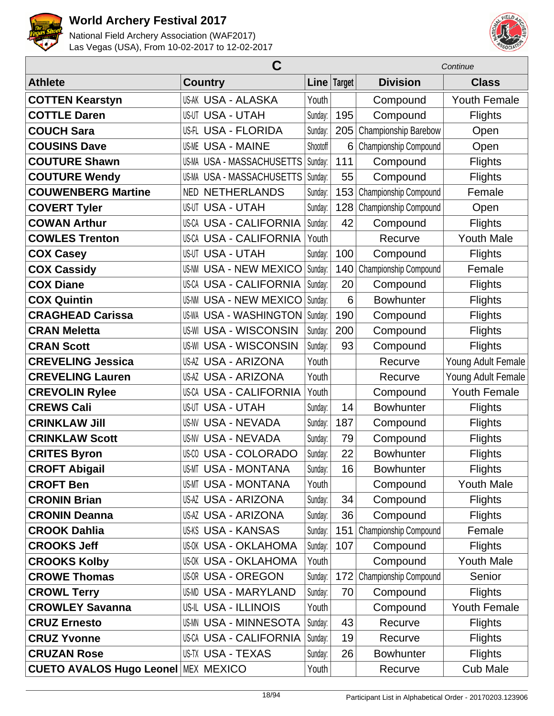



|                                            | C                             |          | Continue      |                       |                     |
|--------------------------------------------|-------------------------------|----------|---------------|-----------------------|---------------------|
| <b>Athlete</b>                             | <b>Country</b>                |          | Line   Target | <b>Division</b>       | <b>Class</b>        |
| <b>COTTEN Kearstyn</b>                     | <b>US-AK USA - ALASKA</b>     | Youth    |               | Compound              | Youth Female        |
| <b>COTTLE Daren</b>                        | <b>US-UT USA - UTAH</b>       | Sunday:  | 195           | Compound              | <b>Flights</b>      |
| <b>COUCH Sara</b>                          | US-FL USA - FLORIDA           | Sunday:  | 205           | Championship Barebow  | Open                |
| <b>COUSINS Dave</b>                        | <b>US-ME USA - MAINE</b>      | Shootoff | 6             | Championship Compound | Open                |
| <b>COUTURE Shawn</b>                       | US-MA USA - MASSACHUSETTS     | Sunday:  | 111           | Compound              | <b>Flights</b>      |
| <b>COUTURE Wendy</b>                       | US-MA USA - MASSACHUSETTS     | Sunday:  | 55            | Compound              | <b>Flights</b>      |
| <b>COUWENBERG Martine</b>                  | <b>NETHERLANDS</b><br>NED     | Sunday:  | 153           | Championship Compound | Female              |
| <b>COVERT Tyler</b>                        | <b>US-UT USA - UTAH</b>       | Sunday:  | 128           | Championship Compound | Open                |
| <b>COWAN Arthur</b>                        | <b>US-CA USA - CALIFORNIA</b> | Sunday:  | 42            | Compound              | <b>Flights</b>      |
| <b>COWLES Trenton</b>                      | <b>US-CA USA - CALIFORNIA</b> | Youth    |               | Recurve               | <b>Youth Male</b>   |
| <b>COX Casey</b>                           | <b>US-UT USA - UTAH</b>       | Sunday:  | 100           | Compound              | <b>Flights</b>      |
| <b>COX Cassidy</b>                         | <b>US-NM USA - NEW MEXICO</b> | Sunday:  | 140           | Championship Compound | Female              |
| <b>COX Diane</b>                           | <b>US-CA USA - CALIFORNIA</b> | Sunday:  | 20            | Compound              | Flights             |
| <b>COX Quintin</b>                         | <b>US-NM USA - NEW MEXICO</b> | Sunday:  | 6             | <b>Bowhunter</b>      | <b>Flights</b>      |
| <b>CRAGHEAD Carissa</b>                    | <b>US-WA USA - WASHINGTON</b> | Sunday:  | 190           | Compound              | <b>Flights</b>      |
| <b>CRAN Meletta</b>                        | <b>US-WI USA - WISCONSIN</b>  | Sunday:  | 200           | Compound              | <b>Flights</b>      |
| <b>CRAN Scott</b>                          | <b>US-WI USA - WISCONSIN</b>  | Sunday:  | 93            | Compound              | <b>Flights</b>      |
| <b>CREVELING Jessica</b>                   | <b>US-AZ USA - ARIZONA</b>    | Youth    |               | Recurve               | Young Adult Female  |
| <b>CREVELING Lauren</b>                    | <b>US-AZ USA - ARIZONA</b>    | Youth    |               | Recurve               | Young Adult Female  |
| <b>CREVOLIN Rylee</b>                      | <b>US-CA USA - CALIFORNIA</b> | Youth    |               | Compound              | <b>Youth Female</b> |
| <b>CREWS Cali</b>                          | <b>US-UT USA - UTAH</b>       | Sunday:  | 14            | <b>Bowhunter</b>      | <b>Flights</b>      |
| <b>CRINKLAW Jill</b>                       | <b>US-NV USA - NEVADA</b>     | Sunday:  | 187           | Compound              | Flights             |
| <b>CRINKLAW Scott</b>                      | <b>US-NV USA - NEVADA</b>     | Sunday:  | 79            | Compound              | <b>Flights</b>      |
| <b>CRITES Byron</b>                        | US-CO USA - COLORADO          | Sunday:  | 22            | <b>Bowhunter</b>      | <b>Flights</b>      |
| <b>CROFT Abigail</b>                       | <b>US-MT USA - MONTANA</b>    | Sunday:  | 16            | <b>Bowhunter</b>      | <b>Flights</b>      |
| <b>CROFT Ben</b>                           | <b>US-MT USA - MONTANA</b>    | Youth    |               | Compound              | <b>Youth Male</b>   |
| <b>CRONIN Brian</b>                        | <b>US-AZ USA - ARIZONA</b>    | Sunday:  | 34            | Compound              | <b>Flights</b>      |
| <b>CRONIN Deanna</b>                       | <b>US-AZ USA - ARIZONA</b>    | Sunday:  | 36            | Compound              | <b>Flights</b>      |
| <b>CROOK Dahlia</b>                        | <b>US-KS USA - KANSAS</b>     | Sunday:  | 151           | Championship Compound | Female              |
| <b>CROOKS Jeff</b>                         | <b>US-OK USA - OKLAHOMA</b>   | Sunday:  | 107           | Compound              | <b>Flights</b>      |
| <b>CROOKS Kolby</b>                        | <b>US-OK USA - OKLAHOMA</b>   | Youth    |               | Compound              | <b>Youth Male</b>   |
| <b>CROWE Thomas</b>                        | <b>US-OR USA - OREGON</b>     | Sunday:  | 172           | Championship Compound | Senior              |
| <b>CROWL Terry</b>                         | US-MD USA - MARYLAND          | Sunday:  | 70            | Compound              | <b>Flights</b>      |
| <b>CROWLEY Savanna</b>                     | <b>US-IL USA - ILLINOIS</b>   | Youth    |               | Compound              | <b>Youth Female</b> |
| <b>CRUZ Ernesto</b>                        | <b>US-MN USA - MINNESOTA</b>  | Sunday:  | 43            | Recurve               | <b>Flights</b>      |
| <b>CRUZ Yvonne</b>                         | <b>US-CA USA - CALIFORNIA</b> | Sunday:  | 19            | Recurve               | <b>Flights</b>      |
| <b>CRUZAN Rose</b>                         | US-TX USA - TEXAS             | Sunday:  | 26            | <b>Bowhunter</b>      | <b>Flights</b>      |
| <b>CUETO AVALOS Hugo Leonel MEX MEXICO</b> |                               | Youth    |               | Recurve               | <b>Cub Male</b>     |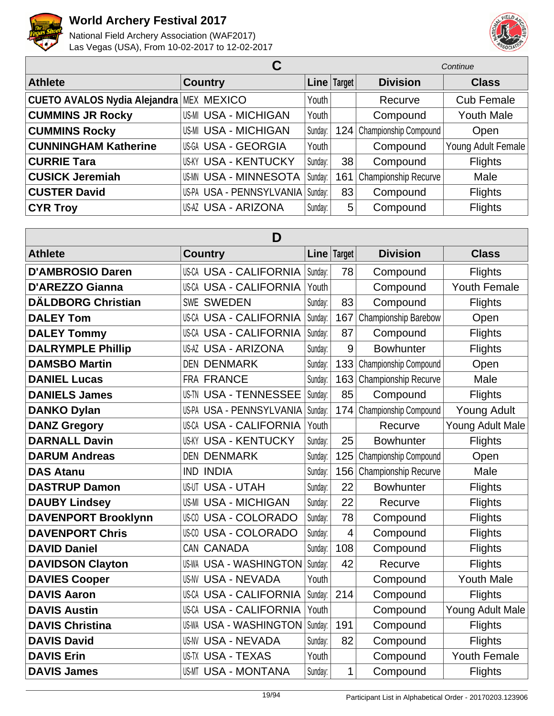



|                              |                                    |         |               | Continue                  |                    |  |
|------------------------------|------------------------------------|---------|---------------|---------------------------|--------------------|--|
| <b>Athlete</b>               | <b>Country</b>                     |         | Line   Target | <b>Division</b>           | <b>Class</b>       |  |
| CUETO AVALOS Nydia Alejandra | <b>MEX MEXICO</b>                  | Youth   |               | Recurve                   | <b>Cub Female</b>  |  |
| <b>CUMMINS JR Rocky</b>      | <b>US-MI USA - MICHIGAN</b>        | Youth   |               | Compound                  | <b>Youth Male</b>  |  |
| <b>CUMMINS Rocky</b>         | <b>US-MI USA - MICHIGAN</b>        | Sunday: |               | 124 Championship Compound | Open               |  |
| <b>CUNNINGHAM Katherine</b>  | US-GA USA - GEORGIA                | Youth   |               | Compound                  | Young Adult Female |  |
| <b>CURRIE Tara</b>           | <b>US-KY USA - KENTUCKY</b>        | Sunday: | 38            | Compound                  | <b>Flights</b>     |  |
| <b>CUSICK Jeremiah</b>       | <b>US-MN USA - MINNESOTA</b>       | Sunday: | 161           | Championship Recurve      | Male               |  |
| <b>CUSTER David</b>          | US-PA USA - PENNSYLVANIA   Sunday: |         | 83            | Compound                  | <b>Flights</b>     |  |
| <b>CYR Troy</b>              | US-AZ USA - ARIZONA                | Sunday: | 5             | Compound                  | <b>Flights</b>     |  |

| D                          |                                  |         |             |                       |                     |  |  |
|----------------------------|----------------------------------|---------|-------------|-----------------------|---------------------|--|--|
| <b>Athlete</b>             | <b>Country</b>                   |         | Line Target | <b>Division</b>       | <b>Class</b>        |  |  |
| <b>D'AMBROSIO Daren</b>    | <b>US-CA USA - CALIFORNIA</b>    | Sunday: | 78          | Compound              | <b>Flights</b>      |  |  |
| <b>D'AREZZO Gianna</b>     | <b>US-CA USA - CALIFORNIA</b>    | Youth   |             | Compound              | Youth Female        |  |  |
| <b>DÄLDBORG Christian</b>  | <b>SWEDEN</b><br>SWE             | Sunday: | 83          | Compound              | <b>Flights</b>      |  |  |
| <b>DALEY Tom</b>           | <b>US-CA USA - CALIFORNIA</b>    | Sunday: | 167         | Championship Barebow  | Open                |  |  |
| <b>DALEY Tommy</b>         | <b>US-CA USA - CALIFORNIA</b>    | Sunday: | 87          | Compound              | Flights             |  |  |
| <b>DALRYMPLE Phillip</b>   | <b>US-AZ USA - ARIZONA</b>       | Sunday: | 9           | <b>Bowhunter</b>      | Flights             |  |  |
| <b>DAMSBO Martin</b>       | <b>DENMARK</b><br><b>DEN</b>     | Sunday: | 133         | Championship Compound | Open                |  |  |
| <b>DANIEL Lucas</b>        | <b>FRA FRANCE</b>                | Sunday: | 163         | Championship Recurve  | Male                |  |  |
| <b>DANIELS James</b>       | <b>US-TN USA - TENNESSEE</b>     | Sunday: | 85          | Compound              | Flights             |  |  |
| <b>DANKO Dylan</b>         | USA - PENNSYLVANIA<br>US-PA      | Sunday: | 174         | Championship Compound | <b>Young Adult</b>  |  |  |
| <b>DANZ Gregory</b>        | <b>US-CA USA - CALIFORNIA</b>    | Youth   |             | Recurve               | Young Adult Male    |  |  |
| <b>DARNALL Davin</b>       | <b>USA - KENTUCKY</b><br>US-KY   | Sunday: | 25          | <b>Bowhunter</b>      | <b>Flights</b>      |  |  |
| <b>DARUM Andreas</b>       | <b>DEN DENMARK</b>               | Sunday: | 125         | Championship Compound | Open                |  |  |
| <b>DAS Atanu</b>           | <b>IND INDIA</b>                 | Sunday: | 156         | Championship Recurve  | Male                |  |  |
| <b>DASTRUP Damon</b>       | <b>US-UT USA - UTAH</b>          | Sunday: | 22          | <b>Bowhunter</b>      | <b>Flights</b>      |  |  |
| <b>DAUBY Lindsey</b>       | <b>USA - MICHIGAN</b><br>US-MI   | Sunday: | 22          | Recurve               | Flights             |  |  |
| <b>DAVENPORT Brooklynn</b> | <b>USA - COLORADO</b><br>US-CO   | Sunday: | 78          | Compound              | Flights             |  |  |
| <b>DAVENPORT Chris</b>     | <b>USA - COLORADO</b><br>US-CO   | Sunday: | 4           | Compound              | <b>Flights</b>      |  |  |
| <b>DAVID Daniel</b>        | <b>CANADA</b><br>CAN             | Sunday: | 108         | Compound              | <b>Flights</b>      |  |  |
| <b>DAVIDSON Clayton</b>    | <b>USA - WASHINGTON</b><br>US-WA | Sunday: | 42          | Recurve               | Flights             |  |  |
| <b>DAVIES Cooper</b>       | US-NV<br><b>USA - NEVADA</b>     | Youth   |             | Compound              | <b>Youth Male</b>   |  |  |
| <b>DAVIS Aaron</b>         | US-CA<br><b>USA - CALIFORNIA</b> | Sunday: | 214         | Compound              | Flights             |  |  |
| <b>DAVIS Austin</b>        | <b>US-CA USA - CALIFORNIA</b>    | Youth   |             | Compound              | Young Adult Male    |  |  |
| <b>DAVIS Christina</b>     | <b>USA - WASHINGTON</b><br>US-WA | Sunday: | 191         | Compound              | Flights             |  |  |
| <b>DAVIS David</b>         | <b>USA - NEVADA</b><br>US-NV     | Sunday: | 82          | Compound              | <b>Flights</b>      |  |  |
| <b>DAVIS Erin</b>          | <b>US-TX USA - TEXAS</b>         | Youth   |             | Compound              | <b>Youth Female</b> |  |  |
| <b>DAVIS James</b>         | <b>USA - MONTANA</b><br>US-MT    | Sunday: | 1           | Compound              | <b>Flights</b>      |  |  |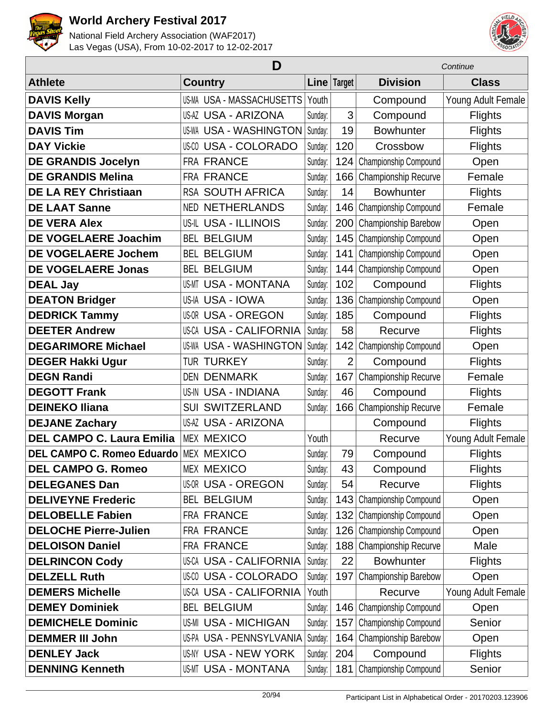



| D                                 |                               |         |                |                              | Continue           |
|-----------------------------------|-------------------------------|---------|----------------|------------------------------|--------------------|
| <b>Athlete</b>                    | <b>Country</b>                |         | Line Target    | <b>Division</b>              | <b>Class</b>       |
| <b>DAVIS Kelly</b>                | US-MA USA - MASSACHUSETTS     | Youth   |                | Compound                     | Young Adult Female |
| <b>DAVIS Morgan</b>               | <b>US-AZ USA - ARIZONA</b>    | Sunday: | 3              | Compound                     | <b>Flights</b>     |
| <b>DAVIS Tim</b>                  | <b>US-WA USA - WASHINGTON</b> | Sunday: | 19             | <b>Bowhunter</b>             | <b>Flights</b>     |
| <b>DAY Vickie</b>                 | US-00 USA - COLORADO          | Sunday: | 120            | Crossbow                     | <b>Flights</b>     |
| <b>DE GRANDIS Jocelyn</b>         | <b>FRA FRANCE</b>             | Sunday: | 124            | Championship Compound        | Open               |
| <b>DE GRANDIS Melina</b>          | <b>FRA FRANCE</b>             | Sunday: | 166            | Championship Recurve         | Female             |
| <b>DE LA REY Christiaan</b>       | <b>RSA SOUTH AFRICA</b>       | Sunday: | 14             | <b>Bowhunter</b>             | <b>Flights</b>     |
| <b>DE LAAT Sanne</b>              | <b>NETHERLANDS</b><br>NED     | Sunday: | 146            | Championship Compound        | Female             |
| <b>DE VERA Alex</b>               | <b>US-IL USA - ILLINOIS</b>   | Sunday: | 200            | Championship Barebow         | Open               |
| <b>DE VOGELAERE Joachim</b>       | <b>BEL BELGIUM</b>            | Sunday: | 145            | Championship Compound        | Open               |
| <b>DE VOGELAERE Jochem</b>        | <b>BEL BELGIUM</b>            | Sunday: | 141            | Championship Compound        | Open               |
| <b>DE VOGELAERE Jonas</b>         | <b>BEL BELGIUM</b>            | Sunday: | 144            | Championship Compound        | Open               |
| <b>DEAL Jay</b>                   | <b>US-MT USA - MONTANA</b>    | Sunday: | 102            | Compound                     | <b>Flights</b>     |
| <b>DEATON Bridger</b>             | US-IA USA - IOWA              | Sunday: | 136            | Championship Compound        | Open               |
| <b>DEDRICK Tammy</b>              | <b>US-OR USA - OREGON</b>     | Sunday: | 185            | Compound                     | <b>Flights</b>     |
| <b>DEETER Andrew</b>              | <b>US-CA USA - CALIFORNIA</b> | Sunday: | 58             | Recurve                      | <b>Flights</b>     |
| <b>DEGARIMORE Michael</b>         | <b>US-WA USA - WASHINGTON</b> | Sunday: | 142            | Championship Compound        | Open               |
| <b>DEGER Hakki Ugur</b>           | <b>TUR TURKEY</b>             | Sunday: | $\overline{2}$ | Compound                     | <b>Flights</b>     |
| <b>DEGN Randi</b>                 | <b>DEN DENMARK</b>            | Sunday: | 167            | Championship Recurve         | Female             |
| <b>DEGOTT Frank</b>               | <b>US-IN USA - INDIANA</b>    | Sunday: | 46             | Compound                     | <b>Flights</b>     |
| <b>DEINEKO Iliana</b>             | <b>SUI SWITZERLAND</b>        | Sunday: | 166            | Championship Recurve         | Female             |
| <b>DEJANE Zachary</b>             | <b>US-AZ USA - ARIZONA</b>    |         |                | Compound                     | <b>Flights</b>     |
| <b>DEL CAMPO C. Laura Emilia</b>  | <b>MEX MEXICO</b>             | Youth   |                | Recurve                      | Young Adult Female |
| <b>DEL CAMPO C. Romeo Eduardo</b> | <b>MEX MEXICO</b>             | Sunday: | 79             | Compound                     | <b>Flights</b>     |
| <b>DEL CAMPO G. Romeo</b>         | <b>MEX MEXICO</b>             | Sunday: | 43             | Compound                     | <b>Flights</b>     |
| <b>DELEGANES Dan</b>              | <b>US-OR USA - OREGON</b>     | Sunday: | 54             | Recurve                      | <b>Flights</b>     |
| <b>DELIVEYNE Frederic</b>         | <b>BEL BELGIUM</b>            | Sunday: | 143            | Championship Compound        | Open               |
| <b>DELOBELLE Fabien</b>           | FRA FRANCE                    | Sunday: | 132            | <b>Championship Compound</b> | Open               |
| <b>DELOCHE Pierre-Julien</b>      | <b>FRA FRANCE</b>             | Sunday: | 126            | Championship Compound        | Open               |
| <b>DELOISON Daniel</b>            | FRA FRANCE                    | Sunday: | 188            | Championship Recurve         | Male               |
| <b>DELRINCON Cody</b>             | <b>US-CA USA - CALIFORNIA</b> | Sunday: | 22             | <b>Bowhunter</b>             | <b>Flights</b>     |
| <b>DELZELL Ruth</b>               | US-00 USA - COLORADO          | Sunday: | 197            | Championship Barebow         | Open               |
| <b>DEMERS Michelle</b>            | <b>US-CA USA - CALIFORNIA</b> | Youth   |                | Recurve                      | Young Adult Female |
| <b>DEMEY Dominiek</b>             | <b>BEL BELGIUM</b>            | Sunday: | 146            | Championship Compound        | Open               |
| <b>DEMICHELE Dominic</b>          | <b>US-MI USA - MICHIGAN</b>   | Sunday: | 157            | <b>Championship Compound</b> | Senior             |
| <b>DEMMER III John</b>            | US-PA USA - PENNSYLVANIA      | Sunday: | 164            | Championship Barebow         | Open               |
| <b>DENLEY Jack</b>                | US-NY USA - NEW YORK          | Sunday: | 204            | Compound                     | <b>Flights</b>     |
| <b>DENNING Kenneth</b>            | <b>US-MT USA - MONTANA</b>    | Sunday: | 181            | Championship Compound        | Senior             |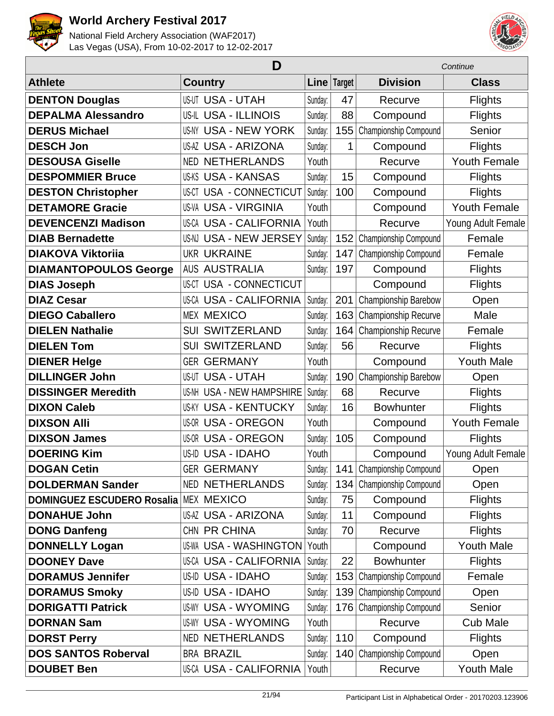



|                                   | D                                   | Continue |             |                             |                     |
|-----------------------------------|-------------------------------------|----------|-------------|-----------------------------|---------------------|
| <b>Athlete</b>                    | <b>Country</b>                      |          | Line Target | <b>Division</b>             | <b>Class</b>        |
| <b>DENTON Douglas</b>             | <b>US-UT USA - UTAH</b>             | Sunday:  | 47          | Recurve                     | <b>Flights</b>      |
| <b>DEPALMA Alessandro</b>         | <b>US-IL USA - ILLINOIS</b>         | Sunday:  | 88          | Compound                    | <b>Flights</b>      |
| <b>DERUS Michael</b>              | <b>US-NY USA - NEW YORK</b>         | Sunday:  | 155         | Championship Compound       | Senior              |
| <b>DESCH Jon</b>                  | <b>US-AZ USA - ARIZONA</b>          | Sunday:  | 1           | Compound                    | <b>Flights</b>      |
| <b>DESOUSA Giselle</b>            | <b>NED NETHERLANDS</b>              | Youth    |             | Recurve                     | <b>Youth Female</b> |
| <b>DESPOMMIER Bruce</b>           | <b>US-KS USA - KANSAS</b>           | Sunday:  | 15          | Compound                    | <b>Flights</b>      |
| <b>DESTON Christopher</b>         | USA - CONNECTICUT<br>US-CT          | Sunday:  | 100         | Compound                    | <b>Flights</b>      |
| <b>DETAMORE Gracie</b>            | <b>US-VA USA - VIRGINIA</b>         | Youth    |             | Compound                    | <b>Youth Female</b> |
| <b>DEVENCENZI Madison</b>         | <b>US-CA USA - CALIFORNIA</b>       | Youth    |             | Recurve                     | Young Adult Female  |
| <b>DIAB Bernadette</b>            | US-NJ USA - NEW JERSEY              | Sunday:  | 152         | Championship Compound       | Female              |
| <b>DIAKOVA Viktorija</b>          | <b>UKR UKRAINE</b>                  | Sunday:  | 147         | Championship Compound       | Female              |
| <b>DIAMANTOPOULOS George</b>      | <b>AUS AUSTRALIA</b>                | Sunday:  | 197         | Compound                    | <b>Flights</b>      |
| <b>DIAS Joseph</b>                | USA - CONNECTICUT<br>US-CT          |          |             | Compound                    | <b>Flights</b>      |
| <b>DIAZ Cesar</b>                 | <b>US-CA USA - CALIFORNIA</b>       | Sunday:  | 201         | Championship Barebow        | Open                |
| <b>DIEGO Caballero</b>            | <b>MEX MEXICO</b>                   | Sunday:  | 163         | Championship Recurve        | Male                |
| <b>DIELEN Nathalie</b>            | <b>SUI SWITZERLAND</b>              | Sunday:  | 164         | Championship Recurve        | Female              |
| <b>DIELEN Tom</b>                 | <b>SUI SWITZERLAND</b>              | Sunday:  | 56          | Recurve                     | <b>Flights</b>      |
| <b>DIENER Helge</b>               | <b>GER GERMANY</b>                  | Youth    |             | Compound                    | <b>Youth Male</b>   |
| <b>DILLINGER John</b>             | <b>USA - UTAH</b><br>US-UT          | Sunday:  | 190         | Championship Barebow        | Open                |
| <b>DISSINGER Meredith</b>         | <b>USA - NEW HAMPSHIRE</b><br>US-NH | Sunday:  | 68          | Recurve                     | <b>Flights</b>      |
| <b>DIXON Caleb</b>                | <b>USA - KENTUCKY</b><br>US-KY      | Sunday:  | 16          | <b>Bowhunter</b>            | <b>Flights</b>      |
| <b>DIXSON Alli</b>                | <b>US-OR USA - OREGON</b>           | Youth    |             | Compound                    | <b>Youth Female</b> |
| <b>DIXSON James</b>               | <b>US-OR USA - OREGON</b>           | Sunday:  | 105         | Compound                    | <b>Flights</b>      |
| <b>DOERING Kim</b>                | US-ID USA - IDAHO                   | Youth    |             | Compound                    | Young Adult Female  |
| <b>DOGAN Cetin</b>                | <b>GER GERMANY</b>                  | Sunday:  |             | 141   Championship Compound | Open                |
| <b>DOLDERMAN Sander</b>           | NED NETHERLANDS                     | Sunday:  | 134         | Championship Compound       | Open                |
| <b>DOMINGUEZ ESCUDERO Rosalia</b> | <b>MEX MEXICO</b>                   | Sunday:  | 75          | Compound                    | <b>Flights</b>      |
| <b>DONAHUE John</b>               | <b>US-AZ USA - ARIZONA</b>          | Sunday:  | 11          | Compound                    | <b>Flights</b>      |
| <b>DONG Danfeng</b>               | CHN PR CHINA                        | Sunday:  | 70          | Recurve                     | <b>Flights</b>      |
| <b>DONNELLY Logan</b>             | <b>US-WA USA - WASHINGTON</b>       | Youth    |             | Compound                    | <b>Youth Male</b>   |
| <b>DOONEY Dave</b>                | <b>US-CA USA - CALIFORNIA</b>       | Sunday:  | 22          | <b>Bowhunter</b>            | <b>Flights</b>      |
| <b>DORAMUS Jennifer</b>           | US-ID USA - IDAHO                   | Sunday:  | 153         | Championship Compound       | Female              |
| <b>DORAMUS Smoky</b>              | US-ID USA - IDAHO                   | Sunday:  | 139         | Championship Compound       | Open                |
| <b>DORIGATTI Patrick</b>          | <b>US-WY USA - WYOMING</b>          | Sunday:  | 176         | Championship Compound       | Senior              |
| <b>DORNAN Sam</b>                 | <b>US-WY USA - WYOMING</b>          | Youth    |             | Recurve                     | <b>Cub Male</b>     |
| <b>DORST Perry</b>                | <b>NED NETHERLANDS</b>              | Sunday:  | 110         | Compound                    | <b>Flights</b>      |
| <b>DOS SANTOS Roberval</b>        | <b>BRA BRAZIL</b>                   | Sunday:  | 140         | Championship Compound       | Open                |
| <b>DOUBET Ben</b>                 | US-CA USA - CALIFORNIA              | Youth    |             | Recurve                     | <b>Youth Male</b>   |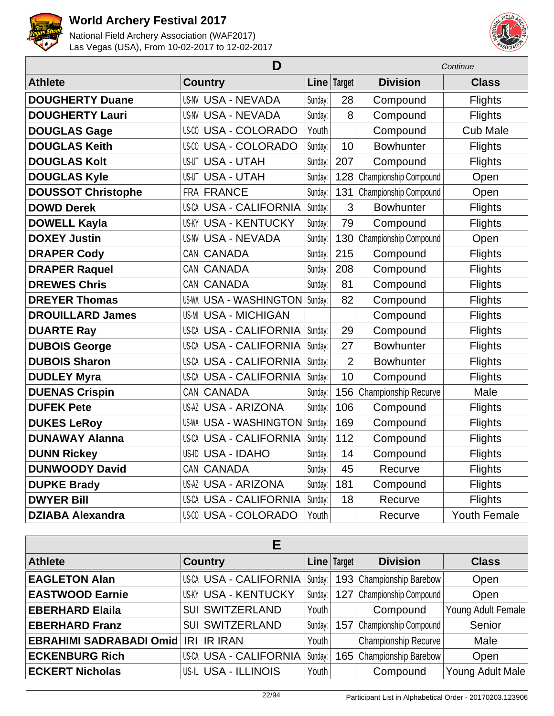



| D                         |                               |         | Continue       |                       |                     |
|---------------------------|-------------------------------|---------|----------------|-----------------------|---------------------|
| <b>Athlete</b>            | <b>Country</b>                |         | Line   Target  | <b>Division</b>       | <b>Class</b>        |
| <b>DOUGHERTY Duane</b>    | <b>US-NV USA - NEVADA</b>     | Sunday: | 28             | Compound              | <b>Flights</b>      |
| <b>DOUGHERTY Lauri</b>    | US-NV USA - NEVADA            | Sunday: | 8              | Compound              | <b>Flights</b>      |
| <b>DOUGLAS Gage</b>       | <b>US-CO USA - COLORADO</b>   | Youth   |                | Compound              | <b>Cub Male</b>     |
| <b>DOUGLAS Keith</b>      | <b>US-CO USA - COLORADO</b>   | Sunday: | 10             | <b>Bowhunter</b>      | <b>Flights</b>      |
| <b>DOUGLAS Kolt</b>       | <b>US-UT USA - UTAH</b>       | Sunday: | 207            | Compound              | <b>Flights</b>      |
| <b>DOUGLAS Kyle</b>       | <b>USA - UTAH</b><br>US-UT    | Sunday: | 128            | Championship Compound | Open                |
| <b>DOUSSOT Christophe</b> | FRA FRANCE                    | Sunday: | 131            | Championship Compound | Open                |
| <b>DOWD Derek</b>         | <b>US-CA USA - CALIFORNIA</b> | Sunday: | 3              | <b>Bowhunter</b>      | <b>Flights</b>      |
| <b>DOWELL Kayla</b>       | <b>US-KY USA - KENTUCKY</b>   | Sunday: | 79             | Compound              | <b>Flights</b>      |
| <b>DOXEY Justin</b>       | <b>US-NV USA - NEVADA</b>     | Sunday: | 130            | Championship Compound | Open                |
| <b>DRAPER Cody</b>        | CAN CANADA                    | Sunday: | 215            | Compound              | <b>Flights</b>      |
| <b>DRAPER Raquel</b>      | CAN CANADA                    | Sunday: | 208            | Compound              | <b>Flights</b>      |
| <b>DREWES Chris</b>       | CAN CANADA                    | Sunday: | 81             | Compound              | <b>Flights</b>      |
| <b>DREYER Thomas</b>      | <b>US-WA USA - WASHINGTON</b> | Sunday: | 82             | Compound              | <b>Flights</b>      |
| <b>DROUILLARD James</b>   | US-MI USA - MICHIGAN          |         |                | Compound              | <b>Flights</b>      |
| <b>DUARTE Ray</b>         | <b>US-CA USA - CALIFORNIA</b> | Sunday: | 29             | Compound              | <b>Flights</b>      |
| <b>DUBOIS George</b>      | <b>US-CA USA - CALIFORNIA</b> | Sunday: | 27             | <b>Bowhunter</b>      | <b>Flights</b>      |
| <b>DUBOIS Sharon</b>      | <b>US-CA USA - CALIFORNIA</b> | Sunday: | $\overline{2}$ | <b>Bowhunter</b>      | <b>Flights</b>      |
| <b>DUDLEY Myra</b>        | <b>US-CA USA - CALIFORNIA</b> | Sunday: | 10             | Compound              | Flights             |
| <b>DUENAS Crispin</b>     | CAN CANADA                    | Sunday: | 156            | Championship Recurve  | Male                |
| <b>DUFEK Pete</b>         | <b>US-AZ USA - ARIZONA</b>    | Sunday: | 106            | Compound              | <b>Flights</b>      |
| <b>DUKES LeRoy</b>        | <b>US-WA USA - WASHINGTON</b> | Sunday: | 169            | Compound              | <b>Flights</b>      |
| <b>DUNAWAY Alanna</b>     | <b>US-CA USA - CALIFORNIA</b> | Sunday: | 112            | Compound              | Flights             |
| <b>DUNN Rickey</b>        | US-ID USA - IDAHO             | Sunday: | 14             | Compound              | <b>Flights</b>      |
| <b>DUNWOODY David</b>     | CAN CANADA                    | Sunday: | 45             | Recurve               | <b>Flights</b>      |
| <b>DUPKE Brady</b>        | <b>US-AZ USA - ARIZONA</b>    | Sunday: | 181            | Compound              | <b>Flights</b>      |
| <b>DWYER Bill</b>         | <b>US-CA USA - CALIFORNIA</b> | Sunday: | 18             | Recurve               | <b>Flights</b>      |
| <b>DZIABA Alexandra</b>   | <b>US-CO USA - COLORADO</b>   | Youth   |                | Recurve               | <b>Youth Female</b> |

| Е                              |                               |         |             |                           |                    |  |  |  |
|--------------------------------|-------------------------------|---------|-------------|---------------------------|--------------------|--|--|--|
| <b>Athlete</b>                 | <b>Country</b>                |         | Line Target | <b>Division</b>           | <b>Class</b>       |  |  |  |
| <b>EAGLETON Alan</b>           | <b>US-CA USA - CALIFORNIA</b> | Sunday: |             | 193 Championship Barebow  | Open               |  |  |  |
| <b>EASTWOOD Earnie</b>         | <b>US-KY USA - KENTUCKY</b>   | Sunday: |             | 127 Championship Compound | Open               |  |  |  |
| <b>EBERHARD Elaila</b>         | <b>SUI SWITZERLAND</b>        | Youth   |             | Compound                  | Young Adult Female |  |  |  |
| <b>EBERHARD Franz</b>          | <b>SUI SWITZERLAND</b>        | Sunday: |             | 157 Championship Compound | Senior             |  |  |  |
| <b>EBRAHIMI SADRABADI Omid</b> | <b>IR IRAN</b><br><b>IRI</b>  | Youth   |             | Championship Recurve      | Male               |  |  |  |
| <b>ECKENBURG Rich</b>          | US-CA USA - CALIFORNIA        | Sunday: |             | 165 Championship Barebow  | Open               |  |  |  |
| <b>ECKERT Nicholas</b>         | <b>US-IL USA - ILLINOIS</b>   | Youth   |             | Compound                  | Young Adult Male   |  |  |  |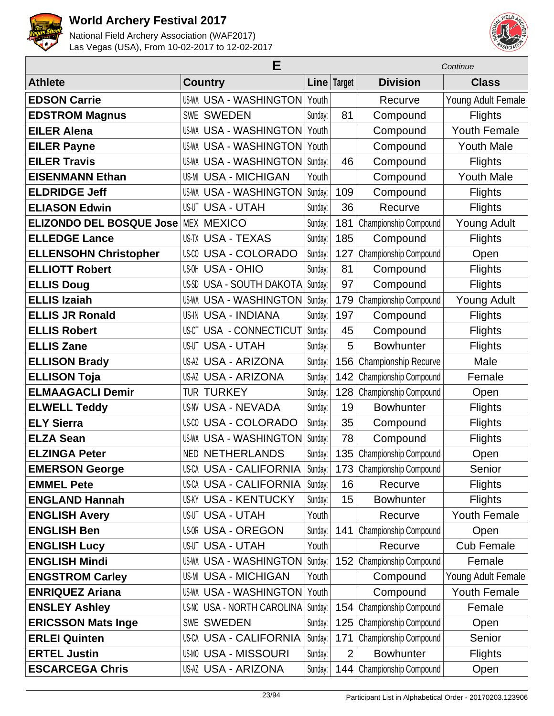



|                                 | E                                  | Continue |                |                              |                     |
|---------------------------------|------------------------------------|----------|----------------|------------------------------|---------------------|
| <b>Athlete</b>                  | <b>Country</b>                     |          | Line Target    | <b>Division</b>              | <b>Class</b>        |
| <b>EDSON Carrie</b>             | <b>US-WA USA - WASHINGTON</b>      | Youth    |                | Recurve                      | Young Adult Female  |
| <b>EDSTROM Magnus</b>           | <b>SWE SWEDEN</b>                  | Sunday:  | 81             | Compound                     | <b>Flights</b>      |
| <b>EILER Alena</b>              | US-WA USA - WASHINGTON             | Youth    |                | Compound                     | <b>Youth Female</b> |
| <b>EILER Payne</b>              | <b>US-WA USA - WASHINGTON</b>      | Youth    |                | Compound                     | <b>Youth Male</b>   |
| <b>EILER Travis</b>             | <b>US-WA USA - WASHINGTON</b>      | Sunday:  | 46             | Compound                     | <b>Flights</b>      |
| <b>EISENMANN Ethan</b>          | <b>US-MI USA - MICHIGAN</b>        | Youth    |                | Compound                     | <b>Youth Male</b>   |
| <b>ELDRIDGE Jeff</b>            | <b>USA - WASHINGTON</b><br>US-WA   | Sunday:  | 109            | Compound                     | <b>Flights</b>      |
| <b>ELIASON Edwin</b>            | <b>US-UT USA - UTAH</b>            | Sunday:  | 36             | Recurve                      | <b>Flights</b>      |
| <b>ELIZONDO DEL BOSQUE Jose</b> | <b>MEX MEXICO</b>                  | Sunday:  | 181            | Championship Compound        | <b>Young Adult</b>  |
| <b>ELLEDGE Lance</b>            | <b>US-TX USA - TEXAS</b>           | Sunday:  | 185            | Compound                     | <b>Flights</b>      |
| <b>ELLENSOHN Christopher</b>    | <b>US-CO USA - COLORADO</b>        | Sunday:  | 127            | Championship Compound        | Open                |
| <b>ELLIOTT Robert</b>           | <b>US-OH USA - OHIO</b>            | Sunday:  | 81             | Compound                     | <b>Flights</b>      |
| <b>ELLIS Doug</b>               | <b>USA - SOUTH DAKOTA</b><br>US-SD | Sunday:  | 97             | Compound                     | <b>Flights</b>      |
| <b>ELLIS Izaiah</b>             | <b>US-WA USA - WASHINGTON</b>      | Sunday:  | 179            | Championship Compound        | <b>Young Adult</b>  |
| <b>ELLIS JR Ronald</b>          | US-IN USA - INDIANA                | Sunday:  | 197            | Compound                     | <b>Flights</b>      |
| <b>ELLIS Robert</b>             | USA - CONNECTICUT<br>US-CT         | Sunday:  | 45             | Compound                     | <b>Flights</b>      |
| <b>ELLIS Zane</b>               | <b>US-UT USA - UTAH</b>            | Sunday:  | 5              | <b>Bowhunter</b>             | <b>Flights</b>      |
| <b>ELLISON Brady</b>            | <b>US-AZ USA - ARIZONA</b>         | Sunday:  | 156            | Championship Recurve         | Male                |
| <b>ELLISON Toja</b>             | US-AZ USA - ARIZONA                | Sunday:  | 142            | Championship Compound        | Female              |
| <b>ELMAAGACLI Demir</b>         | TUR TURKEY                         | Sunday:  | 128            | Championship Compound        | Open                |
| <b>ELWELL Teddy</b>             | <b>US-NV USA - NEVADA</b>          | Sunday:  | 19             | <b>Bowhunter</b>             | Flights             |
| <b>ELY Sierra</b>               | <b>USA - COLORADO</b><br>US-CO     | Sunday:  | 35             | Compound                     | <b>Flights</b>      |
| <b>ELZA Sean</b>                | <b>US-WA USA - WASHINGTON</b>      | Sunday:  | 78             | Compound                     | <b>Flights</b>      |
| <b>ELZINGA Peter</b>            | <b>NED NETHERLANDS</b>             | Sunday:  | 135            | Championship Compound        | Open                |
| <b>EMERSON George</b>           | <b>US-CA USA - CALIFORNIA</b>      | Sunday:  | 173            | Championship Compound        | Senior              |
| <b>EMMEL Pete</b>               | <b>US-CA USA - CALIFORNIA</b>      | Sunday:  | 16             | Recurve                      | <b>Flights</b>      |
| <b>ENGLAND Hannah</b>           | <b>US-KY USA - KENTUCKY</b>        | Sunday:  | 15             | <b>Bowhunter</b>             | <b>Flights</b>      |
| <b>ENGLISH Avery</b>            | US-UT USA - UTAH                   | Youth    |                | Recurve                      | <b>Youth Female</b> |
| <b>ENGLISH Ben</b>              | <b>US-OR USA - OREGON</b>          | Sunday:  | 141            | Championship Compound        | Open                |
| <b>ENGLISH Lucy</b>             | <b>US-UT USA - UTAH</b>            | Youth    |                | Recurve                      | <b>Cub Female</b>   |
| <b>ENGLISH Mindi</b>            | <b>US-WA USA - WASHINGTON</b>      | Sunday:  | 152            | Championship Compound        | Female              |
| <b>ENGSTROM Carley</b>          | US-MI USA - MICHIGAN               | Youth    |                | Compound                     | Young Adult Female  |
| <b>ENRIQUEZ Ariana</b>          | US-WA USA - WASHINGTON             | Youth    |                | Compound                     | <b>Youth Female</b> |
| <b>ENSLEY Ashley</b>            | US-NC USA - NORTH CAROLINA         | Sunday:  | 154            | Championship Compound        | Female              |
| <b>ERICSSON Mats Inge</b>       | SWE SWEDEN                         | Sunday:  | 125            | <b>Championship Compound</b> | Open                |
| <b>ERLEI Quinten</b>            | US-CA USA - CALIFORNIA             | Sunday:  | 171            | Championship Compound        | Senior              |
| <b>ERTEL Justin</b>             | US-MO USA - MISSOURI               | Sunday:  | $\overline{2}$ | <b>Bowhunter</b>             | <b>Flights</b>      |
| <b>ESCARCEGA Chris</b>          | <b>US-AZ USA - ARIZONA</b>         | Sunday:  | 144            | Championship Compound        | Open                |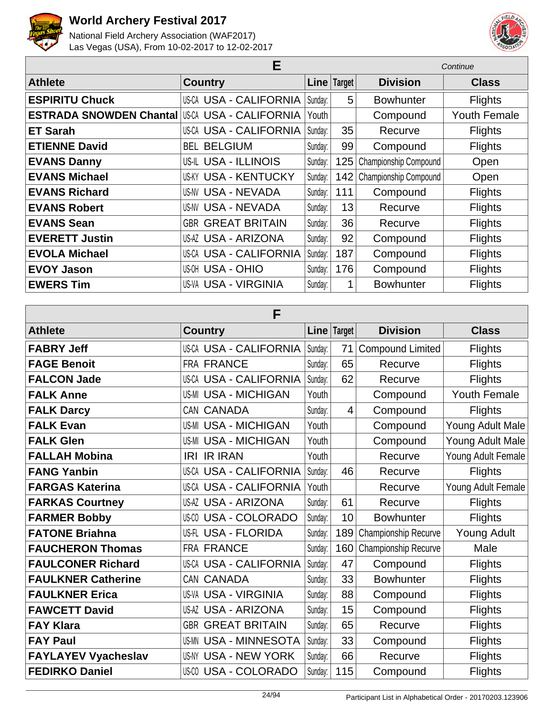



| Е                              |                               |         |             | Continue              |                     |  |
|--------------------------------|-------------------------------|---------|-------------|-----------------------|---------------------|--|
| <b>Athlete</b>                 | <b>Country</b>                |         | Line Target | <b>Division</b>       | <b>Class</b>        |  |
| <b>ESPIRITU Chuck</b>          | US-CA USA - CALIFORNIA        | Sunday: | 5           | <b>Bowhunter</b>      | <b>Flights</b>      |  |
| <b>ESTRADA SNOWDEN Chantal</b> | US-CA USA - CALIFORNIA        | Youth   |             | Compound              | <b>Youth Female</b> |  |
| <b>ET Sarah</b>                | <b>US-CA USA - CALIFORNIA</b> | Sunday: | 35          | Recurve               | <b>Flights</b>      |  |
| <b>ETIENNE David</b>           | <b>BEL BELGIUM</b>            | Sunday: | 99          | Compound              | <b>Flights</b>      |  |
| <b>EVANS Danny</b>             | US-IL USA - ILLINOIS          | Sunday: | 125         | Championship Compound | Open                |  |
| <b>EVANS Michael</b>           | <b>US-KY USA - KENTUCKY</b>   | Sunday: | 142         | Championship Compound | Open                |  |
| <b>EVANS Richard</b>           | <b>US-NV USA - NEVADA</b>     | Sunday: | 111         | Compound              | <b>Flights</b>      |  |
| <b>EVANS Robert</b>            | <b>US-NV USA - NEVADA</b>     | Sunday: | 13          | Recurve               | <b>Flights</b>      |  |
| <b>EVANS Sean</b>              | <b>GBR GREAT BRITAIN</b>      | Sunday: | 36          | Recurve               | <b>Flights</b>      |  |
| <b>EVERETT Justin</b>          | US-AZ USA - ARIZONA           | Sunday: | 92          | Compound              | <b>Flights</b>      |  |
| <b>EVOLA Michael</b>           | <b>US-CA USA - CALIFORNIA</b> | Sunday: | 187         | Compound              | Flights             |  |
| <b>EVOY Jason</b>              | <b>US-OH USA - OHIO</b>       | Sunday: | 176         | Compound              | <b>Flights</b>      |  |
| <b>EWERS Tim</b>               | US-VA USA - VIRGINIA          | Sunday: | 1           | <b>Bowhunter</b>      | <b>Flights</b>      |  |

| F                          |                               |             |     |                         |                     |  |  |
|----------------------------|-------------------------------|-------------|-----|-------------------------|---------------------|--|--|
| <b>Athlete</b>             | <b>Country</b>                | Line Target |     | <b>Division</b>         | <b>Class</b>        |  |  |
| <b>FABRY Jeff</b>          | US-CA USA - CALIFORNIA        | Sunday:     | 71  | <b>Compound Limited</b> | <b>Flights</b>      |  |  |
| <b>FAGE Benoit</b>         | <b>FRA FRANCE</b>             | Sunday:     | 65  | Recurve                 | <b>Flights</b>      |  |  |
| <b>FALCON Jade</b>         | US-CA USA - CALIFORNIA        | Sunday:     | 62  | Recurve                 | <b>Flights</b>      |  |  |
| <b>FALK Anne</b>           | <b>US-MI USA - MICHIGAN</b>   | Youth       |     | Compound                | <b>Youth Female</b> |  |  |
| <b>FALK Darcy</b>          | CAN CANADA                    | Sunday:     | 4   | Compound                | <b>Flights</b>      |  |  |
| <b>FALK Evan</b>           | <b>US-MI USA - MICHIGAN</b>   | Youth       |     | Compound                | Young Adult Male    |  |  |
| <b>FALK Glen</b>           | <b>US-MI USA - MICHIGAN</b>   | Youth       |     | Compound                | Young Adult Male    |  |  |
| <b>FALLAH Mobina</b>       | <b>IRI IR IRAN</b>            | Youth       |     | Recurve                 | Young Adult Female  |  |  |
| <b>FANG Yanbin</b>         | <b>US-CA USA - CALIFORNIA</b> | Sunday:     | 46  | Recurve                 | <b>Flights</b>      |  |  |
| <b>FARGAS Katerina</b>     | US-CA USA - CALIFORNIA        | Youth       |     | Recurve                 | Young Adult Female  |  |  |
| <b>FARKAS Courtney</b>     | <b>US-AZ USA - ARIZONA</b>    | Sunday:     | 61  | Recurve                 | <b>Flights</b>      |  |  |
| <b>FARMER Bobby</b>        | <b>US-CO USA - COLORADO</b>   | Sunday:     | 10  | <b>Bowhunter</b>        | <b>Flights</b>      |  |  |
| <b>FATONE Briahna</b>      | US-FL USA - FLORIDA           | Sunday:     | 189 | Championship Recurve    | <b>Young Adult</b>  |  |  |
| <b>FAUCHERON Thomas</b>    | FRA FRANCE                    | Sunday:     | 160 | Championship Recurve    | Male                |  |  |
| <b>FAULCONER Richard</b>   | US-CA USA - CALIFORNIA        | Sunday:     | 47  | Compound                | Flights             |  |  |
| <b>FAULKNER Catherine</b>  | CAN CANADA                    | Sunday:     | 33  | <b>Bowhunter</b>        | <b>Flights</b>      |  |  |
| <b>FAULKNER Erica</b>      | <b>US-VA USA - VIRGINIA</b>   | Sunday:     | 88  | Compound                | <b>Flights</b>      |  |  |
| <b>FAWCETT David</b>       | <b>US-AZ USA - ARIZONA</b>    | Sunday:     | 15  | Compound                | <b>Flights</b>      |  |  |
| <b>FAY Klara</b>           | <b>GBR GREAT BRITAIN</b>      | Sunday:     | 65  | Recurve                 | Flights             |  |  |
| <b>FAY Paul</b>            | <b>US-MN USA - MINNESOTA</b>  | Sunday:     | 33  | Compound                | <b>Flights</b>      |  |  |
| <b>FAYLAYEV Vyacheslav</b> | <b>US-NY USA - NEW YORK</b>   | Sunday:     | 66  | Recurve                 | Flights             |  |  |
| <b>FEDIRKO Daniel</b>      | <b>US-CO USA - COLORADO</b>   | Sunday:     | 115 | Compound                | <b>Flights</b>      |  |  |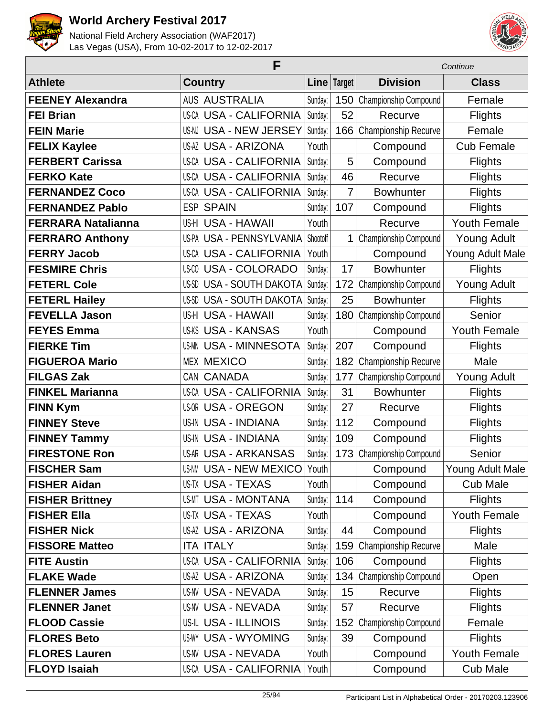



|                           | F                               |          |             | Continue                    |                     |  |
|---------------------------|---------------------------------|----------|-------------|-----------------------------|---------------------|--|
| <b>Athlete</b>            | <b>Country</b>                  |          | Line Target | <b>Division</b>             | <b>Class</b>        |  |
| <b>FEENEY Alexandra</b>   | <b>AUS AUSTRALIA</b>            | Sunday:  | 150         | Championship Compound       | Female              |  |
| <b>FEI Brian</b>          | <b>US-CA USA - CALIFORNIA</b>   | Sunday:  | 52          | Recurve                     | <b>Flights</b>      |  |
| <b>FEIN Marie</b>         | US-NJ USA - NEW JERSEY          | Sunday:  | 166         | <b>Championship Recurve</b> | Female              |  |
| <b>FELIX Kaylee</b>       | <b>US-AZ USA - ARIZONA</b>      | Youth    |             | Compound                    | <b>Cub Female</b>   |  |
| <b>FERBERT Carissa</b>    | <b>US-CA USA - CALIFORNIA</b>   | Sunday:  | 5           | Compound                    | <b>Flights</b>      |  |
| <b>FERKO Kate</b>         | <b>US-CA USA - CALIFORNIA</b>   | Sunday:  | 46          | Recurve                     | <b>Flights</b>      |  |
| <b>FERNANDEZ Coco</b>     | <b>US-CA USA - CALIFORNIA</b>   | Sunday:  | 7           | <b>Bowhunter</b>            | <b>Flights</b>      |  |
| <b>FERNANDEZ Pablo</b>    | <b>ESP SPAIN</b>                | Sunday:  | 107         | Compound                    | <b>Flights</b>      |  |
| <b>FERRARA Natalianna</b> | US-HI USA - HAWAII              | Youth    |             | Recurve                     | <b>Youth Female</b> |  |
| <b>FERRARO Anthony</b>    | US-PA USA - PENNSYLVANIA        | Shootoff | 1           | Championship Compound       | <b>Young Adult</b>  |  |
| <b>FERRY Jacob</b>        | US-CA USA - CALIFORNIA          | Youth    |             | Compound                    | Young Adult Male    |  |
| <b>FESMIRE Chris</b>      | <b>USA - COLORADO</b><br>US-CO  | Sunday:  | 17          | <b>Bowhunter</b>            | <b>Flights</b>      |  |
| <b>FETERL Cole</b>        | US-SD USA - SOUTH DAKOTA        | Sunday:  | 172         | Championship Compound       | <b>Young Adult</b>  |  |
| <b>FETERL Hailey</b>      | <b>US-SD USA - SOUTH DAKOTA</b> | Sunday:  | 25          | <b>Bowhunter</b>            | <b>Flights</b>      |  |
| <b>FEVELLA Jason</b>      | US-HI USA - HAWAII              | Sunday:  | 180         | Championship Compound       | Senior              |  |
| <b>FEYES Emma</b>         | <b>US-KS USA - KANSAS</b>       | Youth    |             | Compound                    | <b>Youth Female</b> |  |
| <b>FIERKE Tim</b>         | <b>US-MN USA - MINNESOTA</b>    | Sunday:  | 207         | Compound                    | <b>Flights</b>      |  |
| <b>FIGUEROA Mario</b>     | <b>MEX MEXICO</b>               | Sunday:  | 182         | Championship Recurve        | Male                |  |
| <b>FILGAS Zak</b>         | CAN CANADA                      | Sunday:  | 177         | Championship Compound       | <b>Young Adult</b>  |  |
| <b>FINKEL Marianna</b>    | <b>US-CA USA - CALIFORNIA</b>   | Sunday:  | 31          | <b>Bowhunter</b>            | <b>Flights</b>      |  |
| <b>FINN Kym</b>           | <b>US-OR USA - OREGON</b>       | Sunday:  | 27          | Recurve                     | <b>Flights</b>      |  |
| <b>FINNEY Steve</b>       | US-IN USA - INDIANA             | Sunday:  | 112         | Compound                    | <b>Flights</b>      |  |
| <b>FINNEY Tammy</b>       | US-IN USA - INDIANA             | Sunday:  | 109         | Compound                    | <b>Flights</b>      |  |
| <b>FIRESTONE Ron</b>      | <b>US-AR USA - ARKANSAS</b>     | Sunday:  | 173         | Championship Compound       | Senior              |  |
| <b>FISCHER Sam</b>        | US-NM USA - NEW MEXICO          | Youth    |             | Compound                    | Young Adult Male    |  |
| <b>FISHER Aidan</b>       | US-TX USA - TEXAS               | Youth    |             | Compound                    | <b>Cub Male</b>     |  |
| <b>FISHER Brittney</b>    | <b>US-MT USA - MONTANA</b>      | Sunday:  | 114         | Compound                    | <b>Flights</b>      |  |
| <b>FISHER Ella</b>        | US-TX USA - TEXAS               | Youth    |             | Compound                    | <b>Youth Female</b> |  |
| <b>FISHER Nick</b>        | US-AZ USA - ARIZONA             | Sunday:  | 44          | Compound                    | <b>Flights</b>      |  |
| <b>FISSORE Matteo</b>     | <b>ITA ITALY</b>                | Sunday:  | 159         | Championship Recurve        | Male                |  |
| <b>FITE Austin</b>        | <b>US-CA USA - CALIFORNIA</b>   | Sunday:  | 106         | Compound                    | <b>Flights</b>      |  |
| <b>FLAKE Wade</b>         | US-AZ USA - ARIZONA             | Sunday:  | 134         | Championship Compound       | Open                |  |
| <b>FLENNER James</b>      | US-NV USA - NEVADA              | Sunday:  | 15          | Recurve                     | <b>Flights</b>      |  |
| <b>FLENNER Janet</b>      | US-NV USA - NEVADA              | Sunday:  | 57          | Recurve                     | <b>Flights</b>      |  |
| <b>FLOOD Cassie</b>       | US-IL USA - ILLINOIS            | Sunday:  | 152         | Championship Compound       | Female              |  |
| <b>FLORES Beto</b>        | <b>US-WY USA - WYOMING</b>      | Sunday:  | 39          | Compound                    | <b>Flights</b>      |  |
| <b>FLORES Lauren</b>      | US-NV USA - NEVADA              | Youth    |             | Compound                    | Youth Female        |  |
| <b>FLOYD Isaiah</b>       | <b>US-CA USA - CALIFORNIA</b>   | Youth    |             | Compound                    | <b>Cub Male</b>     |  |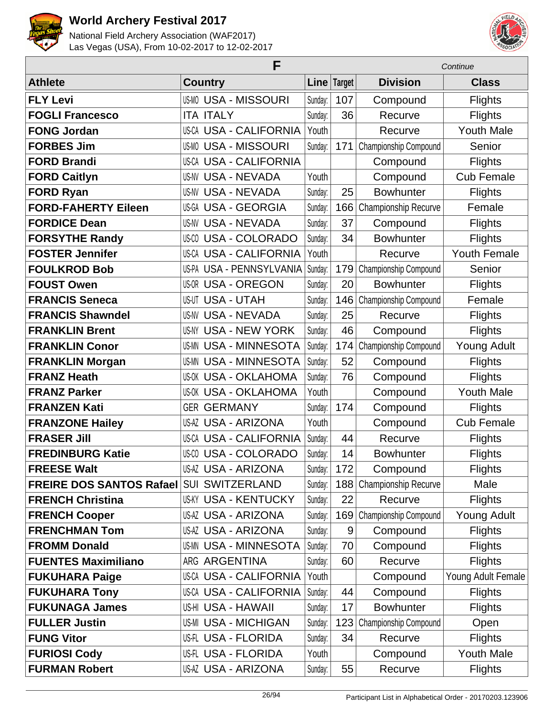



|                                 | F                               |         | Continue    |                       |                    |
|---------------------------------|---------------------------------|---------|-------------|-----------------------|--------------------|
| <b>Athlete</b>                  | <b>Country</b>                  |         | Line Target | <b>Division</b>       | <b>Class</b>       |
| <b>FLY Levi</b>                 | <b>US-MO USA - MISSOURI</b>     | Sunday: | 107         | Compound              | <b>Flights</b>     |
| <b>FOGLI Francesco</b>          | <b>ITA ITALY</b>                | Sunday: | 36          | Recurve               | <b>Flights</b>     |
| <b>FONG Jordan</b>              | US-CA USA - CALIFORNIA          | Youth   |             | Recurve               | <b>Youth Male</b>  |
| <b>FORBES Jim</b>               | <b>US-MO USA - MISSOURI</b>     | Sunday: | 171         | Championship Compound | Senior             |
| <b>FORD Brandi</b>              | <b>US-CA USA - CALIFORNIA</b>   |         |             | Compound              | <b>Flights</b>     |
| <b>FORD Caitlyn</b>             | <b>US-NV USA - NEVADA</b>       | Youth   |             | Compound              | <b>Cub Female</b>  |
| <b>FORD Ryan</b>                | <b>US-NV USA - NEVADA</b>       | Sunday: | 25          | <b>Bowhunter</b>      | <b>Flights</b>     |
| <b>FORD-FAHERTY Eileen</b>      | US-GA USA - GEORGIA             | Sunday: | 166         | Championship Recurve  | Female             |
| <b>FORDICE Dean</b>             | <b>US-NV USA - NEVADA</b>       | Sunday: | 37          | Compound              | <b>Flights</b>     |
| <b>FORSYTHE Randy</b>           | <b>US-CO USA - COLORADO</b>     | Sunday: | 34          | <b>Bowhunter</b>      | <b>Flights</b>     |
| <b>FOSTER Jennifer</b>          | <b>US-CA USA - CALIFORNIA</b>   | Youth   |             | Recurve               | Youth Female       |
| <b>FOULKROD Bob</b>             | <b>US-PA USA - PENNSYLVANIA</b> | Sunday: | 179         | Championship Compound | Senior             |
| <b>FOUST Owen</b>               | US-OR USA - OREGON              | Sunday: | 20          | <b>Bowhunter</b>      | <b>Flights</b>     |
| <b>FRANCIS Seneca</b>           | <b>US-UT USA - UTAH</b>         | Sunday: | 146         | Championship Compound | Female             |
| <b>FRANCIS Shawndel</b>         | <b>US-NV USA - NEVADA</b>       | Sunday: | 25          | Recurve               | <b>Flights</b>     |
| <b>FRANKLIN Brent</b>           | US-NY USA - NEW YORK            | Sunday: | 46          | Compound              | <b>Flights</b>     |
| <b>FRANKLIN Conor</b>           | <b>US-MN USA - MINNESOTA</b>    | Sunday: | 174         | Championship Compound | <b>Young Adult</b> |
| <b>FRANKLIN Morgan</b>          | <b>US-MN USA - MINNESOTA</b>    | Sunday: | 52          | Compound              | <b>Flights</b>     |
| <b>FRANZ Heath</b>              | <b>US-OK USA - OKLAHOMA</b>     | Sunday: | 76          | Compound              | <b>Flights</b>     |
| <b>FRANZ Parker</b>             | <b>US-OK USA - OKLAHOMA</b>     | Youth   |             | Compound              | <b>Youth Male</b>  |
| <b>FRANZEN Kati</b>             | <b>GER GERMANY</b>              | Sunday: | 174         | Compound              | <b>Flights</b>     |
| <b>FRANZONE Hailey</b>          | US-AZ USA - ARIZONA             | Youth   |             | Compound              | <b>Cub Female</b>  |
| <b>FRASER Jill</b>              | <b>US-CA USA - CALIFORNIA</b>   | Sunday: | 44          | Recurve               | <b>Flights</b>     |
| <b>FREDINBURG Katie</b>         | US-00 USA - COLORADO            | Sunday: | 14          | <b>Bowhunter</b>      | <b>Flights</b>     |
| <b>FREESE Walt</b>              | US-AZ USA - ARIZONA             | Sunday: | 172         | Compound              | <b>Flights</b>     |
| <b>FREIRE DOS SANTOS Rafael</b> | <b>SUI SWITZERLAND</b>          | Sunday: | 188         | Championship Recurve  | Male               |
| <b>FRENCH Christina</b>         | <b>US-KY USA - KENTUCKY</b>     | Sunday: | 22          | Recurve               | <b>Flights</b>     |
| <b>FRENCH Cooper</b>            | <b>US-AZ USA - ARIZONA</b>      | Sunday: | 169         | Championship Compound | Young Adult        |
| <b>FRENCHMAN Tom</b>            | <b>US-AZ USA - ARIZONA</b>      | Sunday: | 9           | Compound              | <b>Flights</b>     |
| <b>FROMM Donald</b>             | <b>US-MN USA - MINNESOTA</b>    | Sunday: | 70          | Compound              | <b>Flights</b>     |
| <b>FUENTES Maximiliano</b>      | ARG ARGENTINA                   | Sunday: | 60          | Recurve               | <b>Flights</b>     |
| <b>FUKUHARA Paige</b>           | <b>US-CA USA - CALIFORNIA</b>   | Youth   |             | Compound              | Young Adult Female |
| <b>FUKUHARA Tony</b>            | US-CA USA - CALIFORNIA          | Sunday: | 44          | Compound              | <b>Flights</b>     |
| <b>FUKUNAGA James</b>           | US-HI USA - HAWAII              | Sunday: | 17          | <b>Bowhunter</b>      | <b>Flights</b>     |
| <b>FULLER Justin</b>            | <b>US-MI USA - MICHIGAN</b>     | Sunday: | 123         | Championship Compound | Open               |
| <b>FUNG Vitor</b>               | US-FL USA - FLORIDA             | Sunday: | 34          | Recurve               | <b>Flights</b>     |
| <b>FURIOSI Cody</b>             | US-FL USA - FLORIDA             | Youth   |             | Compound              | Youth Male         |
| <b>FURMAN Robert</b>            | <b>US-AZ USA - ARIZONA</b>      | Sunday: | 55          | Recurve               | <b>Flights</b>     |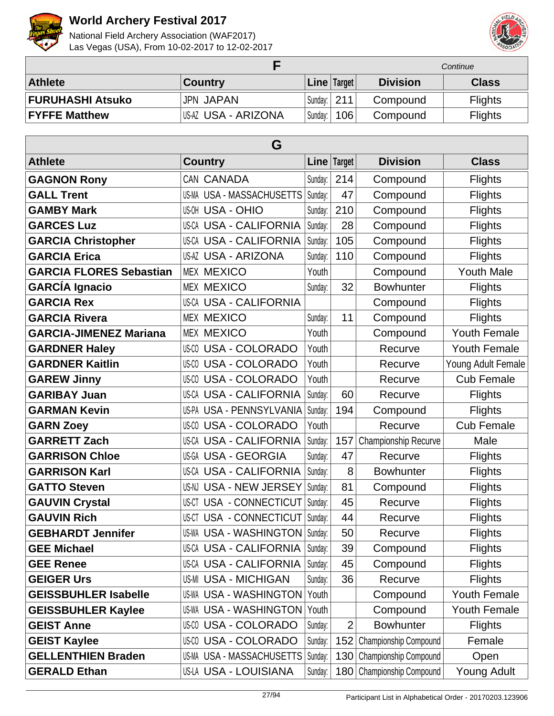



|                         |                     |             |             | Continue        |                |
|-------------------------|---------------------|-------------|-------------|-----------------|----------------|
| <b>Athlete</b>          | <b>Country</b>      |             | Line Target | <b>Division</b> | <b>Class</b>   |
| <b>FURUHASHI Atsuko</b> | <b>JPN JAPAN</b>    | Sundav: 211 |             | Compound        | <b>Flights</b> |
| <b>FYFFE Matthew</b>    | US-AZ USA - ARIZONA | Sunday:     | 106         | Compound        | <b>Flights</b> |

| G                              |                                  |         |                |                           |                     |  |  |
|--------------------------------|----------------------------------|---------|----------------|---------------------------|---------------------|--|--|
| <b>Athlete</b>                 | <b>Country</b>                   |         | Line   Target  | <b>Division</b>           | <b>Class</b>        |  |  |
| <b>GAGNON Rony</b>             | CAN CANADA                       | Sunday: | 214            | Compound                  | <b>Flights</b>      |  |  |
| <b>GALL Trent</b>              | US-MA USA - MASSACHUSETTS        | Sunday: | 47             | Compound                  | <b>Flights</b>      |  |  |
| <b>GAMBY Mark</b>              | <b>US-OH USA - OHIO</b>          | Sunday: | 210            | Compound                  | <b>Flights</b>      |  |  |
| <b>GARCES Luz</b>              | <b>US-CA USA - CALIFORNIA</b>    | Sunday: | 28             | Compound                  | <b>Flights</b>      |  |  |
| <b>GARCIA Christopher</b>      | <b>US-CA USA - CALIFORNIA</b>    | Sunday: | 105            | Compound                  | <b>Flights</b>      |  |  |
| <b>GARCIA Erica</b>            | <b>US-AZ USA - ARIZONA</b>       | Sunday: | 110            | Compound                  | <b>Flights</b>      |  |  |
| <b>GARCIA FLORES Sebastian</b> | <b>MEX MEXICO</b>                | Youth   |                | Compound                  | <b>Youth Male</b>   |  |  |
| <b>GARCÍA Ignacio</b>          | <b>MEX MEXICO</b>                | Sunday: | 32             | <b>Bowhunter</b>          | <b>Flights</b>      |  |  |
| <b>GARCIA Rex</b>              | <b>US-CA USA - CALIFORNIA</b>    |         |                | Compound                  | <b>Flights</b>      |  |  |
| <b>GARCIA Rivera</b>           | <b>MEX MEXICO</b>                | Sunday: | 11             | Compound                  | <b>Flights</b>      |  |  |
| <b>GARCIA-JIMENEZ Mariana</b>  | <b>MEX MEXICO</b>                | Youth   |                | Compound                  | <b>Youth Female</b> |  |  |
| <b>GARDNER Haley</b>           | US-CO<br><b>USA - COLORADO</b>   | Youth   |                | Recurve                   | <b>Youth Female</b> |  |  |
| <b>GARDNER Kaitlin</b>         | <b>US-CO USA - COLORADO</b>      | Youth   |                | Recurve                   | Young Adult Female  |  |  |
| <b>GAREW Jinny</b>             | <b>US-CO USA - COLORADO</b>      | Youth   |                | Recurve                   | <b>Cub Female</b>   |  |  |
| <b>GARIBAY Juan</b>            | <b>US-CA USA - CALIFORNIA</b>    | Sunday: | 60             | Recurve                   | <b>Flights</b>      |  |  |
| <b>GARMAN Kevin</b>            | US-PA USA - PENNSYLVANIA         | Sunday: | 194            | Compound                  | <b>Flights</b>      |  |  |
| <b>GARN Zoey</b>               | <b>US-CO USA - COLORADO</b>      | Youth   |                | Recurve                   | <b>Cub Female</b>   |  |  |
| <b>GARRETT Zach</b>            | US-CA USA - CALIFORNIA           | Sunday: | 157            | Championship Recurve      | Male                |  |  |
| <b>GARRISON Chloe</b>          | <b>US-GA USA - GEORGIA</b>       | Sunday: | 47             | Recurve                   | <b>Flights</b>      |  |  |
| <b>GARRISON Karl</b>           | US-CA USA - CALIFORNIA           | Sunday: | 8              | <b>Bowhunter</b>          | <b>Flights</b>      |  |  |
| <b>GATTO Steven</b>            | US-NJ USA - NEW JERSEY           | Sunday: | 81             | Compound                  | <b>Flights</b>      |  |  |
| <b>GAUVIN Crystal</b>          | US-CT USA - CONNECTICUT          | Sunday: | 45             | Recurve                   | <b>Flights</b>      |  |  |
| <b>GAUVIN Rich</b>             | US-CT USA - CONNECTICUT          | Sunday: | 44             | Recurve                   | <b>Flights</b>      |  |  |
| <b>GEBHARDT Jennifer</b>       | US-WA USA - WASHINGTON   Sunday: |         | 50             | Recurve                   | <b>Flights</b>      |  |  |
| <b>GEE Michael</b>             | US-CA USA - CALIFORNIA Sunday:   |         | 39             | Compound                  | <b>Flights</b>      |  |  |
| <b>GEE Renee</b>               | US-CA USA - CALIFORNIA           | Sunday: | 45             | Compound                  | <b>Flights</b>      |  |  |
| <b>GEIGER Urs</b>              | <b>US-MI USA - MICHIGAN</b>      | Sunday: | 36             | Recurve                   | <b>Flights</b>      |  |  |
| <b>GEISSBUHLER Isabelle</b>    | US-WA USA - WASHINGTON           | Youth   |                | Compound                  | <b>Youth Female</b> |  |  |
| <b>GEISSBUHLER Kaylee</b>      | <b>US-WA USA - WASHINGTON</b>    | Youth   |                | Compound                  | <b>Youth Female</b> |  |  |
| <b>GEIST Anne</b>              | US-00 USA - COLORADO             | Sunday: | $\overline{2}$ | <b>Bowhunter</b>          | <b>Flights</b>      |  |  |
| <b>GEIST Kaylee</b>            | <b>US-CO USA - COLORADO</b>      | Sunday: | 152            | Championship Compound     | Female              |  |  |
| <b>GELLENTHIEN Braden</b>      | US-MA USA - MASSACHUSETTS        | Sunday: | 130            | Championship Compound     | Open                |  |  |
| <b>GERALD Ethan</b>            | US-LA USA - LOUISIANA            | Sunday: |                | 180 Championship Compound | <b>Young Adult</b>  |  |  |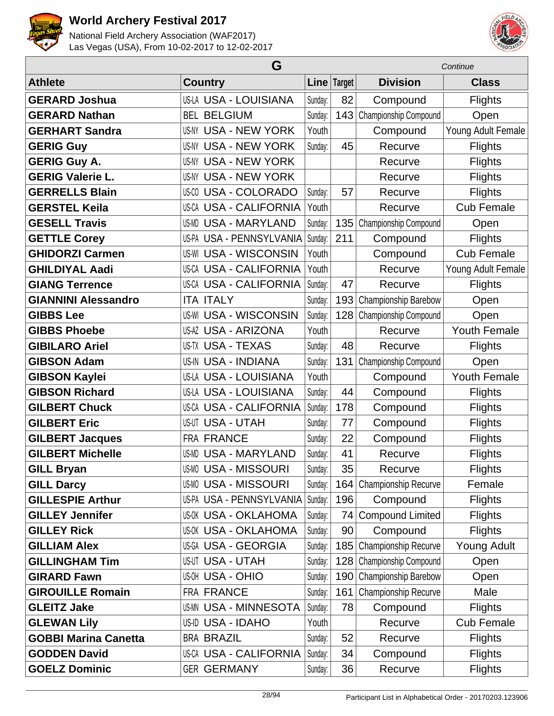



|                             | G                               |         | Continue    |                             |                     |
|-----------------------------|---------------------------------|---------|-------------|-----------------------------|---------------------|
| <b>Athlete</b>              | <b>Country</b>                  |         | Line Target | <b>Division</b>             | <b>Class</b>        |
| <b>GERARD Joshua</b>        | US-LA USA - LOUISIANA           | Sunday: | 82          | Compound                    | <b>Flights</b>      |
| <b>GERARD Nathan</b>        | <b>BEL BELGIUM</b>              | Sunday: | 143         | Championship Compound       | Open                |
| <b>GERHART Sandra</b>       | <b>USA - NEW YORK</b><br>US-NY  | Youth   |             | Compound                    | Young Adult Female  |
| <b>GERIG Guy</b>            | <b>USA - NEW YORK</b><br>US-NY  | Sunday: | 45          | Recurve                     | Flights             |
| <b>GERIG Guy A.</b>         | <b>US-NY USA - NEW YORK</b>     |         |             | Recurve                     | <b>Flights</b>      |
| <b>GERIG Valerie L.</b>     | <b>US-NY USA - NEW YORK</b>     |         |             | Recurve                     | <b>Flights</b>      |
| <b>GERRELLS Blain</b>       | <b>US-CO USA - COLORADO</b>     | Sunday: | 57          | Recurve                     | <b>Flights</b>      |
| <b>GERSTEL Keila</b>        | <b>US-CA USA - CALIFORNIA</b>   | Youth   |             | Recurve                     | <b>Cub Female</b>   |
| <b>GESELL Travis</b>        | <b>USA - MARYLAND</b><br>US-MD  | Sunday: | 135         | Championship Compound       | Open                |
| <b>GETTLE Corey</b>         | <b>US-PA USA - PENNSYLVANIA</b> | Sunday: | 211         | Compound                    | <b>Flights</b>      |
| <b>GHIDORZI Carmen</b>      | <b>USA - WISCONSIN</b><br>US-WI | Youth   |             | Compound                    | <b>Cub Female</b>   |
| <b>GHILDIYAL Aadi</b>       | <b>US-CA USA - CALIFORNIA</b>   | Youth   |             | Recurve                     | Young Adult Female  |
| <b>GIANG Terrence</b>       | <b>US-CA USA - CALIFORNIA</b>   | Sunday: | 47          | Recurve                     | <b>Flights</b>      |
| <b>GIANNINI Alessandro</b>  | <b>ITA ITALY</b>                | Sunday: | 193         | Championship Barebow        | Open                |
| <b>GIBBS Lee</b>            | <b>US-WI USA - WISCONSIN</b>    | Sunday: | 128         | Championship Compound       | Open                |
| <b>GIBBS Phoebe</b>         | <b>US-AZ USA - ARIZONA</b>      | Youth   |             | Recurve                     | <b>Youth Female</b> |
| <b>GIBILARO Ariel</b>       | US-TX USA - TEXAS               | Sunday: | 48          | Recurve                     | <b>Flights</b>      |
| <b>GIBSON Adam</b>          | US-IN USA - INDIANA             | Sunday: | 131         | Championship Compound       | Open                |
| <b>GIBSON Kaylei</b>        | US-LA USA - LOUISIANA           | Youth   |             | Compound                    | <b>Youth Female</b> |
| <b>GIBSON Richard</b>       | US-LA USA - LOUISIANA           | Sunday: | 44          | Compound                    | <b>Flights</b>      |
| <b>GILBERT Chuck</b>        | <b>US-CA USA - CALIFORNIA</b>   | Sunday: | 178         | Compound                    | <b>Flights</b>      |
| <b>GILBERT Eric</b>         | <b>US-UT USA - UTAH</b>         | Sunday: | 77          | Compound                    | <b>Flights</b>      |
| <b>GILBERT Jacques</b>      | FRA FRANCE                      | Sunday: | 22          | Compound                    | <b>Flights</b>      |
| <b>GILBERT Michelle</b>     | <b>US-MD USA - MARYLAND</b>     | Sunday: | 41          | Recurve                     | <b>Flights</b>      |
| <b>GILL Bryan</b>           | US-MO USA - MISSOURI            | Sunday: | 35          | Recurve                     | Flights             |
| <b>GILL Darcy</b>           | <b>US-MO USA - MISSOURI</b>     | Sunday: | 164         | <b>Championship Recurve</b> | Female              |
| <b>GILLESPIE Arthur</b>     | US-PA USA - PENNSYLVANIA        | Sunday: | 196         | Compound                    | <b>Flights</b>      |
| <b>GILLEY Jennifer</b>      | <b>US-OK USA - OKLAHOMA</b>     | Sunday: | 74          | <b>Compound Limited</b>     | <b>Flights</b>      |
| <b>GILLEY Rick</b>          | <b>US-OK USA - OKLAHOMA</b>     | Sunday: | 90          | Compound                    | <b>Flights</b>      |
| <b>GILLIAM Alex</b>         | US-GA USA - GEORGIA             | Sunday: | 185         | Championship Recurve        | Young Adult         |
| <b>GILLINGHAM Tim</b>       | <b>US-UT USA - UTAH</b>         | Sunday: | 128         | Championship Compound       | Open                |
| <b>GIRARD Fawn</b>          | <b>US-OH USA - OHIO</b>         | Sunday: | 190         | Championship Barebow        | Open                |
| <b>GIROUILLE Romain</b>     | FRA FRANCE                      | Sunday: | 161         | Championship Recurve        | Male                |
| <b>GLEITZ Jake</b>          | US-MN USA - MINNESOTA           | Sunday: | 78          | Compound                    | <b>Flights</b>      |
| <b>GLEWAN Lily</b>          | US-ID USA - IDAHO               | Youth   |             | Recurve                     | <b>Cub Female</b>   |
| <b>GOBBI Marina Canetta</b> | <b>BRA BRAZIL</b>               | Sunday: | 52          | Recurve                     | <b>Flights</b>      |
| <b>GODDEN David</b>         | US-CA USA - CALIFORNIA          | Sunday: | 34          | Compound                    | <b>Flights</b>      |
| <b>GOELZ Dominic</b>        | <b>GER GERMANY</b>              | Sunday: | 36          | Recurve                     | <b>Flights</b>      |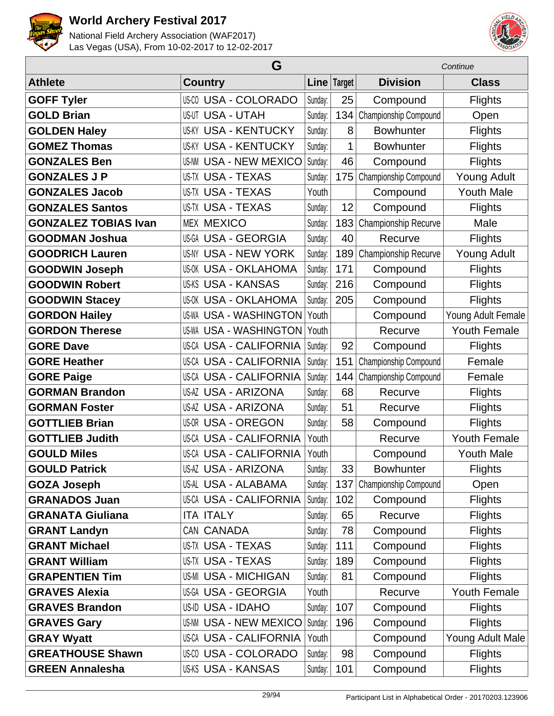



| G                           |                                |         |             |                       | Continue            |
|-----------------------------|--------------------------------|---------|-------------|-----------------------|---------------------|
| <b>Athlete</b>              | <b>Country</b>                 |         | Line Target | <b>Division</b>       | <b>Class</b>        |
| <b>GOFF Tyler</b>           | <b>US-CO USA - COLORADO</b>    | Sunday: | 25          | Compound              | <b>Flights</b>      |
| <b>GOLD Brian</b>           | <b>US-UT USA - UTAH</b>        | Sunday: | 134         | Championship Compound | Open                |
| <b>GOLDEN Haley</b>         | <b>US-KY USA - KENTUCKY</b>    | Sunday: | 8           | <b>Bowhunter</b>      | <b>Flights</b>      |
| <b>GOMEZ Thomas</b>         | <b>USA - KENTUCKY</b><br>US-KY | Sunday: | 1           | <b>Bowhunter</b>      | <b>Flights</b>      |
| <b>GONZALES Ben</b>         | <b>US-NM USA - NEW MEXICO</b>  | Sunday: | 46          | Compound              | <b>Flights</b>      |
| <b>GONZALES J P</b>         | <b>US-TX USA - TEXAS</b>       | Sunday: | 175         | Championship Compound | <b>Young Adult</b>  |
| <b>GONZALES Jacob</b>       | <b>US-TX USA - TEXAS</b>       | Youth   |             | Compound              | <b>Youth Male</b>   |
| <b>GONZALES Santos</b>      | <b>US-TX USA - TEXAS</b>       | Sunday: | 12          | Compound              | <b>Flights</b>      |
| <b>GONZALEZ TOBIAS Ivan</b> | <b>MEX MEXICO</b>              | Sunday: | 183         | Championship Recurve  | Male                |
| <b>GOODMAN Joshua</b>       | <b>US-GA USA - GEORGIA</b>     | Sunday: | 40          | Recurve               | <b>Flights</b>      |
| <b>GOODRICH Lauren</b>      | <b>US-NY USA - NEW YORK</b>    | Sunday: | 189         | Championship Recurve  | <b>Young Adult</b>  |
| <b>GOODWIN Joseph</b>       | <b>US-OK USA - OKLAHOMA</b>    | Sunday: | 171         | Compound              | <b>Flights</b>      |
| <b>GOODWIN Robert</b>       | <b>US-KS USA - KANSAS</b>      | Sunday: | 216         | Compound              | <b>Flights</b>      |
| <b>GOODWIN Stacey</b>       | <b>US-OK USA - OKLAHOMA</b>    | Sunday: | 205         | Compound              | <b>Flights</b>      |
| <b>GORDON Hailey</b>        | <b>US-WA USA - WASHINGTON</b>  | Youth   |             | Compound              | Young Adult Female  |
| <b>GORDON Therese</b>       | <b>US-WA USA - WASHINGTON</b>  | Youth   |             | Recurve               | <b>Youth Female</b> |
| <b>GORE Dave</b>            | US-CA USA - CALIFORNIA         | Sunday: | 92          | Compound              | <b>Flights</b>      |
| <b>GORE Heather</b>         | US-CA USA - CALIFORNIA         | Sunday: | 151         | Championship Compound | Female              |
| <b>GORE Paige</b>           | <b>US-CA USA - CALIFORNIA</b>  | Sunday: | 144         | Championship Compound | Female              |
| <b>GORMAN Brandon</b>       | US-AZ USA - ARIZONA            | Sunday: | 68          | Recurve               | <b>Flights</b>      |
| <b>GORMAN Foster</b>        | US-AZ USA - ARIZONA            | Sunday: | 51          | Recurve               | <b>Flights</b>      |
| <b>GOTTLIEB Brian</b>       | US-OR USA - OREGON             | Sunday: | 58          | Compound              | <b>Flights</b>      |
| <b>GOTTLIEB Judith</b>      | <b>US-CA USA - CALIFORNIA</b>  | Youth   |             | Recurve               | <b>Youth Female</b> |
| <b>GOULD Miles</b>          | <b>US-CA USA - CALIFORNIA</b>  | Youth   |             | Compound              | <b>Youth Male</b>   |
| <b>GOULD Patrick</b>        | <b>US-AZ USA - ARIZONA</b>     | Sunday: | 33          | <b>Bowhunter</b>      | <b>Flights</b>      |
| <b>GOZA Joseph</b>          | US-AL USA - ALABAMA            | Sunday: | 137         | Championship Compound | Open                |
| <b>GRANADOS Juan</b>        | <b>US-CA USA - CALIFORNIA</b>  | Sunday: | 102         | Compound              | <b>Flights</b>      |
| <b>GRANATA Giuliana</b>     | <b>ITA ITALY</b>               | Sunday: | 65          | Recurve               | <b>Flights</b>      |
| <b>GRANT Landyn</b>         | CAN CANADA                     | Sunday: | 78          | Compound              | <b>Flights</b>      |
| <b>GRANT Michael</b>        | US-TX USA - TEXAS              | Sunday: | 111         | Compound              | <b>Flights</b>      |
| <b>GRANT William</b>        | <b>US-TX USA - TEXAS</b>       | Sunday: | 189         | Compound              | <b>Flights</b>      |
| <b>GRAPENTIEN Tim</b>       | <b>US-MI USA - MICHIGAN</b>    | Sunday: | 81          | Compound              | <b>Flights</b>      |
| <b>GRAVES Alexia</b>        | US-GA USA - GEORGIA            | Youth   |             | Recurve               | <b>Youth Female</b> |
| <b>GRAVES Brandon</b>       | US-ID USA - IDAHO              | Sunday: | 107         | Compound              | <b>Flights</b>      |
| <b>GRAVES Gary</b>          | <b>US-NM USA - NEW MEXICO</b>  | Sunday: | 196         | Compound              | <b>Flights</b>      |
| <b>GRAY Wyatt</b>           | US-CA USA - CALIFORNIA         | Youth   |             | Compound              | Young Adult Male    |
| <b>GREATHOUSE Shawn</b>     | US-00 USA - COLORADO           | Sunday: | 98          | Compound              | <b>Flights</b>      |
| <b>GREEN Annalesha</b>      | <b>US-KS USA - KANSAS</b>      | Sunday: | 101         | Compound              | <b>Flights</b>      |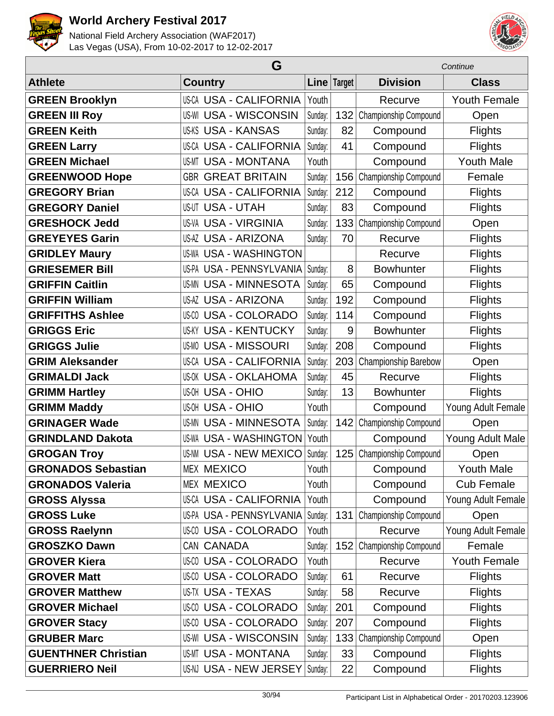



|                            | G                               |             |     |                       | Continue            |  |  |
|----------------------------|---------------------------------|-------------|-----|-----------------------|---------------------|--|--|
| <b>Athlete</b>             | <b>Country</b>                  | Line Target |     | <b>Division</b>       | <b>Class</b>        |  |  |
| <b>GREEN Brooklyn</b>      | US-CA USA - CALIFORNIA          | Youth       |     | Recurve               | <b>Youth Female</b> |  |  |
| <b>GREEN III Roy</b>       | <b>US-WI USA - WISCONSIN</b>    | Sunday:     | 132 | Championship Compound | Open                |  |  |
| <b>GREEN Keith</b>         | <b>US-KS USA - KANSAS</b>       | Sunday:     | 82  | Compound              | <b>Flights</b>      |  |  |
| <b>GREEN Larry</b>         | <b>US-CA USA - CALIFORNIA</b>   | Sunday:     | 41  | Compound              | <b>Flights</b>      |  |  |
| <b>GREEN Michael</b>       | <b>USA - MONTANA</b><br>US-MT   | Youth       |     | Compound              | <b>Youth Male</b>   |  |  |
| <b>GREENWOOD Hope</b>      | <b>GBR GREAT BRITAIN</b>        | Sunday:     | 156 | Championship Compound | Female              |  |  |
| <b>GREGORY Brian</b>       | <b>US-CA USA - CALIFORNIA</b>   | Sunday:     | 212 | Compound              | <b>Flights</b>      |  |  |
| <b>GREGORY Daniel</b>      | <b>US-UT USA - UTAH</b>         | Sunday:     | 83  | Compound              | <b>Flights</b>      |  |  |
| <b>GRESHOCK Jedd</b>       | <b>US-VA USA - VIRGINIA</b>     | Sunday:     | 133 | Championship Compound | Open                |  |  |
| <b>GREYEYES Garin</b>      | <b>US-AZ USA - ARIZONA</b>      | Sunday:     | 70  | Recurve               | <b>Flights</b>      |  |  |
| <b>GRIDLEY Maury</b>       | <b>US-WA USA - WASHINGTON</b>   |             |     | Recurve               | <b>Flights</b>      |  |  |
| <b>GRIESEMER Bill</b>      | <b>US-PA USA - PENNSYLVANIA</b> | Sunday:     | 8   | <b>Bowhunter</b>      | <b>Flights</b>      |  |  |
| <b>GRIFFIN Caitlin</b>     | <b>US-MN USA - MINNESOTA</b>    | Sunday:     | 65  | Compound              | <b>Flights</b>      |  |  |
| <b>GRIFFIN William</b>     | <b>US-AZ USA - ARIZONA</b>      | Sunday:     | 192 | Compound              | <b>Flights</b>      |  |  |
| <b>GRIFFITHS Ashlee</b>    | US-00 USA - COLORADO            | Sunday:     | 114 | Compound              | <b>Flights</b>      |  |  |
| <b>GRIGGS Eric</b>         | <b>USA - KENTUCKY</b><br>US-KY  | Sunday:     | 9   | <b>Bowhunter</b>      | <b>Flights</b>      |  |  |
| <b>GRIGGS Julie</b>        | <b>US-MO USA - MISSOURI</b>     | Sunday:     | 208 | Compound              | <b>Flights</b>      |  |  |
| <b>GRIM Aleksander</b>     | <b>US-CA USA - CALIFORNIA</b>   | Sunday:     | 203 | Championship Barebow  | Open                |  |  |
| <b>GRIMALDI Jack</b>       | <b>US-OK USA - OKLAHOMA</b>     | Sunday:     | 45  | Recurve               | <b>Flights</b>      |  |  |
| <b>GRIMM Hartley</b>       | <b>US-OH USA - OHIO</b>         | Sunday:     | 13  | <b>Bowhunter</b>      | <b>Flights</b>      |  |  |
| <b>GRIMM Maddy</b>         | <b>US-OH USA - OHIO</b>         | Youth       |     | Compound              | Young Adult Female  |  |  |
| <b>GRINAGER Wade</b>       | <b>US-MN USA - MINNESOTA</b>    | Sunday:     | 142 | Championship Compound | Open                |  |  |
| <b>GRINDLAND Dakota</b>    | <b>US-WA USA - WASHINGTON</b>   | Youth       |     | Compound              | Young Adult Male    |  |  |
| <b>GROGAN Troy</b>         | US-NM USA - NEW MEXICO          | Sunday:     | 125 | Championship Compound | Open                |  |  |
| <b>GRONADOS Sebastian</b>  | <b>MEX MEXICO</b>               | Youth       |     | Compound              | <b>Youth Male</b>   |  |  |
| <b>GRONADOS Valeria</b>    | <b>MEX MEXICO</b>               | Youth       |     | Compound              | <b>Cub Female</b>   |  |  |
| <b>GROSS Alyssa</b>        | <b>US-CA USA - CALIFORNIA</b>   | Youth       |     | Compound              | Young Adult Female  |  |  |
| <b>GROSS Luke</b>          | US-PA USA - PENNSYLVANIA        | Sunday:     | 131 | Championship Compound | Open                |  |  |
| <b>GROSS Raelynn</b>       | <b>US-CO USA - COLORADO</b>     | Youth       |     | Recurve               | Young Adult Female  |  |  |
| <b>GROSZKO Dawn</b>        | CAN CANADA                      | Sunday:     | 152 | Championship Compound | Female              |  |  |
| <b>GROVER Kiera</b>        | <b>US-CO USA - COLORADO</b>     | Youth       |     | Recurve               | <b>Youth Female</b> |  |  |
| <b>GROVER Matt</b>         | US-00 USA - COLORADO            | Sunday:     | 61  | Recurve               | <b>Flights</b>      |  |  |
| <b>GROVER Matthew</b>      | <b>US-TX USA - TEXAS</b>        | Sunday:     | 58  | Recurve               | <b>Flights</b>      |  |  |
| <b>GROVER Michael</b>      | US-00 USA - COLORADO            | Sunday:     | 201 | Compound              | Flights             |  |  |
| <b>GROVER Stacy</b>        | US-00 USA - COLORADO            | Sunday:     | 207 | Compound              | <b>Flights</b>      |  |  |
| <b>GRUBER Marc</b>         | <b>US-WI USA - WISCONSIN</b>    | Sunday:     | 133 | Championship Compound | Open                |  |  |
| <b>GUENTHNER Christian</b> | <b>US-MT USA - MONTANA</b>      | Sunday:     | 33  | Compound              | <b>Flights</b>      |  |  |
| <b>GUERRIERO Neil</b>      | US-NJ USA - NEW JERSEY          | Sunday:     | 22  | Compound              | <b>Flights</b>      |  |  |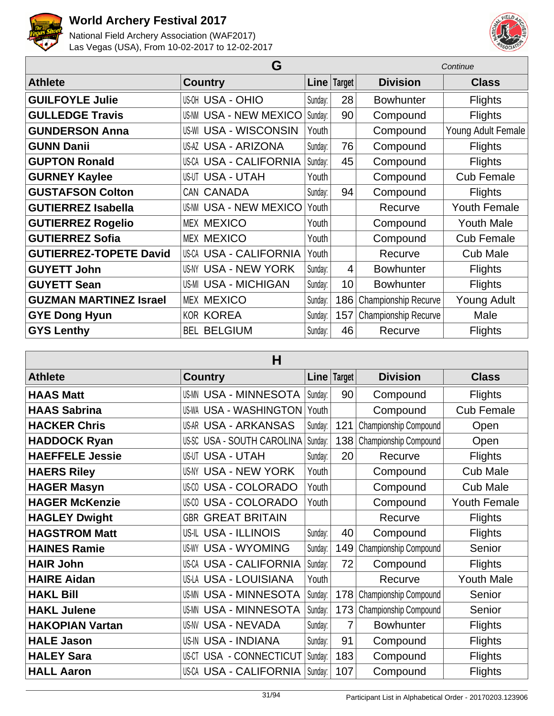



| G                             |                               |         |                |                      | Continue            |
|-------------------------------|-------------------------------|---------|----------------|----------------------|---------------------|
| <b>Athlete</b>                | <b>Country</b>                |         | Line Target    | <b>Division</b>      | <b>Class</b>        |
| <b>GUILFOYLE Julie</b>        | <b>US-OH USA - OHIO</b>       | Sunday: | 28             | <b>Bowhunter</b>     | <b>Flights</b>      |
| <b>GULLEDGE Travis</b>        | <b>US-NM USA - NEW MEXICO</b> | Sunday: | 90             | Compound             | <b>Flights</b>      |
| <b>GUNDERSON Anna</b>         | <b>US-WI USA - WISCONSIN</b>  | Youth   |                | Compound             | Young Adult Female  |
| <b>GUNN Danii</b>             | <b>US-AZ USA - ARIZONA</b>    | Sunday: | 76             | Compound             | <b>Flights</b>      |
| <b>GUPTON Ronald</b>          | US-CA USA - CALIFORNIA        | Sunday: | 45             | Compound             | <b>Flights</b>      |
| <b>GURNEY Kaylee</b>          | <b>US-UT USA - UTAH</b>       | Youth   |                | Compound             | <b>Cub Female</b>   |
| <b>GUSTAFSON Colton</b>       | CAN CANADA                    | Sunday: | 94             | Compound             | <b>Flights</b>      |
| <b>GUTIERREZ Isabella</b>     | <b>US-NM USA - NEW MEXICO</b> | Youth   |                | Recurve              | <b>Youth Female</b> |
| <b>GUTIERREZ Rogelio</b>      | <b>MEX MEXICO</b>             | Youth   |                | Compound             | <b>Youth Male</b>   |
| <b>GUTIERREZ Sofia</b>        | <b>MEX MEXICO</b>             | Youth   |                | Compound             | <b>Cub Female</b>   |
| <b>GUTIERREZ-TOPETE David</b> | US-CA USA - CALIFORNIA        | Youth   |                | Recurve              | <b>Cub Male</b>     |
| <b>GUYETT John</b>            | US-NY USA - NEW YORK          | Sunday: | $\overline{4}$ | <b>Bowhunter</b>     | <b>Flights</b>      |
| <b>GUYETT Sean</b>            | <b>US-MI USA - MICHIGAN</b>   | Sunday: | 10             | <b>Bowhunter</b>     | <b>Flights</b>      |
| <b>GUZMAN MARTINEZ Israel</b> | <b>MEX MEXICO</b>             | Sunday: | 186            | Championship Recurve | Young Adult         |
| <b>GYE Dong Hyun</b>          | <b>KOR KOREA</b>              | Sunday: | 157            | Championship Recurve | Male                |
| <b>GYS Lenthy</b>             | <b>BEL BELGIUM</b>            | Sunday: | 46             | Recurve              | <b>Flights</b>      |

| н                      |                                    |         |             |                       |                     |
|------------------------|------------------------------------|---------|-------------|-----------------------|---------------------|
| <b>Athlete</b>         | <b>Country</b>                     |         | Line Target | <b>Division</b>       | <b>Class</b>        |
| <b>HAAS Matt</b>       | <b>US-MN USA - MINNESOTA</b>       | Sunday: | 90          | Compound              | <b>Flights</b>      |
| <b>HAAS Sabrina</b>    | US-WA USA - WASHINGTON             | Youth   |             | Compound              | <b>Cub Female</b>   |
| <b>HACKER Chris</b>    | US-AR USA - ARKANSAS               | Sunday: | 121         | Championship Compound | Open                |
| <b>HADDOCK Ryan</b>    | US-SC USA - SOUTH CAROLINA         | Sunday: | 138         | Championship Compound | Open                |
| <b>HAEFFELE Jessie</b> | <b>US-UT USA - UTAH</b>            | Sunday: | 20          | Recurve               | <b>Flights</b>      |
| <b>HAERS Riley</b>     | <b>USA - NEW YORK</b><br>US-NY     | Youth   |             | Compound              | <b>Cub Male</b>     |
| <b>HAGER Masyn</b>     | <b>USA - COLORADO</b><br>US-CO     | Youth   |             | Compound              | <b>Cub Male</b>     |
| <b>HAGER McKenzie</b>  | <b>USA - COLORADO</b><br>US-CO     | Youth   |             | Compound              | <b>Youth Female</b> |
| <b>HAGLEY Dwight</b>   | <b>GREAT BRITAIN</b><br><b>GBR</b> |         |             | Recurve               | <b>Flights</b>      |
| <b>HAGSTROM Matt</b>   | US-IL USA - ILLINOIS               | Sunday: | 40          | Compound              | <b>Flights</b>      |
| <b>HAINES Ramie</b>    | <b>USA - WYOMING</b><br>US-WY      | Sunday: | 149         | Championship Compound | Senior              |
| <b>HAIR John</b>       | US-CA USA - CALIFORNIA             | Sunday: | 72          | Compound              | <b>Flights</b>      |
| <b>HAIRE Aidan</b>     | US-LA USA - LOUISIANA              | Youth   |             | Recurve               | <b>Youth Male</b>   |
| <b>HAKL Bill</b>       | <b>US-MN USA - MINNESOTA</b>       | Sunday: | 178         | Championship Compound | Senior              |
| <b>HAKL Julene</b>     | <b>US-MN USA - MINNESOTA</b>       | Sunday: | 173         | Championship Compound | Senior              |
| <b>HAKOPIAN Vartan</b> | <b>US-NV USA - NEVADA</b>          | Sunday: | 7           | <b>Bowhunter</b>      | <b>Flights</b>      |
| <b>HALE Jason</b>      | <b>US-IN USA - INDIANA</b>         | Sunday: | 91          | Compound              | <b>Flights</b>      |
| <b>HALEY Sara</b>      | USA - CONNECTICUT<br>US-CT         | Sunday: | 183         | Compound              | <b>Flights</b>      |
| <b>HALL Aaron</b>      | US-CA USA - CALIFORNIA             | Sunday: | 107         | Compound              | <b>Flights</b>      |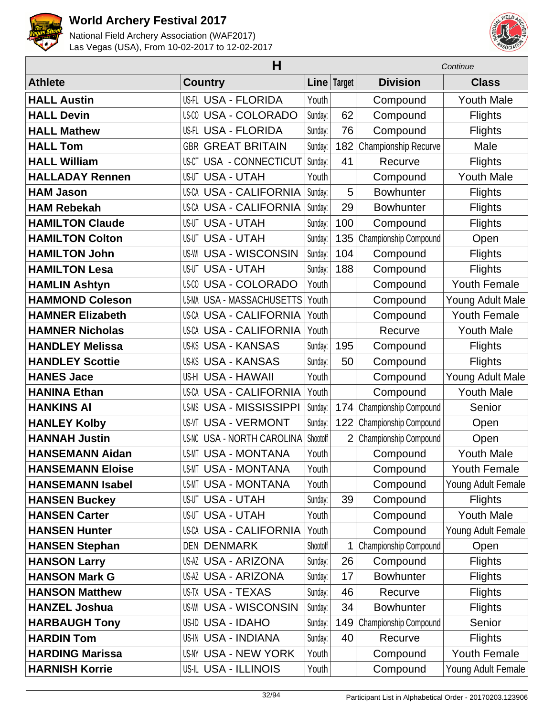



|                         | Н                                 |          |                | Continue              |                     |  |
|-------------------------|-----------------------------------|----------|----------------|-----------------------|---------------------|--|
| <b>Athlete</b>          | <b>Country</b>                    |          | Line Target    | <b>Division</b>       | <b>Class</b>        |  |
| <b>HALL Austin</b>      | <b>US-FL USA - FLORIDA</b>        | Youth    |                | Compound              | <b>Youth Male</b>   |  |
| <b>HALL Devin</b>       | <b>US-CO USA - COLORADO</b>       | Sunday:  | 62             | Compound              | <b>Flights</b>      |  |
| <b>HALL Mathew</b>      | US-FL USA - FLORIDA               | Sunday:  | 76             | Compound              | <b>Flights</b>      |  |
| <b>HALL Tom</b>         | <b>GBR GREAT BRITAIN</b>          | Sunday:  | 182            | Championship Recurve  | Male                |  |
| <b>HALL William</b>     | <b>US-CT USA - CONNECTICUT</b>    | Sunday:  | 41             | Recurve               | <b>Flights</b>      |  |
| <b>HALLADAY Rennen</b>  | <b>US-UT USA - UTAH</b>           | Youth    |                | Compound              | <b>Youth Male</b>   |  |
| <b>HAM Jason</b>        | <b>US-CA USA - CALIFORNIA</b>     | Sunday:  | 5              | <b>Bowhunter</b>      | <b>Flights</b>      |  |
| <b>HAM Rebekah</b>      | <b>US-CA USA - CALIFORNIA</b>     | Sunday:  | 29             | <b>Bowhunter</b>      | <b>Flights</b>      |  |
| <b>HAMILTON Claude</b>  | <b>US-UT USA - UTAH</b>           | Sunday:  | 100            | Compound              | <b>Flights</b>      |  |
| <b>HAMILTON Colton</b>  | <b>USA - UTAH</b><br>US-UT        | Sunday:  | 135            | Championship Compound | Open                |  |
| <b>HAMILTON John</b>    | <b>US-WI USA - WISCONSIN</b>      | Sunday:  | 104            | Compound              | <b>Flights</b>      |  |
| <b>HAMILTON Lesa</b>    | <b>US-UT USA - UTAH</b>           | Sunday:  | 188            | Compound              | <b>Flights</b>      |  |
| <b>HAMLIN Ashtyn</b>    | <b>US-CO USA - COLORADO</b>       | Youth    |                | Compound              | <b>Youth Female</b> |  |
| <b>HAMMOND Coleson</b>  | US-MA USA - MASSACHUSETTS         | Youth    |                | Compound              | Young Adult Male    |  |
| <b>HAMNER Elizabeth</b> | <b>US-CA USA - CALIFORNIA</b>     | Youth    |                | Compound              | <b>Youth Female</b> |  |
| <b>HAMNER Nicholas</b>  | <b>US-CA USA - CALIFORNIA</b>     | Youth    |                | Recurve               | <b>Youth Male</b>   |  |
| <b>HANDLEY Melissa</b>  | <b>US-KS USA - KANSAS</b>         | Sunday:  | 195            | Compound              | <b>Flights</b>      |  |
| <b>HANDLEY Scottie</b>  | <b>US-KS USA - KANSAS</b>         | Sunday:  | 50             | Compound              | <b>Flights</b>      |  |
| <b>HANES Jace</b>       | US-HI USA - HAWAII                | Youth    |                | Compound              | Young Adult Male    |  |
| <b>HANINA Ethan</b>     | <b>US-CA USA - CALIFORNIA</b>     | Youth    |                | Compound              | <b>Youth Male</b>   |  |
| <b>HANKINS AI</b>       | <b>USA - MISSISSIPPI</b><br>US-MS | Sunday:  | 174            | Championship Compound | Senior              |  |
| <b>HANLEY Kolby</b>     | <b>USA - VERMONT</b><br>US-VT     | Sunday:  | 122            | Championship Compound | Open                |  |
| <b>HANNAH Justin</b>    | <b>US-NC USA - NORTH CAROLINA</b> | Shootoff | $\overline{2}$ | Championship Compound | Open                |  |
| <b>HANSEMANN Aidan</b>  | <b>US-MT USA - MONTANA</b>        | Youth    |                | Compound              | <b>Youth Male</b>   |  |
| <b>HANSEMANN Eloise</b> | <b>US-MT USA - MONTANA</b>        | Youth    |                | Compound              | <b>Youth Female</b> |  |
| <b>HANSEMANN Isabel</b> | <b>US-MT USA - MONTANA</b>        | Youth    |                | Compound              | Young Adult Female  |  |
| <b>HANSEN Buckey</b>    | <b>US-UT USA - UTAH</b>           | Sunday:  | 39             | Compound              | <b>Flights</b>      |  |
| <b>HANSEN Carter</b>    | <b>US-UT USA - UTAH</b>           | Youth    |                | Compound              | <b>Youth Male</b>   |  |
| <b>HANSEN Hunter</b>    | <b>US-CA USA - CALIFORNIA</b>     | Youth    |                | Compound              | Young Adult Female  |  |
| <b>HANSEN Stephan</b>   | <b>DEN DENMARK</b>                | Shootoff | 1              | Championship Compound | Open                |  |
| <b>HANSON Larry</b>     | <b>US-AZ USA - ARIZONA</b>        | Sunday:  | 26             | Compound              | <b>Flights</b>      |  |
| <b>HANSON Mark G</b>    | <b>US-AZ USA - ARIZONA</b>        | Sunday:  | 17             | <b>Bowhunter</b>      | <b>Flights</b>      |  |
| <b>HANSON Matthew</b>   | US-TX USA - TEXAS                 | Sunday:  | 46             | Recurve               | <b>Flights</b>      |  |
| <b>HANZEL Joshua</b>    | <b>US-WI USA - WISCONSIN</b>      | Sunday:  | 34             | <b>Bowhunter</b>      | <b>Flights</b>      |  |
| <b>HARBAUGH Tony</b>    | US-ID USA - IDAHO                 | Sunday:  | 149            | Championship Compound | Senior              |  |
| <b>HARDIN Tom</b>       | <b>US-IN USA - INDIANA</b>        | Sunday:  | 40             | Recurve               | <b>Flights</b>      |  |
| <b>HARDING Marissa</b>  | US-NY USA - NEW YORK              | Youth    |                | Compound              | Youth Female        |  |
| <b>HARNISH Korrie</b>   | US-IL USA - ILLINOIS              | Youth    |                | Compound              | Young Adult Female  |  |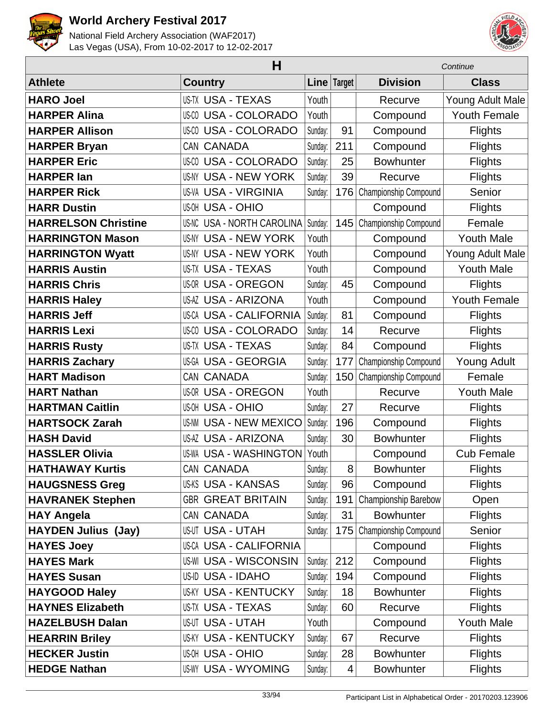



|                            | H                                |             |     | Continue              |                     |  |
|----------------------------|----------------------------------|-------------|-----|-----------------------|---------------------|--|
| <b>Athlete</b>             | <b>Country</b>                   | Line Target |     | <b>Division</b>       | <b>Class</b>        |  |
| <b>HARO Joel</b>           | <b>US-TX USA - TEXAS</b>         | Youth       |     | Recurve               | Young Adult Male    |  |
| <b>HARPER Alina</b>        | <b>US-CO USA - COLORADO</b>      | Youth       |     | Compound              | <b>Youth Female</b> |  |
| <b>HARPER Allison</b>      | US-00 USA - COLORADO             | Sunday:     | 91  | Compound              | <b>Flights</b>      |  |
| <b>HARPER Bryan</b>        | CAN CANADA                       | Sunday:     | 211 | Compound              | <b>Flights</b>      |  |
| <b>HARPER Eric</b>         | <b>US-CO USA - COLORADO</b>      | Sunday:     | 25  | <b>Bowhunter</b>      | <b>Flights</b>      |  |
| <b>HARPER lan</b>          | <b>US-NY USA - NEW YORK</b>      | Sunday:     | 39  | Recurve               | Flights             |  |
| <b>HARPER Rick</b>         | <b>US-VA USA - VIRGINIA</b>      | Sunday:     | 176 | Championship Compound | Senior              |  |
| <b>HARR Dustin</b>         | <b>US-OH USA - OHIO</b>          |             |     | Compound              | <b>Flights</b>      |  |
| <b>HARRELSON Christine</b> | US-NC USA - NORTH CAROLINA       | Sunday:     | 145 | Championship Compound | Female              |  |
| <b>HARRINGTON Mason</b>    | <b>US-NY USA - NEW YORK</b>      | Youth       |     | Compound              | <b>Youth Male</b>   |  |
| <b>HARRINGTON Wyatt</b>    | <b>US-NY USA - NEW YORK</b>      | Youth       |     | Compound              | Young Adult Male    |  |
| <b>HARRIS Austin</b>       | <b>US-TX USA - TEXAS</b>         | Youth       |     | Compound              | <b>Youth Male</b>   |  |
| <b>HARRIS Chris</b>        | <b>US-OR USA - OREGON</b>        | Sunday:     | 45  | Compound              | <b>Flights</b>      |  |
| <b>HARRIS Haley</b>        | <b>US-AZ USA - ARIZONA</b>       | Youth       |     | Compound              | <b>Youth Female</b> |  |
| <b>HARRIS Jeff</b>         | <b>US-CA USA - CALIFORNIA</b>    | Sunday:     | 81  | Compound              | <b>Flights</b>      |  |
| <b>HARRIS Lexi</b>         | <b>US-CO USA - COLORADO</b>      | Sunday:     | 14  | Recurve               | <b>Flights</b>      |  |
| <b>HARRIS Rusty</b>        | <b>US-TX USA - TEXAS</b>         | Sunday:     | 84  | Compound              | <b>Flights</b>      |  |
| <b>HARRIS Zachary</b>      | <b>US-GA USA - GEORGIA</b>       | Sunday:     | 177 | Championship Compound | <b>Young Adult</b>  |  |
| <b>HART Madison</b>        | CAN CANADA                       | Sunday:     | 150 | Championship Compound | Female              |  |
| <b>HART Nathan</b>         | <b>US-OR USA - OREGON</b>        | Youth       |     | Recurve               | <b>Youth Male</b>   |  |
| <b>HARTMAN Caitlin</b>     | US-OH USA - OHIO                 | Sunday:     | 27  | Recurve               | <b>Flights</b>      |  |
| <b>HARTSOCK Zarah</b>      | <b>USA - NEW MEXICO</b><br>US-NM | Sunday:     | 196 | Compound              | <b>Flights</b>      |  |
| <b>HASH David</b>          | <b>US-AZ USA - ARIZONA</b>       | Sunday:     | 30  | <b>Bowhunter</b>      | <b>Flights</b>      |  |
| <b>HASSLER Olivia</b>      | <b>US-WA USA - WASHINGTON</b>    | Youth       |     | Compound              | <b>Cub Female</b>   |  |
| <b>HATHAWAY Kurtis</b>     | CAN CANADA                       | Sunday:     | 8   | <b>Bowhunter</b>      | Flights             |  |
| <b>HAUGSNESS Greg</b>      | <b>US-KS USA - KANSAS</b>        | Sunday:     | 96  | Compound              | <b>Flights</b>      |  |
| <b>HAVRANEK Stephen</b>    | <b>GBR GREAT BRITAIN</b>         | Sunday:     | 191 | Championship Barebow  | Open                |  |
| <b>HAY Angela</b>          | CAN CANADA                       | Sunday:     | 31  | <b>Bowhunter</b>      | <b>Flights</b>      |  |
| <b>HAYDEN Julius (Jay)</b> | <b>US-UT USA - UTAH</b>          | Sunday:     | 175 | Championship Compound | Senior              |  |
| <b>HAYES Joey</b>          | <b>US-CA USA - CALIFORNIA</b>    |             |     | Compound              | <b>Flights</b>      |  |
| <b>HAYES Mark</b>          | <b>US-WI USA - WISCONSIN</b>     | Sunday:     | 212 | Compound              | <b>Flights</b>      |  |
| <b>HAYES Susan</b>         | <b>US-ID USA - IDAHO</b>         | Sunday:     | 194 | Compound              | <b>Flights</b>      |  |
| <b>HAYGOOD Haley</b>       | <b>US-KY USA - KENTUCKY</b>      | Sunday:     | 18  | <b>Bowhunter</b>      | <b>Flights</b>      |  |
| <b>HAYNES Elizabeth</b>    | <b>US-TX USA - TEXAS</b>         | Sunday:     | 60  | Recurve               | <b>Flights</b>      |  |
| <b>HAZELBUSH Dalan</b>     | <b>US-UT USA - UTAH</b>          | Youth       |     | Compound              | <b>Youth Male</b>   |  |
| <b>HEARRIN Briley</b>      | <b>US-KY USA - KENTUCKY</b>      | Sunday:     | 67  | Recurve               | <b>Flights</b>      |  |
| <b>HECKER Justin</b>       | <b>US-OH USA - OHIO</b>          | Sunday:     | 28  | <b>Bowhunter</b>      | <b>Flights</b>      |  |
| <b>HEDGE Nathan</b>        | <b>US-WY USA - WYOMING</b>       | Sunday:     | 4   | <b>Bowhunter</b>      | <b>Flights</b>      |  |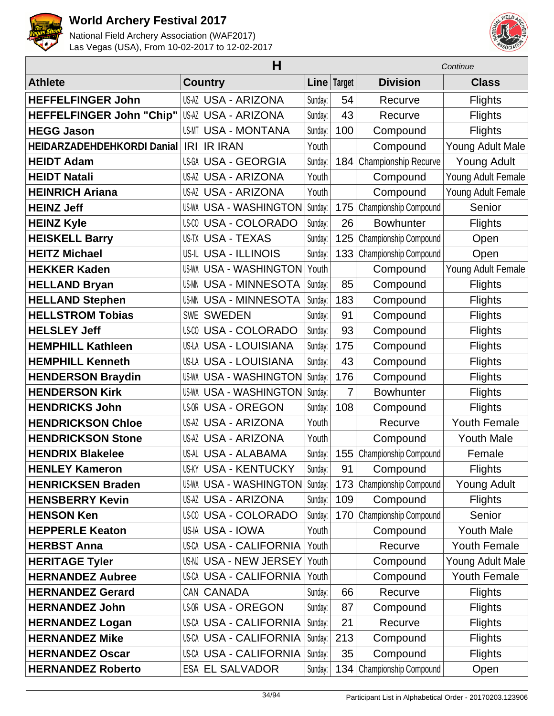



|                            | Н                             |         |               | Continue                  |                     |  |
|----------------------------|-------------------------------|---------|---------------|---------------------------|---------------------|--|
| <b>Athlete</b>             | <b>Country</b>                | Linel   | <b>Target</b> | <b>Division</b>           | <b>Class</b>        |  |
| <b>HEFFELFINGER John</b>   | <b>US-AZ USA - ARIZONA</b>    | Sunday: | 54            | Recurve                   | <b>Flights</b>      |  |
| HEFFELFINGER John "Chip"   | US-AZ USA - ARIZONA           | Sunday: | 43            | Recurve                   | <b>Flights</b>      |  |
| <b>HEGG Jason</b>          | <b>US-MT USA - MONTANA</b>    | Sunday: | 100           | Compound                  | <b>Flights</b>      |  |
| HEIDARZADEHDEHKORDI Danial | <b>IR IRAN</b><br>IRI         | Youth   |               | Compound                  | Young Adult Male    |  |
| <b>HEIDT Adam</b>          | US-GA USA - GEORGIA           | Sunday: |               | 184 Championship Recurve  | <b>Young Adult</b>  |  |
| <b>HEIDT Natali</b>        | <b>US-AZ USA - ARIZONA</b>    | Youth   |               | Compound                  | Young Adult Female  |  |
| <b>HEINRICH Ariana</b>     | <b>US-AZ USA - ARIZONA</b>    | Youth   |               | Compound                  | Young Adult Female  |  |
| <b>HEINZ Jeff</b>          | <b>US-WA USA - WASHINGTON</b> | Sunday: | 175           | Championship Compound     | Senior              |  |
| <b>HEINZ Kyle</b>          | <b>US-CO USA - COLORADO</b>   | Sunday: | 26            | <b>Bowhunter</b>          | <b>Flights</b>      |  |
| <b>HEISKELL Barry</b>      | <b>US-TX USA - TEXAS</b>      | Sunday: | 125           | Championship Compound     | Open                |  |
| <b>HEITZ Michael</b>       | <b>US-IL USA - ILLINOIS</b>   | Sunday: | 133           | Championship Compound     | Open                |  |
| <b>HEKKER Kaden</b>        | <b>US-WA USA - WASHINGTON</b> | Youth   |               | Compound                  | Young Adult Female  |  |
| <b>HELLAND Bryan</b>       | <b>US-MN USA - MINNESOTA</b>  | Sunday: | 85            | Compound                  | <b>Flights</b>      |  |
| <b>HELLAND Stephen</b>     | <b>US-MN USA - MINNESOTA</b>  | Sunday: | 183           | Compound                  | Flights             |  |
| <b>HELLSTROM Tobias</b>    | <b>SWE SWEDEN</b>             | Sunday: | 91            | Compound                  | <b>Flights</b>      |  |
| <b>HELSLEY Jeff</b>        | <b>US-CO USA - COLORADO</b>   | Sunday: | 93            | Compound                  | <b>Flights</b>      |  |
| <b>HEMPHILL Kathleen</b>   | <b>US-LA USA - LOUISIANA</b>  | Sunday: | 175           | Compound                  | <b>Flights</b>      |  |
| <b>HEMPHILL Kenneth</b>    | US-LA USA - LOUISIANA         | Sunday: | 43            | Compound                  | <b>Flights</b>      |  |
| <b>HENDERSON Braydin</b>   | <b>US-WA USA - WASHINGTON</b> | Sunday: | 176           | Compound                  | <b>Flights</b>      |  |
| <b>HENDERSON Kirk</b>      | <b>US-WA USA - WASHINGTON</b> | Sunday: | 7             | <b>Bowhunter</b>          | Flights             |  |
| <b>HENDRICKS John</b>      | <b>US-OR USA - OREGON</b>     | Sunday: | 108           | Compound                  | <b>Flights</b>      |  |
| <b>HENDRICKSON Chloe</b>   | <b>US-AZ USA - ARIZONA</b>    | Youth   |               | Recurve                   | <b>Youth Female</b> |  |
| <b>HENDRICKSON Stone</b>   | <b>US-AZ USA - ARIZONA</b>    | Youth   |               | Compound                  | <b>Youth Male</b>   |  |
| <b>HENDRIX Blakelee</b>    | US-AL USA - ALABAMA           | Sunday: | 155           | Championship Compound     | Female              |  |
| <b>HENLEY Kameron</b>      | <b>US-KY USA - KENTUCKY</b>   | Sunday: | 91            | Compound                  | <b>Flights</b>      |  |
| <b>HENRICKSEN Braden</b>   | <b>US-WA USA - WASHINGTON</b> | Sunday: |               | 173 Championship Compound | <b>Young Adult</b>  |  |
| <b>HENSBERRY Kevin</b>     | <b>US-AZ USA - ARIZONA</b>    | Sunday: | 109           | Compound                  | <b>Flights</b>      |  |
| <b>HENSON Ken</b>          | <b>US-CO USA - COLORADO</b>   | Sunday: |               | 170 Championship Compound | Senior              |  |
| <b>HEPPERLE Keaton</b>     | US-IA USA - IOWA              | Youth   |               | Compound                  | <b>Youth Male</b>   |  |
| <b>HERBST Anna</b>         | <b>US-CA USA - CALIFORNIA</b> | Youth   |               | Recurve                   | Youth Female        |  |
| <b>HERITAGE Tyler</b>      | <b>US-NJ USA - NEW JERSEY</b> | Youth   |               | Compound                  | Young Adult Male    |  |
| <b>HERNANDEZ Aubree</b>    | <b>US-CA USA - CALIFORNIA</b> | Youth   |               | Compound                  | Youth Female        |  |
| <b>HERNANDEZ Gerard</b>    | CAN CANADA                    | Sunday: | 66            | Recurve                   | <b>Flights</b>      |  |
| <b>HERNANDEZ John</b>      | <b>US-OR USA - OREGON</b>     | Sunday: | 87            | Compound                  | <b>Flights</b>      |  |
| <b>HERNANDEZ Logan</b>     | US-CA USA - CALIFORNIA        | Sunday: | 21            | Recurve                   | <b>Flights</b>      |  |
| <b>HERNANDEZ Mike</b>      | US-CA USA - CALIFORNIA        | Sunday: | 213           | Compound                  | <b>Flights</b>      |  |
| <b>HERNANDEZ Oscar</b>     | <b>US-CA USA - CALIFORNIA</b> | Sunday: | 35            | Compound                  | <b>Flights</b>      |  |
| <b>HERNANDEZ Roberto</b>   | <b>ESA EL SALVADOR</b>        | Sunday: | 134           | Championship Compound     | Open                |  |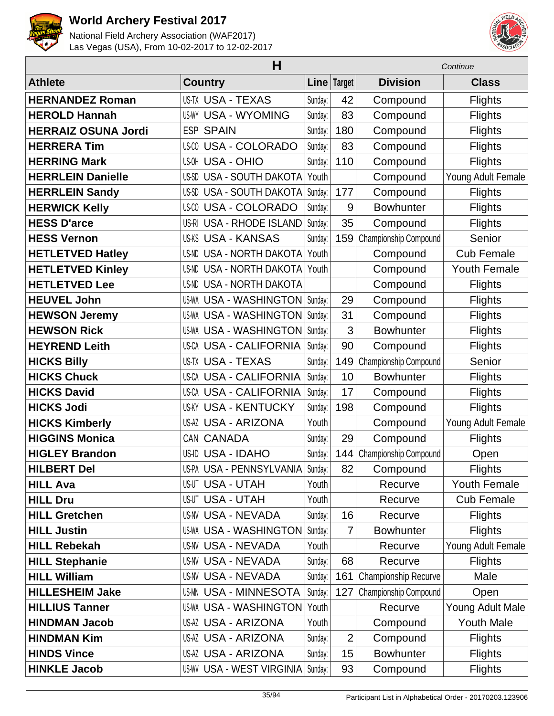



|                            | н                                |             |                | Continue                  |                     |  |
|----------------------------|----------------------------------|-------------|----------------|---------------------------|---------------------|--|
| <b>Athlete</b>             | <b>Country</b>                   | <b>Line</b> | <b>Target</b>  | <b>Division</b>           | <b>Class</b>        |  |
| <b>HERNANDEZ Roman</b>     | <b>US-TX USA - TEXAS</b>         | Sunday:     | 42             | Compound                  | <b>Flights</b>      |  |
| <b>HEROLD Hannah</b>       | <b>US-WY USA - WYOMING</b>       | Sunday:     | 83             | Compound                  | <b>Flights</b>      |  |
| <b>HERRAIZ OSUNA Jordi</b> | <b>ESP SPAIN</b>                 | Sunday:     | 180            | Compound                  | <b>Flights</b>      |  |
| <b>HERRERA Tim</b>         | <b>US-CO USA - COLORADO</b>      | Sunday:     | 83             | Compound                  | <b>Flights</b>      |  |
| <b>HERRING Mark</b>        | <b>US-OH USA - OHIO</b>          | Sunday:     | 110            | Compound                  | <b>Flights</b>      |  |
| <b>HERRLEIN Danielle</b>   | US-SD USA - SOUTH DAKOTA         | Youth       |                | Compound                  | Young Adult Female  |  |
| <b>HERRLEIN Sandy</b>      | US-SD USA - SOUTH DAKOTA         | Sunday:     | 177            | Compound                  | Flights             |  |
| <b>HERWICK Kelly</b>       | US-00 USA - COLORADO             | Sunday:     | 9              | <b>Bowhunter</b>          | <b>Flights</b>      |  |
| <b>HESS D'arce</b>         | US-RI USA - RHODE ISLAND         | Sunday:     | 35             | Compound                  | <b>Flights</b>      |  |
| <b>HESS Vernon</b>         | <b>US-KS USA - KANSAS</b>        | Sunday:     |                | 159 Championship Compound | Senior              |  |
| <b>HETLETVED Hatley</b>    | <b>US-ND USA - NORTH DAKOTA</b>  | Youth       |                | Compound                  | <b>Cub Female</b>   |  |
| <b>HETLETVED Kinley</b>    | <b>US-ND USA - NORTH DAKOTA</b>  | Youth       |                | Compound                  | <b>Youth Female</b> |  |
| <b>HETLETVED Lee</b>       | <b>US-ND USA - NORTH DAKOTA</b>  |             |                | Compound                  | <b>Flights</b>      |  |
| <b>HEUVEL John</b>         | <b>US-WA USA - WASHINGTON</b>    | Sunday:     | 29             | Compound                  | <b>Flights</b>      |  |
| <b>HEWSON Jeremy</b>       | <b>US-WA USA - WASHINGTON</b>    | Sunday:     | 31             | Compound                  | <b>Flights</b>      |  |
| <b>HEWSON Rick</b>         | <b>US-WA USA - WASHINGTON</b>    | Sunday:     | 3              | <b>Bowhunter</b>          | <b>Flights</b>      |  |
| <b>HEYREND Leith</b>       | <b>US-CA USA - CALIFORNIA</b>    | Sunday:     | 90             | Compound                  | <b>Flights</b>      |  |
| <b>HICKS Billy</b>         | <b>US-TX USA - TEXAS</b>         | Sunday:     | 149            | Championship Compound     | Senior              |  |
| <b>HICKS Chuck</b>         | <b>US-CA USA - CALIFORNIA</b>    | Sunday:     | 10             | <b>Bowhunter</b>          | <b>Flights</b>      |  |
| <b>HICKS David</b>         | <b>US-CA USA - CALIFORNIA</b>    | Sunday:     | 17             | Compound                  | <b>Flights</b>      |  |
| <b>HICKS Jodi</b>          | <b>US-KY USA - KENTUCKY</b>      | Sunday:     | 198            | Compound                  | <b>Flights</b>      |  |
| <b>HICKS Kimberly</b>      | <b>US-AZ USA - ARIZONA</b>       | Youth       |                | Compound                  | Young Adult Female  |  |
| <b>HIGGINS Monica</b>      | CAN CANADA                       | Sunday:     | 29             | Compound                  | <b>Flights</b>      |  |
| <b>HIGLEY Brandon</b>      | US-ID USA - IDAHO                | Sunday:     | 144            | Championship Compound     | Open                |  |
| <b>HILBERT Del</b>         | US-PA USA - PENNSYLVANIA Sunday: |             | 82             | Compound                  | <b>Flights</b>      |  |
| <b>HILL Ava</b>            | <b>US-UT USA - UTAH</b>          | Youth       |                | Recurve                   | <b>Youth Female</b> |  |
| <b>HILL Dru</b>            | <b>US-UT USA - UTAH</b>          | Youth       |                | Recurve                   | <b>Cub Female</b>   |  |
| <b>HILL Gretchen</b>       | <b>US-NV USA - NEVADA</b>        | Sunday:     | 16             | Recurve                   | <b>Flights</b>      |  |
| <b>HILL Justin</b>         | <b>US-WA USA - WASHINGTON</b>    | Sunday:     | $\overline{7}$ | <b>Bowhunter</b>          | <b>Flights</b>      |  |
| <b>HILL Rebekah</b>        | US-NV USA - NEVADA               | Youth       |                | Recurve                   | Young Adult Female  |  |
| <b>HILL Stephanie</b>      | <b>US-NV USA - NEVADA</b>        | Sunday:     | 68             | Recurve                   | <b>Flights</b>      |  |
| <b>HILL William</b>        | <b>US-NV USA - NEVADA</b>        | Sunday:     | 161            | Championship Recurve      | Male                |  |
| <b>HILLESHEIM Jake</b>     | <b>US-MN USA - MINNESOTA</b>     | Sunday:     | 127            | Championship Compound     | Open                |  |
| <b>HILLIUS Tanner</b>      | <b>US-WA USA - WASHINGTON</b>    | Youth       |                | Recurve                   | Young Adult Male    |  |
| <b>HINDMAN Jacob</b>       | US-AZ USA - ARIZONA              | Youth       |                | Compound                  | <b>Youth Male</b>   |  |
| <b>HINDMAN Kim</b>         | <b>US-AZ USA - ARIZONA</b>       | Sunday:     | $\overline{2}$ | Compound                  | <b>Flights</b>      |  |
| <b>HINDS Vince</b>         | <b>US-AZ USA - ARIZONA</b>       | Sunday:     | 15             | <b>Bowhunter</b>          | <b>Flights</b>      |  |
| <b>HINKLE Jacob</b>        | <b>US-WV USA - WEST VIRGINIA</b> | Sunday:     | 93             | Compound                  | <b>Flights</b>      |  |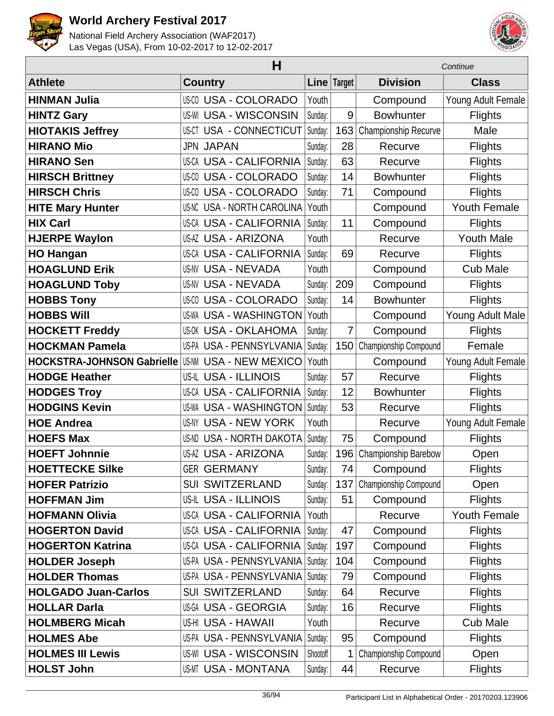



|                                   | н                                |          |                | Continue              |                     |  |
|-----------------------------------|----------------------------------|----------|----------------|-----------------------|---------------------|--|
| <b>Athlete</b>                    | <b>Country</b>                   |          | Line   Target  | <b>Division</b>       | <b>Class</b>        |  |
| <b>HINMAN Julia</b>               | <b>US-CO USA - COLORADO</b>      | Youth    |                | Compound              | Young Adult Female  |  |
| <b>HINTZ Gary</b>                 | <b>US-WI USA - WISCONSIN</b>     | Sunday:  | 9              | <b>Bowhunter</b>      | <b>Flights</b>      |  |
| <b>HIOTAKIS Jeffrey</b>           | <b>US-CT USA - CONNECTICUT</b>   | Sunday:  | 163            | Championship Recurve  | Male                |  |
| <b>HIRANO Mio</b>                 | <b>JPN JAPAN</b>                 | Sunday:  | 28             | Recurve               | <b>Flights</b>      |  |
| <b>HIRANO Sen</b>                 | <b>US-CA USA - CALIFORNIA</b>    | Sunday:  | 63             | Recurve               | <b>Flights</b>      |  |
| <b>HIRSCH Brittney</b>            | <b>US-CO USA - COLORADO</b>      | Sunday:  | 14             | <b>Bowhunter</b>      | <b>Flights</b>      |  |
| <b>HIRSCH Chris</b>               | US-00 USA - COLORADO             | Sunday:  | 71             | Compound              | <b>Flights</b>      |  |
| <b>HITE Mary Hunter</b>           | US-NC USA - NORTH CAROLINA       | Youth    |                | Compound              | <b>Youth Female</b> |  |
| <b>HIX Carl</b>                   | <b>US-CA USA - CALIFORNIA</b>    | Sunday:  | 11             | Compound              | <b>Flights</b>      |  |
| <b>HJERPE Waylon</b>              | <b>US-AZ USA - ARIZONA</b>       | Youth    |                | Recurve               | <b>Youth Male</b>   |  |
| <b>HO Hangan</b>                  | <b>US-CA USA - CALIFORNIA</b>    | Sunday:  | 69             | Recurve               | <b>Flights</b>      |  |
| <b>HOAGLUND Erik</b>              | <b>US-NV USA - NEVADA</b>        | Youth    |                | Compound              | <b>Cub Male</b>     |  |
| <b>HOAGLUND Toby</b>              | <b>US-NV USA - NEVADA</b>        | Sunday:  | 209            | Compound              | <b>Flights</b>      |  |
| <b>HOBBS Tony</b>                 | US-00 USA - COLORADO             | Sunday:  | 14             | <b>Bowhunter</b>      | <b>Flights</b>      |  |
| <b>HOBBS Will</b>                 | <b>US-WA USA - WASHINGTON</b>    | Youth    |                | Compound              | Young Adult Male    |  |
| <b>HOCKETT Freddy</b>             | <b>US-OK USA - OKLAHOMA</b>      | Sunday:  | $\overline{7}$ | Compound              | <b>Flights</b>      |  |
| <b>HOCKMAN Pamela</b>             | US-PA USA - PENNSYLVANIA         | Sunday:  | 150            | Championship Compound | Female              |  |
| <b>HOCKSTRA-JOHNSON Gabrielle</b> | US-NM<br><b>USA - NEW MEXICO</b> | Youth    |                | Compound              | Young Adult Female  |  |
| <b>HODGE Heather</b>              | <b>US-IL USA - ILLINOIS</b>      | Sunday:  | 57             | Recurve               | <b>Flights</b>      |  |
| <b>HODGES Troy</b>                | <b>US-CA USA - CALIFORNIA</b>    | Sunday:  | 12             | <b>Bowhunter</b>      | <b>Flights</b>      |  |
| <b>HODGINS Kevin</b>              | <b>US-WA USA - WASHINGTON</b>    | Sunday:  | 53             | Recurve               | <b>Flights</b>      |  |
| <b>HOE Andrea</b>                 | <b>US-NY USA - NEW YORK</b>      | Youth    |                | Recurve               | Young Adult Female  |  |
| <b>HOEFS Max</b>                  | <b>US-ND USA - NORTH DAKOTA</b>  | Sunday:  | 75             | Compound              | <b>Flights</b>      |  |
| <b>HOEFT Johnnie</b>              | <b>US-AZ USA - ARIZONA</b>       | Sunday:  | 196            | Championship Barebow  | Open                |  |
| <b>HOETTECKE Silke</b>            | <b>GER GERMANY</b>               | Sunday:  | 74             | Compound              | <b>Flights</b>      |  |
| <b>HOFER Patrizio</b>             | <b>SUI SWITZERLAND</b>           | Sunday:  | 137            | Championship Compound | Open                |  |
| <b>HOFFMAN Jim</b>                | <b>US-IL USA - ILLINOIS</b>      | Sunday:  | 51             | Compound              | <b>Flights</b>      |  |
| <b>HOFMANN Olivia</b>             | <b>US-CA USA - CALIFORNIA</b>    | Youth    |                | Recurve               | <b>Youth Female</b> |  |
| <b>HOGERTON David</b>             | <b>US-CA USA - CALIFORNIA</b>    | Sunday:  | 47             | Compound              | <b>Flights</b>      |  |
| <b>HOGERTON Katrina</b>           | <b>US-CA USA - CALIFORNIA</b>    | Sunday:  | 197            | Compound              | <b>Flights</b>      |  |
| <b>HOLDER Joseph</b>              | US-PA USA - PENNSYLVANIA         | Sunday:  | 104            | Compound              | <b>Flights</b>      |  |
| <b>HOLDER Thomas</b>              | US-PA USA - PENNSYLVANIA         | Sunday:  | 79             | Compound              | <b>Flights</b>      |  |
| <b>HOLGADO Juan-Carlos</b>        | <b>SUI SWITZERLAND</b>           | Sunday:  | 64             | Recurve               | <b>Flights</b>      |  |
| <b>HOLLAR Darla</b>               | US-GA USA - GEORGIA              | Sunday:  | 16             | Recurve               | <b>Flights</b>      |  |
| <b>HOLMBERG Micah</b>             | US-HI USA - HAWAII               | Youth    |                | Recurve               | <b>Cub Male</b>     |  |
| <b>HOLMES Abe</b>                 | US-PA USA - PENNSYLVANIA         | Sunday:  | 95             | Compound              | <b>Flights</b>      |  |
| <b>HOLMES III Lewis</b>           | <b>US-WI USA - WISCONSIN</b>     | Shootoff | 1              | Championship Compound | Open                |  |
| <b>HOLST John</b>                 | <b>US-MT USA - MONTANA</b>       | Sunday:  | 44             | Recurve               | <b>Flights</b>      |  |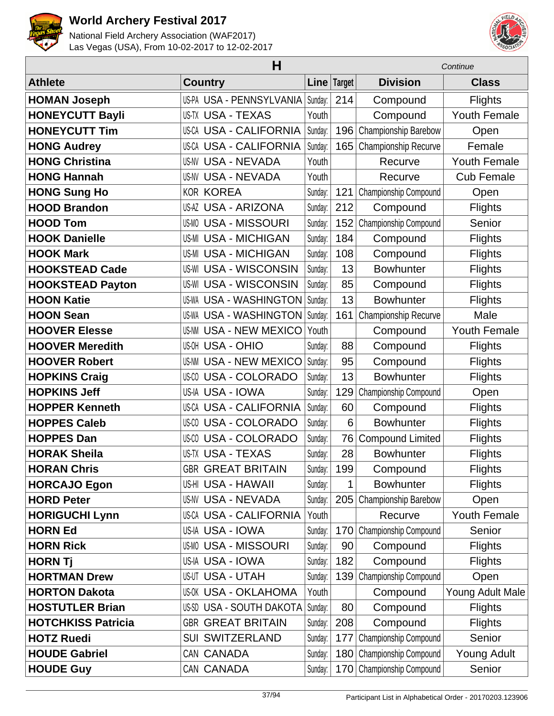



| н                         |                                 |         |             | Continue                |                     |
|---------------------------|---------------------------------|---------|-------------|-------------------------|---------------------|
| <b>Athlete</b>            | <b>Country</b>                  |         | Line Target | <b>Division</b>         | <b>Class</b>        |
| <b>HOMAN Joseph</b>       | US-PA USA - PENNSYLVANIA        | Sunday: | 214         | Compound                | <b>Flights</b>      |
| <b>HONEYCUTT Bayli</b>    | <b>US-TX USA - TEXAS</b>        | Youth   |             | Compound                | <b>Youth Female</b> |
| <b>HONEYCUTT Tim</b>      | <b>US-CA USA - CALIFORNIA</b>   | Sunday: | 196         | Championship Barebow    | Open                |
| <b>HONG Audrey</b>        | <b>US-CA USA - CALIFORNIA</b>   | Sunday: | 165         | Championship Recurve    | Female              |
| <b>HONG Christina</b>     | <b>US-NV USA - NEVADA</b>       | Youth   |             | Recurve                 | <b>Youth Female</b> |
| <b>HONG Hannah</b>        | <b>US-NV USA - NEVADA</b>       | Youth   |             | Recurve                 | <b>Cub Female</b>   |
| <b>HONG Sung Ho</b>       | <b>KOR KOREA</b>                | Sunday: | 121         | Championship Compound   | Open                |
| <b>HOOD Brandon</b>       | <b>US-AZ USA - ARIZONA</b>      | Sunday: | 212         | Compound                | <b>Flights</b>      |
| <b>HOOD Tom</b>           | <b>US-MO USA - MISSOURI</b>     | Sunday: | 152         | Championship Compound   | Senior              |
| <b>HOOK Danielle</b>      | <b>US-MI USA - MICHIGAN</b>     | Sunday: | 184         | Compound                | <b>Flights</b>      |
| <b>HOOK Mark</b>          | <b>US-MI USA - MICHIGAN</b>     | Sunday: | 108         | Compound                | <b>Flights</b>      |
| <b>HOOKSTEAD Cade</b>     | <b>US-WI USA - WISCONSIN</b>    | Sunday: | 13          | <b>Bowhunter</b>        | <b>Flights</b>      |
| <b>HOOKSTEAD Payton</b>   | <b>US-WI USA - WISCONSIN</b>    | Sunday: | 85          | Compound                | <b>Flights</b>      |
| <b>HOON Katie</b>         | <b>US-WA USA - WASHINGTON</b>   | Sunday: | 13          | <b>Bowhunter</b>        | <b>Flights</b>      |
| <b>HOON Sean</b>          | <b>US-WA USA - WASHINGTON</b>   | Sunday: | 161         | Championship Recurve    | Male                |
| <b>HOOVER Elesse</b>      | <b>US-NM USA - NEW MEXICO</b>   | Youth   |             | Compound                | <b>Youth Female</b> |
| <b>HOOVER Meredith</b>    | <b>US-OH USA - OHIO</b>         | Sunday: | 88          | Compound                | <b>Flights</b>      |
| <b>HOOVER Robert</b>      | <b>US-NM USA - NEW MEXICO</b>   | Sunday: | 95          | Compound                | <b>Flights</b>      |
| <b>HOPKINS Craig</b>      | US-CO USA - COLORADO            | Sunday: | 13          | <b>Bowhunter</b>        | Flights             |
| <b>HOPKINS Jeff</b>       | US-IA USA - IOWA                | Sunday: | 129         | Championship Compound   | Open                |
| <b>HOPPER Kenneth</b>     | <b>US-CA USA - CALIFORNIA</b>   | Sunday: | 60          | Compound                | <b>Flights</b>      |
| <b>HOPPES Caleb</b>       | <b>US-CO USA - COLORADO</b>     | Sunday: | 6           | <b>Bowhunter</b>        | <b>Flights</b>      |
| <b>HOPPES Dan</b>         | <b>US-CO USA - COLORADO</b>     | Sunday: | 76          | <b>Compound Limited</b> | <b>Flights</b>      |
| <b>HORAK Sheila</b>       | <b>US-TX USA - TEXAS</b>        | Sunday: | 28          | <b>Bowhunter</b>        | <b>Flights</b>      |
| <b>HORAN Chris</b>        | <b>GBR GREAT BRITAIN</b>        | Sunday: | 199         | Compound                | <b>Flights</b>      |
| <b>HORCAJO Egon</b>       | US-HI USA - HAWAII              | Sunday: | 1           | <b>Bowhunter</b>        | <b>Flights</b>      |
| <b>HORD Peter</b>         | <b>US-NV USA - NEVADA</b>       | Sunday: | 205         | Championship Barebow    | Open                |
| <b>HORIGUCHI Lynn</b>     | <b>US-CA USA - CALIFORNIA</b>   | Youth   |             | Recurve                 | <b>Youth Female</b> |
| <b>HORN Ed</b>            | US-IA USA - IOWA                | Sunday: | 170         | Championship Compound   | Senior              |
| <b>HORN Rick</b>          | <b>US-MO USA - MISSOURI</b>     | Sunday: | 90          | Compound                | <b>Flights</b>      |
| <b>HORN Tj</b>            | US-IA USA - IOWA                | Sunday: | 182         | Compound                | <b>Flights</b>      |
| <b>HORTMAN Drew</b>       | <b>US-UT USA - UTAH</b>         | Sunday: | 139         | Championship Compound   | Open                |
| <b>HORTON Dakota</b>      | <b>US-OK USA - OKLAHOMA</b>     | Youth   |             | Compound                | Young Adult Male    |
| <b>HOSTUTLER Brian</b>    | <b>US-SD USA - SOUTH DAKOTA</b> | Sunday: | 80          | Compound                | <b>Flights</b>      |
| <b>HOTCHKISS Patricia</b> | <b>GBR GREAT BRITAIN</b>        | Sunday: | 208         | Compound                | <b>Flights</b>      |
| <b>HOTZ Ruedi</b>         | <b>SUI SWITZERLAND</b>          | Sunday: | 177         | Championship Compound   | Senior              |
| <b>HOUDE Gabriel</b>      | CAN CANADA                      | Sunday: | 180         | Championship Compound   | <b>Young Adult</b>  |
| <b>HOUDE Guy</b>          | CAN CANADA                      | Sunday: | 170         | Championship Compound   | Senior              |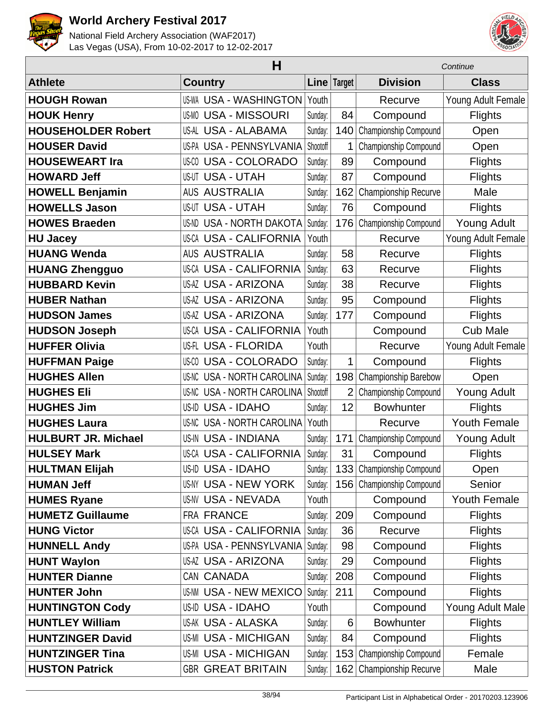



| н                          |                                   |          |                | Continue                  |                     |  |
|----------------------------|-----------------------------------|----------|----------------|---------------------------|---------------------|--|
| <b>Athlete</b>             | <b>Country</b>                    |          | Line Target    | <b>Division</b>           | <b>Class</b>        |  |
| <b>HOUGH Rowan</b>         | <b>US-WA USA - WASHINGTON</b>     | Youth    |                | Recurve                   | Young Adult Female  |  |
| <b>HOUK Henry</b>          | <b>US-MO USA - MISSOURI</b>       | Sunday:  | 84             | Compound                  | <b>Flights</b>      |  |
| <b>HOUSEHOLDER Robert</b>  | US-AL USA - ALABAMA               | Sunday:  | 140            | Championship Compound     | Open                |  |
| <b>HOUSER David</b>        | US-PA USA - PENNSYLVANIA          | Shootoff | 1              | Championship Compound     | Open                |  |
| <b>HOUSEWEART Ira</b>      | <b>US-CO USA - COLORADO</b>       | Sunday:  | 89             | Compound                  | <b>Flights</b>      |  |
| <b>HOWARD Jeff</b>         | <b>US-UT USA - UTAH</b>           | Sunday:  | 87             | Compound                  | <b>Flights</b>      |  |
| <b>HOWELL Benjamin</b>     | <b>AUS AUSTRALIA</b>              | Sunday:  | 162            | Championship Recurve      | Male                |  |
| <b>HOWELLS Jason</b>       | <b>US-UT USA - UTAH</b>           | Sunday:  | 76             | Compound                  | <b>Flights</b>      |  |
| <b>HOWES Braeden</b>       | <b>US-ND USA - NORTH DAKOTA</b>   | Sunday:  | 176            | Championship Compound     | <b>Young Adult</b>  |  |
| <b>HU Jacey</b>            | <b>US-CA USA - CALIFORNIA</b>     | Youth    |                | Recurve                   | Young Adult Female  |  |
| <b>HUANG Wenda</b>         | <b>AUS AUSTRALIA</b>              | Sunday:  | 58             | Recurve                   | <b>Flights</b>      |  |
| <b>HUANG Zhengguo</b>      | <b>US-CA USA - CALIFORNIA</b>     | Sunday:  | 63             | Recurve                   | <b>Flights</b>      |  |
| <b>HUBBARD Kevin</b>       | <b>US-AZ USA - ARIZONA</b>        | Sunday:  | 38             | Recurve                   | <b>Flights</b>      |  |
| <b>HUBER Nathan</b>        | US-AZ USA - ARIZONA               | Sunday:  | 95             | Compound                  | <b>Flights</b>      |  |
| <b>HUDSON James</b>        | <b>US-AZ USA - ARIZONA</b>        | Sunday:  | 177            | Compound                  | <b>Flights</b>      |  |
| <b>HUDSON Joseph</b>       | <b>US-CA USA - CALIFORNIA</b>     | Youth    |                | Compound                  | <b>Cub Male</b>     |  |
| <b>HUFFER Olivia</b>       | US-FL USA - FLORIDA               | Youth    |                | Recurve                   | Young Adult Female  |  |
| <b>HUFFMAN Paige</b>       | <b>US-CO USA - COLORADO</b>       | Sunday:  | $\mathbf{1}$   | Compound                  | <b>Flights</b>      |  |
| <b>HUGHES Allen</b>        | US-NC USA - NORTH CAROLINA        | Sunday:  | 198            | Championship Barebow      | Open                |  |
| <b>HUGHES Eli</b>          | <b>US-NC USA - NORTH CAROLINA</b> | Shootoff | $\overline{2}$ | Championship Compound     | <b>Young Adult</b>  |  |
| <b>HUGHES Jim</b>          | US-ID USA - IDAHO                 | Sunday:  | 12             | <b>Bowhunter</b>          | <b>Flights</b>      |  |
| <b>HUGHES Laura</b>        | <b>US-NC USA - NORTH CAROLINA</b> | Youth    |                | Recurve                   | <b>Youth Female</b> |  |
| <b>HULBURT JR. Michael</b> | <b>US-IN USA - INDIANA</b>        | Sunday:  | 171            | Championship Compound     | <b>Young Adult</b>  |  |
| <b>HULSEY Mark</b>         | <b>US-CA USA - CALIFORNIA</b>     | Sunday:  | 31             | Compound                  | Flights             |  |
| <b>HULTMAN Elijah</b>      | US-ID USA - IDAHO                 | Sunday:  |                | 133 Championship Compound | Open                |  |
| <b>HUMAN Jeff</b>          | <b>US-NY USA - NEW YORK</b>       | Sunday:  | 156            | Championship Compound     | Senior              |  |
| <b>HUMES Ryane</b>         | <b>US-NV USA - NEVADA</b>         | Youth    |                | Compound                  | <b>Youth Female</b> |  |
| <b>HUMETZ Guillaume</b>    | FRA FRANCE                        | Sunday:  | 209            | Compound                  | <b>Flights</b>      |  |
| <b>HUNG Victor</b>         | <b>US-CA USA - CALIFORNIA</b>     | Sunday:  | 36             | Recurve                   | <b>Flights</b>      |  |
| <b>HUNNELL Andy</b>        | US-PA USA - PENNSYLVANIA          | Sunday:  | 98             | Compound                  | <b>Flights</b>      |  |
| <b>HUNT Waylon</b>         | <b>US-AZ USA - ARIZONA</b>        | Sunday:  | 29             | Compound                  | <b>Flights</b>      |  |
| <b>HUNTER Dianne</b>       | CAN CANADA                        | Sunday:  | 208            | Compound                  | <b>Flights</b>      |  |
| <b>HUNTER John</b>         | <b>US-NM USA - NEW MEXICO</b>     | Sunday:  | 211            | Compound                  | <b>Flights</b>      |  |
| <b>HUNTINGTON Cody</b>     | US-ID USA - IDAHO                 | Youth    |                | Compound                  | Young Adult Male    |  |
| <b>HUNTLEY William</b>     | <b>US-AK USA - ALASKA</b>         | Sunday:  | 6              | <b>Bowhunter</b>          | <b>Flights</b>      |  |
| <b>HUNTZINGER David</b>    | <b>US-MI USA - MICHIGAN</b>       | Sunday:  | 84             | Compound                  | <b>Flights</b>      |  |
| <b>HUNTZINGER Tina</b>     | <b>US-MI USA - MICHIGAN</b>       | Sunday:  | 153            | Championship Compound     | Female              |  |
| <b>HUSTON Patrick</b>      | <b>GBR GREAT BRITAIN</b>          | Sunday:  | 162            | Championship Recurve      | Male                |  |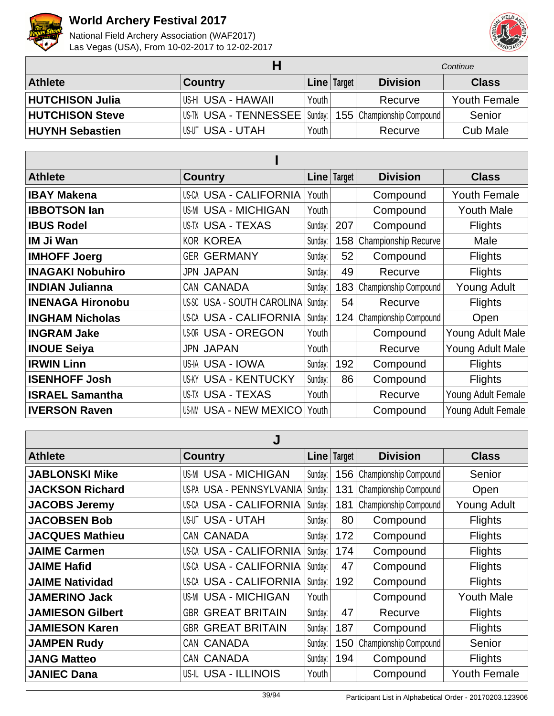



|                        |                                     |                         | Continue |                             |                     |
|------------------------|-------------------------------------|-------------------------|----------|-----------------------------|---------------------|
| <b>Athlete</b>         | <b>Country</b>                      | $ $ Line $ $ Target $ $ |          | <b>Division</b>             | <b>Class</b>        |
| <b>HUTCHISON Julia</b> | ∣US-HI USA - HAWAII                 | Youth I                 |          | Recurve                     | <b>Youth Female</b> |
| <b>HUTCHISON Steve</b> | US-TN USA - TENNESSEE   Sunday:   ' |                         |          | 155   Championship Compound | Senior              |
| <b>HUYNH Sebastien</b> | I US-UT USA - UTAH                  | Youth                   |          | Recurve                     | <b>Cub Male</b>     |

| <b>Athlete</b>          | <b>Country</b>                |         | Line   Target | <b>Division</b>             | <b>Class</b>        |  |  |  |
|-------------------------|-------------------------------|---------|---------------|-----------------------------|---------------------|--|--|--|
| <b>IBAY Makena</b>      | <b>US-CA USA - CALIFORNIA</b> | Youth   |               | Compound                    | <b>Youth Female</b> |  |  |  |
| <b>IBBOTSON lan</b>     | <b>US-MI USA - MICHIGAN</b>   | Youth   |               | Compound                    | <b>Youth Male</b>   |  |  |  |
| <b>IBUS Rodel</b>       | US-TX USA - TEXAS             | Sunday: | 207           | Compound                    | <b>Flights</b>      |  |  |  |
| IM Ji Wan               | <b>KOR KOREA</b>              | Sunday: | 158           | <b>Championship Recurve</b> | Male                |  |  |  |
| <b>IMHOFF Joerg</b>     | <b>GER GERMANY</b>            | Sunday: | 52            | Compound                    | <b>Flights</b>      |  |  |  |
| <b>INAGAKI Nobuhiro</b> | <b>JPN JAPAN</b>              | Sunday: | 49            | Recurve                     | <b>Flights</b>      |  |  |  |
| <b>INDIAN Julianna</b>  | CAN CANADA                    | Sunday: | 183           | Championship Compound       | <b>Young Adult</b>  |  |  |  |
| <b>INENAGA Hironobu</b> | US-SC USA - SOUTH CAROLINA    | Sunday: | 54            | Recurve                     | <b>Flights</b>      |  |  |  |
| <b>INGHAM Nicholas</b>  | <b>US-CA USA - CALIFORNIA</b> | Sunday: |               | 124 Championship Compound   | Open                |  |  |  |
| <b>INGRAM Jake</b>      | <b>US-OR USA - OREGON</b>     | Youth   |               | Compound                    | Young Adult Male    |  |  |  |
| <b>INOUE Seiya</b>      | <b>JPN JAPAN</b>              | Youth   |               | Recurve                     | Young Adult Male    |  |  |  |
| <b>IRWIN Linn</b>       | US-IA USA - IOWA              | Sunday: | 192           | Compound                    | <b>Flights</b>      |  |  |  |
| <b>ISENHOFF Josh</b>    | <b>US-KY USA - KENTUCKY</b>   | Sunday: | 86            | Compound                    | <b>Flights</b>      |  |  |  |
| <b>ISRAEL Samantha</b>  | US-TX USA - TEXAS             | Youth   |               | Recurve                     | Young Adult Female  |  |  |  |
| <b>IVERSON Raven</b>    | US-NM USA - NEW MEXICO        | Youth   |               | Compound                    | Young Adult Female  |  |  |  |

| J                       |                               |             |     |                             |                     |  |  |
|-------------------------|-------------------------------|-------------|-----|-----------------------------|---------------------|--|--|
| <b>Athlete</b>          | <b>Country</b>                | Line Target |     | <b>Division</b>             | <b>Class</b>        |  |  |
| <b>JABLONSKI Mike</b>   | <b>US-MI USA - MICHIGAN</b>   | Sunday:     |     | 156   Championship Compound | Senior              |  |  |
| <b>JACKSON Richard</b>  | US-PA USA - PENNSYLVANIA      | Sunday:     | 131 | Championship Compound       | Open                |  |  |
| <b>JACOBS Jeremy</b>    | <b>US-CA USA - CALIFORNIA</b> | Sunday:     | 181 | Championship Compound       | <b>Young Adult</b>  |  |  |
| <b>JACOBSEN Bob</b>     | <b>US-UT USA - UTAH</b>       | Sunday:     | 80  | Compound                    | <b>Flights</b>      |  |  |
| <b>JACQUES Mathieu</b>  | CAN CANADA                    | Sunday:     | 172 | Compound                    | <b>Flights</b>      |  |  |
| <b>JAIME Carmen</b>     | <b>US-CA USA - CALIFORNIA</b> | Sunday:     | 174 | Compound                    | <b>Flights</b>      |  |  |
| <b>JAIME Hafid</b>      | <b>US-CA USA - CALIFORNIA</b> | Sunday:     | 47  | Compound                    | <b>Flights</b>      |  |  |
| <b>JAIME Natividad</b>  | <b>US-CA USA - CALIFORNIA</b> | Sunday:     | 192 | Compound                    | <b>Flights</b>      |  |  |
| <b>JAMERINO Jack</b>    | <b>US-MI USA - MICHIGAN</b>   | Youth       |     | Compound                    | <b>Youth Male</b>   |  |  |
| <b>JAMIESON Gilbert</b> | <b>GBR GREAT BRITAIN</b>      | Sunday:     | 47  | Recurve                     | <b>Flights</b>      |  |  |
| <b>JAMIESON Karen</b>   | <b>GBR GREAT BRITAIN</b>      | Sunday:     | 187 | Compound                    | <b>Flights</b>      |  |  |
| <b>JAMPEN Rudy</b>      | CAN CANADA                    | Sunday:     | 150 | Championship Compound       | Senior              |  |  |
| <b>JANG Matteo</b>      | CAN CANADA                    | Sunday:     | 194 | Compound                    | <b>Flights</b>      |  |  |
| <b>JANIEC Dana</b>      | US-IL USA - ILLINOIS          | Youth       |     | Compound                    | <b>Youth Female</b> |  |  |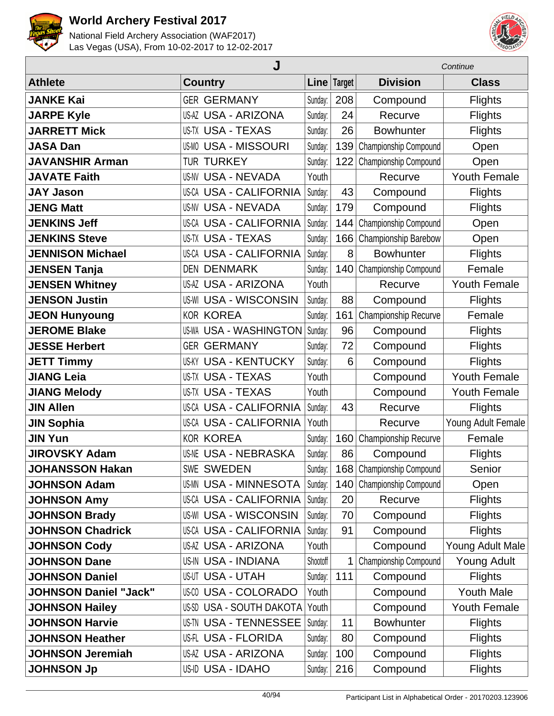



|                              | J                              |          |        | Continue                  |                     |  |
|------------------------------|--------------------------------|----------|--------|---------------------------|---------------------|--|
| <b>Athlete</b>               | <b>Country</b>                 | Linel    | Target | <b>Division</b>           | <b>Class</b>        |  |
| <b>JANKE Kai</b>             | <b>GER GERMANY</b>             | Sunday:  | 208    | Compound                  | <b>Flights</b>      |  |
| <b>JARPE Kyle</b>            | <b>US-AZ USA - ARIZONA</b>     | Sunday:  | 24     | Recurve                   | <b>Flights</b>      |  |
| <b>JARRETT Mick</b>          | <b>US-TX USA - TEXAS</b>       | Sunday:  | 26     | <b>Bowhunter</b>          | <b>Flights</b>      |  |
| <b>JASA Dan</b>              | <b>US-MO USA - MISSOURI</b>    | Sunday:  | 139    | Championship Compound     | Open                |  |
| <b>JAVANSHIR Arman</b>       | <b>TUR TURKEY</b>              | Sunday:  | 122    | Championship Compound     | Open                |  |
| <b>JAVATE Faith</b>          | <b>US-NV USA - NEVADA</b>      | Youth    |        | Recurve                   | <b>Youth Female</b> |  |
| <b>JAY Jason</b>             | US-CA USA - CALIFORNIA         | Sunday:  | 43     | Compound                  | <b>Flights</b>      |  |
| <b>JENG Matt</b>             | <b>US-NV USA - NEVADA</b>      | Sunday:  | 179    | Compound                  | <b>Flights</b>      |  |
| <b>JENKINS Jeff</b>          | <b>US-CA USA - CALIFORNIA</b>  | Sunday:  | 144    | Championship Compound     | Open                |  |
| <b>JENKINS Steve</b>         | <b>US-TX USA - TEXAS</b>       | Sunday:  | 166    | Championship Barebow      | Open                |  |
| <b>JENNISON Michael</b>      | <b>US-CA USA - CALIFORNIA</b>  | Sunday:  | 8      | <b>Bowhunter</b>          | <b>Flights</b>      |  |
| <b>JENSEN Tanja</b>          | <b>DEN DENMARK</b>             | Sunday:  | 140    | Championship Compound     | Female              |  |
| <b>JENSEN Whitney</b>        | <b>US-AZ USA - ARIZONA</b>     | Youth    |        | Recurve                   | <b>Youth Female</b> |  |
| <b>JENSON Justin</b>         | <b>US-WI USA - WISCONSIN</b>   | Sunday:  | 88     | Compound                  | <b>Flights</b>      |  |
| <b>JEON Hunyoung</b>         | <b>KOR KOREA</b>               | Sunday:  | 161    | Championship Recurve      | Female              |  |
| <b>JEROME Blake</b>          | <b>US-WA USA - WASHINGTON</b>  | Sunday:  | 96     | Compound                  | <b>Flights</b>      |  |
| <b>JESSE Herbert</b>         | <b>GER GERMANY</b>             | Sunday:  | 72     | Compound                  | <b>Flights</b>      |  |
| <b>JETT Timmy</b>            | <b>USA - KENTUCKY</b><br>US-KY | Sunday:  | 6      | Compound                  | <b>Flights</b>      |  |
| <b>JIANG Leia</b>            | <b>US-TX USA - TEXAS</b>       | Youth    |        | Compound                  | <b>Youth Female</b> |  |
| <b>JIANG Melody</b>          | <b>US-TX USA - TEXAS</b>       | Youth    |        | Compound                  | <b>Youth Female</b> |  |
| <b>JIN Allen</b>             | US-CA USA - CALIFORNIA         | Sunday:  | 43     | Recurve                   | <b>Flights</b>      |  |
| <b>JIN Sophia</b>            | <b>US-CA USA - CALIFORNIA</b>  | Youth    |        | Recurve                   | Young Adult Female  |  |
| <b>JIN Yun</b>               | <b>KOR KOREA</b>               | Sunday:  | 160    | Championship Recurve      | Female              |  |
| <b>JIROVSKY Adam</b>         | <b>US-NE USA - NEBRASKA</b>    | Sunday:  | 86     | Compound                  | <b>Flights</b>      |  |
| <b>JOHANSSON Hakan</b>       | <b>SWE SWEDEN</b>              | Sunday:  |        | 168 Championship Compound | Senior              |  |
| <b>JOHNSON Adam</b>          | <b>US-MN USA - MINNESOTA</b>   | Sunday:  | 140    | Championship Compound     | Open                |  |
| <b>JOHNSON Amy</b>           | <b>US-CA USA - CALIFORNIA</b>  | Sunday:  | 20     | Recurve                   | <b>Flights</b>      |  |
| <b>JOHNSON Brady</b>         | <b>US-WI USA - WISCONSIN</b>   | Sunday:  | 70     | Compound                  | <b>Flights</b>      |  |
| <b>JOHNSON Chadrick</b>      | <b>US-CA USA - CALIFORNIA</b>  | Sunday:  | 91     | Compound                  | <b>Flights</b>      |  |
| <b>JOHNSON Cody</b>          | US-AZ USA - ARIZONA            | Youth    |        | Compound                  | Young Adult Male    |  |
| <b>JOHNSON Dane</b>          | <b>US-IN USA - INDIANA</b>     | Shootoff | 1      | Championship Compound     | <b>Young Adult</b>  |  |
| <b>JOHNSON Daniel</b>        | <b>US-UT USA - UTAH</b>        | Sunday:  | 111    | Compound                  | <b>Flights</b>      |  |
| <b>JOHNSON Daniel "Jack"</b> | US-00 USA - COLORADO           | Youth    |        | Compound                  | <b>Youth Male</b>   |  |
| <b>JOHNSON Hailey</b>        | US-SD USA - SOUTH DAKOTA       | Youth    |        | Compound                  | <b>Youth Female</b> |  |
| <b>JOHNSON Harvie</b>        | <b>US-TN USA - TENNESSEE</b>   | Sunday:  | 11     | <b>Bowhunter</b>          | <b>Flights</b>      |  |
| <b>JOHNSON Heather</b>       | US-FL USA - FLORIDA            | Sunday:  | 80     | Compound                  | <b>Flights</b>      |  |
| <b>JOHNSON Jeremiah</b>      | US-AZ USA - ARIZONA            | Sunday:  | 100    | Compound                  | <b>Flights</b>      |  |
| <b>JOHNSON Jp</b>            | US-ID USA - IDAHO              | Sunday:  | 216    | Compound                  | <b>Flights</b>      |  |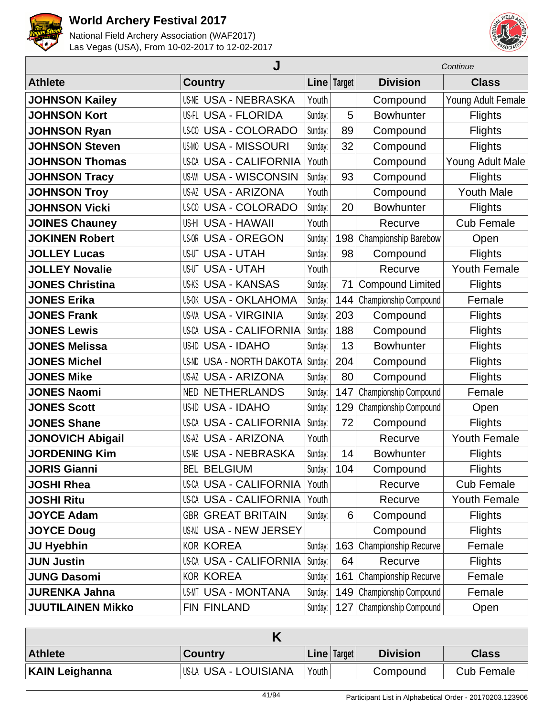



|                          | Continue                           |         |             |                              |                     |
|--------------------------|------------------------------------|---------|-------------|------------------------------|---------------------|
| <b>Athlete</b>           | <b>Country</b>                     |         | Line Target | <b>Division</b>              | <b>Class</b>        |
| <b>JOHNSON Kailey</b>    | <b>US-NE USA - NEBRASKA</b>        | Youth   |             | Compound                     | Young Adult Female  |
| <b>JOHNSON Kort</b>      | US-FL USA - FLORIDA                | Sunday: | 5           | <b>Bowhunter</b>             | <b>Flights</b>      |
| <b>JOHNSON Ryan</b>      | <b>USA - COLORADO</b><br>US-CO     | Sunday: | 89          | Compound                     | <b>Flights</b>      |
| <b>JOHNSON Steven</b>    | <b>USA - MISSOURI</b><br>US-MO     | Sunday: | 32          | Compound                     | <b>Flights</b>      |
| <b>JOHNSON Thomas</b>    | <b>US-CA USA - CALIFORNIA</b>      | Youth   |             | Compound                     | Young Adult Male    |
| <b>JOHNSON Tracy</b>     | <b>USA - WISCONSIN</b><br>US-WI    | Sunday: | 93          | Compound                     | <b>Flights</b>      |
| <b>JOHNSON Troy</b>      | <b>US-AZ USA - ARIZONA</b>         | Youth   |             | Compound                     | <b>Youth Male</b>   |
| <b>JOHNSON Vicki</b>     | <b>US-CO USA - COLORADO</b>        | Sunday: | 20          | <b>Bowhunter</b>             | <b>Flights</b>      |
| <b>JOINES Chauney</b>    | US-HI USA - HAWAII                 | Youth   |             | Recurve                      | <b>Cub Female</b>   |
| <b>JOKINEN Robert</b>    | <b>USA - OREGON</b><br>US-OR       | Sunday: | 198         | Championship Barebow         | Open                |
| <b>JOLLEY Lucas</b>      | <b>USA - UTAH</b><br>US-UT         | Sunday: | 98          | Compound                     | <b>Flights</b>      |
| <b>JOLLEY Novalie</b>    | <b>US-UT USA - UTAH</b>            | Youth   |             | Recurve                      | <b>Youth Female</b> |
| <b>JONES Christina</b>   | <b>US-KS USA - KANSAS</b>          | Sunday: | 71          | <b>Compound Limited</b>      | <b>Flights</b>      |
| <b>JONES Erika</b>       | <b>US-OK USA - OKLAHOMA</b>        | Sunday: | 144         | Championship Compound        | Female              |
| <b>JONES Frank</b>       | <b>US-VA USA - VIRGINIA</b>        | Sunday: | 203         | Compound                     | <b>Flights</b>      |
| <b>JONES Lewis</b>       | US-CA USA - CALIFORNIA             | Sunday: | 188         | Compound                     | <b>Flights</b>      |
| <b>JONES Melissa</b>     | US-ID USA - IDAHO                  | Sunday: | 13          | <b>Bowhunter</b>             | <b>Flights</b>      |
| <b>JONES Michel</b>      | <b>USA - NORTH DAKOTA</b><br>US-ND | Sunday: | 204         | Compound                     | <b>Flights</b>      |
| <b>JONES Mike</b>        | <b>US-AZ USA - ARIZONA</b>         | Sunday: | 80          | Compound                     | <b>Flights</b>      |
| <b>JONES Naomi</b>       | <b>NETHERLANDS</b><br>NED.         | Sunday: | 147         | Championship Compound        | Female              |
| <b>JONES Scott</b>       | <b>USA - IDAHO</b><br>US-ID        | Sunday: | 129         | Championship Compound        | Open                |
| <b>JONES Shane</b>       | <b>US-CA USA - CALIFORNIA</b>      | Sunday: | 72          | Compound                     | <b>Flights</b>      |
| <b>JONOVICH Abigail</b>  | <b>US-AZ USA - ARIZONA</b>         | Youth   |             | Recurve                      | Youth Female        |
| <b>JORDENING Kim</b>     | <b>US-NE USA - NEBRASKA</b>        | Sunday: | 14          | <b>Bowhunter</b>             | <b>Flights</b>      |
| <b>JORIS Gianni</b>      | <b>BEL BELGIUM</b>                 | Sunday: | 104         | Compound                     | <b>Flights</b>      |
| <b>JOSHI Rhea</b>        | <b>US-CA USA - CALIFORNIA</b>      | Youth   |             | Recurve                      | <b>Cub Female</b>   |
| <b>JOSHI Ritu</b>        | <b>US-CA USA - CALIFORNIA</b>      | Youth   |             | Recurve                      | Youth Female        |
| <b>JOYCE Adam</b>        | <b>GBR GREAT BRITAIN</b>           | Sunday: | 6           | Compound                     | <b>Flights</b>      |
| <b>JOYCE Doug</b>        | US-NJ USA - NEW JERSEY             |         |             | Compound                     | <b>Flights</b>      |
| <b>JU Hyebhin</b>        | <b>KOR KOREA</b>                   | Sunday: | 163         | Championship Recurve         | Female              |
| <b>JUN Justin</b>        | US-CA USA - CALIFORNIA             | Sunday: | 64          | Recurve                      | <b>Flights</b>      |
| <b>JUNG Dasomi</b>       | <b>KOR KOREA</b>                   | Sunday: | 161         | Championship Recurve         | Female              |
| <b>JURENKA Jahna</b>     | <b>US-MT USA - MONTANA</b>         | Sunday: | 149         | <b>Championship Compound</b> | Female              |
| <b>JUUTILAINEN Mikko</b> | FIN FINLAND                        | Sunday: | 127         | Championship Compound        | Open                |

| <b>Athlete</b>        | <b>Country</b>         | <b>Line</b> $ Target $ |  | <b>Division</b> | <b>Class</b>      |  |
|-----------------------|------------------------|------------------------|--|-----------------|-------------------|--|
| <b>KAIN Leighanna</b> | IUS-LA USA - LOUISIANA | Youth                  |  | Compound        | <b>Cub Female</b> |  |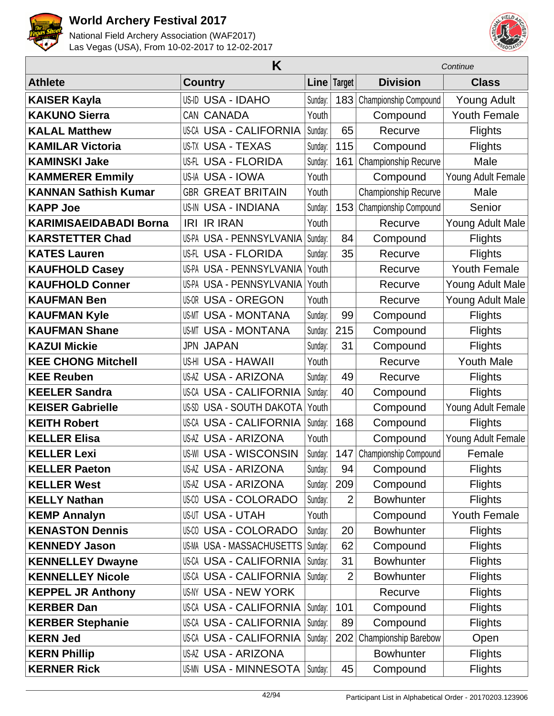



|                               | K                                   |         | Continue       |                       |                     |
|-------------------------------|-------------------------------------|---------|----------------|-----------------------|---------------------|
| <b>Athlete</b>                | <b>Country</b>                      |         | Line   Target  | <b>Division</b>       | <b>Class</b>        |
| <b>KAISER Kayla</b>           | US-ID USA - IDAHO                   | Sunday: | 183            | Championship Compound | <b>Young Adult</b>  |
| <b>KAKUNO Sierra</b>          | CAN CANADA                          | Youth   |                | Compound              | <b>Youth Female</b> |
| <b>KALAL Matthew</b>          | US-CA USA - CALIFORNIA              | Sunday: | 65             | Recurve               | <b>Flights</b>      |
| <b>KAMILAR Victoria</b>       | US-TX USA - TEXAS                   | Sunday: | 115            | Compound              | <b>Flights</b>      |
| <b>KAMINSKI Jake</b>          | US-FL USA - FLORIDA                 | Sunday: | 161            | Championship Recurve  | Male                |
| <b>KAMMERER Emmily</b>        | US-IA USA - IOWA                    | Youth   |                | Compound              | Young Adult Female  |
| <b>KANNAN Sathish Kumar</b>   | <b>GBR GREAT BRITAIN</b>            | Youth   |                | Championship Recurve  | Male                |
| <b>KAPP Joe</b>               | <b>US-IN USA - INDIANA</b>          | Sunday: | 153            | Championship Compound | Senior              |
| <b>KARIMISAEIDABADI Borna</b> | <b>IRI IR IRAN</b>                  | Youth   |                | Recurve               | Young Adult Male    |
| <b>KARSTETTER Chad</b>        | USPA USA - PENNSYLVANIA             | Sunday: | 84             | Compound              | <b>Flights</b>      |
| <b>KATES Lauren</b>           | US-FL USA - FLORIDA                 | Sunday: | 35             | Recurve               | <b>Flights</b>      |
| <b>KAUFHOLD Casey</b>         | US-PA USA - PENNSYLVANIA            | Youth   |                | Recurve               | <b>Youth Female</b> |
| <b>KAUFHOLD Conner</b>        | US-PA USA - PENNSYLVANIA            | Youth   |                | Recurve               | Young Adult Male    |
| <b>KAUFMAN Ben</b>            | <b>US-OR USA - OREGON</b>           | Youth   |                | Recurve               | Young Adult Male    |
| <b>KAUFMAN Kyle</b>           | <b>US-MT USA - MONTANA</b>          | Sunday: | 99             | Compound              | <b>Flights</b>      |
| <b>KAUFMAN Shane</b>          | <b>US-MT USA - MONTANA</b>          | Sunday: | 215            | Compound              | <b>Flights</b>      |
| <b>KAZUI Mickie</b>           | <b>JPN JAPAN</b>                    | Sunday: | 31             | Compound              | <b>Flights</b>      |
| <b>KEE CHONG Mitchell</b>     | US-HI USA - HAWAII                  | Youth   |                | Recurve               | <b>Youth Male</b>   |
| <b>KEE Reuben</b>             | US-AZ USA - ARIZONA                 | Sunday: | 49             | Recurve               | <b>Flights</b>      |
| <b>KEELER Sandra</b>          | US-CA USA - CALIFORNIA              | Sunday: | 40             | Compound              | <b>Flights</b>      |
| <b>KEISER Gabrielle</b>       | US-SD USA - SOUTH DAKOTA            | Youth   |                | Compound              | Young Adult Female  |
| <b>KEITH Robert</b>           | <b>US-CA USA - CALIFORNIA</b>       | Sunday: | 168            | Compound              | <b>Flights</b>      |
| <b>KELLER Elisa</b>           | <b>US-AZ USA - ARIZONA</b>          | Youth   |                | Compound              | Young Adult Female  |
| <b>KELLER Lexi</b>            | <b>US-WI USA - WISCONSIN</b>        | Sunday: | 147            | Championship Compound | Female              |
| <b>KELLER Paeton</b>          | <b>US-AZ USA - ARIZONA</b>          | Sunday: | 94             | Compound              | <b>Flights</b>      |
| <b>KELLER West</b>            | US-AZ USA - ARIZONA                 | Sunday: | 209            | Compound              | <b>Flights</b>      |
| <b>KELLY Nathan</b>           | US-CO USA - COLORADO                | Sunday: | $\overline{2}$ | <b>Bowhunter</b>      | <b>Flights</b>      |
| <b>KEMP Annalyn</b>           | US-UT USA - UTAH                    | Youth   |                | Compound              | Youth Female        |
| <b>KENASTON Dennis</b>        | US-00 USA - COLORADO                | Sunday: | 20             | <b>Bowhunter</b>      | <b>Flights</b>      |
| <b>KENNEDY Jason</b>          | US-MA USA - MASSACHUSETTS   Sunday: |         | 62             | Compound              | <b>Flights</b>      |
| <b>KENNELLEY Dwayne</b>       | <b>US-CA USA - CALIFORNIA</b>       | Sunday: | 31             | <b>Bowhunter</b>      | <b>Flights</b>      |
| <b>KENNELLEY Nicole</b>       | US-CA USA - CALIFORNIA              | Sunday: | 2              | <b>Bowhunter</b>      | <b>Flights</b>      |
| <b>KEPPEL JR Anthony</b>      | US-NY USA - NEW YORK                |         |                | Recurve               | <b>Flights</b>      |
| <b>KERBER Dan</b>             | US-CA USA - CALIFORNIA              | Sunday: | 101            | Compound              | <b>Flights</b>      |
| <b>KERBER Stephanie</b>       | US-CA USA - CALIFORNIA              | Sunday: | 89             | Compound              | <b>Flights</b>      |
| <b>KERN Jed</b>               | US-CA USA - CALIFORNIA              | Sunday: | 202            | Championship Barebow  | Open                |
| <b>KERN Phillip</b>           | US-AZ USA - ARIZONA                 |         |                | <b>Bowhunter</b>      | <b>Flights</b>      |
| <b>KERNER Rick</b>            | <b>US-MN USA - MINNESOTA</b>        | Sunday: | 45             | Compound              | <b>Flights</b>      |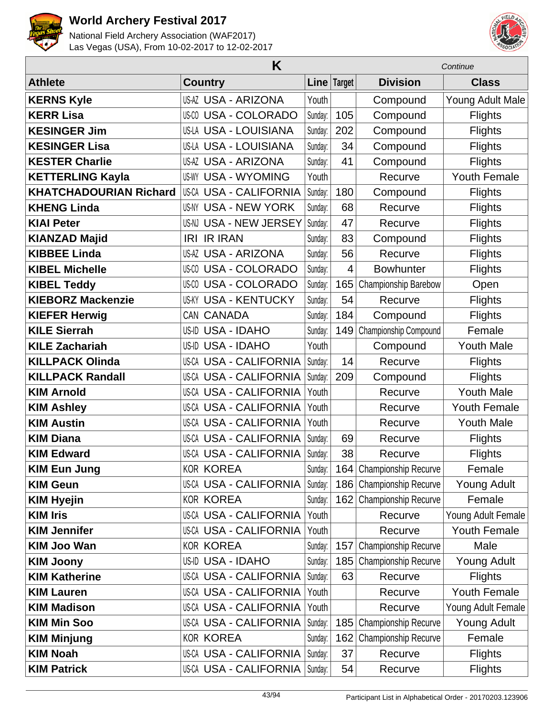



|                               | Continue                      |         |             |                          |                     |
|-------------------------------|-------------------------------|---------|-------------|--------------------------|---------------------|
| <b>Athlete</b>                | <b>Country</b>                |         | Line Target | <b>Division</b>          | <b>Class</b>        |
| <b>KERNS Kyle</b>             | <b>US-AZ USA - ARIZONA</b>    | Youth   |             | Compound                 | Young Adult Male    |
| <b>KERR Lisa</b>              | US-CO USA - COLORADO          | Sunday: | 105         | Compound                 | <b>Flights</b>      |
| <b>KESINGER Jim</b>           | <b>US-LA USA - LOUISIANA</b>  | Sunday: | 202         | Compound                 | <b>Flights</b>      |
| <b>KESINGER Lisa</b>          | <b>US-LA USA - LOUISIANA</b>  | Sunday: | 34          | Compound                 | <b>Flights</b>      |
| <b>KESTER Charlie</b>         | <b>US-AZ USA - ARIZONA</b>    | Sunday: | 41          | Compound                 | <b>Flights</b>      |
| <b>KETTERLING Kayla</b>       | <b>US-WY USA - WYOMING</b>    | Youth   |             | Recurve                  | <b>Youth Female</b> |
| <b>KHATCHADOURIAN Richard</b> | <b>US-CA USA - CALIFORNIA</b> | Sunday: | 180         | Compound                 | <b>Flights</b>      |
| <b>KHENG Linda</b>            | US-NY USA - NEW YORK          | Sunday: | 68          | Recurve                  | <b>Flights</b>      |
| <b>KIAI Peter</b>             | US-NJ USA - NEW JERSEY        | Sunday: | 47          | Recurve                  | <b>Flights</b>      |
| <b>KIANZAD Majid</b>          | <b>IRI IR IRAN</b>            | Sunday: | 83          | Compound                 | <b>Flights</b>      |
| <b>KIBBEE Linda</b>           | <b>US-AZ USA - ARIZONA</b>    | Sunday: | 56          | Recurve                  | <b>Flights</b>      |
| <b>KIBEL Michelle</b>         | <b>US-CO USA - COLORADO</b>   | Sunday: | 4           | <b>Bowhunter</b>         | <b>Flights</b>      |
| <b>KIBEL Teddy</b>            | <b>US-CO USA - COLORADO</b>   | Sunday: | 165         | Championship Barebow     | Open                |
| <b>KIEBORZ Mackenzie</b>      | <b>US-KY USA - KENTUCKY</b>   | Sunday: | 54          | Recurve                  | <b>Flights</b>      |
| <b>KIEFER Herwig</b>          | CAN CANADA                    | Sunday: | 184         | Compound                 | <b>Flights</b>      |
| <b>KILE Sierrah</b>           | US-ID USA - IDAHO             | Sunday: | 149         | Championship Compound    | Female              |
| <b>KILE Zachariah</b>         | US-ID USA - IDAHO             | Youth   |             | Compound                 | <b>Youth Male</b>   |
| <b>KILLPACK Olinda</b>        | <b>US-CA USA - CALIFORNIA</b> | Sunday: | 14          | Recurve                  | <b>Flights</b>      |
| <b>KILLPACK Randall</b>       | <b>US-CA USA - CALIFORNIA</b> | Sunday: | 209         | Compound                 | <b>Flights</b>      |
| <b>KIM Arnold</b>             | <b>US-CA USA - CALIFORNIA</b> | Youth   |             | Recurve                  | <b>Youth Male</b>   |
| <b>KIM Ashley</b>             | <b>US-CA USA - CALIFORNIA</b> | Youth   |             | Recurve                  | <b>Youth Female</b> |
| <b>KIM Austin</b>             | <b>US-CA USA - CALIFORNIA</b> | Youth   |             | Recurve                  | <b>Youth Male</b>   |
| <b>KIM Diana</b>              | <b>US-CA USA - CALIFORNIA</b> | Sunday: | 69          | Recurve                  | <b>Flights</b>      |
| <b>KIM Edward</b>             | <b>US-CA USA - CALIFORNIA</b> | Sunday: | 38          | Recurve                  | <b>Flights</b>      |
| <b>KIM Eun Jung</b>           | <b>KOR KOREA</b>              | Sunday: |             | 164 Championship Recurve | Female              |
| <b>KIM Geun</b>               | US-CA USA - CALIFORNIA        | Sunday: |             | 186 Championship Recurve | Young Adult         |
| <b>KIM Hyejin</b>             | <b>KOR KOREA</b>              | Sunday: | 162         | Championship Recurve     | Female              |
| <b>KIM Iris</b>               | US-CA USA - CALIFORNIA        | Youth   |             | Recurve                  | Young Adult Female  |
| <b>KIM Jennifer</b>           | <b>US-CA USA - CALIFORNIA</b> | Youth   |             | Recurve                  | <b>Youth Female</b> |
| <b>KIM Joo Wan</b>            | <b>KOR KOREA</b>              | Sunday: | 157         | Championship Recurve     | Male                |
| <b>KIM Joony</b>              | US-ID USA - IDAHO             | Sunday: | 185         | Championship Recurve     | <b>Young Adult</b>  |
| <b>KIM Katherine</b>          | US-CA USA - CALIFORNIA        | Sunday: | 63          | Recurve                  | <b>Flights</b>      |
| <b>KIM Lauren</b>             | US-CA USA - CALIFORNIA        | Youth   |             | Recurve                  | <b>Youth Female</b> |
| <b>KIM Madison</b>            | <b>US-CA USA - CALIFORNIA</b> | Youth   |             | Recurve                  | Young Adult Female  |
| <b>KIM Min Soo</b>            | US-CA USA - CALIFORNIA        | Sunday: | 185         | Championship Recurve     | Young Adult         |
| <b>KIM Minjung</b>            | <b>KOR KOREA</b>              | Sunday: | 162         | Championship Recurve     | Female              |
| <b>KIM Noah</b>               | US-CA USA - CALIFORNIA        | Sunday: | 37          | Recurve                  | <b>Flights</b>      |
| <b>KIM Patrick</b>            | US-CA USA - CALIFORNIA        | Sunday: | 54          | Recurve                  | <b>Flights</b>      |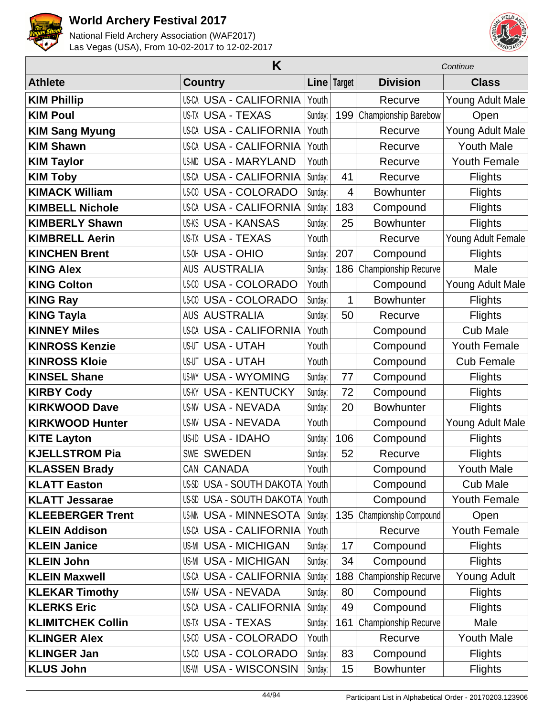



|                          | Continue                        |         |             |                       |                     |
|--------------------------|---------------------------------|---------|-------------|-----------------------|---------------------|
| <b>Athlete</b>           | <b>Country</b>                  |         | Line Target | <b>Division</b>       | <b>Class</b>        |
| <b>KIM Phillip</b>       | <b>US-CA USA - CALIFORNIA</b>   | Youth   |             | Recurve               | Young Adult Male    |
| <b>KIM Poul</b>          | <b>US-TX USA - TEXAS</b>        | Sunday: | 199         | Championship Barebow  | Open                |
| <b>KIM Sang Myung</b>    | <b>US-CA USA - CALIFORNIA</b>   | Youth   |             | Recurve               | Young Adult Male    |
| <b>KIM Shawn</b>         | <b>US-CA USA - CALIFORNIA</b>   | Youth   |             | Recurve               | <b>Youth Male</b>   |
| <b>KIM Taylor</b>        | <b>USA - MARYLAND</b><br>US-MD  | Youth   |             | Recurve               | <b>Youth Female</b> |
| <b>KIM Toby</b>          | <b>US-CA USA - CALIFORNIA</b>   | Sunday: | 41          | Recurve               | <b>Flights</b>      |
| <b>KIMACK William</b>    | <b>US-CO USA - COLORADO</b>     | Sunday: | 4           | <b>Bowhunter</b>      | Flights             |
| <b>KIMBELL Nichole</b>   | <b>US-CA USA - CALIFORNIA</b>   | Sunday: | 183         | Compound              | <b>Flights</b>      |
| <b>KIMBERLY Shawn</b>    | <b>US-KS USA - KANSAS</b>       | Sunday: | 25          | <b>Bowhunter</b>      | <b>Flights</b>      |
| <b>KIMBRELL Aerin</b>    | <b>US-TX USA - TEXAS</b>        | Youth   |             | Recurve               | Young Adult Female  |
| <b>KINCHEN Brent</b>     | <b>US-OH USA - OHIO</b>         | Sunday: | 207         | Compound              | <b>Flights</b>      |
| <b>KING Alex</b>         | <b>AUS AUSTRALIA</b>            | Sunday: | 186         | Championship Recurve  | Male                |
| <b>KING Colton</b>       | <b>USA - COLORADO</b><br>US-CO  | Youth   |             | Compound              | Young Adult Male    |
| <b>KING Ray</b>          | <b>US-CO USA - COLORADO</b>     | Sunday: | 1           | <b>Bowhunter</b>      | <b>Flights</b>      |
| <b>KING Tayla</b>        | <b>AUS AUSTRALIA</b>            | Sunday: | 50          | Recurve               | <b>Flights</b>      |
| <b>KINNEY Miles</b>      | <b>US-CA USA - CALIFORNIA</b>   | Youth   |             | Compound              | <b>Cub Male</b>     |
| <b>KINROSS Kenzie</b>    | <b>US-UT USA - UTAH</b>         | Youth   |             | Compound              | <b>Youth Female</b> |
| <b>KINROSS Kloie</b>     | <b>US-UT USA - UTAH</b>         | Youth   |             | Compound              | <b>Cub Female</b>   |
| <b>KINSEL Shane</b>      | <b>USA - WYOMING</b><br>US-WY   | Sunday: | 77          | Compound              | <b>Flights</b>      |
| <b>KIRBY Cody</b>        | <b>US-KY USA - KENTUCKY</b>     | Sunday: | 72          | Compound              | <b>Flights</b>      |
| <b>KIRKWOOD Dave</b>     | <b>US-NV USA - NEVADA</b>       | Sunday: | 20          | <b>Bowhunter</b>      | <b>Flights</b>      |
| <b>KIRKWOOD Hunter</b>   | <b>US-NV USA - NEVADA</b>       | Youth   |             | Compound              | Young Adult Male    |
| <b>KITE Layton</b>       | US-ID USA - IDAHO               | Sunday: | 106         | Compound              | <b>Flights</b>      |
| <b>KJELLSTROM Pia</b>    | <b>SWE SWEDEN</b>               | Sunday: | 52          | Recurve               | <b>Flights</b>      |
| <b>KLASSEN Brady</b>     | CAN CANADA                      | Youth   |             | Compound              | <b>Youth Male</b>   |
| <b>KLATT Easton</b>      | US-SD USA - SOUTH DAKOTA        | Youth   |             | Compound              | <b>Cub Male</b>     |
| <b>KLATT Jessarae</b>    | <b>US-SD USA - SOUTH DAKOTA</b> | Youth   |             | Compound              | Youth Female        |
| <b>KLEEBERGER Trent</b>  | <b>US-MN USA - MINNESOTA</b>    | Sunday: | 135         | Championship Compound | Open                |
| <b>KLEIN Addison</b>     | <b>US-CA USA - CALIFORNIA</b>   | Youth   |             | Recurve               | <b>Youth Female</b> |
| <b>KLEIN Janice</b>      | <b>US-MI USA - MICHIGAN</b>     | Sunday: | 17          | Compound              | <b>Flights</b>      |
| <b>KLEIN John</b>        | <b>US-MI USA - MICHIGAN</b>     | Sunday: | 34          | Compound              | <b>Flights</b>      |
| <b>KLEIN Maxwell</b>     | <b>US-CA USA - CALIFORNIA</b>   | Sunday: | 188         | Championship Recurve  | Young Adult         |
| <b>KLEKAR Timothy</b>    | <b>US-NV USA - NEVADA</b>       | Sunday: | 80          | Compound              | <b>Flights</b>      |
| <b>KLERKS Eric</b>       | <b>US-CA USA - CALIFORNIA</b>   | Sunday: | 49          | Compound              | <b>Flights</b>      |
| <b>KLIMITCHEK Collin</b> | US-TX USA - TEXAS               | Sunday: | 161         | Championship Recurve  | Male                |
| <b>KLINGER Alex</b>      | <b>US-CO USA - COLORADO</b>     | Youth   |             | Recurve               | <b>Youth Male</b>   |
| <b>KLINGER Jan</b>       | US-CO USA - COLORADO            | Sunday: | 83          | Compound              | <b>Flights</b>      |
| <b>KLUS John</b>         | <b>US-WI USA - WISCONSIN</b>    | Sunday: | 15          | <b>Bowhunter</b>      | <b>Flights</b>      |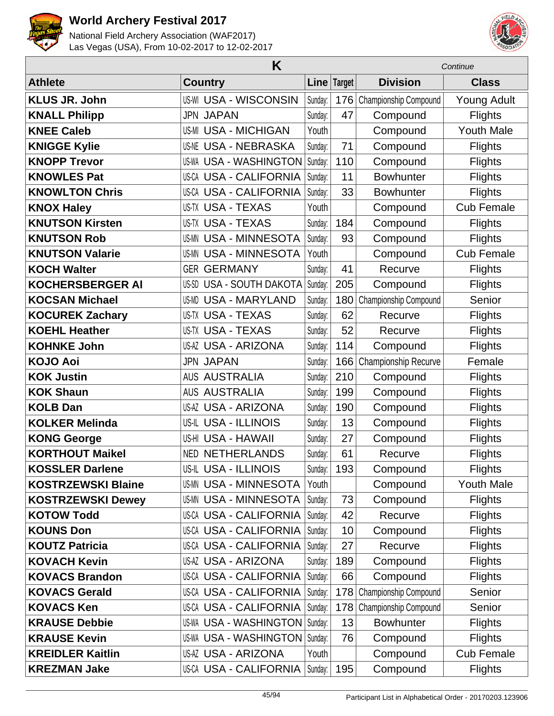



|                           | K                                  | Continue |             |                       |                    |
|---------------------------|------------------------------------|----------|-------------|-----------------------|--------------------|
| <b>Athlete</b>            | <b>Country</b>                     |          | Line Target | <b>Division</b>       | <b>Class</b>       |
| <b>KLUS JR. John</b>      | <b>US-WI USA - WISCONSIN</b>       | Sunday:  | 176         | Championship Compound | <b>Young Adult</b> |
| <b>KNALL Philipp</b>      | <b>JPN JAPAN</b>                   | Sunday:  | 47          | Compound              | <b>Flights</b>     |
| <b>KNEE Caleb</b>         | <b>US-MI USA - MICHIGAN</b>        | Youth    |             | Compound              | <b>Youth Male</b>  |
| <b>KNIGGE Kylie</b>       | <b>US-NE USA - NEBRASKA</b>        | Sunday:  | 71          | Compound              | <b>Flights</b>     |
| <b>KNOPP Trevor</b>       | <b>US-WA USA - WASHINGTON</b>      | Sunday:  | 110         | Compound              | <b>Flights</b>     |
| <b>KNOWLES Pat</b>        | <b>US-CA USA - CALIFORNIA</b>      | Sunday:  | 11          | <b>Bowhunter</b>      | <b>Flights</b>     |
| <b>KNOWLTON Chris</b>     | <b>USA - CALIFORNIA</b><br>US-CA   | Sunday:  | 33          | <b>Bowhunter</b>      | <b>Flights</b>     |
| <b>KNOX Haley</b>         | <b>US-TX USA - TEXAS</b>           | Youth    |             | Compound              | <b>Cub Female</b>  |
| <b>KNUTSON Kirsten</b>    | <b>US-TX USA - TEXAS</b>           | Sunday:  | 184         | Compound              | <b>Flights</b>     |
| <b>KNUTSON Rob</b>        | <b>US-MN USA - MINNESOTA</b>       | Sunday:  | 93          | Compound              | <b>Flights</b>     |
| <b>KNUTSON Valarie</b>    | <b>USA - MINNESOTA</b><br>US-MN    | Youth    |             | Compound              | <b>Cub Female</b>  |
| <b>KOCH Walter</b>        | <b>GER GERMANY</b>                 | Sunday:  | 41          | Recurve               | <b>Flights</b>     |
| <b>KOCHERSBERGER AI</b>   | <b>USA - SOUTH DAKOTA</b><br>US-SD | Sunday:  | 205         | Compound              | <b>Flights</b>     |
| <b>KOCSAN Michael</b>     | <b>USA - MARYLAND</b><br>US-MD     | Sunday:  | 180         | Championship Compound | Senior             |
| <b>KOCUREK Zachary</b>    | <b>US-TX USA - TEXAS</b>           | Sunday:  | 62          | Recurve               | <b>Flights</b>     |
| <b>KOEHL Heather</b>      | <b>US-TX USA - TEXAS</b>           | Sunday:  | 52          | Recurve               | <b>Flights</b>     |
| <b>KOHNKE John</b>        | <b>US-AZ USA - ARIZONA</b>         | Sunday:  | 114         | Compound              | <b>Flights</b>     |
| <b>KOJO Aoi</b>           | <b>JPN JAPAN</b>                   | Sunday:  | 166         | Championship Recurve  | Female             |
| <b>KOK Justin</b>         | <b>AUSTRALIA</b><br>AUS            | Sunday:  | 210         | Compound              | <b>Flights</b>     |
| <b>KOK Shaun</b>          | <b>AUS AUSTRALIA</b>               | Sunday:  | 199         | Compound              | <b>Flights</b>     |
| <b>KOLB Dan</b>           | <b>US-AZ USA - ARIZONA</b>         | Sunday:  | 190         | Compound              | <b>Flights</b>     |
| <b>KOLKER Melinda</b>     | US-IL USA - ILLINOIS               | Sunday:  | 13          | Compound              | <b>Flights</b>     |
| <b>KONG George</b>        | US-HI USA - HAWAII                 | Sunday:  | 27          | Compound              | <b>Flights</b>     |
| <b>KORTHOUT Maikel</b>    | <b>NED NETHERLANDS</b>             | Sunday:  | 61          | Recurve               | <b>Flights</b>     |
| <b>KOSSLER Darlene</b>    | US-IL USA - ILLINOIS               | Sunday:  | 193         | Compound              | <b>Flights</b>     |
| <b>KOSTRZEWSKI Blaine</b> | <b>US-MN USA - MINNESOTA</b>       | Youth    |             | Compound              | <b>Youth Male</b>  |
| <b>KOSTRZEWSKI Dewey</b>  | <b>US-MN USA - MINNESOTA</b>       | Sunday:  | 73          | Compound              | <b>Flights</b>     |
| <b>KOTOW Todd</b>         | <b>US-CA USA - CALIFORNIA</b>      | Sunday:  | 42          | Recurve               | <b>Flights</b>     |
| <b>KOUNS Don</b>          | <b>US-CA USA - CALIFORNIA</b>      | Sunday:  | 10          | Compound              | <b>Flights</b>     |
| <b>KOUTZ Patricia</b>     | <b>US-CA USA - CALIFORNIA</b>      | Sunday:  | 27          | Recurve               | <b>Flights</b>     |
| <b>KOVACH Kevin</b>       | <b>US-AZ USA - ARIZONA</b>         | Sunday:  | 189         | Compound              | <b>Flights</b>     |
| <b>KOVACS Brandon</b>     | <b>US-CA USA - CALIFORNIA</b>      | Sunday:  | 66          | Compound              | <b>Flights</b>     |
| <b>KOVACS Gerald</b>      | US-CA USA - CALIFORNIA             | Sunday:  | 178         | Championship Compound | Senior             |
| <b>KOVACS Ken</b>         | US-CA USA - CALIFORNIA             | Sunday:  | 178         | Championship Compound | Senior             |
| <b>KRAUSE Debbie</b>      | US-WA USA - WASHINGTON   Sunday:   |          | 13          | <b>Bowhunter</b>      | <b>Flights</b>     |
| <b>KRAUSE Kevin</b>       | US-WA USA - WASHINGTON   Sunday:   |          | 76          | Compound              | <b>Flights</b>     |
| <b>KREIDLER Kaitlin</b>   | US-AZ USA - ARIZONA                | Youth    |             | Compound              | <b>Cub Female</b>  |
| <b>KREZMAN Jake</b>       | US-CA USA - CALIFORNIA             | Sunday:  | 195         | Compound              | <b>Flights</b>     |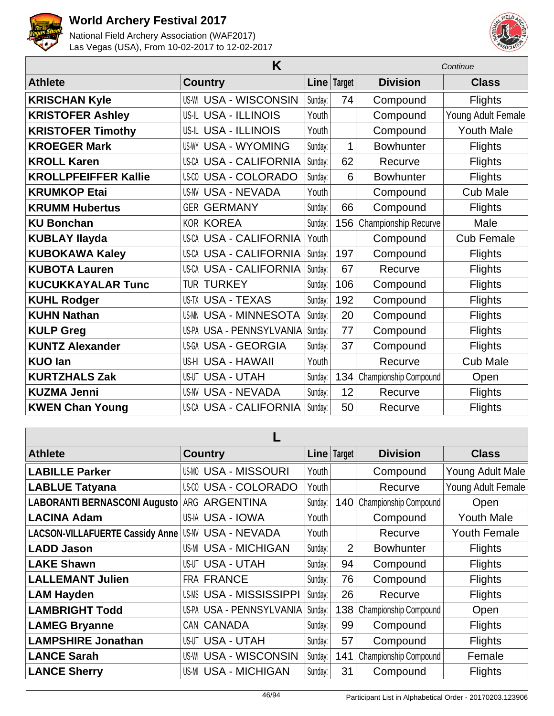



|                             | Continue                      |         |        |                       |                    |
|-----------------------------|-------------------------------|---------|--------|-----------------------|--------------------|
| <b>Athlete</b>              | <b>Country</b>                | Line    | Target | <b>Division</b>       | <b>Class</b>       |
| <b>KRISCHAN Kyle</b>        | <b>US-WI USA - WISCONSIN</b>  | Sunday: | 74     | Compound              | <b>Flights</b>     |
| <b>KRISTOFER Ashley</b>     | US-IL USA - ILLINOIS          | Youth   |        | Compound              | Young Adult Female |
| <b>KRISTOFER Timothy</b>    | US-IL USA - ILLINOIS          | Youth   |        | Compound              | <b>Youth Male</b>  |
| <b>KROEGER Mark</b>         | <b>US-WY USA - WYOMING</b>    | Sunday: | 1      | <b>Bowhunter</b>      | <b>Flights</b>     |
| <b>KROLL Karen</b>          | US-CA USA - CALIFORNIA        | Sunday: | 62     | Recurve               | Flights            |
| <b>KROLLPFEIFFER Kallie</b> | <b>US-CO USA - COLORADO</b>   | Sunday: | 6      | <b>Bowhunter</b>      | <b>Flights</b>     |
| <b>KRUMKOP Etai</b>         | <b>US-NV USA - NEVADA</b>     | Youth   |        | Compound              | <b>Cub Male</b>    |
| <b>KRUMM Hubertus</b>       | <b>GER GERMANY</b>            | Sunday: | 66     | Compound              | <b>Flights</b>     |
| <b>KU Bonchan</b>           | <b>KOR KOREA</b>              | Sunday: | 156    | Championship Recurve  | Male               |
| <b>KUBLAY Ilayda</b>        | <b>US-CA USA - CALIFORNIA</b> | Youth   |        | Compound              | <b>Cub Female</b>  |
| <b>KUBOKAWA Kaley</b>       | US-CA USA - CALIFORNIA        | Sunday: | 197    | Compound              | <b>Flights</b>     |
| <b>KUBOTA Lauren</b>        | US-CA USA - CALIFORNIA        | Sunday: | 67     | Recurve               | Flights            |
| <b>KUCUKKAYALAR Tunc</b>    | TUR TURKEY                    | Sunday: | 106    | Compound              | <b>Flights</b>     |
| <b>KUHL Rodger</b>          | US-TX USA - TEXAS             | Sunday: | 192    | Compound              | <b>Flights</b>     |
| <b>KUHN Nathan</b>          | <b>US-MN USA - MINNESOTA</b>  | Sunday: | 20     | Compound              | Flights            |
| <b>KULP Greg</b>            | US-PA USA - PENNSYLVANIA      | Sunday: | 77     | Compound              | <b>Flights</b>     |
| <b>KUNTZ Alexander</b>      | US-GA USA - GEORGIA           | Sunday: | 37     | Compound              | <b>Flights</b>     |
| <b>KUO lan</b>              | US-HI USA - HAWAII            | Youth   |        | Recurve               | <b>Cub Male</b>    |
| <b>KURTZHALS Zak</b>        | <b>US-UT USA - UTAH</b>       | Sunday: | 134    | Championship Compound | Open               |
| <b>KUZMA Jenni</b>          | <b>US-NV USA - NEVADA</b>     | Sunday: | 12     | Recurve               | <b>Flights</b>     |
| <b>KWEN Chan Young</b>      | US-CA USA - CALIFORNIA        | Sunday: | 50     | Recurve               | <b>Flights</b>     |

| <b>Athlete</b>                         | <b>Country</b>                  |         | Line   Target  | <b>Division</b>       | <b>Class</b>        |  |  |  |
|----------------------------------------|---------------------------------|---------|----------------|-----------------------|---------------------|--|--|--|
| <b>LABILLE Parker</b>                  | <b>US-MO USA - MISSOURI</b>     | Youth   |                | Compound              | Young Adult Male    |  |  |  |
| <b>LABLUE Tatyana</b>                  | <b>USA - COLORADO</b><br>US-CO  | Youth   |                | Recurve               | Young Adult Female  |  |  |  |
| LABORANTI BERNASCONI Augusto           | <b>ARGENTINA</b><br>ARG         | Sunday: | 140            | Championship Compound | Open                |  |  |  |
| <b>LACINA Adam</b>                     | US-IA USA - IOWA                | Youth   |                | Compound              | <b>Youth Male</b>   |  |  |  |
| <b>LACSON-VILLAFUERTE Cassidy Anne</b> | <b>USA - NEVADA</b><br>US-NV    | Youth   |                | Recurve               | <b>Youth Female</b> |  |  |  |
| <b>LADD Jason</b>                      | <b>US-MI USA - MICHIGAN</b>     | Sunday: | $\overline{2}$ | <b>Bowhunter</b>      | <b>Flights</b>      |  |  |  |
| <b>LAKE Shawn</b>                      | USA - UTAH<br>US-UT             | Sunday: | 94             | Compound              | <b>Flights</b>      |  |  |  |
| <b>LALLEMANT Julien</b>                | <b>FRA FRANCE</b>               | Sunday: | 76             | Compound              | <b>Flights</b>      |  |  |  |
| <b>LAM Hayden</b>                      | <b>US-MS USA - MISSISSIPPI</b>  | Sunday: | 26             | Recurve               | <b>Flights</b>      |  |  |  |
| <b>LAMBRIGHT Todd</b>                  | US-PA USA - PENNSYLVANIA        | Sunday: | 138            | Championship Compound | Open                |  |  |  |
| <b>LAMEG Bryanne</b>                   | CAN CANADA                      | Sunday: | 99             | Compound              | <b>Flights</b>      |  |  |  |
| <b>LAMPSHIRE Jonathan</b>              | <b>USA - UTAH</b><br>US-UT      | Sunday: | 57             | Compound              | <b>Flights</b>      |  |  |  |
| <b>LANCE Sarah</b>                     | <b>USA - WISCONSIN</b><br>US-WI | Sunday: | 141            | Championship Compound | Female              |  |  |  |
| <b>LANCE Sherry</b>                    | <b>US-MI USA - MICHIGAN</b>     | Sunday: | 31             | Compound              | <b>Flights</b>      |  |  |  |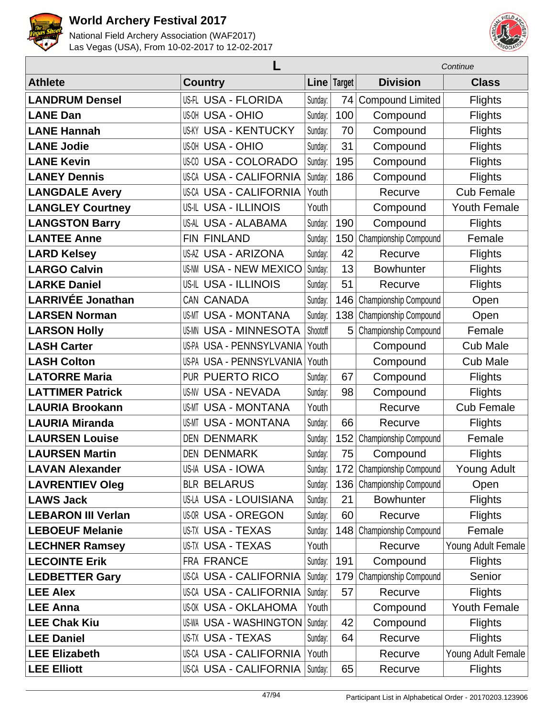



|                           |                               |             |        | Continue                    |                     |  |
|---------------------------|-------------------------------|-------------|--------|-----------------------------|---------------------|--|
| <b>Athlete</b>            | <b>Country</b>                | <b>Line</b> | Target | <b>Division</b>             | <b>Class</b>        |  |
| <b>LANDRUM Densel</b>     | US-FL USA - FLORIDA           | Sunday:     | 74     | <b>Compound Limited</b>     | <b>Flights</b>      |  |
| <b>LANE Dan</b>           | <b>US-OH USA - OHIO</b>       | Sunday:     | 100    | Compound                    | <b>Flights</b>      |  |
| <b>LANE Hannah</b>        | <b>US-KY USA - KENTUCKY</b>   | Sunday:     | 70     | Compound                    | <b>Flights</b>      |  |
| <b>LANE Jodie</b>         | <b>US-OH USA - OHIO</b>       | Sunday:     | 31     | Compound                    | <b>Flights</b>      |  |
| <b>LANE Kevin</b>         | <b>US-CO USA - COLORADO</b>   | Sunday:     | 195    | Compound                    | <b>Flights</b>      |  |
| <b>LANEY Dennis</b>       | <b>US-CA USA - CALIFORNIA</b> | Sunday:     | 186    | Compound                    | <b>Flights</b>      |  |
| <b>LANGDALE Avery</b>     | <b>US-CA USA - CALIFORNIA</b> | Youth       |        | Recurve                     | <b>Cub Female</b>   |  |
| <b>LANGLEY Courtney</b>   | <b>US-IL USA - ILLINOIS</b>   | Youth       |        | Compound                    | <b>Youth Female</b> |  |
| <b>LANGSTON Barry</b>     | US-AL USA - ALABAMA           | Sunday:     | 190    | Compound                    | <b>Flights</b>      |  |
| <b>LANTEE Anne</b>        | FIN FINLAND                   | Sunday:     | 150    | Championship Compound       | Female              |  |
| <b>LARD Kelsey</b>        | <b>US-AZ USA - ARIZONA</b>    | Sunday:     | 42     | Recurve                     | <b>Flights</b>      |  |
| <b>LARGO Calvin</b>       | <b>US-NM USA - NEW MEXICO</b> | Sunday:     | 13     | <b>Bowhunter</b>            | <b>Flights</b>      |  |
| <b>LARKE Daniel</b>       | <b>US-IL USA - ILLINOIS</b>   | Sunday:     | 51     | Recurve                     | <b>Flights</b>      |  |
| <b>LARRIVÉE Jonathan</b>  | CAN CANADA                    | Sunday:     | 146    | Championship Compound       | Open                |  |
| <b>LARSEN Norman</b>      | <b>US-MT USA - MONTANA</b>    | Sunday:     | 138    | Championship Compound       | Open                |  |
| <b>LARSON Holly</b>       | <b>US-MN USA - MINNESOTA</b>  | Shootoff    | 5      | Championship Compound       | Female              |  |
| <b>LASH Carter</b>        | US-PA USA - PENNSYLVANIA      | Youth       |        | Compound                    | <b>Cub Male</b>     |  |
| <b>LASH Colton</b>        | US-PA USA - PENNSYLVANIA      | Youth       |        | Compound                    | <b>Cub Male</b>     |  |
| <b>LATORRE Maria</b>      | PUR PUERTO RICO               | Sunday:     | 67     | Compound                    | <b>Flights</b>      |  |
| <b>LATTIMER Patrick</b>   | <b>US-NV USA - NEVADA</b>     | Sunday:     | 98     | Compound                    | <b>Flights</b>      |  |
| <b>LAURIA Brookann</b>    | <b>USA - MONTANA</b><br>US-MT | Youth       |        | Recurve                     | <b>Cub Female</b>   |  |
| <b>LAURIA Miranda</b>     | <b>USA - MONTANA</b><br>US-MT | Sunday:     | 66     | Recurve                     | Flights             |  |
| <b>LAURSEN Louise</b>     | <b>DEN DENMARK</b>            | Sunday:     | 152    | Championship Compound       | Female              |  |
| <b>LAURSEN Martin</b>     | <b>DEN DENMARK</b>            | Sunday:     | 75     | Compound                    | <b>Flights</b>      |  |
| <b>LAVAN Alexander</b>    | US-IA USA - IOWA              | Sunday:     |        | 172 Championship Compound   | Young Adult         |  |
| <b>LAVRENTIEV Oleg</b>    | <b>BLR BELARUS</b>            | Sunday:     |        | 136   Championship Compound | Open                |  |
| <b>LAWS Jack</b>          | <b>US-LA USA - LOUISIANA</b>  | Sunday:     | 21     | <b>Bowhunter</b>            | <b>Flights</b>      |  |
| <b>LEBARON III Verlan</b> | <b>US-OR USA - OREGON</b>     | Sunday:     | 60     | Recurve                     | <b>Flights</b>      |  |
| <b>LEBOEUF Melanie</b>    | <b>US-TX USA - TEXAS</b>      | Sunday:     |        | 148 Championship Compound   | Female              |  |
| <b>LECHNER Ramsey</b>     | US-TX USA - TEXAS             | Youth       |        | Recurve                     | Young Adult Female  |  |
| <b>LECOINTE Erik</b>      | FRA FRANCE                    | Sunday:     | 191    | Compound                    | <b>Flights</b>      |  |
| <b>LEDBETTER Gary</b>     | <b>US-CA USA - CALIFORNIA</b> | Sunday:     | 179    | Championship Compound       | Senior              |  |
| <b>LEE Alex</b>           | US-CA USA - CALIFORNIA        | Sunday:     | 57     | Recurve                     | <b>Flights</b>      |  |
| <b>LEE Anna</b>           | <b>US-OK USA - OKLAHOMA</b>   | Youth       |        | Compound                    | <b>Youth Female</b> |  |
| <b>LEE Chak Kiu</b>       | <b>US-WA USA - WASHINGTON</b> | Sunday:     | 42     | Compound                    | <b>Flights</b>      |  |
| <b>LEE Daniel</b>         | <b>US-TX USA - TEXAS</b>      | Sunday:     | 64     | Recurve                     | <b>Flights</b>      |  |
| <b>LEE Elizabeth</b>      | US-CA USA - CALIFORNIA        | Youth       |        | Recurve                     | Young Adult Female  |  |
| <b>LEE Elliott</b>        | US-CA USA - CALIFORNIA        | Sunday:     | 65     | Recurve                     | <b>Flights</b>      |  |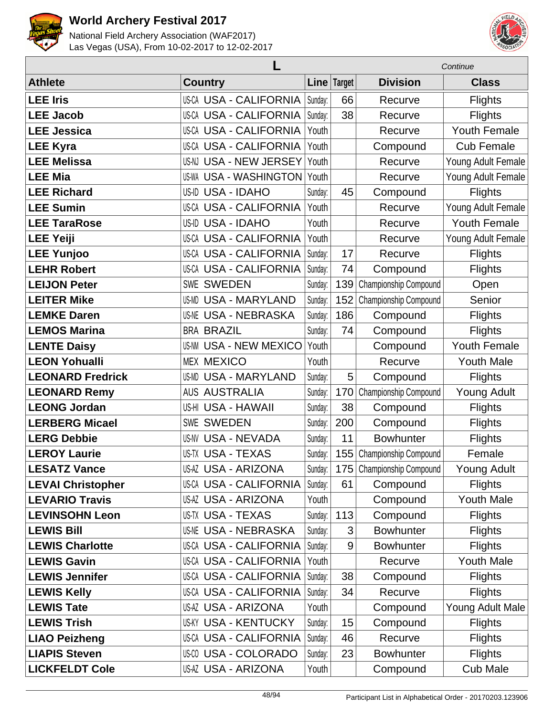



|                          |                               |         |                | Continue                  |                     |  |
|--------------------------|-------------------------------|---------|----------------|---------------------------|---------------------|--|
| <b>Athlete</b>           | <b>Country</b>                |         | Line Target    | <b>Division</b>           | <b>Class</b>        |  |
| <b>LEE Iris</b>          | <b>US-CA USA - CALIFORNIA</b> | Sunday: | 66             | Recurve                   | <b>Flights</b>      |  |
| <b>LEE Jacob</b>         | US-CA USA - CALIFORNIA        | Sunday: | 38             | Recurve                   | <b>Flights</b>      |  |
| <b>LEE Jessica</b>       | <b>US-CA USA - CALIFORNIA</b> | Youth   |                | Recurve                   | <b>Youth Female</b> |  |
| <b>LEE Kyra</b>          | <b>US-CA USA - CALIFORNIA</b> | Youth   |                | Compound                  | <b>Cub Female</b>   |  |
| <b>LEE Melissa</b>       | <b>US-NJ USA - NEW JERSEY</b> | Youth   |                | Recurve                   | Young Adult Female  |  |
| <b>LEE Mia</b>           | <b>US-WA USA - WASHINGTON</b> | Youth   |                | Recurve                   | Young Adult Female  |  |
| <b>LEE Richard</b>       | US-ID USA - IDAHO             | Sunday: | 45             | Compound                  | Flights             |  |
| <b>LEE Sumin</b>         | <b>US-CA USA - CALIFORNIA</b> | Youth   |                | Recurve                   | Young Adult Female  |  |
| <b>LEE TaraRose</b>      | US-ID USA - IDAHO             | Youth   |                | Recurve                   | <b>Youth Female</b> |  |
| <b>LEE Yeiji</b>         | <b>US-CA USA - CALIFORNIA</b> | Youth   |                | Recurve                   | Young Adult Female  |  |
| <b>LEE Yunjoo</b>        | <b>US-CA USA - CALIFORNIA</b> | Sunday: | 17             | Recurve                   | <b>Flights</b>      |  |
| <b>LEHR Robert</b>       | <b>US-CA USA - CALIFORNIA</b> | Sunday: | 74             | Compound                  | <b>Flights</b>      |  |
| <b>LEIJON Peter</b>      | <b>SWE SWEDEN</b>             | Sunday: | 139            | Championship Compound     | Open                |  |
| <b>LEITER Mike</b>       | <b>US-MD USA - MARYLAND</b>   | Sunday: | 152            | Championship Compound     | Senior              |  |
| <b>LEMKE Daren</b>       | <b>US-NE USA - NEBRASKA</b>   | Sunday: | 186            | Compound                  | <b>Flights</b>      |  |
| <b>LEMOS Marina</b>      | <b>BRA BRAZIL</b>             | Sunday: | 74             | Compound                  | <b>Flights</b>      |  |
| <b>LENTE Daisy</b>       | <b>US-NM USA - NEW MEXICO</b> | Youth   |                | Compound                  | <b>Youth Female</b> |  |
| <b>LEON Yohualli</b>     | <b>MEX MEXICO</b>             | Youth   |                | Recurve                   | <b>Youth Male</b>   |  |
| <b>LEONARD Fredrick</b>  | <b>US-MD USA - MARYLAND</b>   | Sunday: | 5              | Compound                  | <b>Flights</b>      |  |
| <b>LEONARD Remy</b>      | <b>AUS AUSTRALIA</b>          | Sunday: | 170            | Championship Compound     | Young Adult         |  |
| <b>LEONG Jordan</b>      | US-HI USA - HAWAII            | Sunday: | 38             | Compound                  | <b>Flights</b>      |  |
| <b>LERBERG Micael</b>    | <b>SWE SWEDEN</b>             | Sunday: | 200            | Compound                  | <b>Flights</b>      |  |
| <b>LERG Debbie</b>       | <b>US-NV USA - NEVADA</b>     | Sunday: | 11             | <b>Bowhunter</b>          | <b>Flights</b>      |  |
| <b>LEROY Laurie</b>      | <b>US-TX USA - TEXAS</b>      | Sunday: | 155            | Championship Compound     | Female              |  |
| <b>LESATZ Vance</b>      | US-AZ USA - ARIZONA           | Sunday: |                | 175 Championship Compound | Young Adult         |  |
| <b>LEVAI Christopher</b> | <b>US-CA USA - CALIFORNIA</b> | Sunday: | 61             | Compound                  | <b>Flights</b>      |  |
| <b>LEVARIO Travis</b>    | <b>US-AZ USA - ARIZONA</b>    | Youth   |                | Compound                  | <b>Youth Male</b>   |  |
| <b>LEVINSOHN Leon</b>    | <b>US-TX USA - TEXAS</b>      | Sunday: | 113            | Compound                  | <b>Flights</b>      |  |
| <b>LEWIS Bill</b>        | <b>US-NE USA - NEBRASKA</b>   | Sunday: | $\mathfrak{S}$ | <b>Bowhunter</b>          | <b>Flights</b>      |  |
| <b>LEWIS Charlotte</b>   | <b>US-CA USA - CALIFORNIA</b> | Sunday: | 9              | <b>Bowhunter</b>          | <b>Flights</b>      |  |
| <b>LEWIS Gavin</b>       | <b>US-CA USA - CALIFORNIA</b> | Youth   |                | Recurve                   | <b>Youth Male</b>   |  |
| <b>LEWIS Jennifer</b>    | <b>US-CA USA - CALIFORNIA</b> | Sunday: | 38             | Compound                  | <b>Flights</b>      |  |
| <b>LEWIS Kelly</b>       | US-CA USA - CALIFORNIA        | Sunday: | 34             | Recurve                   | <b>Flights</b>      |  |
| <b>LEWIS Tate</b>        | US-AZ USA - ARIZONA           | Youth   |                | Compound                  | Young Adult Male    |  |
| <b>LEWIS Trish</b>       | <b>US-KY USA - KENTUCKY</b>   | Sunday: | 15             | Compound                  | <b>Flights</b>      |  |
| <b>LIAO Peizheng</b>     | <b>US-CA USA - CALIFORNIA</b> | Sunday: | 46             | Recurve                   | <b>Flights</b>      |  |
| <b>LIAPIS Steven</b>     | US-00 USA - COLORADO          | Sunday: | 23             | <b>Bowhunter</b>          | <b>Flights</b>      |  |
| <b>LICKFELDT Cole</b>    | US-AZ USA - ARIZONA           | Youth   |                | Compound                  | <b>Cub Male</b>     |  |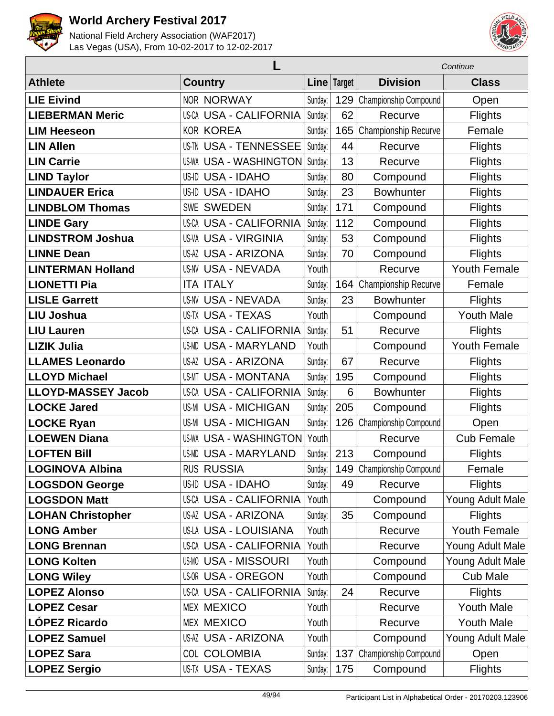



|                           |                               |         |        | Continue                  |                     |  |
|---------------------------|-------------------------------|---------|--------|---------------------------|---------------------|--|
| <b>Athlete</b>            | <b>Country</b>                | Line    | Target | <b>Division</b>           | <b>Class</b>        |  |
| <b>LIE Eivind</b>         | <b>NOR NORWAY</b>             | Sunday: | 129    | Championship Compound     | Open                |  |
| <b>LIEBERMAN Meric</b>    | <b>US-CA USA - CALIFORNIA</b> | Sunday: | 62     | Recurve                   | <b>Flights</b>      |  |
| <b>LIM Heeseon</b>        | <b>KOR KOREA</b>              | Sunday: | 165    | Championship Recurve      | Female              |  |
| <b>LIN Allen</b>          | <b>US-TN USA - TENNESSEE</b>  | Sunday: | 44     | Recurve                   | <b>Flights</b>      |  |
| <b>LIN Carrie</b>         | <b>US-WA USA - WASHINGTON</b> | Sunday: | 13     | Recurve                   | <b>Flights</b>      |  |
| <b>LIND Taylor</b>        | <b>US-ID USA - IDAHO</b>      | Sunday: | 80     | Compound                  | <b>Flights</b>      |  |
| <b>LINDAUER Erica</b>     | US-ID USA - IDAHO             | Sunday: | 23     | <b>Bowhunter</b>          | <b>Flights</b>      |  |
| <b>LINDBLOM Thomas</b>    | <b>SWE SWEDEN</b>             | Sunday: | 171    | Compound                  | <b>Flights</b>      |  |
| <b>LINDE Gary</b>         | <b>US-CA USA - CALIFORNIA</b> | Sunday: | 112    | Compound                  | <b>Flights</b>      |  |
| <b>LINDSTROM Joshua</b>   | <b>US-VA USA - VIRGINIA</b>   | Sunday: | 53     | Compound                  | <b>Flights</b>      |  |
| <b>LINNE Dean</b>         | <b>US-AZ USA - ARIZONA</b>    | Sunday: | 70     | Compound                  | <b>Flights</b>      |  |
| <b>LINTERMAN Holland</b>  | <b>US-NV USA - NEVADA</b>     | Youth   |        | Recurve                   | <b>Youth Female</b> |  |
| <b>LIONETTI Pia</b>       | <b>ITA ITALY</b>              | Sunday: | 164    | Championship Recurve      | Female              |  |
| <b>LISLE Garrett</b>      | <b>US-NV USA - NEVADA</b>     | Sunday: | 23     | <b>Bowhunter</b>          | <b>Flights</b>      |  |
| <b>LIU Joshua</b>         | <b>US-TX USA - TEXAS</b>      | Youth   |        | Compound                  | <b>Youth Male</b>   |  |
| <b>LIU Lauren</b>         | <b>US-CA USA - CALIFORNIA</b> | Sunday: | 51     | Recurve                   | <b>Flights</b>      |  |
| <b>LIZIK Julia</b>        | <b>US-MD USA - MARYLAND</b>   | Youth   |        | Compound                  | <b>Youth Female</b> |  |
| <b>LLAMES Leonardo</b>    | <b>US-AZ USA - ARIZONA</b>    | Sunday: | 67     | Recurve                   | <b>Flights</b>      |  |
| <b>LLOYD Michael</b>      | <b>US-MT USA - MONTANA</b>    | Sunday: | 195    | Compound                  | <b>Flights</b>      |  |
| <b>LLOYD-MASSEY Jacob</b> | US-CA USA - CALIFORNIA        | Sunday: | 6      | <b>Bowhunter</b>          | <b>Flights</b>      |  |
| <b>LOCKE Jared</b>        | <b>US-MI USA - MICHIGAN</b>   | Sunday: | 205    | Compound                  | <b>Flights</b>      |  |
| <b>LOCKE Ryan</b>         | <b>US-MI USA - MICHIGAN</b>   | Sunday: |        | 126 Championship Compound | Open                |  |
| <b>LOEWEN Diana</b>       | <b>US-WA USA - WASHINGTON</b> | Youth   |        | Recurve                   | <b>Cub Female</b>   |  |
| <b>LOFTEN Bill</b>        | <b>US-MD USA - MARYLAND</b>   | Sunday: | 213    | Compound                  | <b>Flights</b>      |  |
| <b>LOGINOVA Albina</b>    | <b>RUS RUSSIA</b>             | Sunday: |        | 149 Championship Compound | Female              |  |
| <b>LOGSDON George</b>     | US-ID USA - IDAHO             | Sunday: | 49     | Recurve                   | <b>Flights</b>      |  |
| <b>LOGSDON Matt</b>       | <b>US-CA USA - CALIFORNIA</b> | Youth   |        | Compound                  | Young Adult Male    |  |
| <b>LOHAN Christopher</b>  | <b>US-AZ USA - ARIZONA</b>    | Sunday: | 35     | Compound                  | <b>Flights</b>      |  |
| <b>LONG Amber</b>         | <b>US-LA USA - LOUISIANA</b>  | Youth   |        | Recurve                   | Youth Female        |  |
| <b>LONG Brennan</b>       | <b>US-CA USA - CALIFORNIA</b> | Youth   |        | Recurve                   | Young Adult Male    |  |
| <b>LONG Kolten</b>        | <b>US-MO USA - MISSOURI</b>   | Youth   |        | Compound                  | Young Adult Male    |  |
| <b>LONG Wiley</b>         | <b>US-OR USA - OREGON</b>     | Youth   |        | Compound                  | <b>Cub Male</b>     |  |
| <b>LOPEZ Alonso</b>       | <b>US-CA USA - CALIFORNIA</b> | Sunday: | 24     | Recurve                   | <b>Flights</b>      |  |
| <b>LOPEZ Cesar</b>        | <b>MEX MEXICO</b>             | Youth   |        | Recurve                   | <b>Youth Male</b>   |  |
| <b>LÓPEZ Ricardo</b>      | <b>MEX MEXICO</b>             | Youth   |        | Recurve                   | <b>Youth Male</b>   |  |
| <b>LOPEZ Samuel</b>       | <b>US-AZ USA - ARIZONA</b>    | Youth   |        | Compound                  | Young Adult Male    |  |
| <b>LOPEZ Sara</b>         | <b>COL COLOMBIA</b>           | Sunday: | 137    | Championship Compound     | Open                |  |
| <b>LOPEZ Sergio</b>       | US-TX USA - TEXAS             | Sunday: | 175    | Compound                  | <b>Flights</b>      |  |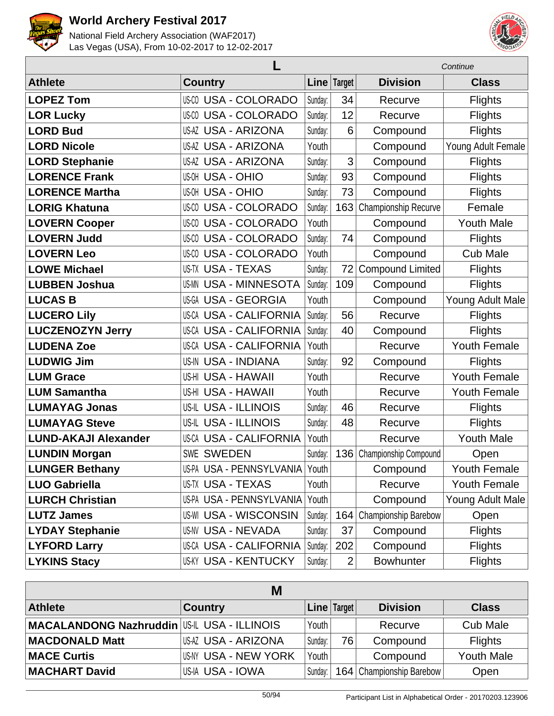



|                             | Continue                       |         |                |                         |                     |
|-----------------------------|--------------------------------|---------|----------------|-------------------------|---------------------|
| <b>Athlete</b>              | <b>Country</b>                 |         | Line Target    | <b>Division</b>         | <b>Class</b>        |
| <b>LOPEZ Tom</b>            | <b>US-CO USA - COLORADO</b>    | Sunday: | 34             | Recurve                 | <b>Flights</b>      |
| <b>LOR Lucky</b>            | <b>US-CO USA - COLORADO</b>    | Sunday: | 12             | Recurve                 | <b>Flights</b>      |
| <b>LORD Bud</b>             | <b>US-AZ USA - ARIZONA</b>     | Sunday: | 6              | Compound                | <b>Flights</b>      |
| <b>LORD Nicole</b>          | <b>US-AZ USA - ARIZONA</b>     | Youth   |                | Compound                | Young Adult Female  |
| <b>LORD Stephanie</b>       | <b>US-AZ USA - ARIZONA</b>     | Sunday: | 3              | Compound                | <b>Flights</b>      |
| <b>LORENCE Frank</b>        | <b>US-OH USA - OHIO</b>        | Sunday: | 93             | Compound                | <b>Flights</b>      |
| <b>LORENCE Martha</b>       | <b>US-OH USA - OHIO</b>        | Sunday: | 73             | Compound                | <b>Flights</b>      |
| <b>LORIG Khatuna</b>        | <b>USA - COLORADO</b><br>US-CO | Sunday: | 163            | Championship Recurve    | Female              |
| <b>LOVERN Cooper</b>        | <b>US-CO USA - COLORADO</b>    | Youth   |                | Compound                | <b>Youth Male</b>   |
| <b>LOVERN Judd</b>          | <b>US-CO USA - COLORADO</b>    | Sunday: | 74             | Compound                | <b>Flights</b>      |
| <b>LOVERN Leo</b>           | US-CO<br><b>USA - COLORADO</b> | Youth   |                | Compound                | <b>Cub Male</b>     |
| <b>LOWE Michael</b>         | <b>US-TX USA - TEXAS</b>       | Sunday: | 72             | <b>Compound Limited</b> | <b>Flights</b>      |
| <b>LUBBEN Joshua</b>        | <b>US-MN USA - MINNESOTA</b>   | Sunday: | 109            | Compound                | <b>Flights</b>      |
| <b>LUCAS B</b>              | US-GA USA - GEORGIA            | Youth   |                | Compound                | Young Adult Male    |
| <b>LUCERO Lily</b>          | <b>US-CA USA - CALIFORNIA</b>  | Sunday: | 56             | Recurve                 | <b>Flights</b>      |
| <b>LUCZENOZYN Jerry</b>     | <b>US-CA USA - CALIFORNIA</b>  | Sunday: | 40             | Compound                | <b>Flights</b>      |
| <b>LUDENA Zoe</b>           | <b>US-CA USA - CALIFORNIA</b>  | Youth   |                | Recurve                 | <b>Youth Female</b> |
| <b>LUDWIG Jim</b>           | <b>US-IN USA - INDIANA</b>     | Sunday: | 92             | Compound                | <b>Flights</b>      |
| <b>LUM Grace</b>            | US-HI USA - HAWAII             | Youth   |                | Recurve                 | <b>Youth Female</b> |
| <b>LUM Samantha</b>         | US-HI USA - HAWAII             | Youth   |                | Recurve                 | <b>Youth Female</b> |
| <b>LUMAYAG Jonas</b>        | US-IL USA - ILLINOIS           | Sunday: | 46             | Recurve                 | <b>Flights</b>      |
| <b>LUMAYAG Steve</b>        | <b>US-IL USA - ILLINOIS</b>    | Sunday: | 48             | Recurve                 | <b>Flights</b>      |
| <b>LUND-AKAJI Alexander</b> | <b>US-CA USA - CALIFORNIA</b>  | Youth   |                | Recurve                 | <b>Youth Male</b>   |
| <b>LUNDIN Morgan</b>        | <b>SWE SWEDEN</b>              | Sunday: | 136            | Championship Compound   | Open                |
| <b>LUNGER Bethany</b>       | US-PA USA - PENNSYLVANIA Youth |         |                | Compound                | <b>Youth Female</b> |
| <b>LUO Gabriella</b>        | US-TX USA - TEXAS              | Youth   |                | Recurve                 | Youth Female        |
| <b>LURCH Christian</b>      | US-PA USA - PENNSYLVANIA       | Youth   |                | Compound                | Young Adult Male    |
| <b>LUTZ James</b>           | <b>US-WI USA - WISCONSIN</b>   | Sunday: | 164            | Championship Barebow    | Open                |
| <b>LYDAY Stephanie</b>      | <b>US-NV USA - NEVADA</b>      | Sunday: | 37             | Compound                | <b>Flights</b>      |
| <b>LYFORD Larry</b>         | US-CA USA - CALIFORNIA         | Sunday: | 202            | Compound                | <b>Flights</b>      |
| <b>LYKINS Stacy</b>         | <b>US-KY USA - KENTUCKY</b>    | Sunday: | $\overline{2}$ | <b>Bowhunter</b>        | <b>Flights</b>      |

| M                                                  |                      |         |               |                            |                   |  |  |  |  |
|----------------------------------------------------|----------------------|---------|---------------|----------------------------|-------------------|--|--|--|--|
| <b>Athlete</b>                                     | <b>Country</b>       |         | Line   Target | <b>Division</b>            | <b>Class</b>      |  |  |  |  |
| <b>MACALANDONG Nazhruddin US-IL USA - ILLINOIS</b> |                      | Youth I |               | Recurve                    | <b>Cub Male</b>   |  |  |  |  |
| <b>MACDONALD Matt</b>                              | IUSAZ USA - ARIZONA  | Sunday: | 76            | Compound                   | <b>Flights</b>    |  |  |  |  |
| <b>MACE Curtis</b>                                 | US-NY USA - NEW YORK | Youth   |               | Compound                   | <b>Youth Male</b> |  |  |  |  |
| <b>MACHART David</b>                               | US-IA USA - IOWA     | Sunday: |               | 164   Championship Barebow | Open              |  |  |  |  |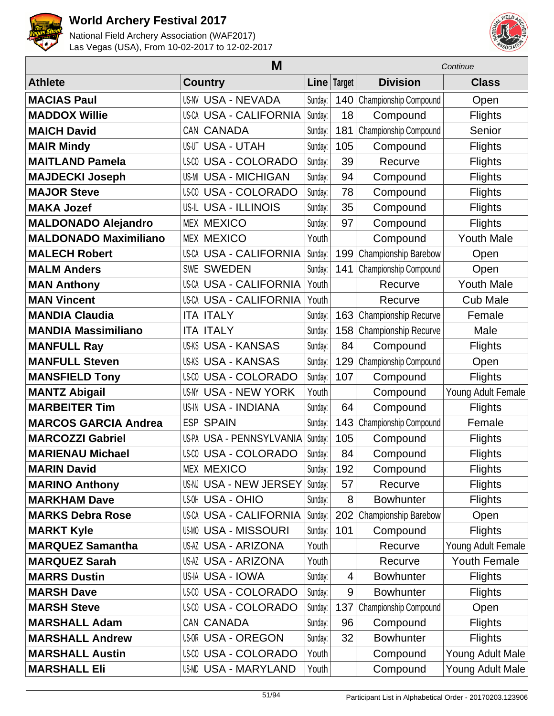



|                              | M                             |             | Continue |                       |                    |
|------------------------------|-------------------------------|-------------|----------|-----------------------|--------------------|
| <b>Athlete</b>               | <b>Country</b>                | Line Target |          | <b>Division</b>       | <b>Class</b>       |
| <b>MACIAS Paul</b>           | <b>US-NV USA - NEVADA</b>     | Sunday:     | 140      | Championship Compound | Open               |
| <b>MADDOX Willie</b>         | <b>US-CA USA - CALIFORNIA</b> | Sunday:     | 18       | Compound              | <b>Flights</b>     |
| <b>MAICH David</b>           | CAN CANADA                    | Sunday:     | 181      | Championship Compound | Senior             |
| <b>MAIR Mindy</b>            | <b>US-UT USA - UTAH</b>       | Sunday:     | 105      | Compound              | <b>Flights</b>     |
| <b>MAITLAND Pamela</b>       | <b>US-CO USA - COLORADO</b>   | Sunday:     | 39       | Recurve               | <b>Flights</b>     |
| <b>MAJDECKI Joseph</b>       | <b>US-MI USA - MICHIGAN</b>   | Sunday:     | 94       | Compound              | <b>Flights</b>     |
| <b>MAJOR Steve</b>           | <b>US-CO USA - COLORADO</b>   | Sunday:     | 78       | Compound              | <b>Flights</b>     |
| <b>MAKA Jozef</b>            | <b>US-IL USA - ILLINOIS</b>   | Sunday:     | 35       | Compound              | <b>Flights</b>     |
| <b>MALDONADO Alejandro</b>   | <b>MEX MEXICO</b>             | Sunday:     | 97       | Compound              | <b>Flights</b>     |
| <b>MALDONADO Maximiliano</b> | <b>MEX MEXICO</b>             | Youth       |          | Compound              | <b>Youth Male</b>  |
| <b>MALECH Robert</b>         | <b>US-CA USA - CALIFORNIA</b> | Sunday:     | 199      | Championship Barebow  | Open               |
| <b>MALM Anders</b>           | <b>SWE SWEDEN</b>             | Sunday:     | 141      | Championship Compound | Open               |
| <b>MAN Anthony</b>           | <b>US-CA USA - CALIFORNIA</b> | Youth       |          | Recurve               | <b>Youth Male</b>  |
| <b>MAN Vincent</b>           | <b>US-CA USA - CALIFORNIA</b> | Youth       |          | Recurve               | <b>Cub Male</b>    |
| <b>MANDIA Claudia</b>        | <b>ITA ITALY</b>              | Sunday:     | 163      | Championship Recurve  | Female             |
| <b>MANDIA Massimiliano</b>   | <b>ITA ITALY</b>              | Sunday:     | 158      | Championship Recurve  | Male               |
| <b>MANFULL Ray</b>           | <b>US-KS USA - KANSAS</b>     | Sunday:     | 84       | Compound              | <b>Flights</b>     |
| <b>MANFULL Steven</b>        | <b>US-KS USA - KANSAS</b>     | Sunday:     | 129      | Championship Compound | Open               |
| <b>MANSFIELD Tony</b>        | <b>US-CO USA - COLORADO</b>   | Sunday:     | 107      | Compound              | <b>Flights</b>     |
| <b>MANTZ Abigail</b>         | <b>US-NY USA - NEW YORK</b>   | Youth       |          | Compound              | Young Adult Female |
| <b>MARBEITER Tim</b>         | <b>US-IN USA - INDIANA</b>    | Sunday:     | 64       | Compound              | <b>Flights</b>     |
| <b>MARCOS GARCIA Andrea</b>  | <b>ESP SPAIN</b>              | Sunday:     | 143      | Championship Compound | Female             |
| <b>MARCOZZI Gabriel</b>      | US-PA USA - PENNSYLVANIA      | Sunday:     | 105      | Compound              | <b>Flights</b>     |
| <b>MARIENAU Michael</b>      | <b>US-CO USA - COLORADO</b>   | Sunday:     | 84       | Compound              | <b>Flights</b>     |
| <b>MARIN David</b>           | <b>MEX MEXICO</b>             | Sunday:     | 192      | Compound              | <b>Flights</b>     |
| <b>MARINO Anthony</b>        | US-NJ USA - NEW JERSEY        | Sunday:     | 57       | Recurve               | <b>Flights</b>     |
| <b>MARKHAM Dave</b>          | <b>US-OH USA - OHIO</b>       | Sunday:     | 8        | <b>Bowhunter</b>      | <b>Flights</b>     |
| <b>MARKS Debra Rose</b>      | <b>US-CA USA - CALIFORNIA</b> | Sunday:     | 202      | Championship Barebow  | Open               |
| <b>MARKT Kyle</b>            | <b>US-MO USA - MISSOURI</b>   | Sunday:     | 101      | Compound              | <b>Flights</b>     |
| <b>MARQUEZ Samantha</b>      | <b>US-AZ USA - ARIZONA</b>    | Youth       |          | Recurve               | Young Adult Female |
| <b>MARQUEZ Sarah</b>         | <b>US-AZ USA - ARIZONA</b>    | Youth       |          | Recurve               | Youth Female       |
| <b>MARRS Dustin</b>          | US-IA USA - IOWA              | Sunday:     | 4        | <b>Bowhunter</b>      | <b>Flights</b>     |
| <b>MARSH Dave</b>            | US-00 USA - COLORADO          | Sunday:     | 9        | <b>Bowhunter</b>      | <b>Flights</b>     |
| <b>MARSH Steve</b>           | <b>US-CO USA - COLORADO</b>   | Sunday:     | 137      | Championship Compound | Open               |
| <b>MARSHALL Adam</b>         | CAN CANADA                    | Sunday:     | 96       | Compound              | <b>Flights</b>     |
| <b>MARSHALL Andrew</b>       | <b>US-OR USA - OREGON</b>     | Sunday:     | 32       | <b>Bowhunter</b>      | <b>Flights</b>     |
| <b>MARSHALL Austin</b>       | US-00 USA - COLORADO          | Youth       |          | Compound              | Young Adult Male   |
| <b>MARSHALL Eli</b>          | US-MD USA - MARYLAND          | Youth       |          | Compound              | Young Adult Male   |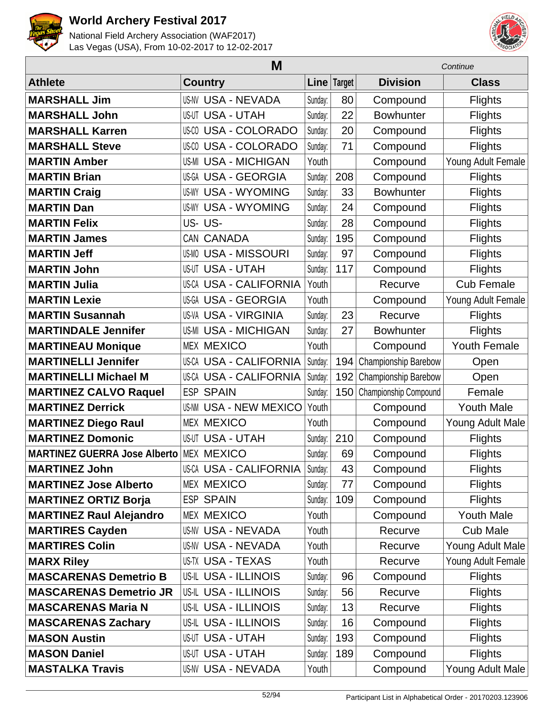



|                                     | M                             | Continue |               |                       |                    |
|-------------------------------------|-------------------------------|----------|---------------|-----------------------|--------------------|
| <b>Athlete</b>                      | <b>Country</b>                |          | Line   Target | <b>Division</b>       | <b>Class</b>       |
| <b>MARSHALL Jim</b>                 | <b>US-NV USA - NEVADA</b>     | Sunday:  | 80            | Compound              | <b>Flights</b>     |
| <b>MARSHALL John</b>                | <b>US-UT USA - UTAH</b>       | Sunday:  | 22            | <b>Bowhunter</b>      | <b>Flights</b>     |
| <b>MARSHALL Karren</b>              | <b>US-CO USA - COLORADO</b>   | Sunday:  | 20            | Compound              | <b>Flights</b>     |
| <b>MARSHALL Steve</b>               | <b>US-CO USA - COLORADO</b>   | Sunday:  | 71            | Compound              | <b>Flights</b>     |
| <b>MARTIN Amber</b>                 | <b>US-MI USA - MICHIGAN</b>   | Youth    |               | Compound              | Young Adult Female |
| <b>MARTIN Brian</b>                 | <b>US-GA USA - GEORGIA</b>    | Sunday:  | 208           | Compound              | <b>Flights</b>     |
| <b>MARTIN Craig</b>                 | <b>US-WY USA - WYOMING</b>    | Sunday:  | 33            | <b>Bowhunter</b>      | <b>Flights</b>     |
| <b>MARTIN Dan</b>                   | <b>US-WY USA - WYOMING</b>    | Sunday:  | 24            | Compound              | <b>Flights</b>     |
| <b>MARTIN Felix</b>                 | US-US-                        | Sunday:  | 28            | Compound              | <b>Flights</b>     |
| <b>MARTIN James</b>                 | CAN CANADA                    | Sunday:  | 195           | Compound              | <b>Flights</b>     |
| <b>MARTIN Jeff</b>                  | <b>US-MO USA - MISSOURI</b>   | Sunday:  | 97            | Compound              | <b>Flights</b>     |
| <b>MARTIN John</b>                  | <b>US-UT USA - UTAH</b>       | Sunday:  | 117           | Compound              | <b>Flights</b>     |
| <b>MARTIN Julia</b>                 | <b>US-CA USA - CALIFORNIA</b> | Youth    |               | Recurve               | <b>Cub Female</b>  |
| <b>MARTIN Lexie</b>                 | US-GA USA - GEORGIA           | Youth    |               | Compound              | Young Adult Female |
| <b>MARTIN Susannah</b>              | <b>US-VA USA - VIRGINIA</b>   | Sunday:  | 23            | Recurve               | <b>Flights</b>     |
| <b>MARTINDALE Jennifer</b>          | <b>US-MI USA - MICHIGAN</b>   | Sunday:  | 27            | <b>Bowhunter</b>      | <b>Flights</b>     |
| <b>MARTINEAU Monique</b>            | <b>MEX MEXICO</b>             | Youth    |               | Compound              | Youth Female       |
| <b>MARTINELLI Jennifer</b>          | <b>US-CA USA - CALIFORNIA</b> | Sunday:  | 194           | Championship Barebow  | Open               |
| <b>MARTINELLI Michael M</b>         | <b>US-CA USA - CALIFORNIA</b> | Sunday:  | 192           | Championship Barebow  | Open               |
| <b>MARTINEZ CALVO Raquel</b>        | <b>ESP SPAIN</b>              | Sunday:  | 150           | Championship Compound | Female             |
| <b>MARTINEZ Derrick</b>             | <b>US-NM USA - NEW MEXICO</b> | Youth    |               | Compound              | <b>Youth Male</b>  |
| <b>MARTINEZ Diego Raul</b>          | <b>MEX MEXICO</b>             | Youth    |               | Compound              | Young Adult Male   |
| <b>MARTINEZ Domonic</b>             | <b>US-UT USA - UTAH</b>       | Sunday:  | 210           | Compound              | <b>Flights</b>     |
| <b>MARTINEZ GUERRA Jose Alberto</b> | <b>MEX MEXICO</b>             | Sunday:  | 69            | Compound              | <b>Flights</b>     |
| <b>MARTINEZ John</b>                | US-CA USA - CALIFORNIA        | Sunday:  | 43            | Compound              | <b>Flights</b>     |
| <b>MARTINEZ Jose Alberto</b>        | <b>MEX MEXICO</b>             | Sunday:  | 77            | Compound              | <b>Flights</b>     |
| <b>MARTINEZ ORTIZ Borja</b>         | <b>ESP SPAIN</b>              | Sunday:  | 109           | Compound              | <b>Flights</b>     |
| <b>MARTINEZ Raul Alejandro</b>      | <b>MEX MEXICO</b>             | Youth    |               | Compound              | <b>Youth Male</b>  |
| <b>MARTIRES Cayden</b>              | <b>US-NV USA - NEVADA</b>     | Youth    |               | Recurve               | <b>Cub Male</b>    |
| <b>MARTIRES Colin</b>               | <b>US-NV USA - NEVADA</b>     | Youth    |               | Recurve               | Young Adult Male   |
| <b>MARX Riley</b>                   | US-TX USA - TEXAS             | Youth    |               | Recurve               | Young Adult Female |
| <b>MASCARENAS Demetrio B</b>        | US-IL USA - ILLINOIS          | Sunday:  | 96            | Compound              | <b>Flights</b>     |
| <b>MASCARENAS Demetrio JR</b>       | <b>US-IL USA - ILLINOIS</b>   | Sunday:  | 56            | Recurve               | <b>Flights</b>     |
| <b>MASCARENAS Maria N</b>           | <b>US-IL USA - ILLINOIS</b>   | Sunday:  | 13            | Recurve               | <b>Flights</b>     |
| <b>MASCARENAS Zachary</b>           | US-IL USA - ILLINOIS          | Sunday:  | 16            | Compound              | <b>Flights</b>     |
| <b>MASON Austin</b>                 | <b>US-UT USA - UTAH</b>       | Sunday:  | 193           | Compound              | <b>Flights</b>     |
| <b>MASON Daniel</b>                 | <b>US-UT USA - UTAH</b>       | Sunday:  | 189           | Compound              | <b>Flights</b>     |
| <b>MASTALKA Travis</b>              | <b>US-NV USA - NEVADA</b>     | Youth    |               | Compound              | Young Adult Male   |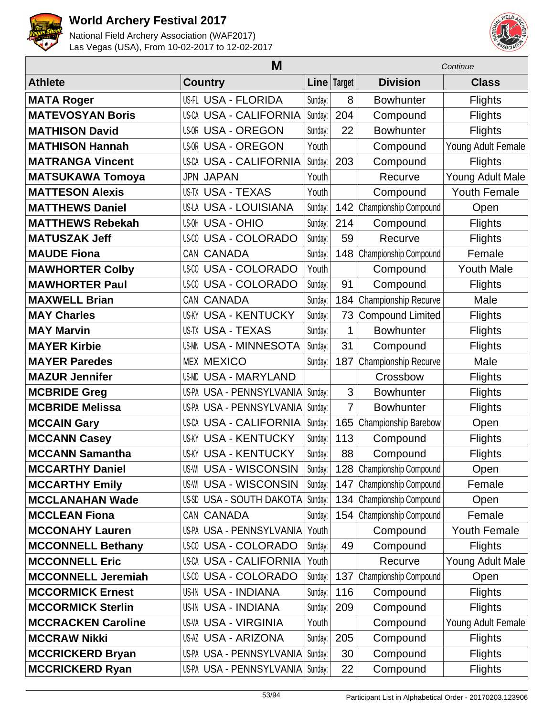



|                           |                               | Continue      |                |                              |                     |
|---------------------------|-------------------------------|---------------|----------------|------------------------------|---------------------|
| <b>Athlete</b>            | <b>Country</b>                | Line   Target |                | <b>Division</b>              | <b>Class</b>        |
| <b>MATA Roger</b>         | US-FL USA - FLORIDA           | Sunday:       | 8              | <b>Bowhunter</b>             | <b>Flights</b>      |
| <b>MATEVOSYAN Boris</b>   | <b>US-CA USA - CALIFORNIA</b> | Sunday:       | 204            | Compound                     | <b>Flights</b>      |
| <b>MATHISON David</b>     | <b>US-OR USA - OREGON</b>     | Sunday:       | 22             | <b>Bowhunter</b>             | <b>Flights</b>      |
| <b>MATHISON Hannah</b>    | <b>US-OR USA - OREGON</b>     | Youth         |                | Compound                     | Young Adult Female  |
| <b>MATRANGA Vincent</b>   | <b>US-CA USA - CALIFORNIA</b> | Sunday:       | 203            | Compound                     | <b>Flights</b>      |
| <b>MATSUKAWA Tomoya</b>   | <b>JPN JAPAN</b>              | Youth         |                | Recurve                      | Young Adult Male    |
| <b>MATTESON Alexis</b>    | <b>US-TX USA - TEXAS</b>      | Youth         |                | Compound                     | <b>Youth Female</b> |
| <b>MATTHEWS Daniel</b>    | US-LA USA - LOUISIANA         | Sunday:       | 142            | Championship Compound        | Open                |
| <b>MATTHEWS Rebekah</b>   | <b>US-OH USA - OHIO</b>       | Sunday:       | 214            | Compound                     | <b>Flights</b>      |
| <b>MATUSZAK Jeff</b>      | <b>US-CO USA - COLORADO</b>   | Sunday:       | 59             | Recurve                      | <b>Flights</b>      |
| <b>MAUDE Fiona</b>        | CAN CANADA                    | Sunday:       | 148            | Championship Compound        | Female              |
| <b>MAWHORTER Colby</b>    | <b>US-CO USA - COLORADO</b>   | Youth         |                | Compound                     | <b>Youth Male</b>   |
| <b>MAWHORTER Paul</b>     | <b>US-CO USA - COLORADO</b>   | Sunday:       | 91             | Compound                     | <b>Flights</b>      |
| <b>MAXWELL Brian</b>      | CAN CANADA                    | Sunday:       | 184            | Championship Recurve         | Male                |
| <b>MAY Charles</b>        | <b>US-KY USA - KENTUCKY</b>   | Sunday:       | 73             | <b>Compound Limited</b>      | <b>Flights</b>      |
| <b>MAY Marvin</b>         | <b>US-TX USA - TEXAS</b>      | Sunday:       | 1              | <b>Bowhunter</b>             | <b>Flights</b>      |
| <b>MAYER Kirbie</b>       | <b>US-MN USA - MINNESOTA</b>  | Sunday:       | 31             | Compound                     | <b>Flights</b>      |
| <b>MAYER Paredes</b>      | <b>MEX MEXICO</b>             | Sunday:       | 187            | Championship Recurve         | Male                |
| <b>MAZUR Jennifer</b>     | <b>US-MD USA - MARYLAND</b>   |               |                | Crossbow                     | <b>Flights</b>      |
| <b>MCBRIDE Greg</b>       | US-PA USA - PENNSYLVANIA      | Sunday:       | 3              | <b>Bowhunter</b>             | <b>Flights</b>      |
| <b>MCBRIDE Melissa</b>    | US-PA USA - PENNSYLVANIA      | Sunday:       | $\overline{7}$ | <b>Bowhunter</b>             | <b>Flights</b>      |
| <b>MCCAIN Gary</b>        | <b>US-CA USA - CALIFORNIA</b> | Sunday:       | 165            | Championship Barebow         | Open                |
| <b>MCCANN Casey</b>       | <b>US-KY USA - KENTUCKY</b>   | Sunday:       | 113            | Compound                     | Flights             |
| <b>MCCANN Samantha</b>    | <b>US-KY USA - KENTUCKY</b>   | Sunday:       | 88             | Compound                     | <b>Flights</b>      |
| <b>MCCARTHY Daniel</b>    | <b>US-WI USA - WISCONSIN</b>  | Sunday:       |                | 128 Championship Compound    | Open                |
| <b>MCCARTHY Emily</b>     | <b>US-WI USA - WISCONSIN</b>  | Sunday:       | 147            | Championship Compound        | Female              |
| <b>MCCLANAHAN Wade</b>    | US-SD USA - SOUTH DAKOTA      | Sunday:       | 134            | Championship Compound        | Open                |
| <b>MCCLEAN Fiona</b>      | CAN CANADA                    | Sunday:       | 154            | <b>Championship Compound</b> | Female              |
| <b>MCCONAHY Lauren</b>    | US-PA USA - PENNSYLVANIA      | Youth         |                | Compound                     | <b>Youth Female</b> |
| <b>MCCONNELL Bethany</b>  | US-CO USA - COLORADO          | Sunday:       | 49             | Compound                     | <b>Flights</b>      |
| <b>MCCONNELL Eric</b>     | <b>US-CA USA - CALIFORNIA</b> | Youth         |                | Recurve                      | Young Adult Male    |
| <b>MCCONNELL Jeremiah</b> | <b>US-CO USA - COLORADO</b>   | Sunday:       | 137            | Championship Compound        | Open                |
| <b>MCCORMICK Ernest</b>   | US-IN USA - INDIANA           | Sunday:       | 116            | Compound                     | <b>Flights</b>      |
| <b>MCCORMICK Sterlin</b>  | US-IN USA - INDIANA           | Sunday:       | 209            | Compound                     | <b>Flights</b>      |
| <b>MCCRACKEN Caroline</b> | <b>US-VA USA - VIRGINIA</b>   | Youth         |                | Compound                     | Young Adult Female  |
| <b>MCCRAW Nikki</b>       | <b>US-AZ USA - ARIZONA</b>    | Sunday:       | 205            | Compound                     | <b>Flights</b>      |
| <b>MCCRICKERD Bryan</b>   | US-PA USA - PENNSYLVANIA      | Sunday:       | 30             | Compound                     | <b>Flights</b>      |
| <b>MCCRICKERD Ryan</b>    | US-PA USA - PENNSYLVANIA      | Sunday:       | 22             | Compound                     | <b>Flights</b>      |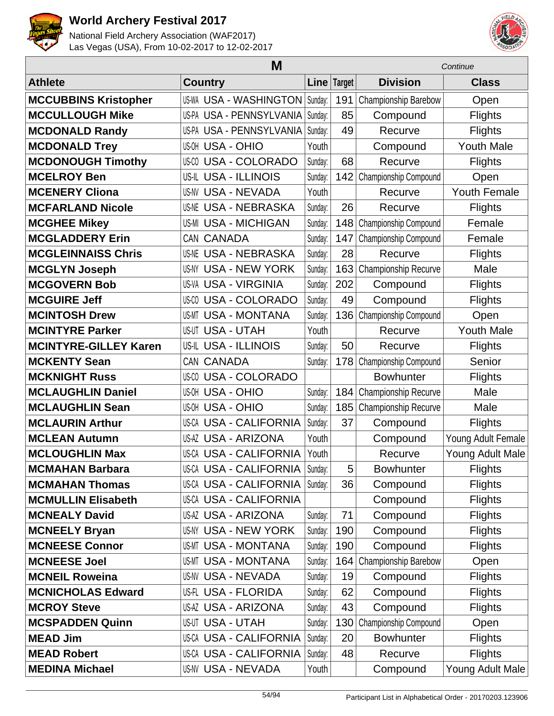



|                              | M                              |             | Continue |                       |                     |
|------------------------------|--------------------------------|-------------|----------|-----------------------|---------------------|
| <b>Athlete</b>               | <b>Country</b>                 | Line Target |          | <b>Division</b>       | <b>Class</b>        |
| <b>MCCUBBINS Kristopher</b>  | US-WA USA - WASHINGTON         | Sunday:     | 191      | Championship Barebow  | Open                |
| <b>MCCULLOUGH Mike</b>       | US-PA USA - PENNSYLVANIA       | Sunday:     | 85       | Compound              | Flights             |
| <b>MCDONALD Randy</b>        | US-PA USA - PENNSYLVANIA       | Sunday:     | 49       | Recurve               | <b>Flights</b>      |
| <b>MCDONALD Trey</b>         | <b>US-OH USA - OHIO</b>        | Youth       |          | Compound              | <b>Youth Male</b>   |
| <b>MCDONOUGH Timothy</b>     | <b>USA - COLORADO</b><br>US-CO | Sunday:     | 68       | Recurve               | <b>Flights</b>      |
| <b>MCELROY Ben</b>           | US-IL USA - ILLINOIS           | Sunday:     | 142      | Championship Compound | Open                |
| <b>MCENERY Cliona</b>        | <b>US-NV USA - NEVADA</b>      | Youth       |          | Recurve               | <b>Youth Female</b> |
| <b>MCFARLAND Nicole</b>      | <b>US-NE USA - NEBRASKA</b>    | Sunday:     | 26       | Recurve               | <b>Flights</b>      |
| <b>MCGHEE Mikey</b>          | <b>US-MI USA - MICHIGAN</b>    | Sunday:     | 148      | Championship Compound | Female              |
| <b>MCGLADDERY Erin</b>       | CAN CANADA                     | Sunday:     | 147      | Championship Compound | Female              |
| <b>MCGLEINNAISS Chris</b>    | <b>US-NE USA - NEBRASKA</b>    | Sunday:     | 28       | Recurve               | <b>Flights</b>      |
| <b>MCGLYN Joseph</b>         | US-NY USA - NEW YORK           | Sunday:     | 163      | Championship Recurve  | Male                |
| <b>MCGOVERN Bob</b>          | <b>US-VA USA - VIRGINIA</b>    | Sunday:     | 202      | Compound              | <b>Flights</b>      |
| <b>MCGUIRE Jeff</b>          | <b>US-CO USA - COLORADO</b>    | Sunday:     | 49       | Compound              | <b>Flights</b>      |
| <b>MCINTOSH Drew</b>         | <b>USA - MONTANA</b><br>US-MT  | Sunday:     | 136      | Championship Compound | Open                |
| <b>MCINTYRE Parker</b>       | <b>US-UT USA - UTAH</b>        | Youth       |          | Recurve               | <b>Youth Male</b>   |
| <b>MCINTYRE-GILLEY Karen</b> | US-IL USA - ILLINOIS           | Sunday:     | 50       | Recurve               | <b>Flights</b>      |
| <b>MCKENTY Sean</b>          | CAN CANADA                     | Sunday:     | 178      | Championship Compound | Senior              |
| <b>MCKNIGHT Russ</b>         | <b>USA - COLORADO</b><br>US-CO |             |          | <b>Bowhunter</b>      | <b>Flights</b>      |
| <b>MCLAUGHLIN Daniel</b>     | <b>US-OH USA - OHIO</b>        | Sunday:     | 184      | Championship Recurve  | Male                |
| <b>MCLAUGHLIN Sean</b>       | <b>USA - OHIO</b><br>US-OH     | Sunday:     | 185      | Championship Recurve  | Male                |
| <b>MCLAURIN Arthur</b>       | <b>US-CA USA - CALIFORNIA</b>  | Sunday:     | 37       | Compound              | <b>Flights</b>      |
| <b>MCLEAN Autumn</b>         | <b>US-AZ USA - ARIZONA</b>     | Youth       |          | Compound              | Young Adult Female  |
| <b>MCLOUGHLIN Max</b>        | <b>US-CA USA - CALIFORNIA</b>  | Youth       |          | Recurve               | Young Adult Male    |
| <b>MCMAHAN Barbara</b>       | US-CA USA - CALIFORNIA Sunday: |             | 5        | <b>Bowhunter</b>      | Flights             |
| <b>MCMAHAN Thomas</b>        | US-CA USA - CALIFORNIA         | Sunday:     | 36       | Compound              | <b>Flights</b>      |
| <b>MCMULLIN Elisabeth</b>    | US-CA USA - CALIFORNIA         |             |          | Compound              | Flights             |
| <b>MCNEALY David</b>         | <b>US-AZ USA - ARIZONA</b>     | Sunday:     | 71       | Compound              | <b>Flights</b>      |
| <b>MCNEELY Bryan</b>         | <b>US-NY USA - NEW YORK</b>    | Sunday:     | 190      | Compound              | <b>Flights</b>      |
| <b>MCNEESE Connor</b>        | US-MT USA - MONTANA            | Sunday:     | 190      | Compound              | <b>Flights</b>      |
| <b>MCNEESE Joel</b>          | <b>US-MT USA - MONTANA</b>     | Sunday:     | 164      | Championship Barebow  | Open                |
| <b>MCNEIL Roweina</b>        | <b>US-NV USA - NEVADA</b>      | Sunday:     | 19       | Compound              | <b>Flights</b>      |
| <b>MCNICHOLAS Edward</b>     | US-FL USA - FLORIDA            | Sunday:     | 62       | Compound              | <b>Flights</b>      |
| <b>MCROY Steve</b>           | <b>US-AZ USA - ARIZONA</b>     | Sunday:     | 43       | Compound              | <b>Flights</b>      |
| <b>MCSPADDEN Quinn</b>       | <b>US-UT USA - UTAH</b>        | Sunday:     | 130      | Championship Compound | Open                |
| <b>MEAD Jim</b>              | <b>US-CA USA - CALIFORNIA</b>  | Sunday:     | 20       | <b>Bowhunter</b>      | Flights             |
| <b>MEAD Robert</b>           | <b>US-CA USA - CALIFORNIA</b>  | Sunday:     | 48       | Recurve               | <b>Flights</b>      |
| <b>MEDINA Michael</b>        | <b>US-NV USA - NEVADA</b>      | Youth       |          | Compound              | Young Adult Male    |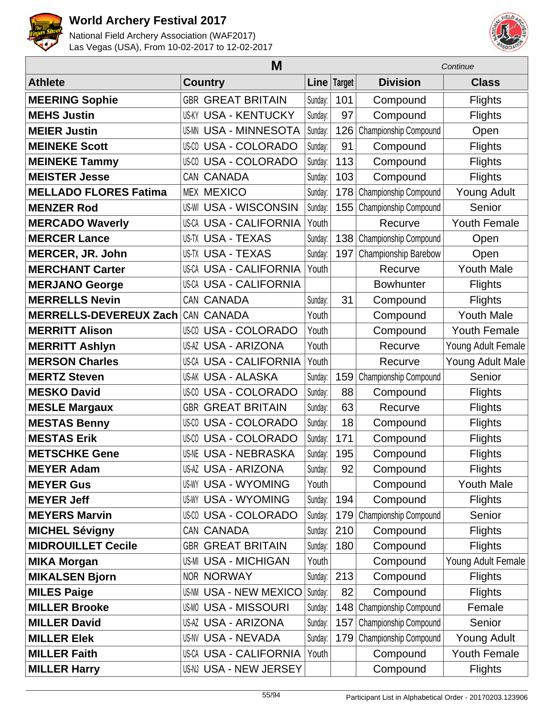



|                               | M              |                               |             |     |                       | Continue            |  |  |
|-------------------------------|----------------|-------------------------------|-------------|-----|-----------------------|---------------------|--|--|
| <b>Athlete</b>                | <b>Country</b> |                               | Line Target |     | <b>Division</b>       | <b>Class</b>        |  |  |
| <b>MEERING Sophie</b>         |                | <b>GBR GREAT BRITAIN</b>      | Sunday:     | 101 | Compound              | <b>Flights</b>      |  |  |
| <b>MEHS Justin</b>            |                | <b>US-KY USA - KENTUCKY</b>   | Sunday:     | 97  | Compound              | Flights             |  |  |
| <b>MEIER Justin</b>           |                | <b>US-MN USA - MINNESOTA</b>  | Sunday:     | 126 | Championship Compound | Open                |  |  |
| <b>MEINEKE Scott</b>          |                | <b>US-CO USA - COLORADO</b>   | Sunday:     | 91  | Compound              | <b>Flights</b>      |  |  |
| <b>MEINEKE Tammy</b>          |                | <b>US-CO USA - COLORADO</b>   | Sunday:     | 113 | Compound              | <b>Flights</b>      |  |  |
| <b>MEISTER Jesse</b>          |                | CAN CANADA                    | Sunday:     | 103 | Compound              | <b>Flights</b>      |  |  |
| <b>MELLADO FLORES Fatima</b>  |                | <b>MEX MEXICO</b>             | Sunday:     | 178 | Championship Compound | <b>Young Adult</b>  |  |  |
| <b>MENZER Rod</b>             |                | <b>US-WI USA - WISCONSIN</b>  | Sunday:     | 155 | Championship Compound | Senior              |  |  |
| <b>MERCADO Waverly</b>        |                | <b>US-CA USA - CALIFORNIA</b> | Youth       |     | Recurve               | <b>Youth Female</b> |  |  |
| <b>MERCER Lance</b>           |                | <b>US-TX USA - TEXAS</b>      | Sunday:     | 138 | Championship Compound | Open                |  |  |
| MERCER, JR. John              |                | <b>US-TX USA - TEXAS</b>      | Sunday:     | 197 | Championship Barebow  | Open                |  |  |
| <b>MERCHANT Carter</b>        |                | <b>US-CA USA - CALIFORNIA</b> | Youth       |     | Recurve               | <b>Youth Male</b>   |  |  |
| <b>MERJANO George</b>         |                | <b>US-CA USA - CALIFORNIA</b> |             |     | <b>Bowhunter</b>      | <b>Flights</b>      |  |  |
| <b>MERRELLS Nevin</b>         |                | CAN CANADA                    | Sunday:     | 31  | Compound              | <b>Flights</b>      |  |  |
| <b>MERRELLS-DEVEREUX Zach</b> |                | CAN CANADA                    | Youth       |     | Compound              | <b>Youth Male</b>   |  |  |
| <b>MERRITT Alison</b>         |                | <b>US-CO USA - COLORADO</b>   | Youth       |     | Compound              | <b>Youth Female</b> |  |  |
| <b>MERRITT Ashlyn</b>         |                | <b>US-AZ USA - ARIZONA</b>    | Youth       |     | Recurve               | Young Adult Female  |  |  |
| <b>MERSON Charles</b>         |                | <b>US-CA USA - CALIFORNIA</b> | Youth       |     | Recurve               | Young Adult Male    |  |  |
| <b>MERTZ Steven</b>           |                | <b>US-AK USA - ALASKA</b>     | Sunday:     | 159 | Championship Compound | Senior              |  |  |
| <b>MESKO David</b>            |                | <b>US-CO USA - COLORADO</b>   | Sunday:     | 88  | Compound              | <b>Flights</b>      |  |  |
| <b>MESLE Margaux</b>          |                | <b>GBR GREAT BRITAIN</b>      | Sunday:     | 63  | Recurve               | <b>Flights</b>      |  |  |
| <b>MESTAS Benny</b>           |                | <b>US-CO USA - COLORADO</b>   | Sunday:     | 18  | Compound              | <b>Flights</b>      |  |  |
| <b>MESTAS Erik</b>            |                | <b>US-CO USA - COLORADO</b>   | Sunday:     | 171 | Compound              | <b>Flights</b>      |  |  |
| <b>METSCHKE Gene</b>          |                | <b>US-NE USA - NEBRASKA</b>   | Sunday:     | 195 | Compound              | <b>Flights</b>      |  |  |
| <b>MEYER Adam</b>             |                | US-AZ USA - ARIZONA           | Sunday:     | 92  | Compound              | <b>Flights</b>      |  |  |
| <b>MEYER Gus</b>              |                | <b>US-WY USA - WYOMING</b>    | Youth       |     | Compound              | <b>Youth Male</b>   |  |  |
| <b>MEYER Jeff</b>             |                | <b>US-WY USA - WYOMING</b>    | Sunday:     | 194 | Compound              | <b>Flights</b>      |  |  |
| <b>MEYERS Marvin</b>          |                | <b>US-CO USA - COLORADO</b>   | Sunday:     | 179 | Championship Compound | Senior              |  |  |
| <b>MICHEL Sévigny</b>         |                | CAN CANADA                    | Sunday:     | 210 | Compound              | <b>Flights</b>      |  |  |
| <b>MIDROUILLET Cecile</b>     |                | <b>GBR GREAT BRITAIN</b>      | Sunday:     | 180 | Compound              | <b>Flights</b>      |  |  |
| <b>MIKA Morgan</b>            |                | <b>US-MI USA - MICHIGAN</b>   | Youth       |     | Compound              | Young Adult Female  |  |  |
| <b>MIKALSEN Bjorn</b>         |                | <b>NOR NORWAY</b>             | Sunday:     | 213 | Compound              | <b>Flights</b>      |  |  |
| <b>MILES Paige</b>            |                | <b>US-NM USA - NEW MEXICO</b> | Sunday:     | 82  | Compound              | <b>Flights</b>      |  |  |
| <b>MILLER Brooke</b>          |                | <b>US-MO USA - MISSOURI</b>   | Sunday:     | 148 | Championship Compound | Female              |  |  |
| <b>MILLER David</b>           |                | US-AZ USA - ARIZONA           | Sunday:     | 157 | Championship Compound | Senior              |  |  |
| <b>MILLER Elek</b>            |                | <b>US-NV USA - NEVADA</b>     | Sunday:     | 179 | Championship Compound | Young Adult         |  |  |
| <b>MILLER Faith</b>           |                | <b>US-CA USA - CALIFORNIA</b> | Youth       |     | Compound              | <b>Youth Female</b> |  |  |
| <b>MILLER Harry</b>           |                | US-NJ USA - NEW JERSEY        |             |     | Compound              | <b>Flights</b>      |  |  |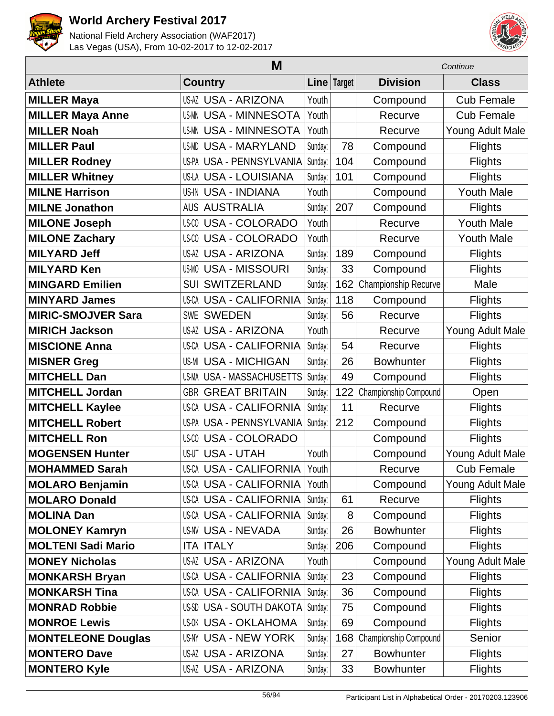



|                           | Continue                      |         |             |                       |                   |
|---------------------------|-------------------------------|---------|-------------|-----------------------|-------------------|
| <b>Athlete</b>            | <b>Country</b>                |         | Line Target | <b>Division</b>       | <b>Class</b>      |
| <b>MILLER Maya</b>        | <b>US-AZ USA - ARIZONA</b>    | Youth   |             | Compound              | <b>Cub Female</b> |
| <b>MILLER Maya Anne</b>   | <b>US-MN USA - MINNESOTA</b>  | Youth   |             | Recurve               | <b>Cub Female</b> |
| <b>MILLER Noah</b>        | <b>US-MN USA - MINNESOTA</b>  | Youth   |             | Recurve               | Young Adult Male  |
| <b>MILLER Paul</b>        | <b>US-MD USA - MARYLAND</b>   | Sunday: | 78          | Compound              | <b>Flights</b>    |
| <b>MILLER Rodney</b>      | US-PA USA - PENNSYLVANIA      | Sunday: | 104         | Compound              | <b>Flights</b>    |
| <b>MILLER Whitney</b>     | US-LA USA - LOUISIANA         | Sunday: | 101         | Compound              | <b>Flights</b>    |
| <b>MILNE Harrison</b>     | <b>US-IN USA - INDIANA</b>    | Youth   |             | Compound              | <b>Youth Male</b> |
| <b>MILNE Jonathon</b>     | <b>AUS AUSTRALIA</b>          | Sunday: | 207         | Compound              | <b>Flights</b>    |
| <b>MILONE Joseph</b>      | <b>US-CO USA - COLORADO</b>   | Youth   |             | Recurve               | <b>Youth Male</b> |
| <b>MILONE Zachary</b>     | <b>US-CO USA - COLORADO</b>   | Youth   |             | Recurve               | <b>Youth Male</b> |
| <b>MILYARD Jeff</b>       | <b>US-AZ USA - ARIZONA</b>    | Sunday: | 189         | Compound              | <b>Flights</b>    |
| <b>MILYARD Ken</b>        | <b>US-MO USA - MISSOURI</b>   | Sunday: | 33          | Compound              | <b>Flights</b>    |
| <b>MINGARD Emilien</b>    | <b>SUI SWITZERLAND</b>        | Sunday: | 162         | Championship Recurve  | Male              |
| <b>MINYARD James</b>      | <b>US-CA USA - CALIFORNIA</b> | Sunday: | 118         | Compound              | Flights           |
| <b>MIRIC-SMOJVER Sara</b> | <b>SWE SWEDEN</b>             | Sunday: | 56          | Recurve               | <b>Flights</b>    |
| <b>MIRICH Jackson</b>     | <b>US-AZ USA - ARIZONA</b>    | Youth   |             | Recurve               | Young Adult Male  |
| <b>MISCIONE Anna</b>      | <b>US-CA USA - CALIFORNIA</b> | Sunday: | 54          | Recurve               | <b>Flights</b>    |
| <b>MISNER Greg</b>        | <b>US-MI USA - MICHIGAN</b>   | Sunday: | 26          | <b>Bowhunter</b>      | <b>Flights</b>    |
| <b>MITCHELL Dan</b>       | US-MA USA - MASSACHUSETTS     | Sunday: | 49          | Compound              | <b>Flights</b>    |
| <b>MITCHELL Jordan</b>    | <b>GBR GREAT BRITAIN</b>      | Sunday: | 122         | Championship Compound | Open              |
| <b>MITCHELL Kaylee</b>    | <b>US-CA USA - CALIFORNIA</b> | Sunday: | 11          | Recurve               | <b>Flights</b>    |
| <b>MITCHELL Robert</b>    | US-PA USA - PENNSYLVANIA      | Sunday: | 212         | Compound              | <b>Flights</b>    |
| <b>MITCHELL Ron</b>       | <b>US-CO USA - COLORADO</b>   |         |             | Compound              | <b>Flights</b>    |
| <b>MOGENSEN Hunter</b>    | <b>US-UT USA - UTAH</b>       | Youth   |             | Compound              | Young Adult Male  |
| <b>MOHAMMED Sarah</b>     | US-CA USA - CALIFORNIA        | Youth   |             | Recurve               | <b>Cub Female</b> |
| <b>MOLARO Benjamin</b>    | <b>US-CA USA - CALIFORNIA</b> | Youth   |             | Compound              | Young Adult Male  |
| <b>MOLARO Donald</b>      | <b>US-CA USA - CALIFORNIA</b> | Sunday: | 61          | Recurve               | <b>Flights</b>    |
| <b>MOLINA Dan</b>         | <b>US-CA USA - CALIFORNIA</b> | Sunday: | 8           | Compound              | <b>Flights</b>    |
| <b>MOLONEY Kamryn</b>     | <b>US-NV USA - NEVADA</b>     | Sunday: | 26          | <b>Bowhunter</b>      | <b>Flights</b>    |
| <b>MOLTENI Sadi Mario</b> | <b>ITA ITALY</b>              | Sunday: | 206         | Compound              | <b>Flights</b>    |
| <b>MONEY Nicholas</b>     | <b>US-AZ USA - ARIZONA</b>    | Youth   |             | Compound              | Young Adult Male  |
| <b>MONKARSH Bryan</b>     | <b>US-CA USA - CALIFORNIA</b> | Sunday: | 23          | Compound              | <b>Flights</b>    |
| <b>MONKARSH Tina</b>      | US-CA USA - CALIFORNIA        | Sunday: | 36          | Compound              | <b>Flights</b>    |
| <b>MONRAD Robbie</b>      | US-SD USA - SOUTH DAKOTA      | Sunday: | 75          | Compound              | <b>Flights</b>    |
| <b>MONROE Lewis</b>       | US-OK USA - OKLAHOMA          | Sunday: | 69          | Compound              | <b>Flights</b>    |
| <b>MONTELEONE Douglas</b> | <b>US-NY USA - NEW YORK</b>   | Sunday: | 168         | Championship Compound | Senior            |
| <b>MONTERO Dave</b>       | <b>US-AZ USA - ARIZONA</b>    | Sunday: | 27          | <b>Bowhunter</b>      | <b>Flights</b>    |
| <b>MONTERO Kyle</b>       | <b>US-AZ USA - ARIZONA</b>    | Sunday: | 33          | <b>Bowhunter</b>      | <b>Flights</b>    |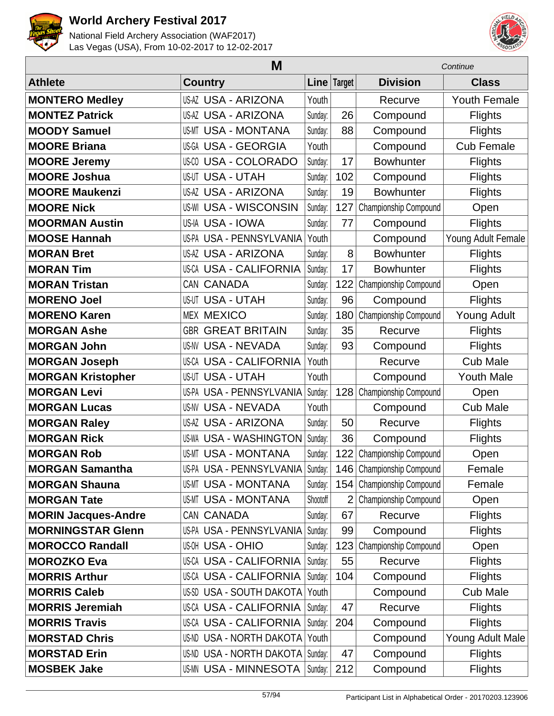



|                            | Continue                           |          |                |                           |                     |
|----------------------------|------------------------------------|----------|----------------|---------------------------|---------------------|
| <b>Athlete</b>             | <b>Country</b>                     | Line     | Target         | <b>Division</b>           | <b>Class</b>        |
| <b>MONTERO Medley</b>      | <b>US-AZ USA - ARIZONA</b>         | Youth    |                | Recurve                   | <b>Youth Female</b> |
| <b>MONTEZ Patrick</b>      | <b>US-AZ USA - ARIZONA</b>         | Sunday:  | 26             | Compound                  | <b>Flights</b>      |
| <b>MOODY Samuel</b>        | <b>US-MT USA - MONTANA</b>         | Sunday:  | 88             | Compound                  | <b>Flights</b>      |
| <b>MOORE Briana</b>        | US-GA USA - GEORGIA                | Youth    |                | Compound                  | <b>Cub Female</b>   |
| <b>MOORE Jeremy</b>        | <b>US-CO USA - COLORADO</b>        | Sunday:  | 17             | <b>Bowhunter</b>          | <b>Flights</b>      |
| <b>MOORE Joshua</b>        | <b>US-UT USA - UTAH</b>            | Sunday:  | 102            | Compound                  | <b>Flights</b>      |
| <b>MOORE Maukenzi</b>      | <b>US-AZ USA - ARIZONA</b>         | Sunday:  | 19             | <b>Bowhunter</b>          | <b>Flights</b>      |
| <b>MOORE Nick</b>          | <b>US-WI USA - WISCONSIN</b>       | Sunday:  | 127            | Championship Compound     | Open                |
| <b>MOORMAN Austin</b>      | US-IA USA - IOWA                   | Sunday:  | 77             | Compound                  | <b>Flights</b>      |
| <b>MOOSE Hannah</b>        | US-PA USA - PENNSYLVANIA           | Youth    |                | Compound                  | Young Adult Female  |
| <b>MORAN Bret</b>          | <b>US-AZ USA - ARIZONA</b>         | Sunday:  | 8              | <b>Bowhunter</b>          | <b>Flights</b>      |
| <b>MORAN Tim</b>           | <b>US-CA USA - CALIFORNIA</b>      | Sunday:  | 17             | <b>Bowhunter</b>          | <b>Flights</b>      |
| <b>MORAN Tristan</b>       | CAN CANADA                         | Sunday:  | 122            | Championship Compound     | Open                |
| <b>MORENO Joel</b>         | <b>US-UT USA - UTAH</b>            | Sunday:  | 96             | Compound                  | <b>Flights</b>      |
| <b>MORENO Karen</b>        | <b>MEX MEXICO</b>                  | Sunday:  | 180            | Championship Compound     | <b>Young Adult</b>  |
| <b>MORGAN Ashe</b>         | <b>GREAT BRITAIN</b><br><b>GBR</b> | Sunday:  | 35             | Recurve                   | <b>Flights</b>      |
| <b>MORGAN John</b>         | <b>US-NV USA - NEVADA</b>          | Sunday:  | 93             | Compound                  | <b>Flights</b>      |
| <b>MORGAN Joseph</b>       | <b>US-CA USA - CALIFORNIA</b>      | Youth    |                | Recurve                   | <b>Cub Male</b>     |
| <b>MORGAN Kristopher</b>   | <b>USA - UTAH</b><br>US-UT         | Youth    |                | Compound                  | <b>Youth Male</b>   |
| <b>MORGAN Levi</b>         | US-PA USA - PENNSYLVANIA           | Sunday:  | 128            | Championship Compound     | Open                |
| <b>MORGAN Lucas</b>        | <b>US-NV USA - NEVADA</b>          | Youth    |                | Compound                  | <b>Cub Male</b>     |
| <b>MORGAN Raley</b>        | US-AZ USA - ARIZONA                | Sunday:  | 50             | Recurve                   | <b>Flights</b>      |
| <b>MORGAN Rick</b>         | <b>US-WA USA - WASHINGTON</b>      | Sunday:  | 36             | Compound                  | <b>Flights</b>      |
| <b>MORGAN Rob</b>          | <b>US-MT USA - MONTANA</b>         | Sunday:  | 122            | Championship Compound     | Open                |
| <b>MORGAN Samantha</b>     | US-PA USA - PENNSYLVANIA           | Sunday:  |                | 146 Championship Compound | Female              |
| <b>MORGAN Shauna</b>       | <b>US-MT USA - MONTANA</b>         | Sunday:  |                | 154 Championship Compound | Female              |
| <b>MORGAN Tate</b>         | <b>US-MT USA - MONTANA</b>         | Shootoff | $\overline{2}$ | Championship Compound     | Open                |
| <b>MORIN Jacques-Andre</b> | CAN CANADA                         | Sunday:  | 67             | Recurve                   | <b>Flights</b>      |
| <b>MORNINGSTAR Glenn</b>   | US-PA USA - PENNSYLVANIA           | Sunday:  | 99             | Compound                  | <b>Flights</b>      |
| <b>MOROCCO Randall</b>     | <b>US-OH USA - OHIO</b>            | Sunday:  | 123            | Championship Compound     | Open                |
| <b>MOROZKO Eva</b>         | <b>US-CA USA - CALIFORNIA</b>      | Sunday:  | 55             | Recurve                   | <b>Flights</b>      |
| <b>MORRIS Arthur</b>       | US-CA USA - CALIFORNIA             | Sunday:  | 104            | Compound                  | <b>Flights</b>      |
| <b>MORRIS Caleb</b>        | US-SD USA - SOUTH DAKOTA           | Youth    |                | Compound                  | <b>Cub Male</b>     |
| <b>MORRIS Jeremiah</b>     | US-CA USA - CALIFORNIA             | Sunday:  | 47             | Recurve                   | <b>Flights</b>      |
| <b>MORRIS Travis</b>       | US-CA USA - CALIFORNIA             | Sunday:  | 204            | Compound                  | <b>Flights</b>      |
| <b>MORSTAD Chris</b>       | <b>US-ND USA - NORTH DAKOTA</b>    | Youth    |                | Compound                  | Young Adult Male    |
| <b>MORSTAD Erin</b>        | US-ND USA - NORTH DAKOTA           | Sunday:  | 47             | Compound                  | <b>Flights</b>      |
| <b>MOSBEK Jake</b>         | <b>US-MN USA - MINNESOTA</b>       | Sunday:  | 212            | Compound                  | <b>Flights</b>      |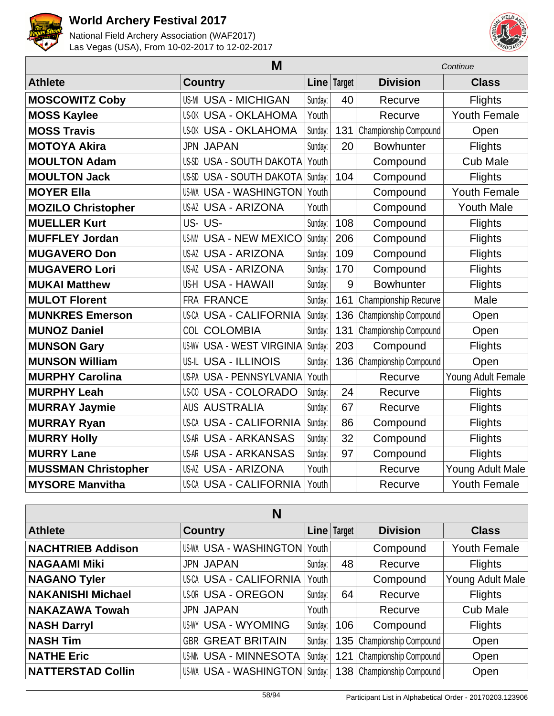



| M                          |                                  |         | Continue      |                       |                     |
|----------------------------|----------------------------------|---------|---------------|-----------------------|---------------------|
| <b>Athlete</b>             | <b>Country</b>                   | Line    | <b>Target</b> | <b>Division</b>       | <b>Class</b>        |
| <b>MOSCOWITZ Coby</b>      | <b>US-MI USA - MICHIGAN</b>      | Sunday: | 40            | Recurve               | <b>Flights</b>      |
| <b>MOSS Kaylee</b>         | <b>US-OK USA - OKLAHOMA</b>      | Youth   |               | Recurve               | <b>Youth Female</b> |
| <b>MOSS Travis</b>         | <b>US-OK USA - OKLAHOMA</b>      | Sunday: | 131           | Championship Compound | Open                |
| <b>MOTOYA Akira</b>        | <b>JPN JAPAN</b>                 | Sunday: | 20            | <b>Bowhunter</b>      | <b>Flights</b>      |
| <b>MOULTON Adam</b>        | <b>US-SD USA - SOUTH DAKOTA</b>  | Youth   |               | Compound              | <b>Cub Male</b>     |
| <b>MOULTON Jack</b>        | <b>US-SD USA - SOUTH DAKOTA</b>  | Sunday: | 104           | Compound              | <b>Flights</b>      |
| <b>MOYER Ella</b>          | <b>US-WA USA - WASHINGTON</b>    | Youth   |               | Compound              | <b>Youth Female</b> |
| <b>MOZILO Christopher</b>  | <b>US-AZ USA - ARIZONA</b>       | Youth   |               | Compound              | <b>Youth Male</b>   |
| <b>MUELLER Kurt</b>        | US-US-                           | Sunday: | 108           | Compound              | <b>Flights</b>      |
| <b>MUFFLEY Jordan</b>      | <b>US-NM USA - NEW MEXICO</b>    | Sunday: | 206           | Compound              | <b>Flights</b>      |
| <b>MUGAVERO Don</b>        | <b>US-AZ USA - ARIZONA</b>       | Sunday: | 109           | Compound              | <b>Flights</b>      |
| <b>MUGAVERO Lori</b>       | <b>US-AZ USA - ARIZONA</b>       | Sunday: | 170           | Compound              | <b>Flights</b>      |
| <b>MUKAI Matthew</b>       | US-HI USA - HAWAII               | Sunday: | 9             | <b>Bowhunter</b>      | <b>Flights</b>      |
| <b>MULOT Florent</b>       | FRA FRANCE                       | Sunday: | 161           | Championship Recurve  | Male                |
| <b>MUNKRES Emerson</b>     | US-CA USA - CALIFORNIA           | Sunday: | 136           | Championship Compound | Open                |
| <b>MUNOZ Daniel</b>        | COL COLOMBIA                     | Sunday: | 131           | Championship Compound | Open                |
| <b>MUNSON Gary</b>         | <b>US-WV USA - WEST VIRGINIA</b> | Sunday: | 203           | Compound              | <b>Flights</b>      |
| <b>MUNSON William</b>      | US-IL USA - ILLINOIS             | Sunday: | 136           | Championship Compound | Open                |
| <b>MURPHY Carolina</b>     | US-PA USA - PENNSYLVANIA         | Youth   |               | Recurve               | Young Adult Female  |
| <b>MURPHY Leah</b>         | US-CO USA - COLORADO             | Sunday: | 24            | Recurve               | <b>Flights</b>      |
| <b>MURRAY Jaymie</b>       | <b>AUS AUSTRALIA</b>             | Sunday: | 67            | Recurve               | <b>Flights</b>      |
| <b>MURRAY Ryan</b>         | <b>US-CA USA - CALIFORNIA</b>    | Sunday: | 86            | Compound              | <b>Flights</b>      |
| <b>MURRY Holly</b>         | <b>US-AR USA - ARKANSAS</b>      | Sunday: | 32            | Compound              | <b>Flights</b>      |
| <b>MURRY Lane</b>          | <b>US-AR USA - ARKANSAS</b>      | Sunday: | 97            | Compound              | <b>Flights</b>      |
| <b>MUSSMAN Christopher</b> | <b>US-AZ USA - ARIZONA</b>       | Youth   |               | Recurve               | Young Adult Male    |
| <b>MYSORE Manvitha</b>     | <b>US-CA USA - CALIFORNIA</b>    | Youth   |               | Recurve               | <b>Youth Female</b> |

| N                        |                                  |         |               |                             |                     |  |  |
|--------------------------|----------------------------------|---------|---------------|-----------------------------|---------------------|--|--|
| <b>Athlete</b>           | <b>Country</b>                   |         | Line   Target | <b>Division</b>             | <b>Class</b>        |  |  |
| <b>NACHTRIEB Addison</b> | US-WA USA - WASHINGTON Youth     |         |               | Compound                    | <b>Youth Female</b> |  |  |
| <b>NAGAAMI Miki</b>      | <b>JPN JAPAN</b>                 | Sunday: | 48            | Recurve                     | <b>Flights</b>      |  |  |
| <b>NAGANO Tyler</b>      | <b>US-CA USA - CALIFORNIA</b>    | Youth   |               | Compound                    | Young Adult Male    |  |  |
| <b>NAKANISHI Michael</b> | <b>US-OR USA - OREGON</b>        | Sunday: | 64            | Recurve                     | <b>Flights</b>      |  |  |
| <b>NAKAZAWA Towah</b>    | <b>JPN JAPAN</b>                 | Youth   |               | Recurve                     | <b>Cub Male</b>     |  |  |
| <b>NASH Darryl</b>       | <b>US-WY USA - WYOMING</b>       | Sunday: | 106           | Compound                    | <b>Flights</b>      |  |  |
| <b>NASH Tim</b>          | <b>GBR GREAT BRITAIN</b>         | Sunday: |               | 135   Championship Compound | Open                |  |  |
| <b>NATHE Eric</b>        | <b>US-MN USA - MINNESOTA</b>     | Sunday: |               | 121   Championship Compound | Open                |  |  |
| <b>NATTERSTAD Collin</b> | US-WA USA - WASHINGTON   Sunday: |         |               | 138   Championship Compound | Open                |  |  |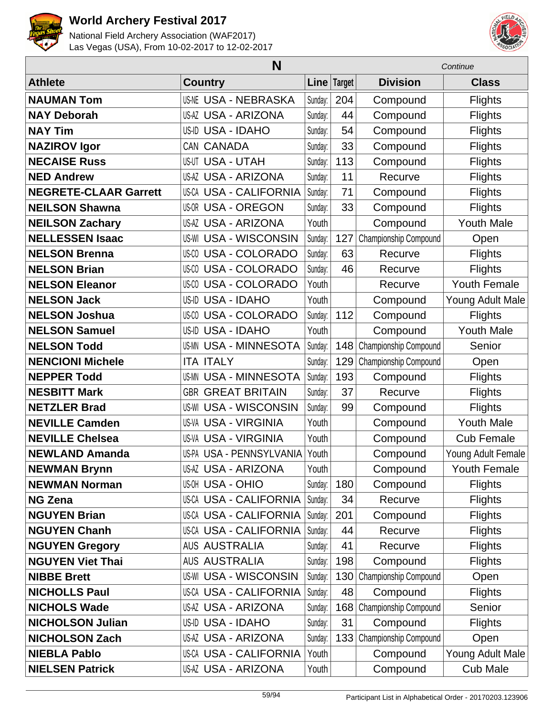



| N                            |                               |               |     | Continue              |                     |
|------------------------------|-------------------------------|---------------|-----|-----------------------|---------------------|
| <b>Athlete</b>               | <b>Country</b>                | Line   Target |     | <b>Division</b>       | <b>Class</b>        |
| <b>NAUMAN Tom</b>            | <b>US-NE USA - NEBRASKA</b>   | Sunday:       | 204 | Compound              | <b>Flights</b>      |
| <b>NAY Deborah</b>           | <b>US-AZ USA - ARIZONA</b>    | Sunday:       | 44  | Compound              | <b>Flights</b>      |
| <b>NAY Tim</b>               | US-ID USA - IDAHO             | Sunday:       | 54  | Compound              | <b>Flights</b>      |
| <b>NAZIROV Igor</b>          | CAN CANADA                    | Sunday:       | 33  | Compound              | <b>Flights</b>      |
| <b>NECAISE Russ</b>          | <b>US-UT USA - UTAH</b>       | Sunday:       | 113 | Compound              | <b>Flights</b>      |
| <b>NED Andrew</b>            | <b>US-AZ USA - ARIZONA</b>    | Sunday:       | 11  | Recurve               | <b>Flights</b>      |
| <b>NEGRETE-CLAAR Garrett</b> | <b>US-CA USA - CALIFORNIA</b> | Sunday:       | 71  | Compound              | <b>Flights</b>      |
| <b>NEILSON Shawna</b>        | <b>US-OR USA - OREGON</b>     | Sunday:       | 33  | Compound              | <b>Flights</b>      |
| <b>NEILSON Zachary</b>       | <b>US-AZ USA - ARIZONA</b>    | Youth         |     | Compound              | <b>Youth Male</b>   |
| <b>NELLESSEN Isaac</b>       | <b>US-WI USA - WISCONSIN</b>  | Sunday:       | 127 | Championship Compound | Open                |
| <b>NELSON Brenna</b>         | <b>US-CO USA - COLORADO</b>   | Sunday:       | 63  | Recurve               | <b>Flights</b>      |
| <b>NELSON Brian</b>          | <b>US-CO USA - COLORADO</b>   | Sunday:       | 46  | Recurve               | <b>Flights</b>      |
| <b>NELSON Eleanor</b>        | <b>US-CO USA - COLORADO</b>   | Youth         |     | Recurve               | <b>Youth Female</b> |
| <b>NELSON Jack</b>           | <b>US-ID USA - IDAHO</b>      | Youth         |     | Compound              | Young Adult Male    |
| <b>NELSON Joshua</b>         | US-CO USA - COLORADO          | Sunday:       | 112 | Compound              | <b>Flights</b>      |
| <b>NELSON Samuel</b>         | <b>US-ID USA - IDAHO</b>      | Youth         |     | Compound              | <b>Youth Male</b>   |
| <b>NELSON Todd</b>           | <b>US-MN USA - MINNESOTA</b>  | Sunday:       | 148 | Championship Compound | Senior              |
| <b>NENCIONI Michele</b>      | <b>ITA ITALY</b>              | Sunday:       | 129 | Championship Compound | Open                |
| <b>NEPPER Todd</b>           | <b>US-MN USA - MINNESOTA</b>  | Sunday:       | 193 | Compound              | <b>Flights</b>      |
| <b>NESBITT Mark</b>          | <b>GBR GREAT BRITAIN</b>      | Sunday:       | 37  | Recurve               | <b>Flights</b>      |
| <b>NETZLER Brad</b>          | <b>US-WI USA - WISCONSIN</b>  | Sunday:       | 99  | Compound              | <b>Flights</b>      |
| <b>NEVILLE Camden</b>        | <b>US-VA USA - VIRGINIA</b>   | Youth         |     | Compound              | <b>Youth Male</b>   |
| <b>NEVILLE Chelsea</b>       | <b>US-VA USA - VIRGINIA</b>   | Youth         |     | Compound              | <b>Cub Female</b>   |
| <b>NEWLAND Amanda</b>        | US-PA USA - PENNSYLVANIA      | Youth         |     | Compound              | Young Adult Female  |
| <b>NEWMAN Brynn</b>          | US-AZ USA - ARIZONA           | Youth         |     | Compound              | Youth Female        |
| <b>NEWMAN Norman</b>         | <b>US-OH USA - OHIO</b>       | Sunday:       | 180 | Compound              | <b>Flights</b>      |
| <b>NG Zena</b>               | <b>US-CA USA - CALIFORNIA</b> | Sunday:       | 34  | Recurve               | <b>Flights</b>      |
| <b>NGUYEN Brian</b>          | <b>US-CA USA - CALIFORNIA</b> | Sunday:       | 201 | Compound              | <b>Flights</b>      |
| <b>NGUYEN Chanh</b>          | <b>US-CA USA - CALIFORNIA</b> | Sunday:       | 44  | Recurve               | <b>Flights</b>      |
| <b>NGUYEN Gregory</b>        | <b>AUS AUSTRALIA</b>          | Sunday:       | 41  | Recurve               | <b>Flights</b>      |
| <b>NGUYEN Viet Thai</b>      | <b>AUS AUSTRALIA</b>          | Sunday:       | 198 | Compound              | <b>Flights</b>      |
| <b>NIBBE Brett</b>           | <b>US-WI USA - WISCONSIN</b>  | Sunday:       | 130 | Championship Compound | Open                |
| <b>NICHOLLS Paul</b>         | <b>US-CA USA - CALIFORNIA</b> | Sunday:       | 48  | Compound              | <b>Flights</b>      |
| <b>NICHOLS Wade</b>          | <b>US-AZ USA - ARIZONA</b>    | Sunday:       | 168 | Championship Compound | Senior              |
| <b>NICHOLSON Julian</b>      | US-ID USA - IDAHO             | Sunday:       | 31  | Compound              | <b>Flights</b>      |
| <b>NICHOLSON Zach</b>        | <b>US-AZ USA - ARIZONA</b>    | Sunday:       | 133 | Championship Compound | Open                |
| <b>NIEBLA Pablo</b>          | <b>US-CA USA - CALIFORNIA</b> | Youth         |     | Compound              | Young Adult Male    |
| <b>NIELSEN Patrick</b>       | <b>US-AZ USA - ARIZONA</b>    | Youth         |     | Compound              | <b>Cub Male</b>     |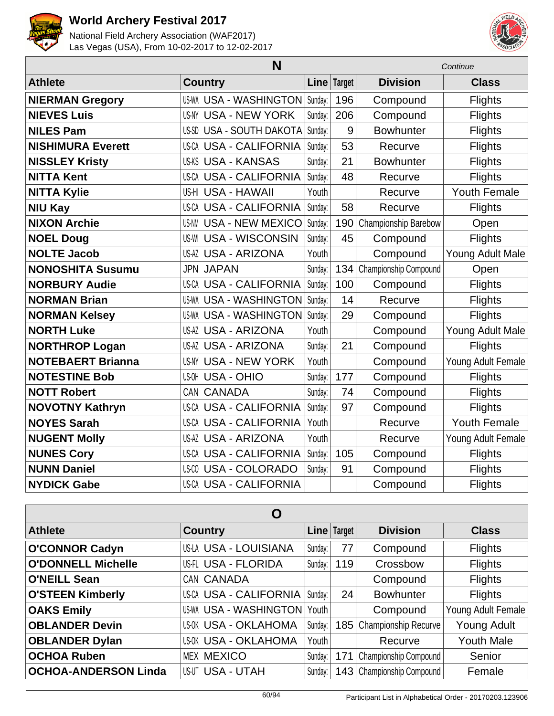



|                          | Continue                        |         |             |                       |                     |
|--------------------------|---------------------------------|---------|-------------|-----------------------|---------------------|
| <b>Athlete</b>           | <b>Country</b>                  |         | Line Target | <b>Division</b>       | <b>Class</b>        |
| <b>NIERMAN Gregory</b>   | US-WA USA - WASHINGTON          | Sunday: | 196         | Compound              | <b>Flights</b>      |
| <b>NIEVES Luis</b>       | <b>US-NY USA - NEW YORK</b>     | Sunday: | 206         | Compound              | <b>Flights</b>      |
| <b>NILES Pam</b>         | <b>US-SD USA - SOUTH DAKOTA</b> | Sunday: | 9           | <b>Bowhunter</b>      | Flights             |
| <b>NISHIMURA Everett</b> | <b>US-CA USA - CALIFORNIA</b>   | Sunday: | 53          | Recurve               | <b>Flights</b>      |
| <b>NISSLEY Kristy</b>    | <b>US-KS USA - KANSAS</b>       | Sunday: | 21          | <b>Bowhunter</b>      | <b>Flights</b>      |
| <b>NITTA Kent</b>        | <b>US-CA USA - CALIFORNIA</b>   | Sunday: | 48          | Recurve               | <b>Flights</b>      |
| <b>NITTA Kylie</b>       | US-HI USA - HAWAII              | Youth   |             | Recurve               | <b>Youth Female</b> |
| <b>NIU Kay</b>           | <b>US-CA USA - CALIFORNIA</b>   | Sunday: | 58          | Recurve               | <b>Flights</b>      |
| <b>NIXON Archie</b>      | <b>US-NM USA - NEW MEXICO</b>   | Sunday: | 190         | Championship Barebow  | Open                |
| <b>NOEL Doug</b>         | <b>US-WI USA - WISCONSIN</b>    | Sunday: | 45          | Compound              | <b>Flights</b>      |
| <b>NOLTE Jacob</b>       | <b>US-AZ USA - ARIZONA</b>      | Youth   |             | Compound              | Young Adult Male    |
| <b>NONOSHITA Susumu</b>  | <b>JPN JAPAN</b>                | Sunday: | 134         | Championship Compound | Open                |
| <b>NORBURY Audie</b>     | <b>US-CA USA - CALIFORNIA</b>   | Sunday: | 100         | Compound              | <b>Flights</b>      |
| <b>NORMAN Brian</b>      | <b>US-WA USA - WASHINGTON</b>   | Sunday: | 14          | Recurve               | <b>Flights</b>      |
| <b>NORMAN Kelsey</b>     | <b>US-WA USA - WASHINGTON</b>   | Sunday: | 29          | Compound              | <b>Flights</b>      |
| <b>NORTH Luke</b>        | <b>US-AZ USA - ARIZONA</b>      | Youth   |             | Compound              | Young Adult Male    |
| <b>NORTHROP Logan</b>    | <b>US-AZ USA - ARIZONA</b>      | Sunday: | 21          | Compound              | <b>Flights</b>      |
| <b>NOTEBAERT Brianna</b> | <b>US-NY USA - NEW YORK</b>     | Youth   |             | Compound              | Young Adult Female  |
| <b>NOTESTINE Bob</b>     | <b>US-OH USA - OHIO</b>         | Sunday: | 177         | Compound              | <b>Flights</b>      |
| <b>NOTT Robert</b>       | CAN CANADA                      | Sunday: | 74          | Compound              | <b>Flights</b>      |
| <b>NOVOTNY Kathryn</b>   | <b>US-CA USA - CALIFORNIA</b>   | Sunday: | 97          | Compound              | <b>Flights</b>      |
| <b>NOYES Sarah</b>       | <b>US-CA USA - CALIFORNIA</b>   | Youth   |             | Recurve               | <b>Youth Female</b> |
| <b>NUGENT Molly</b>      | <b>US-AZ USA - ARIZONA</b>      | Youth   |             | Recurve               | Young Adult Female  |
| <b>NUNES Cory</b>        | <b>US-CA USA - CALIFORNIA</b>   | Sunday: | 105         | Compound              | <b>Flights</b>      |
| <b>NUNN Daniel</b>       | <b>US-CO USA - COLORADO</b>     | Sunday: | 91          | Compound              | <b>Flights</b>      |
| <b>NYDICK Gabe</b>       | <b>US-CA USA - CALIFORNIA</b>   |         |             | Compound              | <b>Flights</b>      |

| Ő                           |                               |         |             |                           |                    |  |  |
|-----------------------------|-------------------------------|---------|-------------|---------------------------|--------------------|--|--|
| <b>Athlete</b>              | <b>Country</b>                |         | Line Target | <b>Division</b>           | <b>Class</b>       |  |  |
| <b>O'CONNOR Cadyn</b>       | <b>US-LA USA - LOUISIANA</b>  | Sunday: | 77          | Compound                  | <b>Flights</b>     |  |  |
| <b>O'DONNELL Michelle</b>   | US-FL USA - FLORIDA           | Sunday: | 119         | Crossbow                  | <b>Flights</b>     |  |  |
| <b>O'NEILL Sean</b>         | CAN CANADA                    |         |             | Compound                  | <b>Flights</b>     |  |  |
| <b>O'STEEN Kimberly</b>     | <b>US-CA USA - CALIFORNIA</b> | Sunday: | 24          | <b>Bowhunter</b>          | <b>Flights</b>     |  |  |
| <b>OAKS Emily</b>           | US-WA USA - WASHINGTON Youth  |         |             | Compound                  | Young Adult Female |  |  |
| <b>OBLANDER Devin</b>       | <b>US-OK USA - OKLAHOMA</b>   | Sunday: |             | 185 Championship Recurve  | <b>Young Adult</b> |  |  |
| <b>OBLANDER Dylan</b>       | <b>US-OK USA - OKLAHOMA</b>   | Youth   |             | Recurve                   | <b>Youth Male</b>  |  |  |
| <b>OCHOA Ruben</b>          | <b>MEX MEXICO</b>             | Sunday: | 171         | Championship Compound     | Senior             |  |  |
| <b>OCHOA-ANDERSON Linda</b> | <b>US-UT USA - UTAH</b>       | Sunday: |             | 143 Championship Compound | Female             |  |  |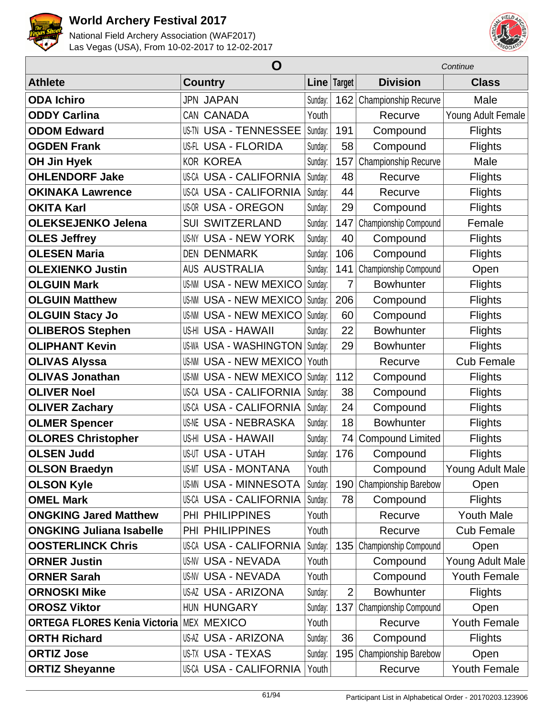



|                                     | O                             |         |                | Continue                |                    |  |
|-------------------------------------|-------------------------------|---------|----------------|-------------------------|--------------------|--|
| <b>Athlete</b>                      | <b>Country</b>                |         | Line Target    | <b>Division</b>         | <b>Class</b>       |  |
| <b>ODA Ichiro</b>                   | <b>JPN JAPAN</b>              | Sunday: | 162            | Championship Recurve    | Male               |  |
| <b>ODDY Carlina</b>                 | CAN CANADA                    | Youth   |                | Recurve                 | Young Adult Female |  |
| <b>ODOM Edward</b>                  | <b>US-TN USA - TENNESSEE</b>  | Sunday: | 191            | Compound                | <b>Flights</b>     |  |
| <b>OGDEN Frank</b>                  | <b>US-FL USA - FLORIDA</b>    | Sunday: | 58             | Compound                | <b>Flights</b>     |  |
| <b>OH Jin Hyek</b>                  | <b>KOR KOREA</b>              | Sunday: | 157            | Championship Recurve    | Male               |  |
| <b>OHLENDORF Jake</b>               | <b>US-CA USA - CALIFORNIA</b> | Sunday: | 48             | Recurve                 | <b>Flights</b>     |  |
| <b>OKINAKA Lawrence</b>             | <b>US-CA USA - CALIFORNIA</b> | Sunday: | 44             | Recurve                 | <b>Flights</b>     |  |
| <b>OKITA Karl</b>                   | <b>US-OR USA - OREGON</b>     | Sunday: | 29             | Compound                | <b>Flights</b>     |  |
| <b>OLEKSEJENKO Jelena</b>           | <b>SUI SWITZERLAND</b>        | Sunday: | 147            | Championship Compound   | Female             |  |
| <b>OLES Jeffrey</b>                 | <b>US-NY USA - NEW YORK</b>   | Sunday: | 40             | Compound                | <b>Flights</b>     |  |
| <b>OLESEN Maria</b>                 | <b>DEN DENMARK</b>            | Sunday: | 106            | Compound                | <b>Flights</b>     |  |
| <b>OLEXIENKO Justin</b>             | <b>AUS AUSTRALIA</b>          | Sunday: | 141            | Championship Compound   | Open               |  |
| <b>OLGUIN Mark</b>                  | <b>US-NM USA - NEW MEXICO</b> | Sunday: | 7              | <b>Bowhunter</b>        | <b>Flights</b>     |  |
| <b>OLGUIN Matthew</b>               | <b>US-NM USA - NEW MEXICO</b> | Sunday: | 206            | Compound                | <b>Flights</b>     |  |
| <b>OLGUIN Stacy Jo</b>              | <b>US-NM USA - NEW MEXICO</b> | Sunday: | 60             | Compound                | <b>Flights</b>     |  |
| <b>OLIBEROS Stephen</b>             | US-HI USA - HAWAII            | Sunday: | 22             | <b>Bowhunter</b>        | <b>Flights</b>     |  |
| <b>OLIPHANT Kevin</b>               | <b>US-WA USA - WASHINGTON</b> | Sunday: | 29             | <b>Bowhunter</b>        | <b>Flights</b>     |  |
| <b>OLIVAS Alyssa</b>                | <b>US-NM USA - NEW MEXICO</b> | Youth   |                | Recurve                 | <b>Cub Female</b>  |  |
| <b>OLIVAS Jonathan</b>              | <b>US-NM USA - NEW MEXICO</b> | Sunday: | 112            | Compound                | <b>Flights</b>     |  |
| <b>OLIVER Noel</b>                  | US-CA USA - CALIFORNIA        | Sunday: | 38             | Compound                | <b>Flights</b>     |  |
| <b>OLIVER Zachary</b>               | <b>US-CA USA - CALIFORNIA</b> | Sunday: | 24             | Compound                | <b>Flights</b>     |  |
| <b>OLMER Spencer</b>                | <b>US-NE USA - NEBRASKA</b>   | Sunday: | 18             | <b>Bowhunter</b>        | <b>Flights</b>     |  |
| <b>OLORES Christopher</b>           | US-HI USA - HAWAII            | Sunday: | 74             | <b>Compound Limited</b> | <b>Flights</b>     |  |
| <b>OLSEN Judd</b>                   | <b>US-UT USA - UTAH</b>       | Sunday: | 176            | Compound                | <b>Flights</b>     |  |
| <b>OLSON Braedyn</b>                | US-MT USA - MONTANA           | Youth   |                | Compound                | Young Adult Male   |  |
| <b>OLSON Kyle</b>                   | <b>US-MN USA - MINNESOTA</b>  | Sunday: | 190            | Championship Barebow    | Open               |  |
| <b>OMEL Mark</b>                    | <b>US-CA USA - CALIFORNIA</b> | Sunday: | 78             | Compound                | <b>Flights</b>     |  |
| <b>ONGKING Jared Matthew</b>        | PHI PHILIPPINES               | Youth   |                | Recurve                 | <b>Youth Male</b>  |  |
| <b>ONGKING Juliana Isabelle</b>     | PHI PHILIPPINES               | Youth   |                | Recurve                 | <b>Cub Female</b>  |  |
| <b>OOSTERLINCK Chris</b>            | <b>US-CA USA - CALIFORNIA</b> | Sunday: | 135            | Championship Compound   | Open               |  |
| <b>ORNER Justin</b>                 | <b>US-NV USA - NEVADA</b>     | Youth   |                | Compound                | Young Adult Male   |  |
| <b>ORNER Sarah</b>                  | <b>US-NV USA - NEVADA</b>     | Youth   |                | Compound                | Youth Female       |  |
| <b>ORNOSKI Mike</b>                 | <b>US-AZ USA - ARIZONA</b>    | Sunday: | $\overline{2}$ | <b>Bowhunter</b>        | <b>Flights</b>     |  |
| <b>OROSZ Viktor</b>                 | HUN HUNGARY                   | Sunday: | 137            | Championship Compound   | Open               |  |
| <b>ORTEGA FLORES Kenia Victoria</b> | <b>MEX MEXICO</b>             | Youth   |                | Recurve                 | Youth Female       |  |
| <b>ORTH Richard</b>                 | <b>US-AZ USA - ARIZONA</b>    | Sunday: | 36             | Compound                | <b>Flights</b>     |  |
| <b>ORTIZ Jose</b>                   | <b>US-TX USA - TEXAS</b>      | Sunday: | 195            | Championship Barebow    | Open               |  |
| <b>ORTIZ Sheyanne</b>               | <b>US-CA USA - CALIFORNIA</b> | Youth   |                | Recurve                 | Youth Female       |  |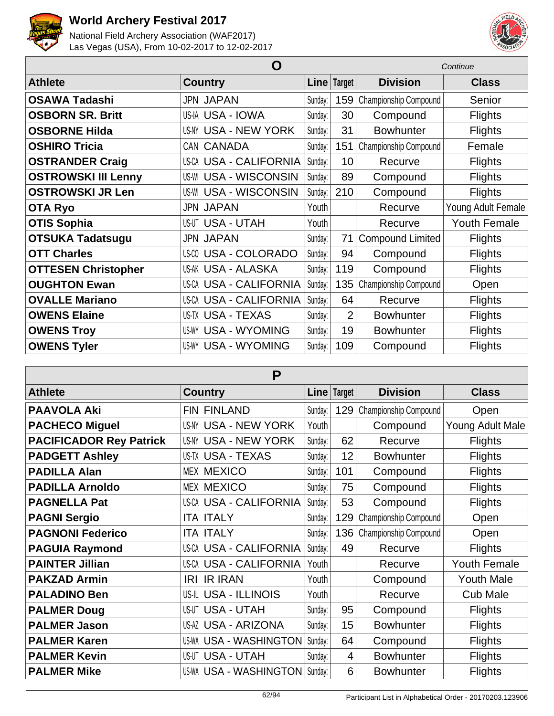



|                            | Continue                      |         |                |                         |                     |
|----------------------------|-------------------------------|---------|----------------|-------------------------|---------------------|
| <b>Athlete</b>             | <b>Country</b>                | Line    | Target         | <b>Division</b>         | <b>Class</b>        |
| <b>OSAWA Tadashi</b>       | <b>JPN JAPAN</b>              | Sunday: | 159            | Championship Compound   | Senior              |
| <b>OSBORN SR. Britt</b>    | US-IA USA - IOWA              | Sunday: | 30             | Compound                | <b>Flights</b>      |
| <b>OSBORNE Hilda</b>       | <b>US-NY USA - NEW YORK</b>   | Sunday: | 31             | <b>Bowhunter</b>        | <b>Flights</b>      |
| <b>OSHIRO Tricia</b>       | CAN CANADA                    | Sunday: | 151            | Championship Compound   | Female              |
| <b>OSTRANDER Craig</b>     | <b>US-CA USA - CALIFORNIA</b> | Sunday: | 10             | Recurve                 | <b>Flights</b>      |
| <b>OSTROWSKI III Lenny</b> | <b>US-WI USA - WISCONSIN</b>  | Sunday: | 89             | Compound                | <b>Flights</b>      |
| <b>OSTROWSKI JR Len</b>    | <b>US-WI USA - WISCONSIN</b>  | Sunday: | 210            | Compound                | <b>Flights</b>      |
| <b>OTA Ryo</b>             | <b>JPN JAPAN</b>              | Youth   |                | Recurve                 | Young Adult Female  |
| <b>OTIS Sophia</b>         | <b>US-UT USA - UTAH</b>       | Youth   |                | Recurve                 | <b>Youth Female</b> |
| <b>OTSUKA Tadatsugu</b>    | <b>JPN JAPAN</b>              | Sunday: | 71             | <b>Compound Limited</b> | <b>Flights</b>      |
| <b>OTT Charles</b>         | US-00 USA - COLORADO          | Sunday: | 94             | Compound                | <b>Flights</b>      |
| <b>OTTESEN Christopher</b> | US-AK USA - ALASKA            | Sunday: | 119            | Compound                | <b>Flights</b>      |
| <b>OUGHTON Ewan</b>        | <b>US-CA USA - CALIFORNIA</b> | Sunday: | 135            | Championship Compound   | Open                |
| <b>OVALLE Mariano</b>      | <b>US-CA USA - CALIFORNIA</b> | Sunday: | 64             | Recurve                 | Flights             |
| <b>OWENS Elaine</b>        | US-TX USA - TEXAS             | Sunday: | $\overline{2}$ | <b>Bowhunter</b>        | <b>Flights</b>      |
| <b>OWENS Troy</b>          | <b>US-WY USA - WYOMING</b>    | Sunday: | 19             | <b>Bowhunter</b>        | <b>Flights</b>      |
| <b>OWENS Tyler</b>         | <b>US-WY USA - WYOMING</b>    | Sunday: | 109            | Compound                | <b>Flights</b>      |

| P                              |                                |         |        |                           |                     |  |  |
|--------------------------------|--------------------------------|---------|--------|---------------------------|---------------------|--|--|
| <b>Athlete</b>                 | <b>Country</b>                 | Line    | Target | <b>Division</b>           | <b>Class</b>        |  |  |
| <b>PAAVOLA Aki</b>             | <b>FIN FINLAND</b>             | Sunday: | 129    | Championship Compound     | Open                |  |  |
| <b>PACHECO Miguel</b>          | <b>USA - NEW YORK</b><br>US-NY | Youth   |        | Compound                  | Young Adult Male    |  |  |
| <b>PACIFICADOR Rey Patrick</b> | <b>USA - NEW YORK</b><br>US-NY | Sunday: | 62     | Recurve                   | <b>Flights</b>      |  |  |
| <b>PADGETT Ashley</b>          | <b>US-TX USA - TEXAS</b>       | Sunday: | 12     | <b>Bowhunter</b>          | <b>Flights</b>      |  |  |
| <b>PADILLA Alan</b>            | <b>MEX MEXICO</b>              | Sunday: | 101    | Compound                  | <b>Flights</b>      |  |  |
| <b>PADILLA Arnoldo</b>         | <b>MEX MEXICO</b>              | Sunday: | 75     | Compound                  | <b>Flights</b>      |  |  |
| <b>PAGNELLA Pat</b>            | <b>US-CA USA - CALIFORNIA</b>  | Sunday: | 53     | Compound                  | <b>Flights</b>      |  |  |
| <b>PAGNI Sergio</b>            | <b>ITA ITALY</b>               | Sunday: | 129    | Championship Compound     | Open                |  |  |
| <b>PAGNONI Federico</b>        | <b>ITA ITALY</b>               | Sunday: |        | 136 Championship Compound | Open                |  |  |
| <b>PAGUIA Raymond</b>          | US-CA USA - CALIFORNIA         | Sunday: | 49     | Recurve                   | <b>Flights</b>      |  |  |
| <b>PAINTER Jillian</b>         | <b>US-CA USA - CALIFORNIA</b>  | Youth   |        | Recurve                   | <b>Youth Female</b> |  |  |
| <b>PAKZAD Armin</b>            | <b>IR IRAN</b><br>IRI          | Youth   |        | Compound                  | <b>Youth Male</b>   |  |  |
| <b>PALADINO Ben</b>            | <b>US-IL USA - ILLINOIS</b>    | Youth   |        | Recurve                   | <b>Cub Male</b>     |  |  |
| <b>PALMER Doug</b>             | <b>US-UT USA - UTAH</b>        | Sunday: | 95     | Compound                  | <b>Flights</b>      |  |  |
| <b>PALMER Jason</b>            | <b>US-AZ USA - ARIZONA</b>     | Sunday: | 15     | <b>Bowhunter</b>          | <b>Flights</b>      |  |  |
| <b>PALMER Karen</b>            | <b>US-WA USA - WASHINGTON</b>  | Sunday: | 64     | Compound                  | <b>Flights</b>      |  |  |
| <b>PALMER Kevin</b>            | <b>US-UT USA - UTAH</b>        | Sunday: | 4      | <b>Bowhunter</b>          | <b>Flights</b>      |  |  |
| <b>PALMER Mike</b>             | <b>US-WA USA - WASHINGTON</b>  | Sunday: | 6      | <b>Bowhunter</b>          | <b>Flights</b>      |  |  |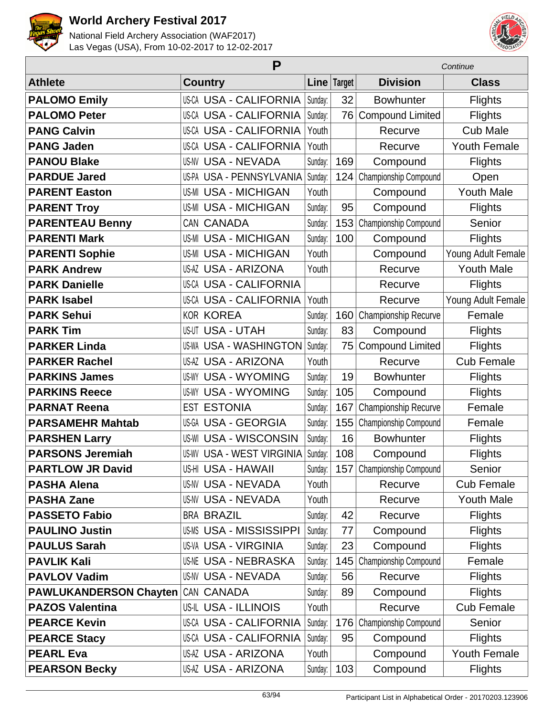



|                               | P                                |             |     |                           | Continue            |  |  |
|-------------------------------|----------------------------------|-------------|-----|---------------------------|---------------------|--|--|
| <b>Athlete</b>                | <b>Country</b>                   | Line Target |     | <b>Division</b>           | <b>Class</b>        |  |  |
| <b>PALOMO Emily</b>           | US-CA USA - CALIFORNIA           | Sunday:     | 32  | <b>Bowhunter</b>          | <b>Flights</b>      |  |  |
| <b>PALOMO Peter</b>           | US-CA USA - CALIFORNIA           | Sunday:     | 76  | <b>Compound Limited</b>   | <b>Flights</b>      |  |  |
| <b>PANG Calvin</b>            | US-CA USA - CALIFORNIA           | Youth       |     | Recurve                   | <b>Cub Male</b>     |  |  |
| <b>PANG Jaden</b>             | <b>US-CA USA - CALIFORNIA</b>    | Youth       |     | Recurve                   | <b>Youth Female</b> |  |  |
| <b>PANOU Blake</b>            | <b>US-NV USA - NEVADA</b>        | Sunday:     | 169 | Compound                  | <b>Flights</b>      |  |  |
| <b>PARDUE Jared</b>           | US-PA USA - PENNSYLVANIA         | Sunday:     | 124 | Championship Compound     | Open                |  |  |
| <b>PARENT Easton</b>          | <b>US-MI USA - MICHIGAN</b>      | Youth       |     | Compound                  | <b>Youth Male</b>   |  |  |
| <b>PARENT Troy</b>            | <b>US-MI USA - MICHIGAN</b>      | Sunday:     | 95  | Compound                  | <b>Flights</b>      |  |  |
| <b>PARENTEAU Benny</b>        | <b>CANADA</b><br>CAN             | Sunday:     | 153 | Championship Compound     | Senior              |  |  |
| <b>PARENTI Mark</b>           | <b>US-MI USA - MICHIGAN</b>      | Sunday:     | 100 | Compound                  | <b>Flights</b>      |  |  |
| <b>PARENTI Sophie</b>         | <b>US-MI USA - MICHIGAN</b>      | Youth       |     | Compound                  | Young Adult Female  |  |  |
| <b>PARK Andrew</b>            | <b>US-AZ USA - ARIZONA</b>       | Youth       |     | Recurve                   | <b>Youth Male</b>   |  |  |
| <b>PARK Danielle</b>          | US-CA USA - CALIFORNIA           |             |     | Recurve                   | <b>Flights</b>      |  |  |
| <b>PARK Isabel</b>            | US-CA USA - CALIFORNIA           | Youth       |     | Recurve                   | Young Adult Female  |  |  |
| <b>PARK Sehui</b>             | <b>KOR KOREA</b>                 | Sunday:     | 160 | Championship Recurve      | Female              |  |  |
| <b>PARK Tim</b>               | <b>US-UT USA - UTAH</b>          | Sunday:     | 83  | Compound                  | <b>Flights</b>      |  |  |
| <b>PARKER Linda</b>           | <b>US-WA USA - WASHINGTON</b>    | Sunday:     | 75  | <b>Compound Limited</b>   | <b>Flights</b>      |  |  |
| <b>PARKER Rachel</b>          | US-AZ USA - ARIZONA              | Youth       |     | Recurve                   | <b>Cub Female</b>   |  |  |
| <b>PARKINS James</b>          | <b>US-WY USA - WYOMING</b>       | Sunday:     | 19  | <b>Bowhunter</b>          | Flights             |  |  |
| <b>PARKINS Reece</b>          | <b>US-WY USA - WYOMING</b>       | Sunday:     | 105 | Compound                  | <b>Flights</b>      |  |  |
| <b>PARNAT Reena</b>           | <b>ESTONIA</b><br><b>EST</b>     | Sunday:     | 167 | Championship Recurve      | Female              |  |  |
| <b>PARSAMEHR Mahtab</b>       | US-GA USA - GEORGIA              | Sunday:     | 155 | Championship Compound     | Female              |  |  |
| <b>PARSHEN Larry</b>          | <b>US-WI USA - WISCONSIN</b>     | Sunday:     | 16  | <b>Bowhunter</b>          | <b>Flights</b>      |  |  |
| <b>PARSONS Jeremiah</b>       | <b>US-WV USA - WEST VIRGINIA</b> | Sunday:     | 108 | Compound                  | <b>Flights</b>      |  |  |
| <b>PARTLOW JR David</b>       | US-HI USA - HAWAII               | Sunday:     |     | 157 Championship Compound | Senior              |  |  |
| <b>PASHA Alena</b>            | <b>US-NV USA - NEVADA</b>        | Youth       |     | Recurve                   | <b>Cub Female</b>   |  |  |
| <b>PASHA Zane</b>             | <b>US-NV USA - NEVADA</b>        | Youth       |     | Recurve                   | <b>Youth Male</b>   |  |  |
| <b>PASSETO Fabio</b>          | <b>BRA BRAZIL</b>                | Sunday:     | 42  | Recurve                   | Flights             |  |  |
| <b>PAULINO Justin</b>         | <b>US-MS USA - MISSISSIPPI</b>   | Sunday:     | 77  | Compound                  | <b>Flights</b>      |  |  |
| <b>PAULUS Sarah</b>           | <b>US-VA USA - VIRGINIA</b>      | Sunday:     | 23  | Compound                  | <b>Flights</b>      |  |  |
| <b>PAVLIK Kali</b>            | <b>US-NE USA - NEBRASKA</b>      | Sunday:     | 145 | Championship Compound     | Female              |  |  |
| <b>PAVLOV Vadim</b>           | <b>US-NV USA - NEVADA</b>        | Sunday:     | 56  | Recurve                   | Flights             |  |  |
| <b>PAWLUKANDERSON Chayten</b> | CAN CANADA                       | Sunday:     | 89  | Compound                  | Flights             |  |  |
| <b>PAZOS Valentina</b>        | US-IL USA - ILLINOIS             | Youth       |     | Recurve                   | <b>Cub Female</b>   |  |  |
| <b>PEARCE Kevin</b>           | US-CA USA - CALIFORNIA           | Sunday:     | 176 | Championship Compound     | Senior              |  |  |
| <b>PEARCE Stacy</b>           | US-CA USA - CALIFORNIA           | Sunday:     | 95  | Compound                  | <b>Flights</b>      |  |  |
| <b>PEARL Eva</b>              | US-AZ USA - ARIZONA              | Youth       |     | Compound                  | <b>Youth Female</b> |  |  |
| <b>PEARSON Becky</b>          | <b>US-AZ USA - ARIZONA</b>       | Sunday:     | 103 | Compound                  | <b>Flights</b>      |  |  |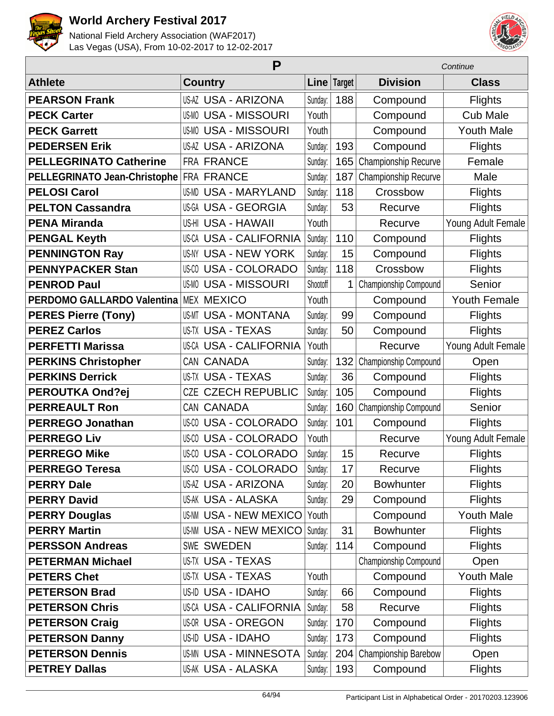



|                                   | P                             |          |               | Continue              |                     |  |
|-----------------------------------|-------------------------------|----------|---------------|-----------------------|---------------------|--|
| <b>Athlete</b>                    | <b>Country</b>                |          | Line   Target | <b>Division</b>       | <b>Class</b>        |  |
| <b>PEARSON Frank</b>              | <b>US-AZ USA - ARIZONA</b>    | Sunday:  | 188           | Compound              | <b>Flights</b>      |  |
| <b>PECK Carter</b>                | <b>US-MO USA - MISSOURI</b>   | Youth    |               | Compound              | <b>Cub Male</b>     |  |
| <b>PECK Garrett</b>               | <b>US-MO USA - MISSOURI</b>   | Youth    |               | Compound              | <b>Youth Male</b>   |  |
| <b>PEDERSEN Erik</b>              | <b>US-AZ USA - ARIZONA</b>    | Sunday:  | 193           | Compound              | <b>Flights</b>      |  |
| <b>PELLEGRINATO Catherine</b>     | FRA FRANCE                    | Sunday:  | 165           | Championship Recurve  | Female              |  |
| PELLEGRINATO Jean-Christophe      | <b>FRA FRANCE</b>             | Sunday:  | 187           | Championship Recurve  | Male                |  |
| <b>PELOSI Carol</b>               | <b>US-MD USA - MARYLAND</b>   | Sunday:  | 118           | Crossbow              | <b>Flights</b>      |  |
| <b>PELTON Cassandra</b>           | US-GA USA - GEORGIA           | Sunday:  | 53            | Recurve               | <b>Flights</b>      |  |
| <b>PENA Miranda</b>               | US-HI USA - HAWAII            | Youth    |               | Recurve               | Young Adult Female  |  |
| <b>PENGAL Keyth</b>               | <b>US-CA USA - CALIFORNIA</b> | Sunday:  | 110           | Compound              | <b>Flights</b>      |  |
| <b>PENNINGTON Ray</b>             | <b>US-NY USA - NEW YORK</b>   | Sunday:  | 15            | Compound              | <b>Flights</b>      |  |
| <b>PENNYPACKER Stan</b>           | <b>US-CO USA - COLORADO</b>   | Sunday:  | 118           | Crossbow              | <b>Flights</b>      |  |
| <b>PENROD Paul</b>                | <b>US-MO USA - MISSOURI</b>   | Shootoff | 1             | Championship Compound | Senior              |  |
| <b>PERDOMO GALLARDO Valentina</b> | <b>MEX MEXICO</b>             | Youth    |               | Compound              | <b>Youth Female</b> |  |
| <b>PERES Pierre (Tony)</b>        | <b>US-MT USA - MONTANA</b>    | Sunday:  | 99            | Compound              | <b>Flights</b>      |  |
| <b>PEREZ Carlos</b>               | <b>US-TX USA - TEXAS</b>      | Sunday:  | 50            | Compound              | <b>Flights</b>      |  |
| <b>PERFETTI Marissa</b>           | <b>US-CA USA - CALIFORNIA</b> | Youth    |               | Recurve               | Young Adult Female  |  |
| <b>PERKINS Christopher</b>        | CAN CANADA                    | Sunday:  | 132           | Championship Compound | Open                |  |
| <b>PERKINS Derrick</b>            | <b>US-TX USA - TEXAS</b>      | Sunday:  | 36            | Compound              | <b>Flights</b>      |  |
| <b>PEROUTKA Ond?ej</b>            | <b>CZECH REPUBLIC</b><br>CZE  | Sunday:  | 105           | Compound              | <b>Flights</b>      |  |
| <b>PERREAULT Ron</b>              | CAN CANADA                    | Sunday:  | 160           | Championship Compound | Senior              |  |
| <b>PERREGO Jonathan</b>           | <b>US-CO USA - COLORADO</b>   | Sunday:  | 101           | Compound              | <b>Flights</b>      |  |
| <b>PERREGO Liv</b>                | <b>US-CO USA - COLORADO</b>   | Youth    |               | Recurve               | Young Adult Female  |  |
| <b>PERREGO Mike</b>               | <b>US-CO USA - COLORADO</b>   | Sunday:  | 15            | Recurve               | <b>Flights</b>      |  |
| <b>PERREGO Teresa</b>             | US-00 USA - COLORADO          | Sunday:  | 17            | Recurve               | <b>Flights</b>      |  |
| <b>PERRY Dale</b>                 | US-AZ USA - ARIZONA           | Sunday:  | 20            | <b>Bowhunter</b>      | <b>Flights</b>      |  |
| <b>PERRY David</b>                | US-AK USA - ALASKA            | Sunday:  | 29            | Compound              | <b>Flights</b>      |  |
| <b>PERRY Douglas</b>              | <b>US-NM USA - NEW MEXICO</b> | Youth    |               | Compound              | <b>Youth Male</b>   |  |
| <b>PERRY Martin</b>               | <b>US-NM USA - NEW MEXICO</b> | Sunday:  | 31            | Bowhunter             | <b>Flights</b>      |  |
| <b>PERSSON Andreas</b>            | SWE SWEDEN                    | Sunday:  | 114           | Compound              | <b>Flights</b>      |  |
| <b>PETERMAN Michael</b>           | US-TX USA - TEXAS             |          |               | Championship Compound | Open                |  |
| <b>PETERS Chet</b>                | US-TX USA - TEXAS             | Youth    |               | Compound              | <b>Youth Male</b>   |  |
| <b>PETERSON Brad</b>              | US-ID USA - IDAHO             | Sunday:  | 66            | Compound              | <b>Flights</b>      |  |
| <b>PETERSON Chris</b>             | <b>US-CA USA - CALIFORNIA</b> | Sunday:  | 58            | Recurve               | <b>Flights</b>      |  |
| <b>PETERSON Craig</b>             | <b>US-OR USA - OREGON</b>     | Sunday:  | 170           | Compound              | <b>Flights</b>      |  |
| <b>PETERSON Danny</b>             | US-ID USA - IDAHO             | Sunday:  | 173           | Compound              | <b>Flights</b>      |  |
| <b>PETERSON Dennis</b>            | <b>US-MN USA - MINNESOTA</b>  | Sunday:  | 204           | Championship Barebow  | Open                |  |
| <b>PETREY Dallas</b>              | US-AK USA - ALASKA            | Sunday:  | 193           | Compound              | <b>Flights</b>      |  |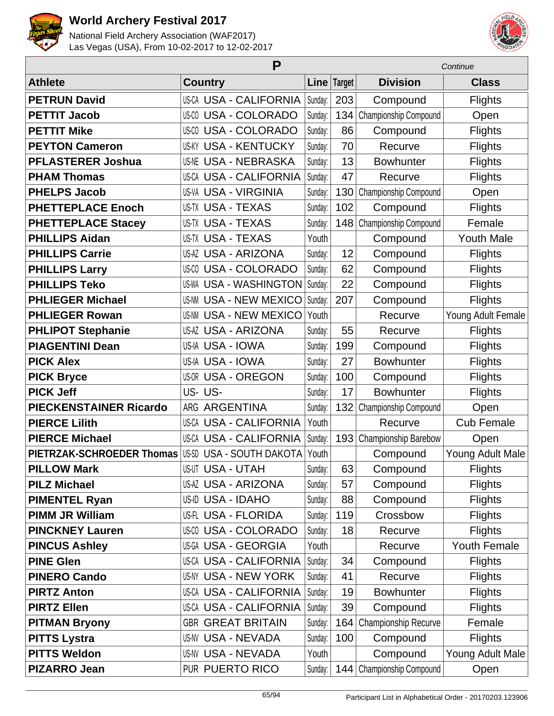



|                               | P                                  |         | Continue    |                       |                     |
|-------------------------------|------------------------------------|---------|-------------|-----------------------|---------------------|
| <b>Athlete</b>                | <b>Country</b>                     |         | Line Target | <b>Division</b>       | <b>Class</b>        |
| <b>PETRUN David</b>           | US-CA USA - CALIFORNIA             | Sunday: | 203         | Compound              | <b>Flights</b>      |
| <b>PETTIT Jacob</b>           | <b>USA - COLORADO</b><br>US-CO     | Sunday: | 134         | Championship Compound | Open                |
| <b>PETTIT Mike</b>            | <b>USA - COLORADO</b><br>US-CO     | Sunday: | 86          | Compound              | Flights             |
| <b>PEYTON Cameron</b>         | <b>USA - KENTUCKY</b><br>US-KY     | Sunday: | 70          | Recurve               | Flights             |
| <b>PFLASTERER Joshua</b>      | <b>US-NE USA - NEBRASKA</b>        | Sunday: | 13          | <b>Bowhunter</b>      | Flights             |
| <b>PHAM Thomas</b>            | US-CA USA - CALIFORNIA             | Sunday: | 47          | Recurve               | Flights             |
| <b>PHELPS Jacob</b>           | <b>US-VA USA - VIRGINIA</b>        | Sunday: | 130         | Championship Compound | Open                |
| <b>PHETTEPLACE Enoch</b>      | US-TX USA - TEXAS                  | Sunday: | 102         | Compound              | Flights             |
| <b>PHETTEPLACE Stacey</b>     | <b>US-TX USA - TEXAS</b>           | Sunday: | 148         | Championship Compound | Female              |
| <b>PHILLIPS Aidan</b>         | US-TX USA - TEXAS                  | Youth   |             | Compound              | <b>Youth Male</b>   |
| <b>PHILLIPS Carrie</b>        | US-AZ USA - ARIZONA                | Sunday: | 12          | Compound              | Flights             |
| <b>PHILLIPS Larry</b>         | <b>USA - COLORADO</b><br>US-CO     | Sunday: | 62          | Compound              | Flights             |
| <b>PHILLIPS Teko</b>          | <b>US-WA USA - WASHINGTON</b>      | Sunday: | 22          | Compound              | Flights             |
| <b>PHLIEGER Michael</b>       | <b>US-NM USA - NEW MEXICO</b>      | Sunday: | 207         | Compound              | <b>Flights</b>      |
| <b>PHLIEGER Rowan</b>         | <b>US-NM USA - NEW MEXICO</b>      | Youth   |             | Recurve               | Young Adult Female  |
| <b>PHLIPOT Stephanie</b>      | US-AZ USA - ARIZONA                | Sunday: | 55          | Recurve               | Flights             |
| <b>PIAGENTINI Dean</b>        | US-IA USA - IOWA                   | Sunday: | 199         | Compound              | Flights             |
| <b>PICK Alex</b>              | <b>USA - IOWA</b><br>US-IA         | Sunday: | 27          | <b>Bowhunter</b>      | Flights             |
| <b>PICK Bryce</b>             | <b>USA - OREGON</b><br>US-OR       | Sunday: | 100         | Compound              | <b>Flights</b>      |
| <b>PICK Jeff</b>              | US-US-                             | Sunday: | 17          | <b>Bowhunter</b>      | Flights             |
| <b>PIECKENSTAINER Ricardo</b> | ARG<br><b>ARGENTINA</b>            | Sunday: | 132         | Championship Compound | Open                |
| <b>PIERCE Lilith</b>          | US-CA USA - CALIFORNIA             | Youth   |             | Recurve               | <b>Cub Female</b>   |
| <b>PIERCE Michael</b>         | <b>US-CA USA - CALIFORNIA</b>      | Sunday: | 193         | Championship Barebow  | Open                |
| PIETRZAK-SCHROEDER Thomas     | <b>USA - SOUTH DAKOTA</b><br>US-SD | Youth   |             | Compound              | Young Adult Male    |
| <b>PILLOW Mark</b>            | <b>US-UT USA - UTAH</b>            | Sunday: | 63          | Compound              | <b>Flights</b>      |
| <b>PILZ Michael</b>           | <b>US-AZ USA - ARIZONA</b>         | Sunday: | 57          | Compound              | <b>Flights</b>      |
| <b>PIMENTEL Ryan</b>          | US-ID USA - IDAHO                  | Sunday: | 88          | Compound              | <b>Flights</b>      |
| <b>PIMM JR William</b>        | <b>US-FL USA - FLORIDA</b>         | Sunday: | 119         | Crossbow              | <b>Flights</b>      |
| <b>PINCKNEY Lauren</b>        | <b>US-CO USA - COLORADO</b>        | Sunday: | 18          | Recurve               | <b>Flights</b>      |
| <b>PINCUS Ashley</b>          | US-GA USA - GEORGIA                | Youth   |             | Recurve               | <b>Youth Female</b> |
| <b>PINE Glen</b>              | <b>US-CA USA - CALIFORNIA</b>      | Sunday: | 34          | Compound              | <b>Flights</b>      |
| <b>PINERO Cando</b>           | US-NY USA - NEW YORK               | Sunday: | 41          | Recurve               | <b>Flights</b>      |
| <b>PIRTZ Anton</b>            | US-CA USA - CALIFORNIA             | Sunday: | 19          | <b>Bowhunter</b>      | <b>Flights</b>      |
| <b>PIRTZ Ellen</b>            | US-CA USA - CALIFORNIA             | Sunday: | 39          | Compound              | <b>Flights</b>      |
| <b>PITMAN Bryony</b>          | <b>GBR GREAT BRITAIN</b>           | Sunday: | 164         | Championship Recurve  | Female              |
| <b>PITTS Lystra</b>           | <b>US-NV USA - NEVADA</b>          | Sunday: | 100         | Compound              | <b>Flights</b>      |
| <b>PITTS Weldon</b>           | <b>US-NV USA - NEVADA</b>          | Youth   |             | Compound              | Young Adult Male    |
| <b>PIZARRO Jean</b>           | PUR PUERTO RICO                    | Sunday: | 144         | Championship Compound | Open                |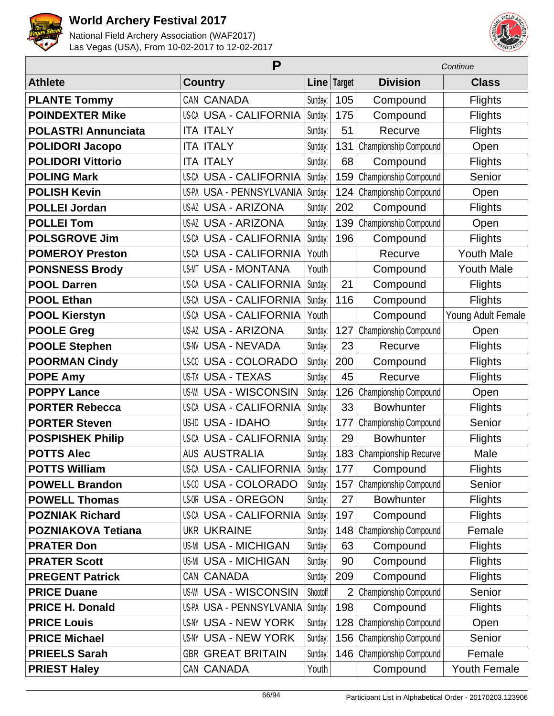



| P                          |                                  |          |                | Continue              |                    |  |
|----------------------------|----------------------------------|----------|----------------|-----------------------|--------------------|--|
| <b>Athlete</b>             | <b>Country</b>                   |          | Line Target    | <b>Division</b>       | <b>Class</b>       |  |
| <b>PLANTE Tommy</b>        | CAN CANADA                       | Sunday:  | 105            | Compound              | <b>Flights</b>     |  |
| <b>POINDEXTER Mike</b>     | <b>US-CA USA - CALIFORNIA</b>    | Sunday:  | 175            | Compound              | <b>Flights</b>     |  |
| <b>POLASTRI Annunciata</b> | <b>ITA ITALY</b>                 | Sunday:  | 51             | Recurve               | <b>Flights</b>     |  |
| <b>POLIDORI Jacopo</b>     | <b>ITA ITALY</b>                 | Sunday:  | 131            | Championship Compound | Open               |  |
| <b>POLIDORI Vittorio</b>   | <b>ITA ITALY</b>                 | Sunday:  | 68             | Compound              | Flights            |  |
| <b>POLING Mark</b>         | <b>US-CA USA - CALIFORNIA</b>    | Sunday:  | 159            | Championship Compound | Senior             |  |
| <b>POLISH Kevin</b>        | US-PA USA - PENNSYLVANIA         | Sunday:  | 124            | Championship Compound | Open               |  |
| <b>POLLEI Jordan</b>       | <b>US-AZ USA - ARIZONA</b>       | Sunday:  | 202            | Compound              | <b>Flights</b>     |  |
| <b>POLLEI Tom</b>          | <b>US-AZ USA - ARIZONA</b>       | Sunday:  | 139            | Championship Compound | Open               |  |
| <b>POLSGROVE Jim</b>       | <b>US-CA USA - CALIFORNIA</b>    | Sunday:  | 196            | Compound              | <b>Flights</b>     |  |
| <b>POMEROY Preston</b>     | <b>US-CA USA - CALIFORNIA</b>    | Youth    |                | Recurve               | <b>Youth Male</b>  |  |
| <b>PONSNESS Brody</b>      | <b>USA - MONTANA</b><br>US-MT    | Youth    |                | Compound              | <b>Youth Male</b>  |  |
| <b>POOL Darren</b>         | <b>US-CA USA - CALIFORNIA</b>    | Sunday:  | 21             | Compound              | <b>Flights</b>     |  |
| <b>POOL Ethan</b>          | <b>USA - CALIFORNIA</b><br>US-CA | Sunday:  | 116            | Compound              | <b>Flights</b>     |  |
| <b>POOL Kierstyn</b>       | <b>US-CA USA - CALIFORNIA</b>    | Youth    |                | Compound              | Young Adult Female |  |
| <b>POOLE Greg</b>          | <b>US-AZ USA - ARIZONA</b>       | Sunday:  | 127            | Championship Compound | Open               |  |
| <b>POOLE Stephen</b>       | <b>US-NV USA - NEVADA</b>        | Sunday:  | 23             | Recurve               | <b>Flights</b>     |  |
| <b>POORMAN Cindy</b>       | <b>USA - COLORADO</b><br>US-CO   | Sunday:  | 200            | Compound              | <b>Flights</b>     |  |
| <b>POPE Amy</b>            | <b>US-TX USA - TEXAS</b>         | Sunday:  | 45             | Recurve               | <b>Flights</b>     |  |
| <b>POPPY Lance</b>         | <b>USA - WISCONSIN</b><br>US-WI  | Sunday:  | 126            | Championship Compound | Open               |  |
| <b>PORTER Rebecca</b>      | <b>US-CA USA - CALIFORNIA</b>    | Sunday:  | 33             | <b>Bowhunter</b>      | <b>Flights</b>     |  |
| <b>PORTER Steven</b>       | US-ID USA - IDAHO                | Sunday:  | 177            | Championship Compound | Senior             |  |
| <b>POSPISHEK Philip</b>    | <b>US-CA USA - CALIFORNIA</b>    | Sunday:  | 29             | <b>Bowhunter</b>      | <b>Flights</b>     |  |
| <b>POTTS Alec</b>          | <b>AUS AUSTRALIA</b>             | Sunday:  | 183            | Championship Recurve  | Male               |  |
| <b>POTTS William</b>       | US-CA USA - CALIFORNIA           | Sunday:  | 177            | Compound              | <b>Flights</b>     |  |
| <b>POWELL Brandon</b>      | <b>US-CO USA - COLORADO</b>      | Sunday:  | 157            | Championship Compound | Senior             |  |
| <b>POWELL Thomas</b>       | <b>US-OR USA - OREGON</b>        | Sunday:  | 27             | <b>Bowhunter</b>      | <b>Flights</b>     |  |
| <b>POZNIAK Richard</b>     | <b>US-CA USA - CALIFORNIA</b>    | Sunday:  | 197            | Compound              | <b>Flights</b>     |  |
| <b>POZNIAKOVA Tetiana</b>  | <b>UKR UKRAINE</b>               | Sunday:  | 148            | Championship Compound | Female             |  |
| <b>PRATER Don</b>          | <b>US-MI USA - MICHIGAN</b>      | Sunday:  | 63             | Compound              | <b>Flights</b>     |  |
| <b>PRATER Scott</b>        | <b>US-MI USA - MICHIGAN</b>      | Sunday:  | 90             | Compound              | <b>Flights</b>     |  |
| <b>PREGENT Patrick</b>     | CAN CANADA                       | Sunday:  | 209            | Compound              | <b>Flights</b>     |  |
| <b>PRICE Duane</b>         | <b>US-WI USA - WISCONSIN</b>     | Shootoff | $\overline{2}$ | Championship Compound | Senior             |  |
| <b>PRICE H. Donald</b>     | USPA USA - PENNSYLVANIA          | Sunday:  | 198            | Compound              | <b>Flights</b>     |  |
| <b>PRICE Louis</b>         | US-NY USA - NEW YORK             | Sunday:  | 128            | Championship Compound | Open               |  |
| <b>PRICE Michael</b>       | US-NY USA - NEW YORK             | Sunday:  | 156            | Championship Compound | Senior             |  |
| <b>PRIEELS Sarah</b>       | <b>GBR GREAT BRITAIN</b>         | Sunday:  | 146            | Championship Compound | Female             |  |
| <b>PRIEST Haley</b>        | CAN CANADA                       | Youth    |                | Compound              | Youth Female       |  |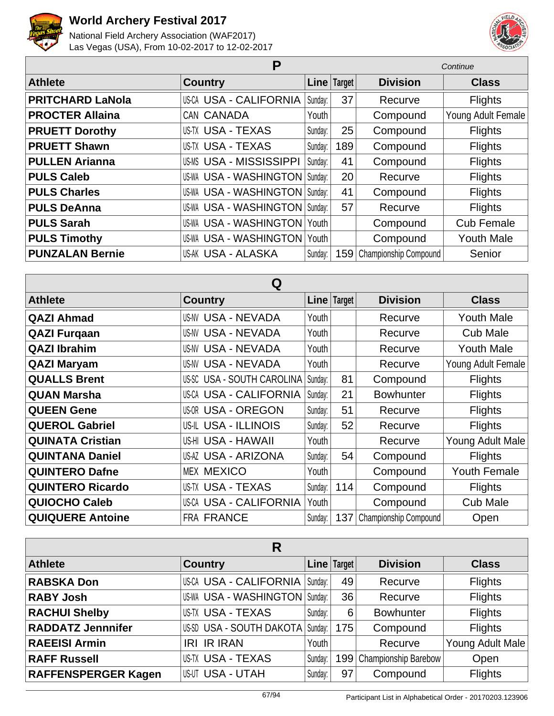



| Р                       |                                     |           |               | Continue              |                    |  |
|-------------------------|-------------------------------------|-----------|---------------|-----------------------|--------------------|--|
| <b>Athlete</b>          | <b>Country</b>                      |           | Line   Target | <b>Division</b>       | <b>Class</b>       |  |
| <b>PRITCHARD LaNola</b> | <b>US-CA USA - CALIFORNIA</b>       | Sunday:   | 37            | Recurve               | <b>Flights</b>     |  |
| <b>PROCTER Allaina</b>  | CAN CANADA                          | Youth     |               | Compound              | Young Adult Female |  |
| <b>PRUETT Dorothy</b>   | <b>US-TX USA - TEXAS</b>            | Sunday:   | 25            | Compound              | <b>Flights</b>     |  |
| <b>PRUETT Shawn</b>     | <b>US-TX USA - TEXAS</b>            | Sunday:   | 189           | Compound              | <b>Flights</b>     |  |
| <b>PULLEN Arianna</b>   | <b>US-MS USA - MISSISSIPPI</b>      | Sunday:   | 41            | Compound              | <b>Flights</b>     |  |
| <b>PULS Caleb</b>       | US-WA USA - WASHINGTON              | Sunday:   | 20            | Recurve               | <b>Flights</b>     |  |
| <b>PULS Charles</b>     | <b>US-WA USA - WASHINGTON</b>       | Sunday: I | 41            | Compound              | <b>Flights</b>     |  |
| <b>PULS DeAnna</b>      | <b>US-WA USA - WASHINGTON</b>       | Sunday:   | 57            | Recurve               | <b>Flights</b>     |  |
| <b>PULS Sarah</b>       | <b>US-WA USA - WASHINGTON Youth</b> |           |               | Compound              | <b>Cub Female</b>  |  |
| <b>PULS Timothy</b>     | US-WA USA - WASHINGTON              | Youth     |               | Compound              | <b>Youth Male</b>  |  |
| <b>PUNZALAN Bernie</b>  | US-AK USA - ALASKA                  | Sunday:   | 159           | Championship Compound | Senior             |  |

| Q                       |                               |         |               |                       |                     |
|-------------------------|-------------------------------|---------|---------------|-----------------------|---------------------|
| <b>Athlete</b>          | <b>Country</b>                |         | Line   Target | <b>Division</b>       | <b>Class</b>        |
| <b>QAZI Ahmad</b>       | <b>US-NV USA - NEVADA</b>     | Youth   |               | Recurve               | <b>Youth Male</b>   |
| <b>QAZI Furgaan</b>     | US-NV USA - NEVADA            | Youth   |               | Recurve               | <b>Cub Male</b>     |
| <b>QAZI Ibrahim</b>     | US-NV USA - NEVADA            | Youth   |               | Recurve               | <b>Youth Male</b>   |
| <b>QAZI Maryam</b>      | US-NV USA - NEVADA            | Youth   |               | Recurve               | Young Adult Female  |
| <b>QUALLS Brent</b>     | US-SC USA - SOUTH CAROLINA    | Sunday: | 81            | Compound              | <b>Flights</b>      |
| <b>QUAN Marsha</b>      | <b>US-CA USA - CALIFORNIA</b> | Sunday: | 21            | <b>Bowhunter</b>      | <b>Flights</b>      |
| <b>QUEEN Gene</b>       | <b>US-OR USA - OREGON</b>     | Sunday: | 51            | Recurve               | <b>Flights</b>      |
| <b>QUEROL Gabriel</b>   | <b>US-IL USA - ILLINOIS</b>   | Sunday: | 52            | Recurve               | <b>Flights</b>      |
| <b>QUINATA Cristian</b> | US-HI USA - HAWAII            | Youth   |               | Recurve               | Young Adult Male    |
| <b>QUINTANA Daniel</b>  | US-AZ USA - ARIZONA           | Sunday: | 54            | Compound              | <b>Flights</b>      |
| <b>QUINTERO Dafne</b>   | <b>MEX MEXICO</b>             | Youth   |               | Compound              | <b>Youth Female</b> |
| <b>QUINTERO Ricardo</b> | US-TX USA - TEXAS             | Sunday: | 114           | Compound              | <b>Flights</b>      |
| <b>QUIOCHO Caleb</b>    | US-CA USA - CALIFORNIA        | Youth   |               | Compound              | <b>Cub Male</b>     |
| <b>QUIQUERE Antoine</b> | <b>FRA FRANCE</b>             | Sunday: | 137           | Championship Compound | Open                |

| R                          |                                    |         |               |                          |                  |
|----------------------------|------------------------------------|---------|---------------|--------------------------|------------------|
| <b>Athlete</b>             | <b>Country</b>                     |         | Line   Target | <b>Division</b>          | <b>Class</b>     |
| <b>RABSKA Don</b>          | US-CA USA - CALIFORNIA Sunday:     |         | 49            | Recurve                  | <b>Flights</b>   |
| <b>RABY Josh</b>           | US-WA USA - WASHINGTON   Sunday:   |         | 36            | Recurve                  | <b>Flights</b>   |
| <b>RACHUI Shelby</b>       | US-TX USA - TEXAS                  | Sunday: | 6             | <b>Bowhunter</b>         | <b>Flights</b>   |
| <b>RADDATZ Jennnifer</b>   | US-SD USA - SOUTH DAKOTA   Sunday: |         | 175           | Compound                 | Flights          |
| <b>RAEEISI Armin</b>       | <b>IRI IR IRAN</b>                 | Youth I |               | Recurve                  | Young Adult Male |
| <b>RAFF Russell</b>        | US-TX USA - TEXAS                  | Sunday: |               | 199 Championship Barebow | Open             |
| <b>RAFFENSPERGER Kagen</b> | <b>US-UT USA - UTAH</b>            | Sunday: | 97            | Compound                 | <b>Flights</b>   |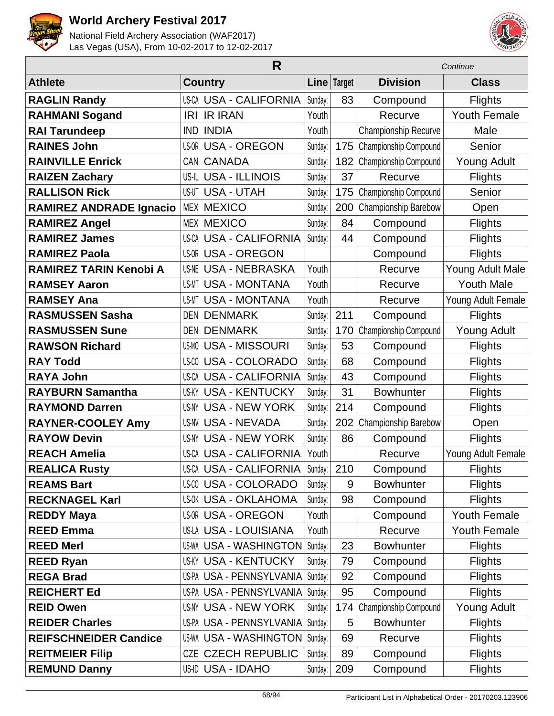



|                                | R                                  |         |             | Continue              |                     |  |
|--------------------------------|------------------------------------|---------|-------------|-----------------------|---------------------|--|
| <b>Athlete</b>                 | <b>Country</b>                     |         | Line Target | <b>Division</b>       | <b>Class</b>        |  |
| <b>RAGLIN Randy</b>            | <b>US-CA USA - CALIFORNIA</b>      | Sunday: | 83          | Compound              | <b>Flights</b>      |  |
| <b>RAHMANI Sogand</b>          | <b>IRI IR IRAN</b>                 | Youth   |             | Recurve               | <b>Youth Female</b> |  |
| <b>RAI Tarundeep</b>           | <b>INDIA</b><br>IND                | Youth   |             | Championship Recurve  | Male                |  |
| <b>RAINES John</b>             | <b>US-OR USA - OREGON</b>          | Sunday: | 175         | Championship Compound | Senior              |  |
| <b>RAINVILLE Enrick</b>        | CAN CANADA                         | Sunday: | 182         | Championship Compound | <b>Young Adult</b>  |  |
| <b>RAIZEN Zachary</b>          | <b>US-IL USA - ILLINOIS</b>        | Sunday: | 37          | Recurve               | <b>Flights</b>      |  |
| <b>RALLISON Rick</b>           | <b>US-UT USA - UTAH</b>            | Sunday: | 175         | Championship Compound | Senior              |  |
| <b>RAMIREZ ANDRADE Ignacio</b> | <b>MEX MEXICO</b>                  | Sunday: | 200         | Championship Barebow  | Open                |  |
| <b>RAMIREZ Angel</b>           | <b>MEX MEXICO</b>                  | Sunday: | 84          | Compound              | <b>Flights</b>      |  |
| <b>RAMIREZ James</b>           | <b>US-CA USA - CALIFORNIA</b>      | Sunday: | 44          | Compound              | <b>Flights</b>      |  |
| <b>RAMIREZ Paola</b>           | US-OR USA - OREGON                 |         |             | Compound              | <b>Flights</b>      |  |
| <b>RAMIREZ TARIN Kenobi A</b>  | <b>USA - NEBRASKA</b><br>US-NE     | Youth   |             | Recurve               | Young Adult Male    |  |
| <b>RAMSEY Aaron</b>            | <b>USA - MONTANA</b><br>US-MT      | Youth   |             | Recurve               | <b>Youth Male</b>   |  |
| <b>RAMSEY Ana</b>              | <b>USA - MONTANA</b><br>US-MT      | Youth   |             | Recurve               | Young Adult Female  |  |
| <b>RASMUSSEN Sasha</b>         | <b>DEN DENMARK</b>                 | Sunday: | 211         | Compound              | <b>Flights</b>      |  |
| <b>RASMUSSEN Sune</b>          | <b>DEN DENMARK</b>                 | Sunday: | 170         | Championship Compound | <b>Young Adult</b>  |  |
| <b>RAWSON Richard</b>          | <b>US-MO USA - MISSOURI</b>        | Sunday: | 53          | Compound              | <b>Flights</b>      |  |
| <b>RAY Todd</b>                | <b>USA - COLORADO</b><br>US-CO     | Sunday: | 68          | Compound              | <b>Flights</b>      |  |
| <b>RAYA John</b>               | US-CA USA - CALIFORNIA             | Sunday: | 43          | Compound              | <b>Flights</b>      |  |
| <b>RAYBURN Samantha</b>        | <b>US-KY USA - KENTUCKY</b>        | Sunday: | 31          | <b>Bowhunter</b>      | <b>Flights</b>      |  |
| <b>RAYMOND Darren</b>          | US-NY USA - NEW YORK               | Sunday: | 214         | Compound              | <b>Flights</b>      |  |
| <b>RAYNER-COOLEY Amy</b>       | <b>US-NV USA - NEVADA</b>          | Sunday: | 202         | Championship Barebow  | Open                |  |
| <b>RAYOW Devin</b>             | <b>US-NY USA - NEW YORK</b>        | Sunday: | 86          | Compound              | <b>Flights</b>      |  |
| <b>REACH Amelia</b>            | <b>US-CA USA - CALIFORNIA</b>      | Youth   |             | Recurve               | Young Adult Female  |  |
| <b>REALICA Rusty</b>           | US-CA USA - CALIFORNIA             | Sunday: | 210         | Compound              | Flights             |  |
| <b>REAMS Bart</b>              | <b>US-CO USA - COLORADO</b>        | Sunday: | 9           | <b>Bowhunter</b>      | <b>Flights</b>      |  |
| <b>RECKNAGEL Karl</b>          | <b>US-OK USA - OKLAHOMA</b>        | Sunday: | 98          | Compound              | Flights             |  |
| <b>REDDY Maya</b>              | <b>US-OR USA - OREGON</b>          | Youth   |             | Compound              | <b>Youth Female</b> |  |
| <b>REED Emma</b>               | <b>US-LA USA - LOUISIANA</b>       | Youth   |             | Recurve               | <b>Youth Female</b> |  |
| <b>REED Merl</b>               | US-WA USA - WASHINGTON             | Sunday: | 23          | <b>Bowhunter</b>      | <b>Flights</b>      |  |
| <b>REED Ryan</b>               | <b>US-KY USA - KENTUCKY</b>        | Sunday: | 79          | Compound              | Flights             |  |
| <b>REGA Brad</b>               | US-PA USA - PENNSYLVANIA           | Sunday: | 92          | Compound              | Flights             |  |
| <b>REICHERT Ed</b>             | US-PA USA - PENNSYLVANIA   Sunday: |         | 95          | Compound              | <b>Flights</b>      |  |
| <b>REID Owen</b>               | <b>US-NY USA - NEW YORK</b>        | Sunday: | 174         | Championship Compound | <b>Young Adult</b>  |  |
| <b>REIDER Charles</b>          | US-PA USA - PENNSYLVANIA   Sunday: |         | 5           | <b>Bowhunter</b>      | <b>Flights</b>      |  |
| <b>REIFSCHNEIDER Candice</b>   | US-WA USA - WASHINGTON   Sunday:   |         | 69          | Recurve               | <b>Flights</b>      |  |
| <b>REITMEIER Filip</b>         | <b>CZE CZECH REPUBLIC</b>          | Sunday: | 89          | Compound              | Flights             |  |
| <b>REMUND Danny</b>            | US-ID USA - IDAHO                  | Sunday: | 209         | Compound              | Flights             |  |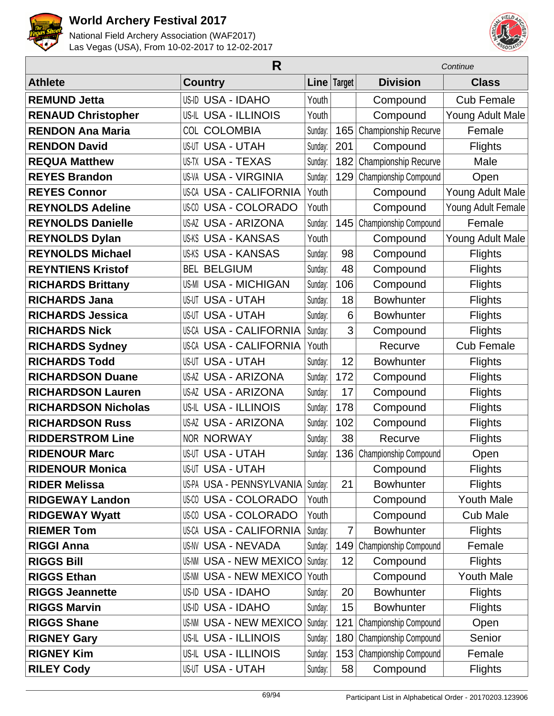



| R                          |                               |         |               | Continue              |                    |  |
|----------------------------|-------------------------------|---------|---------------|-----------------------|--------------------|--|
| <b>Athlete</b>             | <b>Country</b>                |         | Line   Target | <b>Division</b>       | <b>Class</b>       |  |
| <b>REMUND Jetta</b>        | US-ID USA - IDAHO             | Youth   |               | Compound              | <b>Cub Female</b>  |  |
| <b>RENAUD Christopher</b>  | US-IL USA - ILLINOIS          | Youth   |               | Compound              | Young Adult Male   |  |
| <b>RENDON Ana Maria</b>    | <b>COL COLOMBIA</b>           | Sunday: | 165           | Championship Recurve  | Female             |  |
| <b>RENDON David</b>        | <b>US-UT USA - UTAH</b>       | Sunday: | 201           | Compound              | <b>Flights</b>     |  |
| <b>REQUA Matthew</b>       | <b>US-TX USA - TEXAS</b>      | Sunday: | 182           | Championship Recurve  | Male               |  |
| <b>REYES Brandon</b>       | <b>US-VA USA - VIRGINIA</b>   | Sunday: | 129           | Championship Compound | Open               |  |
| <b>REYES Connor</b>        | <b>US-CA USA - CALIFORNIA</b> | Youth   |               | Compound              | Young Adult Male   |  |
| <b>REYNOLDS Adeline</b>    | <b>US-CO USA - COLORADO</b>   | Youth   |               | Compound              | Young Adult Female |  |
| <b>REYNOLDS Danielle</b>   | <b>US-AZ USA - ARIZONA</b>    | Sunday: | 145           | Championship Compound | Female             |  |
| <b>REYNOLDS Dylan</b>      | <b>US-KS USA - KANSAS</b>     | Youth   |               | Compound              | Young Adult Male   |  |
| <b>REYNOLDS Michael</b>    | <b>US-KS USA - KANSAS</b>     | Sunday: | 98            | Compound              | <b>Flights</b>     |  |
| <b>REYNTIENS Kristof</b>   | <b>BEL BELGIUM</b>            | Sunday: | 48            | Compound              | <b>Flights</b>     |  |
| <b>RICHARDS Brittany</b>   | <b>US-MI USA - MICHIGAN</b>   | Sunday: | 106           | Compound              | <b>Flights</b>     |  |
| <b>RICHARDS Jana</b>       | <b>US-UT USA - UTAH</b>       | Sunday: | 18            | <b>Bowhunter</b>      | <b>Flights</b>     |  |
| <b>RICHARDS Jessica</b>    | <b>US-UT USA - UTAH</b>       | Sunday: | 6             | <b>Bowhunter</b>      | <b>Flights</b>     |  |
| <b>RICHARDS Nick</b>       | <b>US-CA USA - CALIFORNIA</b> | Sunday: | 3             | Compound              | <b>Flights</b>     |  |
| <b>RICHARDS Sydney</b>     | <b>US-CA USA - CALIFORNIA</b> | Youth   |               | Recurve               | <b>Cub Female</b>  |  |
| <b>RICHARDS Todd</b>       | <b>US-UT USA - UTAH</b>       | Sunday: | 12            | <b>Bowhunter</b>      | <b>Flights</b>     |  |
| <b>RICHARDSON Duane</b>    | <b>US-AZ USA - ARIZONA</b>    | Sunday: | 172           | Compound              | <b>Flights</b>     |  |
| <b>RICHARDSON Lauren</b>   | <b>US-AZ USA - ARIZONA</b>    | Sunday: | 17            | Compound              | <b>Flights</b>     |  |
| <b>RICHARDSON Nicholas</b> | US-IL USA - ILLINOIS          | Sunday: | 178           | Compound              | <b>Flights</b>     |  |
| <b>RICHARDSON Russ</b>     | <b>US-AZ USA - ARIZONA</b>    | Sunday: | 102           | Compound              | <b>Flights</b>     |  |
| <b>RIDDERSTROM Line</b>    | <b>NOR NORWAY</b>             | Sunday: | 38            | Recurve               | <b>Flights</b>     |  |
| <b>RIDENOUR Marc</b>       | <b>US-UT USA - UTAH</b>       | Sunday: | 136           | Championship Compound | Open               |  |
| <b>RIDENOUR Monica</b>     | <b>US-UT USA - UTAH</b>       |         |               | Compound              | <b>Flights</b>     |  |
| <b>RIDER Melissa</b>       | US-PA USA - PENNSYLVANIA      | Sunday: | 21            | <b>Bowhunter</b>      | <b>Flights</b>     |  |
| <b>RIDGEWAY Landon</b>     | <b>US-CO USA - COLORADO</b>   | Youth   |               | Compound              | <b>Youth Male</b>  |  |
| <b>RIDGEWAY Wyatt</b>      | US-CO USA - COLORADO          | Youth   |               | Compound              | <b>Cub Male</b>    |  |
| <b>RIEMER Tom</b>          | <b>US-CA USA - CALIFORNIA</b> | Sunday: | 7             | <b>Bowhunter</b>      | <b>Flights</b>     |  |
| <b>RIGGI Anna</b>          | US-NV USA - NEVADA            | Sunday: | 149           | Championship Compound | Female             |  |
| <b>RIGGS Bill</b>          | <b>US-NM USA - NEW MEXICO</b> | Sunday: | 12            | Compound              | <b>Flights</b>     |  |
| <b>RIGGS Ethan</b>         | <b>US-NM USA - NEW MEXICO</b> | Youth   |               | Compound              | <b>Youth Male</b>  |  |
| <b>RIGGS Jeannette</b>     | US-ID USA - IDAHO             | Sunday: | 20            | <b>Bowhunter</b>      | <b>Flights</b>     |  |
| <b>RIGGS Marvin</b>        | US-ID USA - IDAHO             | Sunday: | 15            | <b>Bowhunter</b>      | <b>Flights</b>     |  |
| <b>RIGGS Shane</b>         | <b>US-NM USA - NEW MEXICO</b> | Sunday: | 121           | Championship Compound | Open               |  |
| <b>RIGNEY Gary</b>         | US-IL USA - ILLINOIS          | Sunday: | 180           | Championship Compound | Senior             |  |
| <b>RIGNEY Kim</b>          | US-IL USA - ILLINOIS          | Sunday: | 153           | Championship Compound | Female             |  |
| <b>RILEY Cody</b>          | <b>US-UT USA - UTAH</b>       | Sunday: | 58            | Compound              | <b>Flights</b>     |  |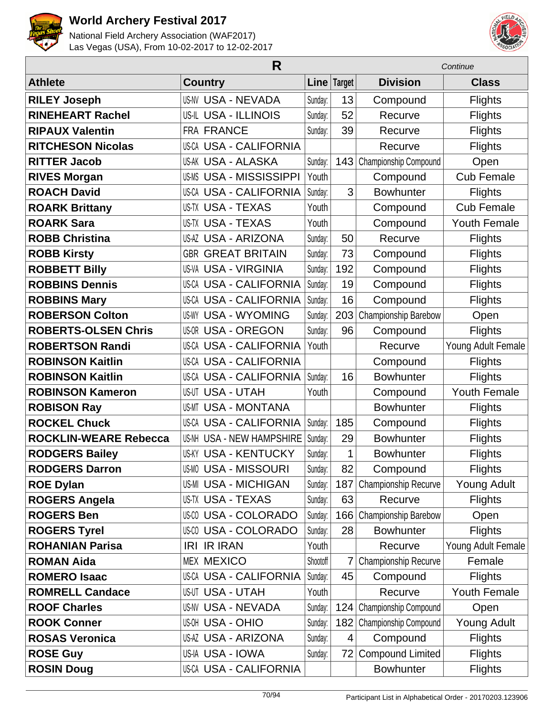



|                              | R                              |          | Continue       |                         |                     |
|------------------------------|--------------------------------|----------|----------------|-------------------------|---------------------|
| <b>Athlete</b>               | <b>Country</b>                 |          | Line Target    | <b>Division</b>         | <b>Class</b>        |
| <b>RILEY Joseph</b>          | US-NV USA - NEVADA             | Sunday:  | 13             | Compound                | <b>Flights</b>      |
| <b>RINEHEART Rachel</b>      | US-IL USA - ILLINOIS           | Sunday:  | 52             | Recurve                 | <b>Flights</b>      |
| <b>RIPAUX Valentin</b>       | <b>FRA FRANCE</b>              | Sunday:  | 39             | Recurve                 | <b>Flights</b>      |
| <b>RITCHESON Nicolas</b>     | <b>US-CA USA - CALIFORNIA</b>  |          |                | Recurve                 | <b>Flights</b>      |
| <b>RITTER Jacob</b>          | US-AK USA - ALASKA             | Sunday:  | 143            | Championship Compound   | Open                |
| <b>RIVES Morgan</b>          | <b>US-MS USA - MISSISSIPPI</b> | Youth    |                | Compound                | <b>Cub Female</b>   |
| <b>ROACH David</b>           | <b>US-CA USA - CALIFORNIA</b>  | Sunday:  | 3              | <b>Bowhunter</b>        | <b>Flights</b>      |
| <b>ROARK Brittany</b>        | US-TX USA - TEXAS              | Youth    |                | Compound                | <b>Cub Female</b>   |
| <b>ROARK Sara</b>            | <b>US-TX USA - TEXAS</b>       | Youth    |                | Compound                | <b>Youth Female</b> |
| <b>ROBB Christina</b>        | <b>US-AZ USA - ARIZONA</b>     | Sunday:  | 50             | Recurve                 | <b>Flights</b>      |
| <b>ROBB Kirsty</b>           | <b>GBR GREAT BRITAIN</b>       | Sunday:  | 73             | Compound                | <b>Flights</b>      |
| <b>ROBBETT Billy</b>         | US-VA USA - VIRGINIA           | Sunday:  | 192            | Compound                | <b>Flights</b>      |
| <b>ROBBINS Dennis</b>        | <b>US-CA USA - CALIFORNIA</b>  | Sunday:  | 19             | Compound                | <b>Flights</b>      |
| <b>ROBBINS Mary</b>          | US-CA USA - CALIFORNIA         | Sunday:  | 16             | Compound                | <b>Flights</b>      |
| <b>ROBERSON Colton</b>       | <b>US-WY USA - WYOMING</b>     | Sunday:  | 203            | Championship Barebow    | Open                |
| <b>ROBERTS-OLSEN Chris</b>   | <b>US-OR USA - OREGON</b>      | Sunday:  | 96             | Compound                | <b>Flights</b>      |
| <b>ROBERTSON Randi</b>       | US-CA USA - CALIFORNIA         | Youth    |                | Recurve                 | Young Adult Female  |
| <b>ROBINSON Kaitlin</b>      | <b>US-CA USA - CALIFORNIA</b>  |          |                | Compound                | <b>Flights</b>      |
| <b>ROBINSON Kaitlin</b>      | <b>US-CA USA - CALIFORNIA</b>  | Sunday:  | 16             | <b>Bowhunter</b>        | <b>Flights</b>      |
| <b>ROBINSON Kameron</b>      | US-UT USA - UTAH               | Youth    |                | Compound                | <b>Youth Female</b> |
| <b>ROBISON Ray</b>           | <b>US-MT USA - MONTANA</b>     |          |                | <b>Bowhunter</b>        | Flights             |
| <b>ROCKEL Chuck</b>          | <b>US-CA USA - CALIFORNIA</b>  | Sunday:  | 185            | Compound                | <b>Flights</b>      |
| <b>ROCKLIN-WEARE Rebecca</b> | US-NH USA - NEW HAMPSHIRE      | Sunday:  | 29             | <b>Bowhunter</b>        | <b>Flights</b>      |
| <b>RODGERS Bailey</b>        | US-KY USA - KENTUCKY           | Sunday:  | 1              | <b>Bowhunter</b>        | <b>Flights</b>      |
| <b>RODGERS Darron</b>        | US-MO USA - MISSOURI           | Sunday:  | 82             | Compound                | <b>Flights</b>      |
| <b>ROE Dylan</b>             | <b>US-MI USA - MICHIGAN</b>    | Sunday:  | 187            | Championship Recurve    | Young Adult         |
| <b>ROGERS Angela</b>         | <b>US-TX USA - TEXAS</b>       | Sunday:  | 63             | Recurve                 | <b>Flights</b>      |
| <b>ROGERS Ben</b>            | US-00 USA - COLORADO           | Sunday:  | 166            | Championship Barebow    | Open                |
| <b>ROGERS Tyrel</b>          | <b>US-CO USA - COLORADO</b>    | Sunday:  | 28             | <b>Bowhunter</b>        | <b>Flights</b>      |
| <b>ROHANIAN Parisa</b>       | <b>IRI IR IRAN</b>             | Youth    |                | Recurve                 | Young Adult Female  |
| <b>ROMAN Aida</b>            | <b>MEX MEXICO</b>              | Shootoff | 7              | Championship Recurve    | Female              |
| <b>ROMERO Isaac</b>          | US-CA USA - CALIFORNIA         | Sunday:  | 45             | Compound                | <b>Flights</b>      |
| <b>ROMRELL Candace</b>       | US-UT USA - UTAH               | Youth    |                | Recurve                 | Youth Female        |
| <b>ROOF Charles</b>          | US-NV USA - NEVADA             | Sunday:  | 124            | Championship Compound   | Open                |
| <b>ROOK Conner</b>           | <b>US-OH USA - OHIO</b>        | Sunday:  | 182            | Championship Compound   | Young Adult         |
| <b>ROSAS Veronica</b>        | US-AZ USA - ARIZONA            | Sunday:  | $\overline{4}$ | Compound                | <b>Flights</b>      |
| <b>ROSE Guy</b>              | US-IA USA - IOWA               | Sunday:  | 72             | <b>Compound Limited</b> | <b>Flights</b>      |
| <b>ROSIN Doug</b>            | US-CA USA - CALIFORNIA         |          |                | <b>Bowhunter</b>        | <b>Flights</b>      |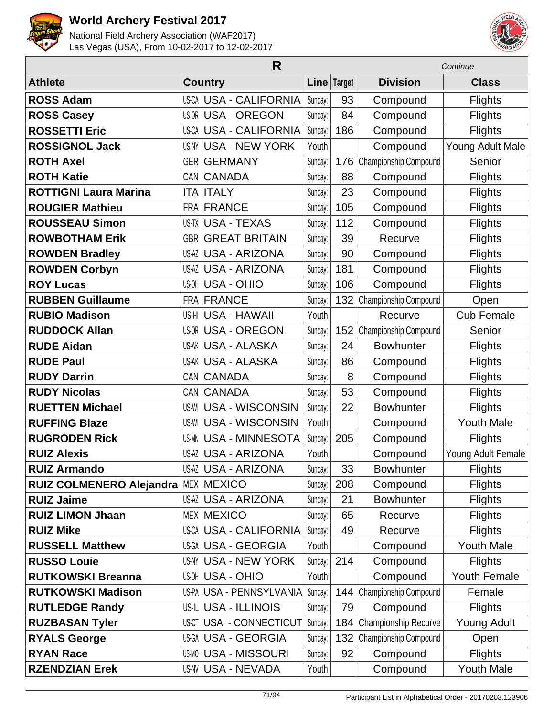



|                                     | Continue                      |         |             |                       |                     |
|-------------------------------------|-------------------------------|---------|-------------|-----------------------|---------------------|
| <b>Athlete</b>                      | <b>Country</b>                |         | Line Target | <b>Division</b>       | <b>Class</b>        |
| <b>ROSS Adam</b>                    | <b>US-CA USA - CALIFORNIA</b> | Sunday: | 93          | Compound              | <b>Flights</b>      |
| <b>ROSS Casey</b>                   | <b>US-OR USA - OREGON</b>     | Sunday: | 84          | Compound              | <b>Flights</b>      |
| <b>ROSSETTI Eric</b>                | <b>US-CA USA - CALIFORNIA</b> | Sunday: | 186         | Compound              | <b>Flights</b>      |
| <b>ROSSIGNOL Jack</b>               | <b>US-NY USA - NEW YORK</b>   | Youth   |             | Compound              | Young Adult Male    |
| <b>ROTH Axel</b>                    | <b>GER GERMANY</b>            | Sunday: | 176         | Championship Compound | Senior              |
| <b>ROTH Katie</b>                   | CAN CANADA                    | Sunday: | 88          | Compound              | <b>Flights</b>      |
| <b>ROTTIGNI Laura Marina</b>        | <b>ITA ITALY</b>              | Sunday: | 23          | Compound              | <b>Flights</b>      |
| <b>ROUGIER Mathieu</b>              | <b>FRA FRANCE</b>             | Sunday: | 105         | Compound              | <b>Flights</b>      |
| <b>ROUSSEAU Simon</b>               | <b>US-TX USA - TEXAS</b>      | Sunday: | 112         | Compound              | <b>Flights</b>      |
| <b>ROWBOTHAM Erik</b>               | <b>GBR GREAT BRITAIN</b>      | Sunday: | 39          | Recurve               | <b>Flights</b>      |
| <b>ROWDEN Bradley</b>               | <b>US-AZ USA - ARIZONA</b>    | Sunday: | 90          | Compound              | <b>Flights</b>      |
| <b>ROWDEN Corbyn</b>                | <b>US-AZ USA - ARIZONA</b>    | Sunday: | 181         | Compound              | <b>Flights</b>      |
| <b>ROY Lucas</b>                    | <b>US-OH USA - OHIO</b>       | Sunday: | 106         | Compound              | <b>Flights</b>      |
| <b>RUBBEN Guillaume</b>             | FRA FRANCE                    | Sunday: | 132         | Championship Compound | Open                |
| <b>RUBIO Madison</b>                | <b>US-HI USA - HAWAII</b>     | Youth   |             | Recurve               | <b>Cub Female</b>   |
| <b>RUDDOCK Allan</b>                | <b>US-OR USA - OREGON</b>     | Sunday: | 152         | Championship Compound | Senior              |
| <b>RUDE Aidan</b>                   | <b>US-AK USA - ALASKA</b>     | Sunday: | 24          | <b>Bowhunter</b>      | <b>Flights</b>      |
| <b>RUDE Paul</b>                    | <b>US-AK USA - ALASKA</b>     | Sunday: | 86          | Compound              | <b>Flights</b>      |
| <b>RUDY Darrin</b>                  | CAN CANADA                    | Sunday: | 8           | Compound              | <b>Flights</b>      |
| <b>RUDY Nicolas</b>                 | CAN CANADA                    | Sunday: | 53          | Compound              | <b>Flights</b>      |
| <b>RUETTEN Michael</b>              | <b>US-WI USA - WISCONSIN</b>  | Sunday: | 22          | <b>Bowhunter</b>      | <b>Flights</b>      |
| <b>RUFFING Blaze</b>                | <b>US-WI USA - WISCONSIN</b>  | Youth   |             | Compound              | <b>Youth Male</b>   |
| <b>RUGRODEN Rick</b>                | <b>US-MN USA - MINNESOTA</b>  | Sunday: | 205         | Compound              | <b>Flights</b>      |
| <b>RUIZ Alexis</b>                  | <b>US-AZ USA - ARIZONA</b>    | Youth   |             | Compound              | Young Adult Female  |
| <b>RUIZ Armando</b>                 | <b>US-AZ USA - ARIZONA</b>    | Sunday: | 33          | <b>Bowhunter</b>      | <b>Flights</b>      |
| RUIZ COLMENERO Alejandra MEX MEXICO |                               | Sunday: | 208         | Compound              | <b>Flights</b>      |
| <b>RUIZ Jaime</b>                   | <b>US-AZ USA - ARIZONA</b>    | Sunday: | 21          | <b>Bowhunter</b>      | <b>Flights</b>      |
| <b>RUIZ LIMON Jhaan</b>             | <b>MEX MEXICO</b>             | Sunday: | 65          | Recurve               | <b>Flights</b>      |
| <b>RUIZ Mike</b>                    | <b>US-CA USA - CALIFORNIA</b> | Sunday: | 49          | Recurve               | <b>Flights</b>      |
| <b>RUSSELL Matthew</b>              | US-GA USA - GEORGIA           | Youth   |             | Compound              | <b>Youth Male</b>   |
| <b>RUSSO Louie</b>                  | <b>US-NY USA - NEW YORK</b>   | Sunday: | 214         | Compound              | <b>Flights</b>      |
| <b>RUTKOWSKI Breanna</b>            | <b>US-OH USA - OHIO</b>       | Youth   |             | Compound              | <b>Youth Female</b> |
| <b>RUTKOWSKI Madison</b>            | US-PA USA - PENNSYLVANIA      | Sunday: | 144         | Championship Compound | Female              |
| <b>RUTLEDGE Randy</b>               | US-IL USA - ILLINOIS          | Sunday: | 79          | Compound              | <b>Flights</b>      |
| <b>RUZBASAN Tyler</b>               | US-CT USA - CONNECTICUT       | Sunday: | 184         | Championship Recurve  | Young Adult         |
| <b>RYALS George</b>                 | US-GA USA - GEORGIA           | Sunday: | 132         | Championship Compound | Open                |
| <b>RYAN Race</b>                    | <b>US-MO USA - MISSOURI</b>   | Sunday: | 92          | Compound              | <b>Flights</b>      |
| <b>RZENDZIAN Erek</b>               | US-NV USA - NEVADA            | Youth   |             | Compound              | Youth Male          |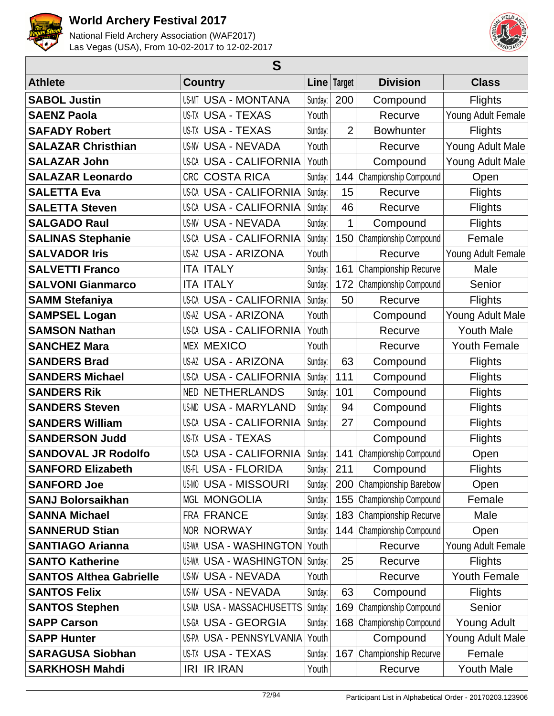



| S                              |                                  |             |                |                             |                     |  |  |
|--------------------------------|----------------------------------|-------------|----------------|-----------------------------|---------------------|--|--|
| <b>Athlete</b>                 | <b>Country</b>                   | Line Target |                | <b>Division</b>             | <b>Class</b>        |  |  |
| <b>SABOL Justin</b>            | <b>US-MT USA - MONTANA</b>       | Sunday:     | 200            | Compound                    | <b>Flights</b>      |  |  |
| <b>SAENZ Paola</b>             | US-TX USA - TEXAS                | Youth       |                | Recurve                     | Young Adult Female  |  |  |
| <b>SAFADY Robert</b>           | <b>US-TX USA - TEXAS</b>         | Sunday:     | $\overline{2}$ | <b>Bowhunter</b>            | Flights             |  |  |
| <b>SALAZAR Christhian</b>      | <b>US-NV USA - NEVADA</b>        | Youth       |                | Recurve                     | Young Adult Male    |  |  |
| <b>SALAZAR John</b>            | <b>US-CA USA - CALIFORNIA</b>    | Youth       |                | Compound                    | Young Adult Male    |  |  |
| <b>SALAZAR Leonardo</b>        | <b>COSTA RICA</b><br><b>CRC</b>  | Sunday:     | 144            | Championship Compound       | Open                |  |  |
| <b>SALETTA Eva</b>             | <b>US-CA USA - CALIFORNIA</b>    | Sunday:     | 15             | Recurve                     | <b>Flights</b>      |  |  |
| <b>SALETTA Steven</b>          | US-CA USA - CALIFORNIA           | Sunday:     | 46             | Recurve                     | <b>Flights</b>      |  |  |
| <b>SALGADO Raul</b>            | <b>US-NV USA - NEVADA</b>        | Sunday:     | 1              | Compound                    | <b>Flights</b>      |  |  |
| <b>SALINAS Stephanie</b>       | <b>US-CA USA - CALIFORNIA</b>    | Sunday:     | 150            | Championship Compound       | Female              |  |  |
| <b>SALVADOR Iris</b>           | <b>US-AZ USA - ARIZONA</b>       | Youth       |                | Recurve                     | Young Adult Female  |  |  |
| <b>SALVETTI Franco</b>         | <b>ITA ITALY</b>                 | Sunday:     | 161            | Championship Recurve        | Male                |  |  |
| <b>SALVONI Gianmarco</b>       | <b>ITA ITALY</b>                 | Sunday:     | 172            | Championship Compound       | Senior              |  |  |
| <b>SAMM Stefaniya</b>          | US-CA USA - CALIFORNIA           | Sunday:     | 50             | Recurve                     | <b>Flights</b>      |  |  |
| <b>SAMPSEL Logan</b>           | US-AZ USA - ARIZONA              | Youth       |                | Compound                    | Young Adult Male    |  |  |
| <b>SAMSON Nathan</b>           | <b>US-CA USA - CALIFORNIA</b>    | Youth       |                | Recurve                     | <b>Youth Male</b>   |  |  |
| <b>SANCHEZ Mara</b>            | <b>MEX MEXICO</b>                | Youth       |                | Recurve                     | <b>Youth Female</b> |  |  |
| <b>SANDERS Brad</b>            | US-AZ USA - ARIZONA              | Sunday:     | 63             | Compound                    | Flights             |  |  |
| <b>SANDERS Michael</b>         | <b>US-CA USA - CALIFORNIA</b>    | Sunday:     | 111            | Compound                    | <b>Flights</b>      |  |  |
| <b>SANDERS Rik</b>             | <b>NETHERLANDS</b><br><b>NED</b> | Sunday:     | 101            | Compound                    | <b>Flights</b>      |  |  |
| <b>SANDERS Steven</b>          | <b>USA - MARYLAND</b><br>US-MD   | Sunday:     | 94             | Compound                    | <b>Flights</b>      |  |  |
| <b>SANDERS William</b>         | <b>US-CA USA - CALIFORNIA</b>    | Sunday:     | 27             | Compound                    | Flights             |  |  |
| <b>SANDERSON Judd</b>          | US-TX USA - TEXAS                |             |                | Compound                    | <b>Flights</b>      |  |  |
| <b>SANDOVAL JR Rodolfo</b>     | US-CA USA - CALIFORNIA           | Sunday:     | 141            | Championship Compound       | Open                |  |  |
| <b>SANFORD Elizabeth</b>       | US-FL USA - FLORIDA              | Sunday:     | 211            | Compound                    | Flights             |  |  |
| <b>SANFORD Joe</b>             | <b>US-MO USA - MISSOURI</b>      | Sunday:     | 200            | Championship Barebow        | Open                |  |  |
| <b>SANJ Bolorsaikhan</b>       | <b>MGL MONGOLIA</b>              | Sunday:     | 155            | Championship Compound       | Female              |  |  |
| <b>SANNA Michael</b>           | FRA FRANCE                       | Sunday:     | 183            | <b>Championship Recurve</b> | Male                |  |  |
| <b>SANNERUD Stian</b>          | NOR NORWAY                       | Sunday:     | 144            | Championship Compound       | Open                |  |  |
| <b>SANTIAGO Arianna</b>        | <b>US-WA USA - WASHINGTON</b>    | Youth       |                | Recurve                     | Young Adult Female  |  |  |
| <b>SANTO Katherine</b>         | <b>US-WA USA - WASHINGTON</b>    | Sunday:     | 25             | Recurve                     | <b>Flights</b>      |  |  |
| <b>SANTOS Althea Gabrielle</b> | US-NV USA - NEVADA               | Youth       |                | Recurve                     | <b>Youth Female</b> |  |  |
| <b>SANTOS Felix</b>            | <b>US-NV USA - NEVADA</b>        | Sunday:     | 63             | Compound                    | <b>Flights</b>      |  |  |
| <b>SANTOS Stephen</b>          | US-MA USA - MASSACHUSETTS        | Sunday:     | 169            | Championship Compound       | Senior              |  |  |
| <b>SAPP Carson</b>             | US-GA USA - GEORGIA              | Sunday:     | 168            | Championship Compound       | Young Adult         |  |  |
| <b>SAPP Hunter</b>             | US-PA USA - PENNSYLVANIA         | Youth       |                | Compound                    | Young Adult Male    |  |  |
| <b>SARAGUSA Siobhan</b>        | US-TX USA - TEXAS                | Sunday:     | 167            | Championship Recurve        | Female              |  |  |
| <b>SARKHOSH Mahdi</b>          | <b>IRI IR IRAN</b>               | Youth       |                | Recurve                     | <b>Youth Male</b>   |  |  |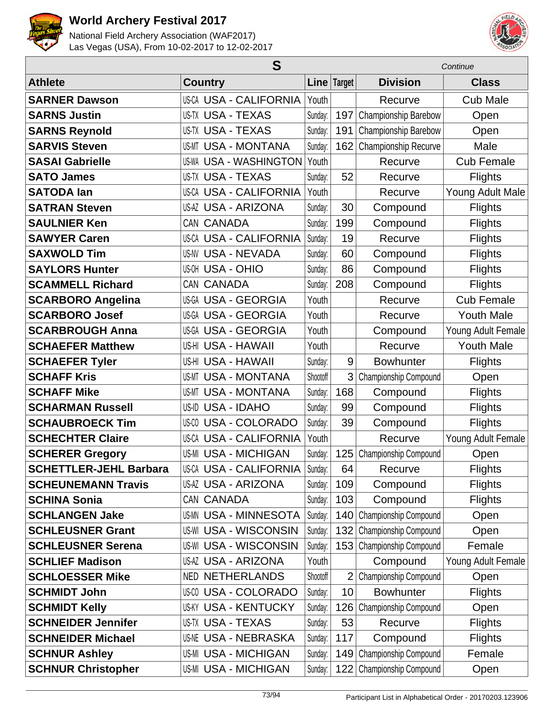



| S                             |                               |          |                | Continue                     |                    |  |
|-------------------------------|-------------------------------|----------|----------------|------------------------------|--------------------|--|
| <b>Athlete</b>                | <b>Country</b>                |          | Line Target    | <b>Division</b>              | <b>Class</b>       |  |
| <b>SARNER Dawson</b>          | US-CA USA - CALIFORNIA        | Youth    |                | Recurve                      | <b>Cub Male</b>    |  |
| <b>SARNS Justin</b>           | <b>US-TX USA - TEXAS</b>      | Sunday:  | 197            | Championship Barebow         | Open               |  |
| <b>SARNS Reynold</b>          | <b>US-TX USA - TEXAS</b>      | Sunday:  | 191            | Championship Barebow         | Open               |  |
| <b>SARVIS Steven</b>          | <b>USA - MONTANA</b><br>US-MT | Sunday:  | 162            | Championship Recurve         | Male               |  |
| <b>SASAI Gabrielle</b>        | <b>US-WA USA - WASHINGTON</b> | Youth    |                | Recurve                      | <b>Cub Female</b>  |  |
| <b>SATO James</b>             | <b>US-TX USA - TEXAS</b>      | Sunday:  | 52             | Recurve                      | <b>Flights</b>     |  |
| <b>SATODA lan</b>             | <b>US-CA USA - CALIFORNIA</b> | Youth    |                | Recurve                      | Young Adult Male   |  |
| <b>SATRAN Steven</b>          | <b>US-AZ USA - ARIZONA</b>    | Sunday:  | 30             | Compound                     | <b>Flights</b>     |  |
| <b>SAULNIER Ken</b>           | CAN CANADA                    | Sunday:  | 199            | Compound                     | <b>Flights</b>     |  |
| <b>SAWYER Caren</b>           | US-CA USA - CALIFORNIA        | Sunday:  | 19             | Recurve                      | <b>Flights</b>     |  |
| <b>SAXWOLD Tim</b>            | <b>USA - NEVADA</b><br>US-NV  | Sunday:  | 60             | Compound                     | <b>Flights</b>     |  |
| <b>SAYLORS Hunter</b>         | <b>US-OH USA - OHIO</b>       | Sunday:  | 86             | Compound                     | <b>Flights</b>     |  |
| <b>SCAMMELL Richard</b>       | CAN CANADA                    | Sunday:  | 208            | Compound                     | <b>Flights</b>     |  |
| <b>SCARBORO Angelina</b>      | US-GA USA - GEORGIA           | Youth    |                | Recurve                      | <b>Cub Female</b>  |  |
| <b>SCARBORO Josef</b>         | <b>US-GA USA - GEORGIA</b>    | Youth    |                | Recurve                      | <b>Youth Male</b>  |  |
| <b>SCARBROUGH Anna</b>        | US-GA USA - GEORGIA           | Youth    |                | Compound                     | Young Adult Female |  |
| <b>SCHAEFER Matthew</b>       | US-HI USA - HAWAII            | Youth    |                | Recurve                      | <b>Youth Male</b>  |  |
| <b>SCHAEFER Tyler</b>         | US-HI USA - HAWAII            | Sunday:  | 9              | <b>Bowhunter</b>             | <b>Flights</b>     |  |
| <b>SCHAFF Kris</b>            | <b>USA - MONTANA</b><br>US-MT | Shootoff | 3              | Championship Compound        | Open               |  |
| <b>SCHAFF Mike</b>            | <b>USA - MONTANA</b><br>US-MT | Sunday:  | 168            | Compound                     | <b>Flights</b>     |  |
| <b>SCHARMAN Russell</b>       | US-ID USA - IDAHO             | Sunday:  | 99             | Compound                     | <b>Flights</b>     |  |
| <b>SCHAUBROECK Tim</b>        | US-00 USA - COLORADO          | Sunday:  | 39             | Compound                     | <b>Flights</b>     |  |
| <b>SCHECHTER Claire</b>       | <b>US-CA USA - CALIFORNIA</b> | Youth    |                | Recurve                      | Young Adult Female |  |
| <b>SCHERER Gregory</b>        | <b>US-MI USA - MICHIGAN</b>   | Sunday:  | 125            | Championship Compound        | Open               |  |
| <b>SCHETTLER-JEHL Barbara</b> | US-CA USA - CALIFORNIA        | Sunday:  | 64             | Recurve                      | <b>Flights</b>     |  |
| <b>SCHEUNEMANN Travis</b>     | <b>US-AZ USA - ARIZONA</b>    | Sunday:  | 109            | Compound                     | <b>Flights</b>     |  |
| <b>SCHINA Sonia</b>           | CAN CANADA                    | Sunday:  | 103            | Compound                     | <b>Flights</b>     |  |
| <b>SCHLANGEN Jake</b>         | <b>US-MN USA - MINNESOTA</b>  | Sunday:  | 140            | Championship Compound        | Open               |  |
| <b>SCHLEUSNER Grant</b>       | <b>US-WI USA - WISCONSIN</b>  | Sunday:  | 132            | Championship Compound        | Open               |  |
| <b>SCHLEUSNER Serena</b>      | <b>US-WI USA - WISCONSIN</b>  | Sunday:  | 153            | Championship Compound        | Female             |  |
| <b>SCHLIEF Madison</b>        | <b>US-AZ USA - ARIZONA</b>    | Youth    |                | Compound                     | Young Adult Female |  |
| <b>SCHLOESSER Mike</b>        | <b>NETHERLANDS</b><br>NED     | Shootoff | $\overline{2}$ | Championship Compound        | Open               |  |
| <b>SCHMIDT John</b>           | <b>US-CO USA - COLORADO</b>   | Sunday:  | 10             | <b>Bowhunter</b>             | <b>Flights</b>     |  |
| <b>SCHMIDT Kelly</b>          | <b>US-KY USA - KENTUCKY</b>   | Sunday:  | 126            | Championship Compound        | Open               |  |
| <b>SCHNEIDER Jennifer</b>     | <b>US-TX USA - TEXAS</b>      | Sunday:  | 53             | Recurve                      | <b>Flights</b>     |  |
| <b>SCHNEIDER Michael</b>      | <b>US-NE USA - NEBRASKA</b>   | Sunday:  | 117            | Compound                     | <b>Flights</b>     |  |
| <b>SCHNUR Ashley</b>          | US-MI USA - MICHIGAN          | Sunday:  | 149            | <b>Championship Compound</b> | Female             |  |
| <b>SCHNUR Christopher</b>     | <b>US-MI USA - MICHIGAN</b>   | Sunday:  | 122            | Championship Compound        | Open               |  |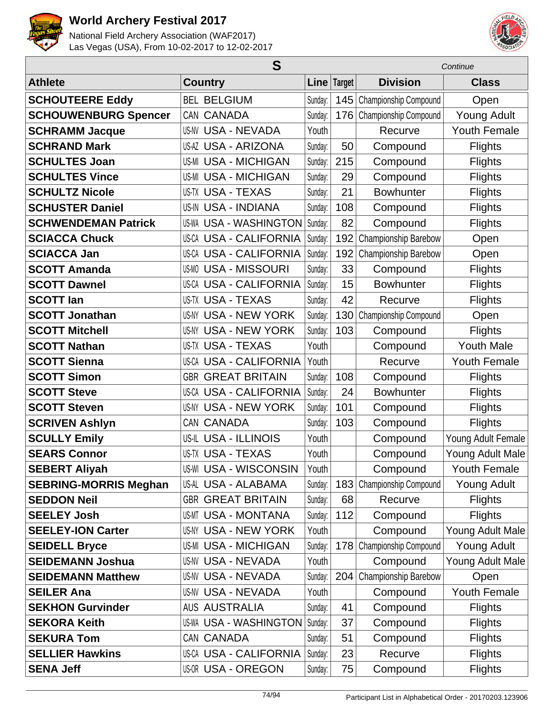



|                              | S                             |         |               | Continue              |                     |  |
|------------------------------|-------------------------------|---------|---------------|-----------------------|---------------------|--|
| <b>Athlete</b>               | <b>Country</b>                |         | Line   Target | <b>Division</b>       | <b>Class</b>        |  |
| <b>SCHOUTEERE Eddy</b>       | <b>BEL BELGIUM</b>            | Sunday: | 145           | Championship Compound | Open                |  |
| <b>SCHOUWENBURG Spencer</b>  | CAN CANADA                    | Sunday: | 176           | Championship Compound | <b>Young Adult</b>  |  |
| <b>SCHRAMM Jacque</b>        | <b>US-NV USA - NEVADA</b>     | Youth   |               | Recurve               | <b>Youth Female</b> |  |
| <b>SCHRAND Mark</b>          | <b>US-AZ USA - ARIZONA</b>    | Sunday: | 50            | Compound              | <b>Flights</b>      |  |
| <b>SCHULTES Joan</b>         | <b>US-MI USA - MICHIGAN</b>   | Sunday: | 215           | Compound              | <b>Flights</b>      |  |
| <b>SCHULTES Vince</b>        | <b>US-MI USA - MICHIGAN</b>   | Sunday: | 29            | Compound              | <b>Flights</b>      |  |
| <b>SCHULTZ Nicole</b>        | <b>US-TX USA - TEXAS</b>      | Sunday: | 21            | <b>Bowhunter</b>      | <b>Flights</b>      |  |
| <b>SCHUSTER Daniel</b>       | <b>US-IN USA - INDIANA</b>    | Sunday: | 108           | Compound              | <b>Flights</b>      |  |
| <b>SCHWENDEMAN Patrick</b>   | <b>US-WA USA - WASHINGTON</b> | Sunday: | 82            | Compound              | <b>Flights</b>      |  |
| <b>SCIACCA Chuck</b>         | <b>US-CA USA - CALIFORNIA</b> | Sunday: | 192           | Championship Barebow  | Open                |  |
| <b>SCIACCA Jan</b>           | <b>US-CA USA - CALIFORNIA</b> | Sunday: | 192           | Championship Barebow  | Open                |  |
| <b>SCOTT Amanda</b>          | US-MO USA - MISSOURI          | Sunday: | 33            | Compound              | <b>Flights</b>      |  |
| <b>SCOTT Dawnel</b>          | <b>US-CA USA - CALIFORNIA</b> | Sunday: | 15            | <b>Bowhunter</b>      | Flights             |  |
| <b>SCOTT lan</b>             | <b>US-TX USA - TEXAS</b>      | Sunday: | 42            | Recurve               | <b>Flights</b>      |  |
| <b>SCOTT Jonathan</b>        | <b>US-NY USA - NEW YORK</b>   | Sunday: | 130           | Championship Compound | Open                |  |
| <b>SCOTT Mitchell</b>        | <b>US-NY USA - NEW YORK</b>   | Sunday: | 103           | Compound              | <b>Flights</b>      |  |
| <b>SCOTT Nathan</b>          | <b>US-TX USA - TEXAS</b>      | Youth   |               | Compound              | <b>Youth Male</b>   |  |
| <b>SCOTT Sienna</b>          | <b>US-CA USA - CALIFORNIA</b> | Youth   |               | Recurve               | <b>Youth Female</b> |  |
| <b>SCOTT Simon</b>           | <b>GBR GREAT BRITAIN</b>      | Sunday: | 108           | Compound              | <b>Flights</b>      |  |
| <b>SCOTT Steve</b>           | <b>US-CA USA - CALIFORNIA</b> | Sunday: | 24            | <b>Bowhunter</b>      | <b>Flights</b>      |  |
| <b>SCOTT Steven</b>          | US-NY USA - NEW YORK          | Sunday: | 101           | Compound              | <b>Flights</b>      |  |
| <b>SCRIVEN Ashlyn</b>        | CAN CANADA                    | Sunday: | 103           | Compound              | Flights             |  |
| <b>SCULLY Emily</b>          | <b>US-IL USA - ILLINOIS</b>   | Youth   |               | Compound              | Young Adult Female  |  |
| <b>SEARS Connor</b>          | <b>US-TX USA - TEXAS</b>      | Youth   |               | Compound              | Young Adult Male    |  |
| <b>SEBERT Aliyah</b>         | US-WI USA - WISCONSIN         | Youth   |               | Compound              | Youth Female        |  |
| <b>SEBRING-MORRIS Meghan</b> | US-AL USA - ALABAMA           | Sunday: | 183           | Championship Compound | Young Adult         |  |
| <b>SEDDON Neil</b>           | <b>GBR GREAT BRITAIN</b>      | Sunday: | 68            | Recurve               | <b>Flights</b>      |  |
| <b>SEELEY Josh</b>           | <b>US-MT USA - MONTANA</b>    | Sunday: | 112           | Compound              | <b>Flights</b>      |  |
| <b>SEELEY-ION Carter</b>     | US-NY USA - NEW YORK          | Youth   |               | Compound              | Young Adult Male    |  |
| <b>SEIDELL Bryce</b>         | <b>US-MI USA - MICHIGAN</b>   | Sunday: | 178           | Championship Compound | <b>Young Adult</b>  |  |
| <b>SEIDEMANN Joshua</b>      | <b>US-NV USA - NEVADA</b>     | Youth   |               | Compound              | Young Adult Male    |  |
| <b>SEIDEMANN Matthew</b>     | <b>US-NV USA - NEVADA</b>     | Sunday: | 204           | Championship Barebow  | Open                |  |
| <b>SEILER Ana</b>            | <b>US-NV USA - NEVADA</b>     | Youth   |               | Compound              | <b>Youth Female</b> |  |
| <b>SEKHON Gurvinder</b>      | <b>AUS AUSTRALIA</b>          | Sunday: | 41            | Compound              | <b>Flights</b>      |  |
| <b>SEKORA Keith</b>          | <b>US-WA USA - WASHINGTON</b> | Sunday: | 37            | Compound              | <b>Flights</b>      |  |
| <b>SEKURA Tom</b>            | CAN CANADA                    | Sunday: | 51            | Compound              | <b>Flights</b>      |  |
| <b>SELLIER Hawkins</b>       | <b>US-CA USA - CALIFORNIA</b> | Sunday: | 23            | Recurve               | <b>Flights</b>      |  |
| <b>SENA Jeff</b>             | <b>US-OR USA - OREGON</b>     | Sunday: | 75            | Compound              | Flights             |  |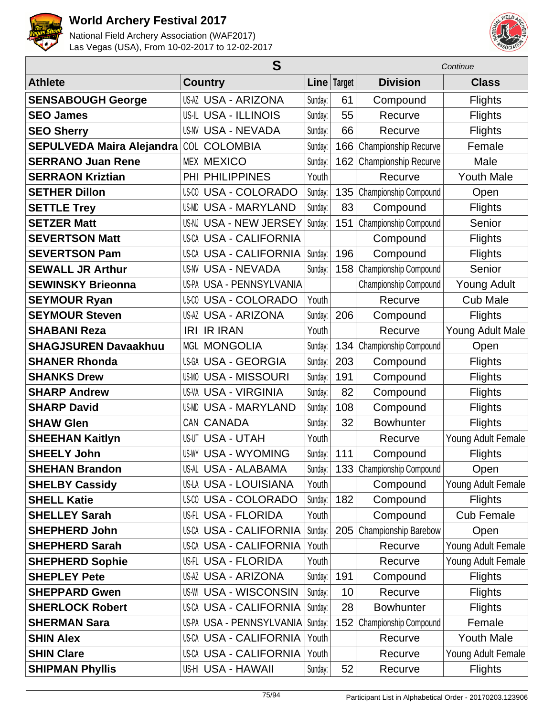



|                                  |                               | Continue |             |                           |                    |
|----------------------------------|-------------------------------|----------|-------------|---------------------------|--------------------|
| <b>Athlete</b>                   | <b>Country</b>                |          | Line Target | <b>Division</b>           | <b>Class</b>       |
| <b>SENSABOUGH George</b>         | <b>US-AZ USA - ARIZONA</b>    | Sunday:  | 61          | Compound                  | <b>Flights</b>     |
| <b>SEO James</b>                 | <b>US-IL USA - ILLINOIS</b>   | Sunday:  | 55          | Recurve                   | <b>Flights</b>     |
| <b>SEO Sherry</b>                | <b>US-NV USA - NEVADA</b>     | Sunday:  | 66          | Recurve                   | Flights            |
| <b>SEPULVEDA Maira Alejandra</b> | <b>COLOMBIA</b><br>COL        | Sunday:  | 166         | Championship Recurve      | Female             |
| <b>SERRANO Juan Rene</b>         | <b>MEX MEXICO</b>             | Sunday:  | 162         | Championship Recurve      | Male               |
| <b>SERRAON Kriztian</b>          | PHI PHILIPPINES               | Youth    |             | Recurve                   | <b>Youth Male</b>  |
| <b>SETHER Dillon</b>             | <b>US-CO USA - COLORADO</b>   | Sunday:  | 135         | Championship Compound     | Open               |
| <b>SETTLE Trey</b>               | US-MD USA - MARYLAND          | Sunday:  | 83          | Compound                  | <b>Flights</b>     |
| <b>SETZER Matt</b>               | US-NJ USA - NEW JERSEY        | Sunday:  | 151         | Championship Compound     | Senior             |
| <b>SEVERTSON Matt</b>            | <b>US-CA USA - CALIFORNIA</b> |          |             | Compound                  | <b>Flights</b>     |
| <b>SEVERTSON Pam</b>             | <b>US-CA USA - CALIFORNIA</b> | Sunday:  | 196         | Compound                  | Flights            |
| <b>SEWALL JR Arthur</b>          | <b>US-NV USA - NEVADA</b>     | Sunday:  | 158         | Championship Compound     | Senior             |
| <b>SEWINSKY Brieonna</b>         | US-PA USA - PENNSYLVANIA      |          |             | Championship Compound     | <b>Young Adult</b> |
| <b>SEYMOUR Ryan</b>              | <b>US-CO USA - COLORADO</b>   | Youth    |             | Recurve                   | <b>Cub Male</b>    |
| <b>SEYMOUR Steven</b>            | <b>US-AZ USA - ARIZONA</b>    | Sunday:  | 206         | Compound                  | <b>Flights</b>     |
| <b>SHABANI Reza</b>              | <b>IRI IR IRAN</b>            | Youth    |             | Recurve                   | Young Adult Male   |
| <b>SHAGJSUREN Davaakhuu</b>      | <b>MGL MONGOLIA</b>           | Sunday:  | 134         | Championship Compound     | Open               |
| <b>SHANER Rhonda</b>             | US-GA USA - GEORGIA           | Sunday:  | 203         | Compound                  | <b>Flights</b>     |
| <b>SHANKS Drew</b>               | <b>US-MO USA - MISSOURI</b>   | Sunday:  | 191         | Compound                  | <b>Flights</b>     |
| <b>SHARP Andrew</b>              | <b>US-VA USA - VIRGINIA</b>   | Sunday:  | 82          | Compound                  | <b>Flights</b>     |
| <b>SHARP David</b>               | <b>US-MD USA - MARYLAND</b>   | Sunday:  | 108         | Compound                  | <b>Flights</b>     |
| <b>SHAW Glen</b>                 | CAN CANADA                    | Sunday:  | 32          | <b>Bowhunter</b>          | <b>Flights</b>     |
| <b>SHEEHAN Kaitlyn</b>           | <b>US-UT USA - UTAH</b>       | Youth    |             | Recurve                   | Young Adult Female |
| <b>SHEELY John</b>               | <b>US-WY USA - WYOMING</b>    | Sunday:  | 111         | Compound                  | <b>Flights</b>     |
| <b>SHEHAN Brandon</b>            | US-AL USA - ALABAMA           | Sunday:  |             | 133 Championship Compound | Open               |
| <b>SHELBY Cassidy</b>            | US-LA USA - LOUISIANA         | Youth    |             | Compound                  | Young Adult Female |
| <b>SHELL Katie</b>               | US-00 USA - COLORADO          | Sunday:  | 182         | Compound                  | <b>Flights</b>     |
| <b>SHELLEY Sarah</b>             | <b>US-FL USA - FLORIDA</b>    | Youth    |             | Compound                  | <b>Cub Female</b>  |
| <b>SHEPHERD John</b>             | <b>US-CA USA - CALIFORNIA</b> | Sunday:  | 205         | Championship Barebow      | Open               |
| <b>SHEPHERD Sarah</b>            | <b>US-CA USA - CALIFORNIA</b> | Youth    |             | Recurve                   | Young Adult Female |
| <b>SHEPHERD Sophie</b>           | US-FL USA - FLORIDA           | Youth    |             | Recurve                   | Young Adult Female |
| <b>SHEPLEY Pete</b>              | <b>US-AZ USA - ARIZONA</b>    | Sunday:  | 191         | Compound                  | <b>Flights</b>     |
| <b>SHEPPARD Gwen</b>             | <b>US-WI USA - WISCONSIN</b>  | Sunday:  | 10          | Recurve                   | <b>Flights</b>     |
| <b>SHERLOCK Robert</b>           | <b>US-CA USA - CALIFORNIA</b> | Sunday:  | 28          | <b>Bowhunter</b>          | <b>Flights</b>     |
| <b>SHERMAN Sara</b>              | US-PA USA - PENNSYLVANIA      | Sunday:  | 152         | Championship Compound     | Female             |
| <b>SHIN Alex</b>                 | US-CA USA - CALIFORNIA        | Youth    |             | Recurve                   | <b>Youth Male</b>  |
| <b>SHIN Clare</b>                | US-CA USA - CALIFORNIA        | Youth    |             | Recurve                   | Young Adult Female |
| <b>SHIPMAN Phyllis</b>           | US-HI USA - HAWAII            | Sunday:  | 52          | Recurve                   | <b>Flights</b>     |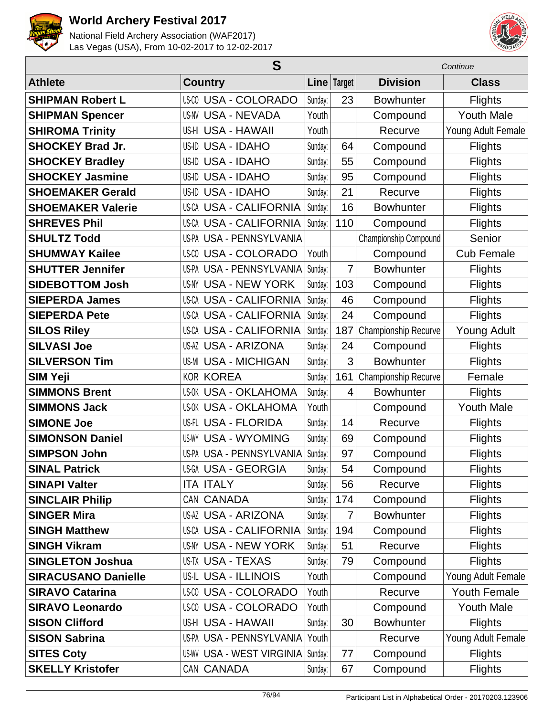



|                            | S                                |         |             | Continue              |                    |  |
|----------------------------|----------------------------------|---------|-------------|-----------------------|--------------------|--|
| <b>Athlete</b>             | <b>Country</b>                   |         | Line Target | <b>Division</b>       | <b>Class</b>       |  |
| <b>SHIPMAN Robert L</b>    | US-CO USA - COLORADO             | Sunday: | 23          | <b>Bowhunter</b>      | <b>Flights</b>     |  |
| <b>SHIPMAN Spencer</b>     | <b>US-NV USA - NEVADA</b>        | Youth   |             | Compound              | <b>Youth Male</b>  |  |
| <b>SHIROMA Trinity</b>     | US-HI USA - HAWAII               | Youth   |             | Recurve               | Young Adult Female |  |
| <b>SHOCKEY Brad Jr.</b>    | US-ID USA - IDAHO                | Sunday: | 64          | Compound              | <b>Flights</b>     |  |
| <b>SHOCKEY Bradley</b>     | US-ID USA - IDAHO                | Sunday: | 55          | Compound              | <b>Flights</b>     |  |
| <b>SHOCKEY Jasmine</b>     | <b>USA - IDAHO</b><br>US-ID      | Sunday: | 95          | Compound              | <b>Flights</b>     |  |
| <b>SHOEMAKER Gerald</b>    | US-ID USA - IDAHO                | Sunday: | 21          | Recurve               | <b>Flights</b>     |  |
| <b>SHOEMAKER Valerie</b>   | US-CA USA - CALIFORNIA           | Sunday: | 16          | <b>Bowhunter</b>      | <b>Flights</b>     |  |
| <b>SHREVES Phil</b>        | <b>US-CA USA - CALIFORNIA</b>    | Sunday: | 110         | Compound              | <b>Flights</b>     |  |
| <b>SHULTZ Todd</b>         | <b>US-PA USA - PENNSYLVANIA</b>  |         |             | Championship Compound | Senior             |  |
| <b>SHUMWAY Kailee</b>      | <b>US-CO USA - COLORADO</b>      | Youth   |             | Compound              | <b>Cub Female</b>  |  |
| <b>SHUTTER Jennifer</b>    | US-PA USA - PENNSYLVANIA         | Sunday: | 7           | <b>Bowhunter</b>      | <b>Flights</b>     |  |
| <b>SIDEBOTTOM Josh</b>     | US-NY USA - NEW YORK             | Sunday: | 103         | Compound              | <b>Flights</b>     |  |
| <b>SIEPERDA James</b>      | <b>US-CA USA - CALIFORNIA</b>    | Sunday: | 46          | Compound              | <b>Flights</b>     |  |
| <b>SIEPERDA Pete</b>       | US-CA USA - CALIFORNIA           | Sunday: | 24          | Compound              | <b>Flights</b>     |  |
| <b>SILOS Riley</b>         | <b>US-CA USA - CALIFORNIA</b>    | Sunday: | 187         | Championship Recurve  | <b>Young Adult</b> |  |
| <b>SILVASI Joe</b>         | <b>US-AZ USA - ARIZONA</b>       | Sunday: | 24          | Compound              | <b>Flights</b>     |  |
| <b>SILVERSON Tim</b>       | <b>US-MI USA - MICHIGAN</b>      | Sunday: | 3           | <b>Bowhunter</b>      | <b>Flights</b>     |  |
| <b>SIM Yeji</b>            | <b>KOR KOREA</b>                 | Sunday: | 161         | Championship Recurve  | Female             |  |
| <b>SIMMONS Brent</b>       | <b>US-OK USA - OKLAHOMA</b>      | Sunday: | 4           | <b>Bowhunter</b>      | <b>Flights</b>     |  |
| <b>SIMMONS Jack</b>        | <b>US-OK USA - OKLAHOMA</b>      | Youth   |             | Compound              | <b>Youth Male</b>  |  |
| <b>SIMONE Joe</b>          | US-FL USA - FLORIDA              | Sunday: | 14          | Recurve               | <b>Flights</b>     |  |
| <b>SIMONSON Daniel</b>     | <b>USA - WYOMING</b><br>US-WY    | Sunday: | 69          | Compound              | <b>Flights</b>     |  |
| <b>SIMPSON John</b>        | <b>US-PA USA - PENNSYLVANIA</b>  | Sunday: | 97          | Compound              | <b>Flights</b>     |  |
| <b>SINAL Patrick</b>       | US-GA USA - GEORGIA              | Sunday: | 54          | Compound              | Flights            |  |
| <b>SINAPI Valter</b>       | <b>ITA ITALY</b>                 | Sunday: | 56          | Recurve               | <b>Flights</b>     |  |
| <b>SINCLAIR Philip</b>     | CAN CANADA                       | Sunday: | 174         | Compound              | Flights            |  |
| <b>SINGER Mira</b>         | <b>US-AZ USA - ARIZONA</b>       | Sunday: | 7           | <b>Bowhunter</b>      | <b>Flights</b>     |  |
| <b>SINGH Matthew</b>       | <b>US-CA USA - CALIFORNIA</b>    | Sunday: | 194         | Compound              | <b>Flights</b>     |  |
| <b>SINGH Vikram</b>        | US-NY USA - NEW YORK             | Sunday: | 51          | Recurve               | <b>Flights</b>     |  |
| <b>SINGLETON Joshua</b>    | <b>US-TX USA - TEXAS</b>         | Sunday: | 79          | Compound              | <b>Flights</b>     |  |
| <b>SIRACUSANO Danielle</b> | US-IL USA - ILLINOIS             | Youth   |             | Compound              | Young Adult Female |  |
| <b>SIRAVO Catarina</b>     | US-00 USA - COLORADO             | Youth   |             | Recurve               | Youth Female       |  |
| <b>SIRAVO Leonardo</b>     | <b>US-CO USA - COLORADO</b>      | Youth   |             | Compound              | <b>Youth Male</b>  |  |
| <b>SISON Clifford</b>      | US-HI USA - HAWAII               | Sunday: | 30          | <b>Bowhunter</b>      | <b>Flights</b>     |  |
| <b>SISON Sabrina</b>       | US-PA USA - PENNSYLVANIA         | Youth   |             | Recurve               | Young Adult Female |  |
| <b>SITES Coty</b>          | <b>US-WV USA - WEST VIRGINIA</b> | Sunday: | 77          | Compound              | <b>Flights</b>     |  |
| <b>SKELLY Kristofer</b>    | CAN CANADA                       | Sunday: | 67          | Compound              | <b>Flights</b>     |  |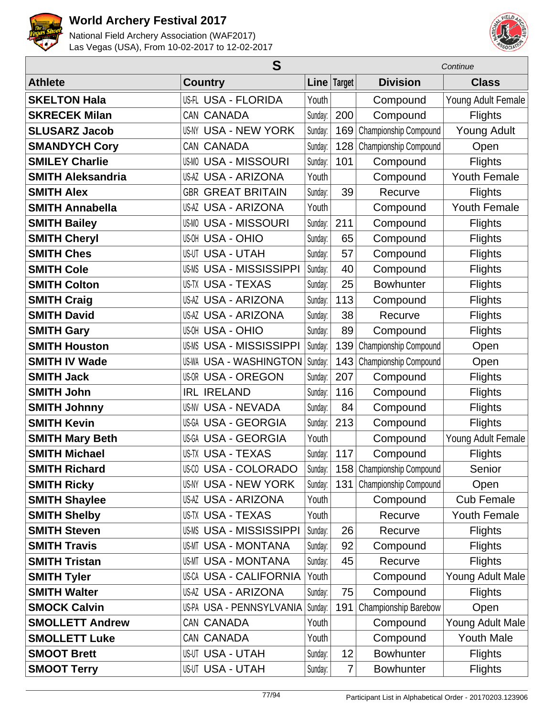



|                          | S                              |         |             | Continue                  |                     |  |
|--------------------------|--------------------------------|---------|-------------|---------------------------|---------------------|--|
| <b>Athlete</b>           | <b>Country</b>                 |         | Line Target | <b>Division</b>           | <b>Class</b>        |  |
| <b>SKELTON Hala</b>      | US-FL USA - FLORIDA            | Youth   |             | Compound                  | Young Adult Female  |  |
| <b>SKRECEK Milan</b>     | CAN CANADA                     | Sunday: | 200         | Compound                  | <b>Flights</b>      |  |
| <b>SLUSARZ Jacob</b>     | <b>US-NY USA - NEW YORK</b>    | Sunday: | 169         | Championship Compound     | <b>Young Adult</b>  |  |
| <b>SMANDYCH Cory</b>     | CAN CANADA                     | Sunday: | 128         | Championship Compound     | Open                |  |
| <b>SMILEY Charlie</b>    | <b>US-MO USA - MISSOURI</b>    | Sunday: | 101         | Compound                  | <b>Flights</b>      |  |
| <b>SMITH Aleksandria</b> | US-AZ USA - ARIZONA            | Youth   |             | Compound                  | <b>Youth Female</b> |  |
| <b>SMITH Alex</b>        | <b>GBR GREAT BRITAIN</b>       | Sunday: | 39          | Recurve                   | <b>Flights</b>      |  |
| <b>SMITH Annabella</b>   | <b>US-AZ USA - ARIZONA</b>     | Youth   |             | Compound                  | <b>Youth Female</b> |  |
| <b>SMITH Bailey</b>      | <b>US-MO USA - MISSOURI</b>    | Sunday: | 211         | Compound                  | <b>Flights</b>      |  |
| <b>SMITH Cheryl</b>      | <b>US-OH USA - OHIO</b>        | Sunday: | 65          | Compound                  | <b>Flights</b>      |  |
| <b>SMITH Ches</b>        | <b>US-UT USA - UTAH</b>        | Sunday: | 57          | Compound                  | <b>Flights</b>      |  |
| <b>SMITH Cole</b>        | <b>US-MS USA - MISSISSIPPI</b> | Sunday: | 40          | Compound                  | <b>Flights</b>      |  |
| <b>SMITH Colton</b>      | US-TX USA - TEXAS              | Sunday: | 25          | <b>Bowhunter</b>          | <b>Flights</b>      |  |
| <b>SMITH Craig</b>       | <b>US-AZ USA - ARIZONA</b>     | Sunday: | 113         | Compound                  | <b>Flights</b>      |  |
| <b>SMITH David</b>       | <b>US-AZ USA - ARIZONA</b>     | Sunday: | 38          | Recurve                   | <b>Flights</b>      |  |
| <b>SMITH Gary</b>        | US-OH USA - OHIO               | Sunday: | 89          | Compound                  | <b>Flights</b>      |  |
| <b>SMITH Houston</b>     | <b>US-MS USA - MISSISSIPPI</b> | Sunday: | 139         | Championship Compound     | Open                |  |
| <b>SMITH IV Wade</b>     | <b>US-WA USA - WASHINGTON</b>  | Sunday: | 143         | Championship Compound     | Open                |  |
| <b>SMITH Jack</b>        | <b>US-OR USA - OREGON</b>      | Sunday: | 207         | Compound                  | <b>Flights</b>      |  |
| <b>SMITH John</b>        | <b>IRL IRELAND</b>             | Sunday: | 116         | Compound                  | <b>Flights</b>      |  |
| <b>SMITH Johnny</b>      | <b>US-NV USA - NEVADA</b>      | Sunday: | 84          | Compound                  | <b>Flights</b>      |  |
| <b>SMITH Kevin</b>       | <b>US-GA USA - GEORGIA</b>     | Sunday: | 213         | Compound                  | <b>Flights</b>      |  |
| <b>SMITH Mary Beth</b>   | US-GA USA - GEORGIA            | Youth   |             | Compound                  | Young Adult Female  |  |
| <b>SMITH Michael</b>     | <b>US-TX USA - TEXAS</b>       | Sunday: | 117         | Compound                  | <b>Flights</b>      |  |
| <b>SMITH Richard</b>     | <b>US-CO USA - COLORADO</b>    | Sunday: |             | 158 Championship Compound | Senior              |  |
| <b>SMITH Ricky</b>       | US-NY USA - NEW YORK           | Sunday: | 131         | Championship Compound     | Open                |  |
| <b>SMITH Shaylee</b>     | US-AZ USA - ARIZONA            | Youth   |             | Compound                  | <b>Cub Female</b>   |  |
| <b>SMITH Shelby</b>      | US-TX USA - TEXAS              | Youth   |             | Recurve                   | Youth Female        |  |
| <b>SMITH Steven</b>      | <b>US-MS USA - MISSISSIPPI</b> | Sunday: | 26          | Recurve                   | <b>Flights</b>      |  |
| <b>SMITH Travis</b>      | <b>US-MT USA - MONTANA</b>     | Sunday: | 92          | Compound                  | <b>Flights</b>      |  |
| <b>SMITH Tristan</b>     | US-MT USA - MONTANA            | Sunday: | 45          | Recurve                   | <b>Flights</b>      |  |
| <b>SMITH Tyler</b>       | US-CA USA - CALIFORNIA         | Youth   |             | Compound                  | Young Adult Male    |  |
| <b>SMITH Walter</b>      | US-AZ USA - ARIZONA            | Sunday: | 75          | Compound                  | <b>Flights</b>      |  |
| <b>SMOCK Calvin</b>      | USPA USA - PENNSYLVANIA        | Sunday: | 191         | Championship Barebow      | Open                |  |
| <b>SMOLLETT Andrew</b>   | CAN CANADA                     | Youth   |             | Compound                  | Young Adult Male    |  |
| <b>SMOLLETT Luke</b>     | CAN CANADA                     | Youth   |             | Compound                  | <b>Youth Male</b>   |  |
| <b>SMOOT Brett</b>       | US-UT USA - UTAH               | Sunday: | 12          | <b>Bowhunter</b>          | <b>Flights</b>      |  |
| <b>SMOOT Terry</b>       | <b>US-UT USA - UTAH</b>        | Sunday: | 7           | <b>Bowhunter</b>          | <b>Flights</b>      |  |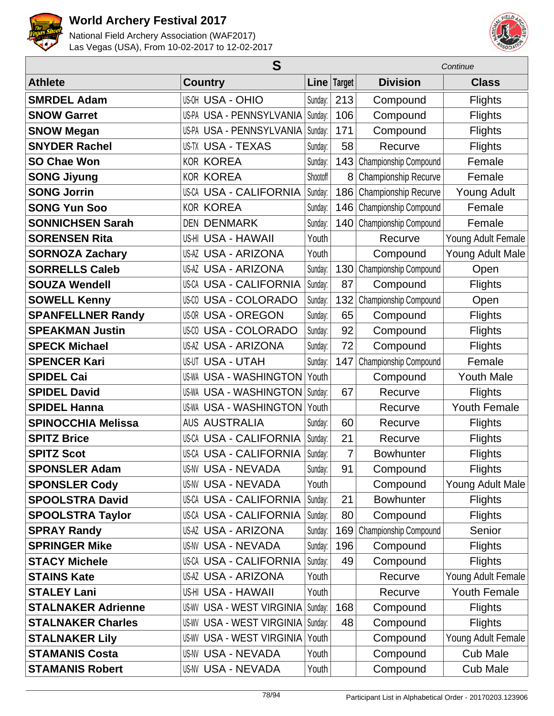



|                           | S                                   |          |             |                       | Continue            |  |  |
|---------------------------|-------------------------------------|----------|-------------|-----------------------|---------------------|--|--|
| <b>Athlete</b>            | <b>Country</b>                      |          | Line Target | <b>Division</b>       | <b>Class</b>        |  |  |
| <b>SMRDEL Adam</b>        | <b>US-OH USA - OHIO</b>             | Sunday:  | 213         | Compound              | <b>Flights</b>      |  |  |
| <b>SNOW Garret</b>        | US-PA USA - PENNSYLVANIA            | Sunday:  | 106         | Compound              | <b>Flights</b>      |  |  |
| <b>SNOW Megan</b>         | US-PA USA - PENNSYLVANIA            | Sunday:  | 171         | Compound              | <b>Flights</b>      |  |  |
| <b>SNYDER Rachel</b>      | <b>US-TX USA - TEXAS</b>            | Sunday:  | 58          | Recurve               | <b>Flights</b>      |  |  |
| <b>SO Chae Won</b>        | <b>KOR KOREA</b>                    | Sunday:  | 143         | Championship Compound | Female              |  |  |
| <b>SONG Jiyung</b>        | <b>KOR KOREA</b>                    | Shootoff | 8           | Championship Recurve  | Female              |  |  |
| <b>SONG Jorrin</b>        | US-CA USA - CALIFORNIA              | Sunday:  | 186         | Championship Recurve  | <b>Young Adult</b>  |  |  |
| <b>SONG Yun Soo</b>       | <b>KOR KOREA</b>                    | Sunday:  | 146         | Championship Compound | Female              |  |  |
| <b>SONNICHSEN Sarah</b>   | <b>DEN DENMARK</b>                  | Sunday:  | 140         | Championship Compound | Female              |  |  |
| <b>SORENSEN Rita</b>      | US-HI USA - HAWAII                  | Youth    |             | Recurve               | Young Adult Female  |  |  |
| <b>SORNOZA Zachary</b>    | <b>US-AZ USA - ARIZONA</b>          | Youth    |             | Compound              | Young Adult Male    |  |  |
| <b>SORRELLS Caleb</b>     | <b>US-AZ USA - ARIZONA</b>          | Sunday:  | 130         | Championship Compound | Open                |  |  |
| <b>SOUZA Wendell</b>      | <b>US-CA USA - CALIFORNIA</b>       | Sunday:  | 87          | Compound              | <b>Flights</b>      |  |  |
| <b>SOWELL Kenny</b>       | <b>USA - COLORADO</b><br>US-CO      | Sunday:  | 132         | Championship Compound | Open                |  |  |
| <b>SPANFELLNER Randy</b>  | <b>US-OR USA - OREGON</b>           | Sunday:  | 65          | Compound              | <b>Flights</b>      |  |  |
| <b>SPEAKMAN Justin</b>    | <b>USA - COLORADO</b><br>US-CO      | Sunday:  | 92          | Compound              | <b>Flights</b>      |  |  |
| <b>SPECK Michael</b>      | <b>US-AZ USA - ARIZONA</b>          | Sunday:  | 72          | Compound              | <b>Flights</b>      |  |  |
| <b>SPENCER Kari</b>       | <b>US-UT USA - UTAH</b>             | Sunday:  | 147         | Championship Compound | Female              |  |  |
| <b>SPIDEL Cai</b>         | <b>USA - WASHINGTON</b><br>US-WA    | Youth    |             | Compound              | <b>Youth Male</b>   |  |  |
| <b>SPIDEL David</b>       | <b>USA - WASHINGTON</b><br>US-WA    | Sunday:  | 67          | Recurve               | <b>Flights</b>      |  |  |
| <b>SPIDEL Hanna</b>       | <b>US-WA USA - WASHINGTON</b>       | Youth    |             | Recurve               | <b>Youth Female</b> |  |  |
| <b>SPINOCCHIA Melissa</b> | <b>AUS AUSTRALIA</b>                | Sunday:  | 60          | Recurve               | <b>Flights</b>      |  |  |
| <b>SPITZ Brice</b>        | <b>USA - CALIFORNIA</b><br>US-CA    | Sunday:  | 21          | Recurve               | <b>Flights</b>      |  |  |
| <b>SPITZ Scot</b>         | <b>US-CA USA - CALIFORNIA</b>       | Sunday:  | 7           | <b>Bowhunter</b>      | <b>Flights</b>      |  |  |
| <b>SPONSLER Adam</b>      | <b>US-NV USA - NEVADA</b>           | Sunday:  | 91          | Compound              | <b>Flights</b>      |  |  |
| <b>SPONSLER Cody</b>      | <b>US-NV USA - NEVADA</b>           | Youth    |             | Compound              | Young Adult Male    |  |  |
| <b>SPOOLSTRA David</b>    | <b>US-CA USA - CALIFORNIA</b>       | Sunday:  | 21          | <b>Bowhunter</b>      | <b>Flights</b>      |  |  |
| <b>SPOOLSTRA Taylor</b>   | <b>US-CA USA - CALIFORNIA</b>       | Sunday:  | 80          | Compound              | <b>Flights</b>      |  |  |
| <b>SPRAY Randy</b>        | <b>US-AZ USA - ARIZONA</b>          | Sunday:  | 169         | Championship Compound | Senior              |  |  |
| <b>SPRINGER Mike</b>      | <b>US-NV USA - NEVADA</b>           | Sunday:  | 196         | Compound              | <b>Flights</b>      |  |  |
| <b>STACY Michele</b>      | <b>US-CA USA - CALIFORNIA</b>       | Sunday:  | 49          | Compound              | <b>Flights</b>      |  |  |
| <b>STAINS Kate</b>        | <b>US-AZ USA - ARIZONA</b>          | Youth    |             | Recurve               | Young Adult Female  |  |  |
| <b>STALEY Lani</b>        | US-HI USA - HAWAII                  | Youth    |             | Recurve               | <b>Youth Female</b> |  |  |
| <b>STALNAKER Adrienne</b> | <b>US-WV USA - WEST VIRGINIA</b>    | Sunday:  | 168         | Compound              | <b>Flights</b>      |  |  |
| <b>STALNAKER Charles</b>  | US-WV USA - WEST VIRGINIA   Sunday: |          | 48          | Compound              | <b>Flights</b>      |  |  |
| <b>STALNAKER Lily</b>     | <b>US-WV USA - WEST VIRGINIA</b>    | Youth    |             | Compound              | Young Adult Female  |  |  |
| <b>STAMANIS Costa</b>     | US-NV USA - NEVADA                  | Youth    |             | Compound              | <b>Cub Male</b>     |  |  |
| <b>STAMANIS Robert</b>    | US-NV USA - NEVADA                  | Youth    |             | Compound              | <b>Cub Male</b>     |  |  |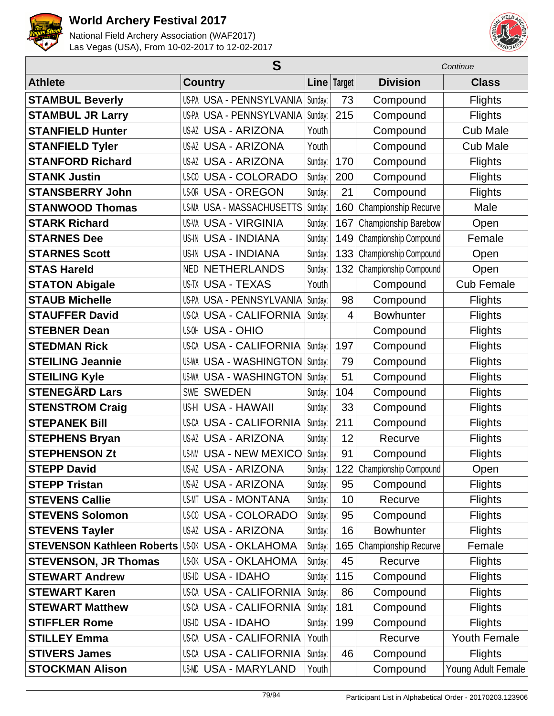



|                                   | S                               |         |               | Continue                    |                     |  |
|-----------------------------------|---------------------------------|---------|---------------|-----------------------------|---------------------|--|
| <b>Athlete</b>                    | <b>Country</b>                  |         | Line   Target | <b>Division</b>             | <b>Class</b>        |  |
| <b>STAMBUL Beverly</b>            | US-PA USA - PENNSYLVANIA        | Sunday: | 73            | Compound                    | <b>Flights</b>      |  |
| <b>STAMBUL JR Larry</b>           | US-PA USA - PENNSYLVANIA        | Sunday: | 215           | Compound                    | <b>Flights</b>      |  |
| <b>STANFIELD Hunter</b>           | <b>US-AZ USA - ARIZONA</b>      | Youth   |               | Compound                    | <b>Cub Male</b>     |  |
| <b>STANFIELD Tyler</b>            | <b>US-AZ USA - ARIZONA</b>      | Youth   |               | Compound                    | <b>Cub Male</b>     |  |
| <b>STANFORD Richard</b>           | <b>US-AZ USA - ARIZONA</b>      | Sunday: | 170           | Compound                    | <b>Flights</b>      |  |
| <b>STANK Justin</b>               | <b>US-CO USA - COLORADO</b>     | Sunday: | 200           | Compound                    | <b>Flights</b>      |  |
| <b>STANSBERRY John</b>            | <b>US-OR USA - OREGON</b>       | Sunday: | 21            | Compound                    | <b>Flights</b>      |  |
| <b>STANWOOD Thomas</b>            | US-MA USA - MASSACHUSETTS       | Sunday: | 160           | Championship Recurve        | Male                |  |
| <b>STARK Richard</b>              | <b>US-VA USA - VIRGINIA</b>     | Sunday: | 167           | Championship Barebow        | Open                |  |
| <b>STARNES Dee</b>                | <b>US-IN USA - INDIANA</b>      | Sunday: | 149           | Championship Compound       | Female              |  |
| <b>STARNES Scott</b>              | <b>US-IN USA - INDIANA</b>      | Sunday: | 133           | Championship Compound       | Open                |  |
| <b>STAS Hareld</b>                | <b>NETHERLANDS</b><br>NED       | Sunday: | 132           | Championship Compound       | Open                |  |
| <b>STATON Abigale</b>             | <b>US-TX USA - TEXAS</b>        | Youth   |               | Compound                    | <b>Cub Female</b>   |  |
| <b>STAUB Michelle</b>             | <b>US-PA USA - PENNSYLVANIA</b> | Sunday: | 98            | Compound                    | <b>Flights</b>      |  |
| <b>STAUFFER David</b>             | <b>US-CA USA - CALIFORNIA</b>   | Sunday: | 4             | <b>Bowhunter</b>            | <b>Flights</b>      |  |
| <b>STEBNER Dean</b>               | <b>US-OH USA - OHIO</b>         |         |               | Compound                    | <b>Flights</b>      |  |
| <b>STEDMAN Rick</b>               | US-CA USA - CALIFORNIA          | Sunday: | 197           | Compound                    | <b>Flights</b>      |  |
| <b>STEILING Jeannie</b>           | <b>US-WA USA - WASHINGTON</b>   | Sunday: | 79            | Compound                    | <b>Flights</b>      |  |
| <b>STEILING Kyle</b>              | <b>US-WA USA - WASHINGTON</b>   | Sunday: | 51            | Compound                    | <b>Flights</b>      |  |
| <b>STENEGÄRD Lars</b>             | <b>SWE SWEDEN</b>               | Sunday: | 104           | Compound                    | <b>Flights</b>      |  |
| <b>STENSTROM Craig</b>            | US-HI USA - HAWAII              | Sunday: | 33            | Compound                    | <b>Flights</b>      |  |
| <b>STEPANEK Bill</b>              | <b>US-CA USA - CALIFORNIA</b>   | Sunday: | 211           | Compound                    | <b>Flights</b>      |  |
| <b>STEPHENS Bryan</b>             | <b>US-AZ USA - ARIZONA</b>      | Sunday: | 12            | Recurve                     | <b>Flights</b>      |  |
| <b>STEPHENSON Zt</b>              | <b>US-NM USA - NEW MEXICO</b>   | Sunday: | 91            | Compound                    | <b>Flights</b>      |  |
| <b>STEPP David</b>                | US-AZ USA - ARIZONA             | Sunday: |               | 122   Championship Compound | Open                |  |
| <b>STEPP Tristan</b>              | <b>US-AZ USA - ARIZONA</b>      | Sunday: | 95            | Compound                    | <b>Flights</b>      |  |
| <b>STEVENS Callie</b>             | <b>US-MT USA - MONTANA</b>      | Sunday: | 10            | Recurve                     | <b>Flights</b>      |  |
| <b>STEVENS Solomon</b>            | US-00 USA - COLORADO            | Sunday: | 95            | Compound                    | <b>Flights</b>      |  |
| <b>STEVENS Tayler</b>             | <b>US-AZ USA - ARIZONA</b>      | Sunday: | 16            | <b>Bowhunter</b>            | <b>Flights</b>      |  |
| <b>STEVENSON Kathleen Roberts</b> | US-OK USA - OKLAHOMA            | Sunday: | 165           | Championship Recurve        | Female              |  |
| <b>STEVENSON, JR Thomas</b>       | <b>US-OK USA - OKLAHOMA</b>     | Sunday: | 45            | Recurve                     | <b>Flights</b>      |  |
| <b>STEWART Andrew</b>             | US-ID USA - IDAHO               | Sunday: | 115           | Compound                    | <b>Flights</b>      |  |
| <b>STEWART Karen</b>              | US-CA USA - CALIFORNIA          | Sunday: | 86            | Compound                    | <b>Flights</b>      |  |
| <b>STEWART Matthew</b>            | <b>US-CA USA - CALIFORNIA</b>   | Sunday: | 181           | Compound                    | <b>Flights</b>      |  |
| <b>STIFFLER Rome</b>              | US-ID USA - IDAHO               | Sunday: | 199           | Compound                    | <b>Flights</b>      |  |
| <b>STILLEY Emma</b>               | US-CA USA - CALIFORNIA          | Youth   |               | Recurve                     | <b>Youth Female</b> |  |
| <b>STIVERS James</b>              | US-CA USA - CALIFORNIA          | Sunday: | 46            | Compound                    | <b>Flights</b>      |  |
| <b>STOCKMAN Alison</b>            | US-MD USA - MARYLAND            | Youth   |               | Compound                    | Young Adult Female  |  |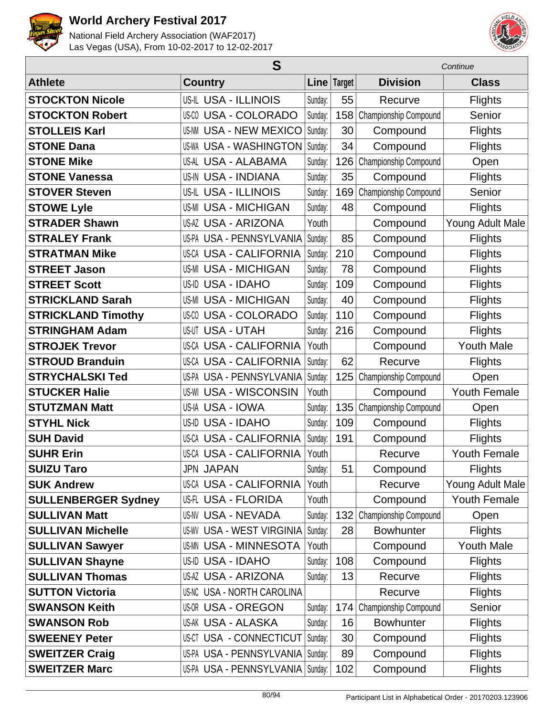



|                            | S                                 |         |             | Continue              |                     |  |
|----------------------------|-----------------------------------|---------|-------------|-----------------------|---------------------|--|
| <b>Athlete</b>             | <b>Country</b>                    |         | Line Target | <b>Division</b>       | <b>Class</b>        |  |
| <b>STOCKTON Nicole</b>     | US-IL USA - ILLINOIS              | Sunday: | 55          | Recurve               | <b>Flights</b>      |  |
| <b>STOCKTON Robert</b>     | <b>US-CO USA - COLORADO</b>       | Sunday: | 158         | Championship Compound | Senior              |  |
| <b>STOLLEIS Karl</b>       | <b>US-NM USA - NEW MEXICO</b>     | Sunday: | 30          | Compound              | <b>Flights</b>      |  |
| <b>STONE Dana</b>          | <b>USA - WASHINGTON</b><br>US-WA  | Sunday: | 34          | Compound              | <b>Flights</b>      |  |
| <b>STONE Mike</b>          | US-AL USA - ALABAMA               | Sunday: | 126         | Championship Compound | Open                |  |
| <b>STONE Vanessa</b>       | US-IN USA - INDIANA               | Sunday: | 35          | Compound              | <b>Flights</b>      |  |
| <b>STOVER Steven</b>       | US-IL USA - ILLINOIS              | Sunday: | 169         | Championship Compound | Senior              |  |
| <b>STOWE Lyle</b>          | <b>US-MI USA - MICHIGAN</b>       | Sunday: | 48          | Compound              | <b>Flights</b>      |  |
| <b>STRADER Shawn</b>       | <b>US-AZ USA - ARIZONA</b>        | Youth   |             | Compound              | Young Adult Male    |  |
| <b>STRALEY Frank</b>       | US-PA USA - PENNSYLVANIA          | Sunday: | 85          | Compound              | <b>Flights</b>      |  |
| <b>STRATMAN Mike</b>       | <b>US-CA USA - CALIFORNIA</b>     | Sunday: | 210         | Compound              | <b>Flights</b>      |  |
| <b>STREET Jason</b>        | <b>US-MI USA - MICHIGAN</b>       | Sunday: | 78          | Compound              | <b>Flights</b>      |  |
| <b>STREET Scott</b>        | <b>USA - IDAHO</b><br>US-ID       | Sunday: | 109         | Compound              | <b>Flights</b>      |  |
| <b>STRICKLAND Sarah</b>    | <b>US-MI USA - MICHIGAN</b>       | Sunday: | 40          | Compound              | <b>Flights</b>      |  |
| <b>STRICKLAND Timothy</b>  | <b>US-CO USA - COLORADO</b>       | Sunday: | 110         | Compound              | <b>Flights</b>      |  |
| <b>STRINGHAM Adam</b>      | <b>USA - UTAH</b><br>US-UT        | Sunday: | 216         | Compound              | <b>Flights</b>      |  |
| <b>STROJEK Trevor</b>      | US-CA USA - CALIFORNIA            | Youth   |             | Compound              | <b>Youth Male</b>   |  |
| <b>STROUD Branduin</b>     | <b>US-CA USA - CALIFORNIA</b>     | Sunday: | 62          | Recurve               | <b>Flights</b>      |  |
| <b>STRYCHALSKI Ted</b>     | USA - PENNSYLVANIA<br>US-PA       | Sunday: | 125         | Championship Compound | Open                |  |
| <b>STUCKER Halle</b>       | <b>US-WI USA - WISCONSIN</b>      | Youth   |             | Compound              | <b>Youth Female</b> |  |
| <b>STUTZMAN Matt</b>       | US-IA USA - IOWA                  | Sunday: | 135         | Championship Compound | Open                |  |
| <b>STYHL Nick</b>          | <b>USA - IDAHO</b><br>US-ID       | Sunday: | 109         | Compound              | Flights             |  |
| <b>SUH David</b>           | <b>US-CA USA - CALIFORNIA</b>     | Sunday: | 191         | Compound              | <b>Flights</b>      |  |
| <b>SUHR Erin</b>           | <b>US-CA USA - CALIFORNIA</b>     | Youth   |             | Recurve               | <b>Youth Female</b> |  |
| <b>SUIZU Taro</b>          | <b>JPN JAPAN</b>                  | Sunday: | 51          | Compound              | <b>Flights</b>      |  |
| <b>SUK Andrew</b>          | US-CA USA - CALIFORNIA            | Youth   |             | Recurve               | Young Adult Male    |  |
| <b>SULLENBERGER Sydney</b> | US-FL USA - FLORIDA               | Youth   |             | Compound              | Youth Female        |  |
| <b>SULLIVAN Matt</b>       | <b>US-NV USA - NEVADA</b>         | Sunday: | 132         | Championship Compound | Open                |  |
| <b>SULLIVAN Michelle</b>   | <b>US-WV USA - WEST VIRGINIA</b>  | Sunday: | 28          | <b>Bowhunter</b>      | <b>Flights</b>      |  |
| <b>SULLIVAN Sawyer</b>     | <b>US-MN USA - MINNESOTA</b>      | Youth   |             | Compound              | <b>Youth Male</b>   |  |
| <b>SULLIVAN Shayne</b>     | US-ID USA - IDAHO                 | Sunday: | 108         | Compound              | <b>Flights</b>      |  |
| <b>SULLIVAN Thomas</b>     | <b>US-AZ USA - ARIZONA</b>        | Sunday: | 13          | Recurve               | <b>Flights</b>      |  |
| <b>SUTTON Victoria</b>     | <b>US-NC USA - NORTH CAROLINA</b> |         |             | Recurve               | <b>Flights</b>      |  |
| <b>SWANSON Keith</b>       | <b>US-OR USA - OREGON</b>         | Sunday: | 174         | Championship Compound | Senior              |  |
| <b>SWANSON Rob</b>         | <b>US-AK USA - ALASKA</b>         | Sunday: | 16          | <b>Bowhunter</b>      | <b>Flights</b>      |  |
| <b>SWEENEY Peter</b>       | <b>US-CT USA - CONNECTICUT</b>    | Sunday: | 30          | Compound              | <b>Flights</b>      |  |
| <b>SWEITZER Craig</b>      | US-PA USA - PENNSYLVANIA          | Sunday: | 89          | Compound              | <b>Flights</b>      |  |
| <b>SWEITZER Marc</b>       | US-PA USA - PENNSYLVANIA          | Sunday: | 102         | Compound              | <b>Flights</b>      |  |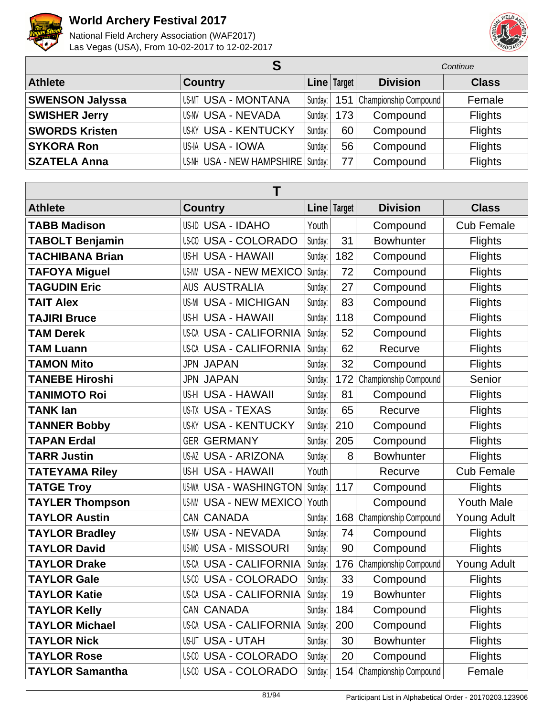

Г

# **World Archery Festival 2017**



| S                      |                                     |         | Continue      |                             |                |
|------------------------|-------------------------------------|---------|---------------|-----------------------------|----------------|
| <b>Athlete</b>         | <b>Country</b>                      |         | Line   Target | <b>Division</b>             | <b>Class</b>   |
| <b>SWENSON Jalyssa</b> | US-MT USA - MONTANA                 | Sunday: |               | 151   Championship Compound | Female         |
| <b>SWISHER Jerry</b>   | US-NV USA - NEVADA                  | Sunday: | 173           | Compound                    | <b>Flights</b> |
| <b>SWORDS Kristen</b>  | <b>US-KY USA - KENTUCKY</b>         | Sunday: | 60            | Compound                    | <b>Flights</b> |
| <b>SYKORA Ron</b>      | <b>US-IA USA - IOWA</b>             | Sunday: | 56            | Compound                    | <b>Flights</b> |
| <b>SZATELA Anna</b>    | US-NH USA - NEW HAMPSHIRE   Sunday: |         | 77            | Compound                    | <b>Flights</b> |

| Τ                      |                                  |             |     |                       |                    |  |  |
|------------------------|----------------------------------|-------------|-----|-----------------------|--------------------|--|--|
| <b>Athlete</b>         | <b>Country</b>                   | Line Target |     | <b>Division</b>       | <b>Class</b>       |  |  |
| <b>TABB Madison</b>    | US-ID USA - IDAHO                | Youth       |     | Compound              | <b>Cub Female</b>  |  |  |
| <b>TABOLT Benjamin</b> | <b>USA - COLORADO</b><br>US-CO   | Sunday:     | 31  | <b>Bowhunter</b>      | <b>Flights</b>     |  |  |
| <b>TACHIBANA Brian</b> | US-HI USA - HAWAII               | Sunday:     | 182 | Compound              | <b>Flights</b>     |  |  |
| <b>TAFOYA Miguel</b>   | <b>US-NM USA - NEW MEXICO</b>    | Sunday:     | 72  | Compound              | <b>Flights</b>     |  |  |
| <b>TAGUDIN Eric</b>    | <b>AUS AUSTRALIA</b>             | Sunday:     | 27  | Compound              | <b>Flights</b>     |  |  |
| <b>TAIT Alex</b>       | <b>US-MI USA - MICHIGAN</b>      | Sunday:     | 83  | Compound              | <b>Flights</b>     |  |  |
| <b>TAJIRI Bruce</b>    | US-HI USA - HAWAII               | Sunday:     | 118 | Compound              | <b>Flights</b>     |  |  |
| <b>TAM Derek</b>       | <b>US-CA USA - CALIFORNIA</b>    | Sunday:     | 52  | Compound              | <b>Flights</b>     |  |  |
| <b>TAM Luann</b>       | US-CA USA - CALIFORNIA           | Sunday:     | 62  | Recurve               | <b>Flights</b>     |  |  |
| <b>TAMON Mito</b>      | <b>JPN JAPAN</b>                 | Sunday:     | 32  | Compound              | <b>Flights</b>     |  |  |
| <b>TANEBE Hiroshi</b>  | <b>JPN JAPAN</b>                 | Sunday:     | 172 | Championship Compound | Senior             |  |  |
| <b>TANIMOTO Roi</b>    | US-HI USA - HAWAII               | Sunday:     | 81  | Compound              | <b>Flights</b>     |  |  |
| <b>TANK lan</b>        | <b>US-TX USA - TEXAS</b>         | Sunday:     | 65  | Recurve               | <b>Flights</b>     |  |  |
| <b>TANNER Bobby</b>    | <b>USA - KENTUCKY</b><br>US-KY   | Sunday:     | 210 | Compound              | <b>Flights</b>     |  |  |
| <b>TAPAN Erdal</b>     | <b>GERMANY</b><br>GER            | Sunday:     | 205 | Compound              | <b>Flights</b>     |  |  |
| <b>TARR Justin</b>     | <b>US-AZ USA - ARIZONA</b>       | Sunday:     | 8   | <b>Bowhunter</b>      | <b>Flights</b>     |  |  |
| <b>TATEYAMA Riley</b>  | US-HI USA - HAWAII               | Youth       |     | Recurve               | <b>Cub Female</b>  |  |  |
| <b>TATGE Troy</b>      | <b>USA - WASHINGTON</b><br>US-WA | Sunday:     | 117 | Compound              | Flights            |  |  |
| <b>TAYLER Thompson</b> | <b>US-NM USA - NEW MEXICO</b>    | Youth       |     | Compound              | <b>Youth Male</b>  |  |  |
| <b>TAYLOR Austin</b>   | CAN CANADA                       | Sunday:     | 168 | Championship Compound | <b>Young Adult</b> |  |  |
| <b>TAYLOR Bradley</b>  | <b>US-NV USA - NEVADA</b>        | Sunday:     | 74  | Compound              | <b>Flights</b>     |  |  |
| <b>TAYLOR David</b>    | <b>US-MO USA - MISSOURI</b>      | Sunday:     | 90  | Compound              | <b>Flights</b>     |  |  |
| <b>TAYLOR Drake</b>    | <b>US-CA USA - CALIFORNIA</b>    | Sunday:     | 176 | Championship Compound | <b>Young Adult</b> |  |  |
| <b>TAYLOR Gale</b>     | <b>US-CO USA - COLORADO</b>      | Sunday:     | 33  | Compound              | <b>Flights</b>     |  |  |
| TAYLOR Katie           | US-CA USA - CALIFORNIA           | Sunday:     | 19  | <b>Bowhunter</b>      | <b>Flights</b>     |  |  |
| <b>TAYLOR Kelly</b>    | CAN CANADA                       | Sunday:     | 184 | Compound              | <b>Flights</b>     |  |  |
| <b>TAYLOR Michael</b>  | US-CA USA - CALIFORNIA           | Sunday:     | 200 | Compound              | <b>Flights</b>     |  |  |
| <b>TAYLOR Nick</b>     | <b>US-UT USA - UTAH</b>          | Sunday:     | 30  | <b>Bowhunter</b>      | <b>Flights</b>     |  |  |
| <b>TAYLOR Rose</b>     | <b>US-CO USA - COLORADO</b>      | Sunday:     | 20  | Compound              | <b>Flights</b>     |  |  |
| <b>TAYLOR Samantha</b> | US-CO USA - COLORADO             | Sunday:     | 154 | Championship Compound | Female             |  |  |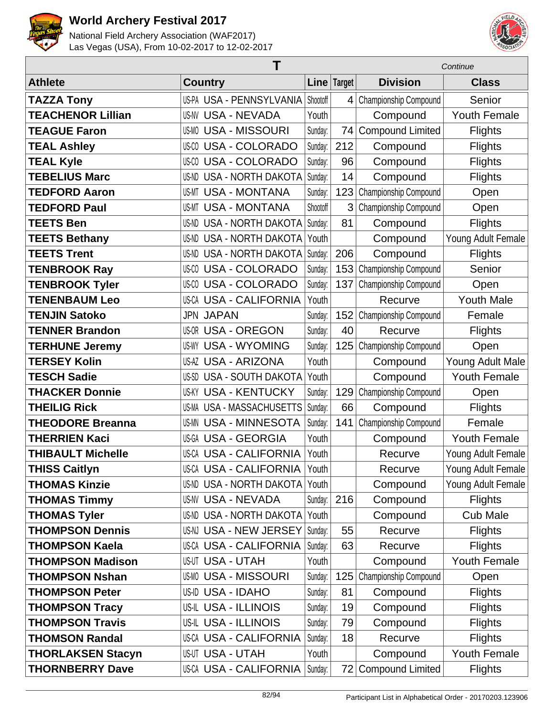



|                          | Τ                               |          |               | Continue                |                     |  |
|--------------------------|---------------------------------|----------|---------------|-------------------------|---------------------|--|
| <b>Athlete</b>           | <b>Country</b>                  |          | Line   Target | <b>Division</b>         | <b>Class</b>        |  |
| <b>TAZZA Tony</b>        | US-PA USA - PENNSYLVANIA        | Shootoff | 4             | Championship Compound   | Senior              |  |
| <b>TEACHENOR Lillian</b> | <b>US-NV USA - NEVADA</b>       | Youth    |               | Compound                | <b>Youth Female</b> |  |
| <b>TEAGUE Faron</b>      | <b>US-MO USA - MISSOURI</b>     | Sunday:  | 74            | <b>Compound Limited</b> | <b>Flights</b>      |  |
| <b>TEAL Ashley</b>       | <b>US-CO USA - COLORADO</b>     | Sunday:  | 212           | Compound                | <b>Flights</b>      |  |
| <b>TEAL Kyle</b>         | <b>US-CO USA - COLORADO</b>     | Sunday:  | 96            | Compound                | <b>Flights</b>      |  |
| <b>TEBELIUS Marc</b>     | <b>US-ND USA - NORTH DAKOTA</b> | Sunday:  | 14            | Compound                | <b>Flights</b>      |  |
| <b>TEDFORD Aaron</b>     | <b>US-MT USA - MONTANA</b>      | Sunday:  | 123           | Championship Compound   | Open                |  |
| <b>TEDFORD Paul</b>      | <b>US-MT USA - MONTANA</b>      | Shootoff | 3             | Championship Compound   | Open                |  |
| <b>TEETS Ben</b>         | <b>US-ND USA - NORTH DAKOTA</b> | Sunday:  | 81            | Compound                | <b>Flights</b>      |  |
| <b>TEETS Bethany</b>     | <b>US-ND USA - NORTH DAKOTA</b> | Youth    |               | Compound                | Young Adult Female  |  |
| <b>TEETS Trent</b>       | US-ND USA - NORTH DAKOTA        | Sunday:  | 206           | Compound                | <b>Flights</b>      |  |
| <b>TENBROOK Ray</b>      | <b>US-CO USA - COLORADO</b>     | Sunday:  | 153           | Championship Compound   | Senior              |  |
| <b>TENBROOK Tyler</b>    | <b>US-CO USA - COLORADO</b>     | Sunday:  | 137           | Championship Compound   | Open                |  |
| <b>TENENBAUM Leo</b>     | <b>US-CA USA - CALIFORNIA</b>   | Youth    |               | Recurve                 | <b>Youth Male</b>   |  |
| <b>TENJIN Satoko</b>     | <b>JPN JAPAN</b>                | Sunday:  | 152           | Championship Compound   | Female              |  |
| <b>TENNER Brandon</b>    | <b>US-OR USA - OREGON</b>       | Sunday:  | 40            | Recurve                 | <b>Flights</b>      |  |
| <b>TERHUNE Jeremy</b>    | <b>US-WY USA - WYOMING</b>      | Sunday:  | 125           | Championship Compound   | Open                |  |
| <b>TERSEY Kolin</b>      | US-AZ USA - ARIZONA             | Youth    |               | Compound                | Young Adult Male    |  |
| <b>TESCH Sadie</b>       | US-SD USA - SOUTH DAKOTA        | Youth    |               | Compound                | <b>Youth Female</b> |  |
| <b>THACKER Donnie</b>    | <b>US-KY USA - KENTUCKY</b>     | Sunday:  | 129           | Championship Compound   | Open                |  |
| <b>THEILIG Rick</b>      | US-MA USA - MASSACHUSETTS       | Sunday:  | 66            | Compound                | <b>Flights</b>      |  |
| <b>THEODORE Breanna</b>  | <b>US-MN USA - MINNESOTA</b>    | Sunday:  | 141           | Championship Compound   | Female              |  |
| <b>THERRIEN Kaci</b>     | US-GA USA - GEORGIA             | Youth    |               | Compound                | <b>Youth Female</b> |  |
| <b>THIBAULT Michelle</b> | <b>US-CA USA - CALIFORNIA</b>   | Youth    |               | Recurve                 | Young Adult Female  |  |
| THISS Caitlyn            | US-CA USA - CALIFORNIA          | Youth    |               | Recurve                 | Young Adult Female  |  |
| <b>THOMAS Kinzie</b>     | <b>US-ND USA - NORTH DAKOTA</b> | Youth    |               | Compound                | Young Adult Female  |  |
| <b>THOMAS Timmy</b>      | <b>US-NV USA - NEVADA</b>       | Sunday:  | 216           | Compound                | <b>Flights</b>      |  |
| <b>THOMAS Tyler</b>      | US-ND USA - NORTH DAKOTA        | Youth    |               | Compound                | <b>Cub Male</b>     |  |
| <b>THOMPSON Dennis</b>   | US-NJ USA - NEW JERSEY          | Sunday:  | 55            | Recurve                 | <b>Flights</b>      |  |
| <b>THOMPSON Kaela</b>    | US-CA USA - CALIFORNIA          | Sunday:  | 63            | Recurve                 | <b>Flights</b>      |  |
| <b>THOMPSON Madison</b>  | <b>US-UT USA - UTAH</b>         | Youth    |               | Compound                | <b>Youth Female</b> |  |
| <b>THOMPSON Nshan</b>    | US-MO USA - MISSOURI            | Sunday:  | 125           | Championship Compound   | Open                |  |
| <b>THOMPSON Peter</b>    | US-ID USA - IDAHO               | Sunday:  | 81            | Compound                | <b>Flights</b>      |  |
| <b>THOMPSON Tracy</b>    | <b>US-IL USA - ILLINOIS</b>     | Sunday:  | 19            | Compound                | <b>Flights</b>      |  |
| <b>THOMPSON Travis</b>   | <b>US-IL USA - ILLINOIS</b>     | Sunday:  | 79            | Compound                | <b>Flights</b>      |  |
| <b>THOMSON Randal</b>    | <b>US-CA USA - CALIFORNIA</b>   | Sunday:  | 18            | Recurve                 | <b>Flights</b>      |  |
| <b>THORLAKSEN Stacyn</b> | <b>US-UT USA - UTAH</b>         | Youth    |               | Compound                | Youth Female        |  |
| <b>THORNBERRY Dave</b>   | <b>US-CA USA - CALIFORNIA</b>   | Sunday:  | 72            | <b>Compound Limited</b> | <b>Flights</b>      |  |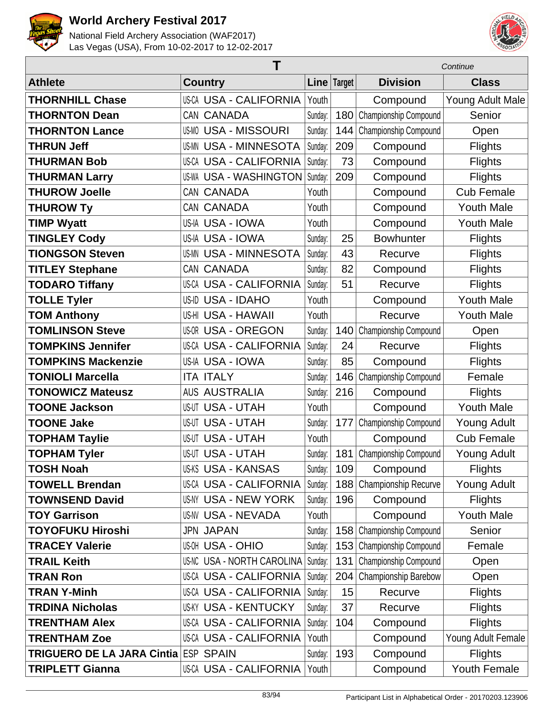



|                                   | Τ                               |         |             | Continue                    |                    |  |
|-----------------------------------|---------------------------------|---------|-------------|-----------------------------|--------------------|--|
| <b>Athlete</b>                    | <b>Country</b>                  |         | Line Target | <b>Division</b>             | <b>Class</b>       |  |
| <b>THORNHILL Chase</b>            | <b>US-CA USA - CALIFORNIA</b>   | Youth   |             | Compound                    | Young Adult Male   |  |
| <b>THORNTON Dean</b>              | CAN CANADA                      | Sunday: | 180         | Championship Compound       | Senior             |  |
| <b>THORNTON Lance</b>             | <b>US-MO USA - MISSOURI</b>     | Sunday: | 144         | Championship Compound       | Open               |  |
| <b>THRUN Jeff</b>                 | <b>USA - MINNESOTA</b><br>US-MN | Sunday: | 209         | Compound                    | <b>Flights</b>     |  |
| <b>THURMAN Bob</b>                | <b>US-CA USA - CALIFORNIA</b>   | Sunday: | 73          | Compound                    | <b>Flights</b>     |  |
| <b>THURMAN Larry</b>              | <b>US-WA USA - WASHINGTON</b>   | Sunday: | 209         | Compound                    | <b>Flights</b>     |  |
| <b>THUROW Joelle</b>              | CAN CANADA                      | Youth   |             | Compound                    | <b>Cub Female</b>  |  |
| <b>THUROW Ty</b>                  | CAN CANADA                      | Youth   |             | Compound                    | <b>Youth Male</b>  |  |
| <b>TIMP Wyatt</b>                 | US-IA USA - IOWA                | Youth   |             | Compound                    | <b>Youth Male</b>  |  |
| <b>TINGLEY Cody</b>               | US-IA USA - IOWA                | Sunday: | 25          | <b>Bowhunter</b>            | <b>Flights</b>     |  |
| <b>TIONGSON Steven</b>            | <b>US-MN USA - MINNESOTA</b>    | Sunday: | 43          | Recurve                     | <b>Flights</b>     |  |
| <b>TITLEY Stephane</b>            | CAN CANADA                      | Sunday: | 82          | Compound                    | <b>Flights</b>     |  |
| <b>TODARO Tiffany</b>             | <b>US-CA USA - CALIFORNIA</b>   | Sunday: | 51          | Recurve                     | <b>Flights</b>     |  |
| <b>TOLLE Tyler</b>                | US-ID USA - IDAHO               | Youth   |             | Compound                    | <b>Youth Male</b>  |  |
| <b>TOM Anthony</b>                | US-HI USA - HAWAII              | Youth   |             | Recurve                     | <b>Youth Male</b>  |  |
| <b>TOMLINSON Steve</b>            | <b>US-OR USA - OREGON</b>       | Sunday: | 140         | Championship Compound       | Open               |  |
| <b>TOMPKINS Jennifer</b>          | <b>US-CA USA - CALIFORNIA</b>   | Sunday: | 24          | Recurve                     | <b>Flights</b>     |  |
| <b>TOMPKINS Mackenzie</b>         | US-IA USA - IOWA                | Sunday: | 85          | Compound                    | <b>Flights</b>     |  |
| <b>TONIOLI Marcella</b>           | <b>ITA ITALY</b>                | Sunday: | 146         | Championship Compound       | Female             |  |
| <b>TONOWICZ Mateusz</b>           | <b>AUS AUSTRALIA</b>            | Sunday: | 216         | Compound                    | <b>Flights</b>     |  |
| <b>TOONE Jackson</b>              | <b>US-UT USA - UTAH</b>         | Youth   |             | Compound                    | <b>Youth Male</b>  |  |
| <b>TOONE Jake</b>                 | <b>US-UT USA - UTAH</b>         | Sunday: | 177         | Championship Compound       | <b>Young Adult</b> |  |
| <b>TOPHAM Taylie</b>              | <b>US-UT USA - UTAH</b>         | Youth   |             | Compound                    | <b>Cub Female</b>  |  |
| <b>TOPHAM Tyler</b>               | <b>US-UT USA - UTAH</b>         | Sunday: | 181         | Championship Compound       | <b>Young Adult</b> |  |
| <b>TOSH Noah</b>                  | <b>US-KS USA - KANSAS</b>       | Sunday: | 109         | Compound                    | <b>Flights</b>     |  |
| <b>TOWELL Brendan</b>             | <b>US-CA USA - CALIFORNIA</b>   | Sunday: | 188         | <b>Championship Recurve</b> | <b>Young Adult</b> |  |
| <b>TOWNSEND David</b>             | US-NY USA - NEW YORK            | Sunday: | 196         | Compound                    | <b>Flights</b>     |  |
| <b>TOY Garrison</b>               | US-NV USA - NEVADA              | Youth   |             | Compound                    | <b>Youth Male</b>  |  |
| <b>TOYOFUKU Hiroshi</b>           | <b>JPN JAPAN</b>                | Sunday: | 158         | Championship Compound       | Senior             |  |
| <b>TRACEY Valerie</b>             | <b>US-OH USA - OHIO</b>         | Sunday: | 153         | Championship Compound       | Female             |  |
| <b>TRAIL Keith</b>                | US-NC USA - NORTH CAROLINA      | Sunday: | 131         | Championship Compound       | Open               |  |
| <b>TRAN Ron</b>                   | <b>US-CA USA - CALIFORNIA</b>   | Sunday: | 204         | Championship Barebow        | Open               |  |
| <b>TRAN Y-Minh</b>                | US-CA USA - CALIFORNIA          | Sunday: | 15          | Recurve                     | <b>Flights</b>     |  |
| <b>TRDINA Nicholas</b>            | US-KY USA - KENTUCKY            | Sunday: | 37          | Recurve                     | <b>Flights</b>     |  |
| <b>TRENTHAM Alex</b>              | <b>US-CA USA - CALIFORNIA</b>   | Sunday: | 104         | Compound                    | <b>Flights</b>     |  |
| <b>TRENTHAM Zoe</b>               | <b>US-CA USA - CALIFORNIA</b>   | Youth   |             | Compound                    | Young Adult Female |  |
| <b>TRIGUERO DE LA JARA Cintia</b> | <b>ESP SPAIN</b>                | Sunday: | 193         | Compound                    | <b>Flights</b>     |  |
| <b>TRIPLETT Gianna</b>            | US-CA USA - CALIFORNIA          | Youth   |             | Compound                    | Youth Female       |  |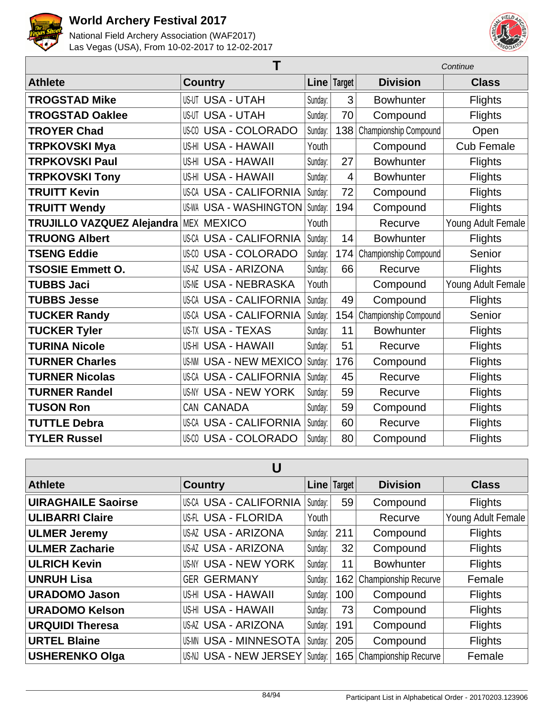



| Τ                          |                               |         | Continue       |                       |                    |
|----------------------------|-------------------------------|---------|----------------|-----------------------|--------------------|
| <b>Athlete</b>             | <b>Country</b>                |         | Line   Target  | <b>Division</b>       | <b>Class</b>       |
| <b>TROGSTAD Mike</b>       | <b>US-UT USA - UTAH</b>       | Sunday: | 3              | <b>Bowhunter</b>      | <b>Flights</b>     |
| <b>TROGSTAD Oaklee</b>     | <b>US-UT USA - UTAH</b>       | Sunday: | 70             | Compound              | <b>Flights</b>     |
| <b>TROYER Chad</b>         | US-00 USA - COLORADO          | Sunday: | 138            | Championship Compound | Open               |
| <b>TRPKOVSKI Mya</b>       | US-HI USA - HAWAII            | Youth   |                | Compound              | <b>Cub Female</b>  |
| <b>TRPKOVSKI Paul</b>      | US-HI USA - HAWAII            | Sunday: | 27             | <b>Bowhunter</b>      | <b>Flights</b>     |
| <b>TRPKOVSKI Tony</b>      | US-HI USA - HAWAII            | Sunday: | $\overline{4}$ | <b>Bowhunter</b>      | <b>Flights</b>     |
| <b>TRUITT Kevin</b>        | <b>US-CA USA - CALIFORNIA</b> | Sunday: | 72             | Compound              | <b>Flights</b>     |
| <b>TRUITT Wendy</b>        | <b>US-WA USA - WASHINGTON</b> | Sunday: | 194            | Compound              | <b>Flights</b>     |
| TRUJILLO VAZQUEZ Alejandra | <b>MEX MEXICO</b>             | Youth   |                | Recurve               | Young Adult Female |
| <b>TRUONG Albert</b>       | US-CA USA - CALIFORNIA        | Sunday: | 14             | <b>Bowhunter</b>      | <b>Flights</b>     |
| <b>TSENG Eddie</b>         | <b>US-CO USA - COLORADO</b>   | Sunday: | 174            | Championship Compound | Senior             |
| <b>TSOSIE Emmett O.</b>    | <b>US-AZ USA - ARIZONA</b>    | Sunday: | 66             | Recurve               | <b>Flights</b>     |
| <b>TUBBS Jaci</b>          | <b>US-NE USA - NEBRASKA</b>   | Youth   |                | Compound              | Young Adult Female |
| <b>TUBBS Jesse</b>         | <b>US-CA USA - CALIFORNIA</b> | Sunday: | 49             | Compound              | <b>Flights</b>     |
| <b>TUCKER Randy</b>        | US-CA USA - CALIFORNIA        | Sunday: | 154            | Championship Compound | Senior             |
| <b>TUCKER Tyler</b>        | <b>US-TX USA - TEXAS</b>      | Sunday: | 11             | <b>Bowhunter</b>      | <b>Flights</b>     |
| <b>TURINA Nicole</b>       | US-HI USA - HAWAII            | Sunday: | 51             | Recurve               | <b>Flights</b>     |
| <b>TURNER Charles</b>      | <b>US-NM USA - NEW MEXICO</b> | Sunday: | 176            | Compound              | <b>Flights</b>     |
| <b>TURNER Nicolas</b>      | US-CA USA - CALIFORNIA        | Sunday: | 45             | Recurve               | <b>Flights</b>     |
| <b>TURNER Randel</b>       | US-NY USA - NEW YORK          | Sunday: | 59             | Recurve               | <b>Flights</b>     |
| <b>TUSON Ron</b>           | CAN CANADA                    | Sunday: | 59             | Compound              | <b>Flights</b>     |
| <b>TUTTLE Debra</b>        | <b>US-CA USA - CALIFORNIA</b> | Sunday: | 60             | Recurve               | <b>Flights</b>     |
| <b>TYLER Russel</b>        | <b>US-CO USA - COLORADO</b>   | Sunday: | 80             | Compound              | <b>Flights</b>     |

| U                         |                               |         |               |                      |                    |  |  |
|---------------------------|-------------------------------|---------|---------------|----------------------|--------------------|--|--|
| <b>Athlete</b>            | <b>Country</b>                |         | Line   Target | <b>Division</b>      | <b>Class</b>       |  |  |
| <b>UIRAGHAILE Saoirse</b> | <b>US-CA USA - CALIFORNIA</b> | Sunday: | 59            | Compound             | <b>Flights</b>     |  |  |
| <b>ULIBARRI Claire</b>    | US-FL USA - FLORIDA           | Youth   |               | Recurve              | Young Adult Female |  |  |
| <b>ULMER Jeremy</b>       | <b>US-AZ USA - ARIZONA</b>    | Sunday: | 211           | Compound             | <b>Flights</b>     |  |  |
| <b>ULMER Zacharie</b>     | US-AZ USA - ARIZONA           | Sunday: | 32            | Compound             | <b>Flights</b>     |  |  |
| <b>ULRICH Kevin</b>       | <b>US-NY USA - NEW YORK</b>   | Sunday: | 11            | <b>Bowhunter</b>     | <b>Flights</b>     |  |  |
| <b>UNRUH Lisa</b>         | <b>GER GERMANY</b>            | Sunday: | 162           | Championship Recurve | Female             |  |  |
| <b>URADOMO Jason</b>      | <b>US-HI USA - HAWAII</b>     | Sunday: | 100           | Compound             | <b>Flights</b>     |  |  |
| <b>URADOMO Kelson</b>     | US-HI USA - HAWAII            | Sunday: | 73            | Compound             | <b>Flights</b>     |  |  |
| <b>URQUIDI Theresa</b>    | US-AZ USA - ARIZONA           | Sunday: | 191           | Compound             | <b>Flights</b>     |  |  |
| <b>URTEL Blaine</b>       | <b>US-MN USA - MINNESOTA</b>  | Sunday: | 205           | Compound             | <b>Flights</b>     |  |  |
| <b>USHERENKO Olga</b>     | US-NJ USA - NEW JERSEY        | Sunday: | 165           | Championship Recurve | Female             |  |  |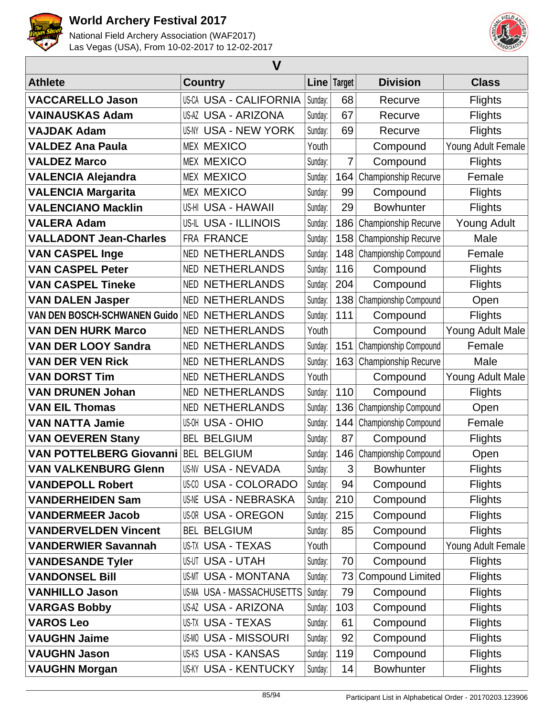



| $\mathbf V$                    |                               |         |               |                           |                    |  |  |
|--------------------------------|-------------------------------|---------|---------------|---------------------------|--------------------|--|--|
| <b>Athlete</b>                 | <b>Country</b>                |         | Line   Target | <b>Division</b>           | <b>Class</b>       |  |  |
| <b>VACCARELLO Jason</b>        | <b>US-CA USA - CALIFORNIA</b> | Sunday: | 68            | Recurve                   | <b>Flights</b>     |  |  |
| <b>VAINAUSKAS Adam</b>         | <b>US-AZ USA - ARIZONA</b>    | Sunday: | 67            | Recurve                   | <b>Flights</b>     |  |  |
| <b>VAJDAK Adam</b>             | <b>US-NY USA - NEW YORK</b>   | Sunday: | 69            | Recurve                   | <b>Flights</b>     |  |  |
| <b>VALDEZ Ana Paula</b>        | <b>MEX MEXICO</b>             | Youth   |               | Compound                  | Young Adult Female |  |  |
| <b>VALDEZ Marco</b>            | <b>MEX MEXICO</b>             | Sunday: | 7             | Compound                  | <b>Flights</b>     |  |  |
| <b>VALENCIA Alejandra</b>      | <b>MEX MEXICO</b>             | Sunday: | 164           | Championship Recurve      | Female             |  |  |
| <b>VALENCIA Margarita</b>      | <b>MEX MEXICO</b>             | Sunday: | 99            | Compound                  | <b>Flights</b>     |  |  |
| <b>VALENCIANO Macklin</b>      | US-HI USA - HAWAII            | Sunday: | 29            | <b>Bowhunter</b>          | <b>Flights</b>     |  |  |
| <b>VALERA Adam</b>             | US-IL USA - ILLINOIS          | Sunday: | 186           | Championship Recurve      | <b>Young Adult</b> |  |  |
| <b>VALLADONT Jean-Charles</b>  | FRA FRANCE                    | Sunday: |               | 158 Championship Recurve  | Male               |  |  |
| <b>VAN CASPEL Inge</b>         | <b>NED NETHERLANDS</b>        | Sunday: |               | 148 Championship Compound | Female             |  |  |
| <b>VAN CASPEL Peter</b>        | <b>NETHERLANDS</b><br>NED.    | Sunday: | 116           | Compound                  | <b>Flights</b>     |  |  |
| <b>VAN CASPEL Tineke</b>       | <b>NED NETHERLANDS</b>        | Sunday: | 204           | Compound                  | <b>Flights</b>     |  |  |
| <b>VAN DALEN Jasper</b>        | <b>NETHERLANDS</b><br>NED     | Sunday: | 138           | Championship Compound     | Open               |  |  |
| VAN DEN BOSCH-SCHWANEN Guido   | <b>NETHERLANDS</b><br>NED     | Sunday: | 111           | Compound                  | <b>Flights</b>     |  |  |
| <b>VAN DEN HURK Marco</b>      | <b>NED NETHERLANDS</b>        | Youth   |               | Compound                  | Young Adult Male   |  |  |
| <b>VAN DER LOOY Sandra</b>     | <b>NED NETHERLANDS</b>        | Sunday: | 151           | Championship Compound     | Female             |  |  |
| <b>VAN DER VEN Rick</b>        | <b>NETHERLANDS</b><br>NED     | Sunday: | 163           | Championship Recurve      | Male               |  |  |
| <b>VAN DORST Tim</b>           | <b>NED NETHERLANDS</b>        | Youth   |               | Compound                  | Young Adult Male   |  |  |
| <b>VAN DRUNEN Johan</b>        | <b>NED NETHERLANDS</b>        | Sunday: | 110           | Compound                  | <b>Flights</b>     |  |  |
| <b>VAN EIL Thomas</b>          | <b>NETHERLANDS</b><br>NED     | Sunday: | 136           | Championship Compound     | Open               |  |  |
| <b>VAN NATTA Jamie</b>         | <b>US-OH USA - OHIO</b>       | Sunday: | 144           | Championship Compound     | Female             |  |  |
| <b>VAN OEVEREN Stany</b>       | <b>BEL BELGIUM</b>            | Sunday: | 87            | Compound                  | <b>Flights</b>     |  |  |
| <b>VAN POTTELBERG Giovanni</b> | <b>BEL BELGIUM</b>            | Sunday: | 146           | Championship Compound     | Open               |  |  |
| <b>VAN VALKENBURG Glenn</b>    | US-NV USA - NEVADA            | Sunday: | 3             | <b>Bowhunter</b>          | <b>Flights</b>     |  |  |
| <b>VANDEPOLL Robert</b>        | US-00 USA - COLORADO          | Sunday: | 94            | Compound                  | <b>Flights</b>     |  |  |
| <b>VANDERHEIDEN Sam</b>        | <b>US-NE USA - NEBRASKA</b>   | Sunday: | 210           | Compound                  | <b>Flights</b>     |  |  |
| <b>VANDERMEER Jacob</b>        | <b>US-OR USA - OREGON</b>     | Sunday: | 215           | Compound                  | <b>Flights</b>     |  |  |
| <b>VANDERVELDEN Vincent</b>    | <b>BEL BELGIUM</b>            | Sunday: | 85            | Compound                  | <b>Flights</b>     |  |  |
| <b>VANDERWIER Savannah</b>     | <b>US-TX USA - TEXAS</b>      | Youth   |               | Compound                  | Young Adult Female |  |  |
| <b>VANDESANDE Tyler</b>        | <b>US-UT USA - UTAH</b>       | Sunday: | 70            | Compound                  | <b>Flights</b>     |  |  |
| <b>VANDONSEL Bill</b>          | <b>US-MT USA - MONTANA</b>    | Sunday: | 73            | <b>Compound Limited</b>   | <b>Flights</b>     |  |  |
| <b>VANHILLO Jason</b>          | US-MA USA - MASSACHUSETTS     | Sunday: | 79            | Compound                  | <b>Flights</b>     |  |  |
| <b>VARGAS Bobby</b>            | US-AZ USA - ARIZONA           | Sunday: | 103           | Compound                  | <b>Flights</b>     |  |  |
| <b>VAROS Leo</b>               | US-TX USA - TEXAS             | Sunday: | 61            | Compound                  | <b>Flights</b>     |  |  |
| <b>VAUGHN Jaime</b>            | <b>US-MO USA - MISSOURI</b>   | Sunday: | 92            | Compound                  | <b>Flights</b>     |  |  |
| <b>VAUGHN Jason</b>            | <b>US-KS USA - KANSAS</b>     | Sunday: | 119           | Compound                  | <b>Flights</b>     |  |  |
| <b>VAUGHN Morgan</b>           | US-KY USA - KENTUCKY          | Sunday: | 14            | <b>Bowhunter</b>          | <b>Flights</b>     |  |  |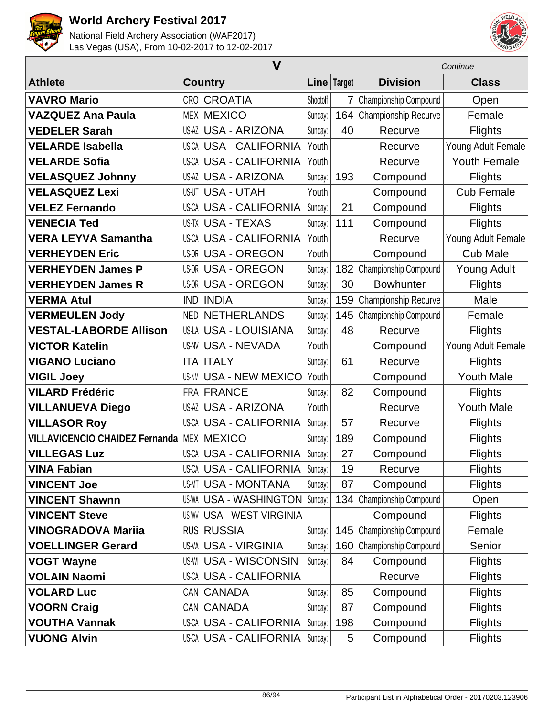



|                                       | $\mathbf V$                      |          |             | Continue              |                     |  |
|---------------------------------------|----------------------------------|----------|-------------|-----------------------|---------------------|--|
| <b>Athlete</b>                        | <b>Country</b>                   |          | Line Target | <b>Division</b>       | <b>Class</b>        |  |
| <b>VAVRO Mario</b>                    | <b>CRO CROATIA</b>               | Shootoff | 7           | Championship Compound | Open                |  |
| <b>VAZQUEZ Ana Paula</b>              | <b>MEX MEXICO</b>                | Sunday:  | 164         | Championship Recurve  | Female              |  |
| <b>VEDELER Sarah</b>                  | <b>US-AZ USA - ARIZONA</b>       | Sunday:  | 40          | Recurve               | <b>Flights</b>      |  |
| <b>VELARDE Isabella</b>               | <b>US-CA USA - CALIFORNIA</b>    | Youth    |             | Recurve               | Young Adult Female  |  |
| <b>VELARDE Sofia</b>                  | <b>US-CA USA - CALIFORNIA</b>    | Youth    |             | Recurve               | <b>Youth Female</b> |  |
| <b>VELASQUEZ Johnny</b>               | <b>US-AZ USA - ARIZONA</b>       | Sunday:  | 193         | Compound              | <b>Flights</b>      |  |
| <b>VELASQUEZ Lexi</b>                 | <b>US-UT USA - UTAH</b>          | Youth    |             | Compound              | <b>Cub Female</b>   |  |
| <b>VELEZ Fernando</b>                 | <b>US-CA USA - CALIFORNIA</b>    | Sunday:  | 21          | Compound              | <b>Flights</b>      |  |
| <b>VENECIA Ted</b>                    | <b>US-TX USA - TEXAS</b>         | Sunday:  | 111         | Compound              | <b>Flights</b>      |  |
| <b>VERA LEYVA Samantha</b>            | <b>US-CA USA - CALIFORNIA</b>    | Youth    |             | Recurve               | Young Adult Female  |  |
| <b>VERHEYDEN Eric</b>                 | <b>US-OR USA - OREGON</b>        | Youth    |             | Compound              | <b>Cub Male</b>     |  |
| <b>VERHEYDEN James P</b>              | <b>US-OR USA - OREGON</b>        | Sunday:  | 182         | Championship Compound | <b>Young Adult</b>  |  |
| <b>VERHEYDEN James R</b>              | <b>US-OR USA - OREGON</b>        | Sunday:  | 30          | <b>Bowhunter</b>      | <b>Flights</b>      |  |
| <b>VERMA Atul</b>                     | <b>IND INDIA</b>                 | Sunday:  | 159         | Championship Recurve  | Male                |  |
| <b>VERMEULEN Jody</b>                 | <b>NED NETHERLANDS</b>           | Sunday:  | 145         | Championship Compound | Female              |  |
| <b>VESTAL-LABORDE Allison</b>         | <b>US-LA USA - LOUISIANA</b>     | Sunday:  | 48          | Recurve               | <b>Flights</b>      |  |
| <b>VICTOR Katelin</b>                 | <b>US-NV USA - NEVADA</b>        | Youth    |             | Compound              | Young Adult Female  |  |
| <b>VIGANO Luciano</b>                 | <b>ITA ITALY</b>                 | Sunday:  | 61          | Recurve               | <b>Flights</b>      |  |
| <b>VIGIL Joey</b>                     | <b>US-NM USA - NEW MEXICO</b>    | Youth    |             | Compound              | <b>Youth Male</b>   |  |
| <b>VILARD Frédéric</b>                | FRA FRANCE                       | Sunday:  | 82          | Compound              | <b>Flights</b>      |  |
| <b>VILLANUEVA Diego</b>               | <b>US-AZ USA - ARIZONA</b>       | Youth    |             | Recurve               | <b>Youth Male</b>   |  |
| <b>VILLASOR Roy</b>                   | <b>US-CA USA - CALIFORNIA</b>    | Sunday:  | 57          | Recurve               | <b>Flights</b>      |  |
| <b>VILLAVICENCIO CHAIDEZ Fernanda</b> | MEX MEXICO                       | Sunday:  | 189         | Compound              | <b>Flights</b>      |  |
| <b>VILLEGAS Luz</b>                   | <b>US-CA USA - CALIFORNIA</b>    | Sunday:  | 27          | Compound              | <b>Flights</b>      |  |
| <b>VINA Fabian</b>                    | US-CA USA - CALIFORNIA           | Sunday:  | 19          | Recurve               | <b>Flights</b>      |  |
| <b>VINCENT Joe</b>                    | <b>US-MT USA - MONTANA</b>       | Sunday:  | 87          | Compound              | <b>Flights</b>      |  |
| <b>VINCENT Shawnn</b>                 | <b>US-WA USA - WASHINGTON</b>    | Sunday:  | 134         | Championship Compound | Open                |  |
| <b>VINCENT Steve</b>                  | <b>US-WV USA - WEST VIRGINIA</b> |          |             | Compound              | <b>Flights</b>      |  |
| <b>VINOGRADOVA Mariia</b>             | <b>RUS RUSSIA</b>                | Sunday:  | 145         | Championship Compound | Female              |  |
| <b>VOELLINGER Gerard</b>              | <b>US-VA USA - VIRGINIA</b>      | Sunday:  | 160         | Championship Compound | Senior              |  |
| <b>VOGT Wayne</b>                     | <b>US-WI USA - WISCONSIN</b>     | Sunday:  | 84          | Compound              | <b>Flights</b>      |  |
| <b>VOLAIN Naomi</b>                   | US-CA USA - CALIFORNIA           |          |             | Recurve               | <b>Flights</b>      |  |
| <b>VOLARD Luc</b>                     | CAN CANADA                       | Sunday:  | 85          | Compound              | <b>Flights</b>      |  |
| <b>VOORN Craig</b>                    | CAN CANADA                       | Sunday:  | 87          | Compound              | <b>Flights</b>      |  |
| <b>VOUTHA Vannak</b>                  | US-CA USA - CALIFORNIA           | Sunday:  | 198         | Compound              | <b>Flights</b>      |  |
| <b>VUONG Alvin</b>                    | US-CA USA - CALIFORNIA           | Sunday:  | 5           | Compound              | <b>Flights</b>      |  |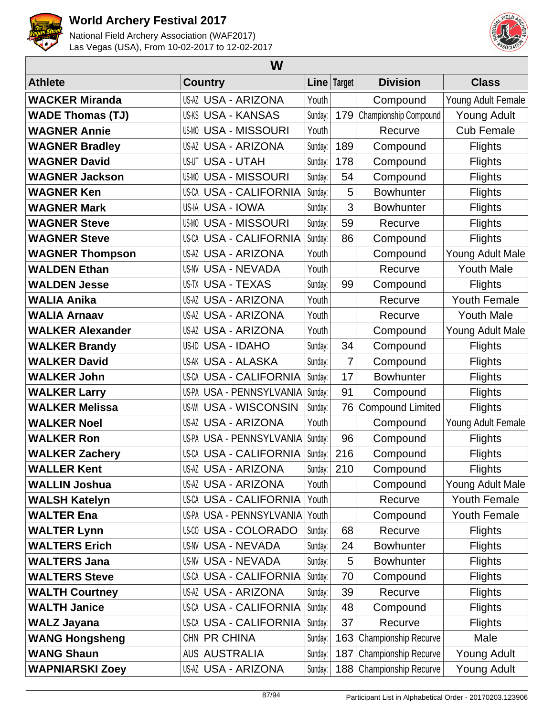



| W                       |                               |         |                |                          |                     |  |  |  |
|-------------------------|-------------------------------|---------|----------------|--------------------------|---------------------|--|--|--|
| <b>Athlete</b>          | <b>Country</b>                |         | Line   Target  | <b>Division</b>          | <b>Class</b>        |  |  |  |
| <b>WACKER Miranda</b>   | US-AZ USA - ARIZONA           | Youth   |                | Compound                 | Young Adult Female  |  |  |  |
| <b>WADE Thomas (TJ)</b> | US-KS USA - KANSAS            | Sunday: | 179            | Championship Compound    | <b>Young Adult</b>  |  |  |  |
| <b>WAGNER Annie</b>     | <b>US-MO USA - MISSOURI</b>   | Youth   |                | Recurve                  | <b>Cub Female</b>   |  |  |  |
| <b>WAGNER Bradley</b>   | <b>US-AZ USA - ARIZONA</b>    | Sunday: | 189            | Compound                 | <b>Flights</b>      |  |  |  |
| <b>WAGNER David</b>     | US-UT USA - UTAH              | Sunday: | 178            | Compound                 | <b>Flights</b>      |  |  |  |
| <b>WAGNER Jackson</b>   | <b>US-MO USA - MISSOURI</b>   | Sunday: | 54             | Compound                 | <b>Flights</b>      |  |  |  |
| <b>WAGNER Ken</b>       | <b>US-CA USA - CALIFORNIA</b> | Sunday: | 5              | <b>Bowhunter</b>         | <b>Flights</b>      |  |  |  |
| <b>WAGNER Mark</b>      | US-IA USA - IOWA              | Sunday: | 3              | <b>Bowhunter</b>         | <b>Flights</b>      |  |  |  |
| <b>WAGNER Steve</b>     | <b>US-MO USA - MISSOURI</b>   | Sunday: | 59             | Recurve                  | <b>Flights</b>      |  |  |  |
| <b>WAGNER Steve</b>     | <b>US-CA USA - CALIFORNIA</b> | Sunday: | 86             | Compound                 | <b>Flights</b>      |  |  |  |
| <b>WAGNER Thompson</b>  | US-AZ USA - ARIZONA           | Youth   |                | Compound                 | Young Adult Male    |  |  |  |
| <b>WALDEN Ethan</b>     | US-NV USA - NEVADA            | Youth   |                | Recurve                  | <b>Youth Male</b>   |  |  |  |
| <b>WALDEN Jesse</b>     | US-TX USA - TEXAS             | Sunday: | 99             | Compound                 | <b>Flights</b>      |  |  |  |
| <b>WALIA Anika</b>      | US-AZ USA - ARIZONA           | Youth   |                | Recurve                  | Youth Female        |  |  |  |
| <b>WALIA Arnaav</b>     | <b>US-AZ USA - ARIZONA</b>    | Youth   |                | Recurve                  | <b>Youth Male</b>   |  |  |  |
| <b>WALKER Alexander</b> | US-AZ USA - ARIZONA           | Youth   |                | Compound                 | Young Adult Male    |  |  |  |
| <b>WALKER Brandy</b>    | US-ID USA - IDAHO             | Sunday: | 34             | Compound                 | <b>Flights</b>      |  |  |  |
| <b>WALKER David</b>     | US-AK USA - ALASKA            | Sunday: | 7              | Compound                 | <b>Flights</b>      |  |  |  |
| <b>WALKER John</b>      | <b>US-CA USA - CALIFORNIA</b> | Sunday: | 17             | <b>Bowhunter</b>         | <b>Flights</b>      |  |  |  |
| <b>WALKER Larry</b>     | US-PA USA - PENNSYLVANIA      | Sunday: | 91             | Compound                 | <b>Flights</b>      |  |  |  |
| <b>WALKER Melissa</b>   | US-WI USA - WISCONSIN         | Sunday: | 76             | <b>Compound Limited</b>  | <b>Flights</b>      |  |  |  |
| <b>WALKER Noel</b>      | US-AZ USA - ARIZONA           | Youth   |                | Compound                 | Young Adult Female  |  |  |  |
| <b>WALKER Ron</b>       | US-PA USA - PENNSYLVANIA      | Sunday: | 96             | Compound                 | <b>Flights</b>      |  |  |  |
| <b>WALKER Zachery</b>   | US-CA USA - CALIFORNIA        | Sunday: | 216            | Compound                 | <b>Flights</b>      |  |  |  |
| <b>WALLER Kent</b>      | US-AZ USA - ARIZONA           |         | Sunday: $ 210$ | Compound                 | <b>Flights</b>      |  |  |  |
| <b>WALLIN Joshua</b>    | US-AZ USA - ARIZONA           | Youth   |                | Compound                 | Young Adult Male    |  |  |  |
| <b>WALSH Katelyn</b>    | US-CA USA - CALIFORNIA        | Youth   |                | Recurve                  | Youth Female        |  |  |  |
| <b>WALTER Ena</b>       | US-PA USA - PENNSYLVANIA      | Youth   |                | Compound                 | <b>Youth Female</b> |  |  |  |
| <b>WALTER Lynn</b>      | <b>US-CO USA - COLORADO</b>   | Sunday: | 68             | Recurve                  | <b>Flights</b>      |  |  |  |
| <b>WALTERS Erich</b>    | US-NV USA - NEVADA            | Sunday: | 24             | <b>Bowhunter</b>         | <b>Flights</b>      |  |  |  |
| <b>WALTERS Jana</b>     | US-NV USA - NEVADA            | Sunday: | 5              | <b>Bowhunter</b>         | <b>Flights</b>      |  |  |  |
| <b>WALTERS Steve</b>    | <b>US-CA USA - CALIFORNIA</b> | Sunday: | 70             | Compound                 | <b>Flights</b>      |  |  |  |
| <b>WALTH Courtney</b>   | US-AZ USA - ARIZONA           | Sunday: | 39             | Recurve                  | <b>Flights</b>      |  |  |  |
| <b>WALTH Janice</b>     | US-CA USA - CALIFORNIA        | Sunday: | 48             | Compound                 | <b>Flights</b>      |  |  |  |
| <b>WALZ Jayana</b>      | US-CA USA - CALIFORNIA        | Sunday: | 37             | Recurve                  | <b>Flights</b>      |  |  |  |
| <b>WANG Hongsheng</b>   | CHN PR CHINA                  | Sunday: | 163            | Championship Recurve     | Male                |  |  |  |
| <b>WANG Shaun</b>       | <b>AUS AUSTRALIA</b>          | Sunday: | 187            | Championship Recurve     | <b>Young Adult</b>  |  |  |  |
| <b>WAPNIARSKI Zoey</b>  | US-AZ USA - ARIZONA           | Sunday: |                | 188 Championship Recurve | Young Adult         |  |  |  |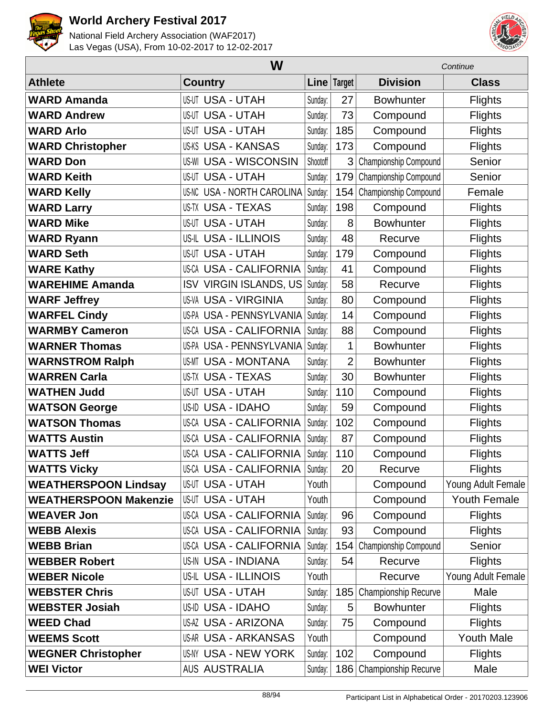



|                              | W                                    |          |                | Continue              |                    |  |
|------------------------------|--------------------------------------|----------|----------------|-----------------------|--------------------|--|
| <b>Athlete</b>               | <b>Country</b>                       |          | Line Target    | <b>Division</b>       | <b>Class</b>       |  |
| <b>WARD Amanda</b>           | <b>US-UT USA - UTAH</b>              | Sunday:  | 27             | <b>Bowhunter</b>      | <b>Flights</b>     |  |
| <b>WARD Andrew</b>           | <b>US-UT USA - UTAH</b>              | Sunday:  | 73             | Compound              | <b>Flights</b>     |  |
| <b>WARD Arlo</b>             | <b>US-UT USA - UTAH</b>              | Sunday:  | 185            | Compound              | <b>Flights</b>     |  |
| <b>WARD Christopher</b>      | <b>US-KS USA - KANSAS</b>            | Sunday:  | 173            | Compound              | <b>Flights</b>     |  |
| <b>WARD Don</b>              | <b>US-WI USA - WISCONSIN</b>         | Shootoff | 3              | Championship Compound | Senior             |  |
| <b>WARD Keith</b>            | <b>US-UT USA - UTAH</b>              | Sunday:  | 179            | Championship Compound | Senior             |  |
| <b>WARD Kelly</b>            | <b>USA - NORTH CAROLINA</b><br>US-NC | Sunday:  | 154            | Championship Compound | Female             |  |
| <b>WARD Larry</b>            | <b>US-TX USA - TEXAS</b>             | Sunday:  | 198            | Compound              | <b>Flights</b>     |  |
| <b>WARD Mike</b>             | <b>US-UT USA - UTAH</b>              | Sunday:  | 8              | <b>Bowhunter</b>      | <b>Flights</b>     |  |
| <b>WARD Ryann</b>            | <b>US-IL USA - ILLINOIS</b>          | Sunday:  | 48             | Recurve               | Flights            |  |
| <b>WARD Seth</b>             | <b>US-UT USA - UTAH</b>              | Sunday:  | 179            | Compound              | <b>Flights</b>     |  |
| <b>WARE Kathy</b>            | <b>US-CA USA - CALIFORNIA</b>        | Sunday:  | 41             | Compound              | <b>Flights</b>     |  |
| <b>WAREHIME Amanda</b>       | <b>ISV VIRGIN ISLANDS, US</b>        | Sunday:  | 58             | Recurve               | <b>Flights</b>     |  |
| <b>WARF Jeffrey</b>          | <b>US-VA USA - VIRGINIA</b>          | Sunday:  | 80             | Compound              | <b>Flights</b>     |  |
| <b>WARFEL Cindy</b>          | US-PA USA - PENNSYLVANIA             | Sunday:  | 14             | Compound              | <b>Flights</b>     |  |
| <b>WARMBY Cameron</b>        | US-CA USA - CALIFORNIA               | Sunday:  | 88             | Compound              | <b>Flights</b>     |  |
| <b>WARNER Thomas</b>         | US-PA USA - PENNSYLVANIA             | Sunday:  | 1              | <b>Bowhunter</b>      | <b>Flights</b>     |  |
| <b>WARNSTROM Ralph</b>       | <b>USA - MONTANA</b><br>US-MT        | Sunday:  | $\overline{2}$ | <b>Bowhunter</b>      | <b>Flights</b>     |  |
| <b>WARREN Carla</b>          | <b>US-TX USA - TEXAS</b>             | Sunday:  | 30             | <b>Bowhunter</b>      | <b>Flights</b>     |  |
| <b>WATHEN Judd</b>           | <b>US-UT USA - UTAH</b>              | Sunday:  | 110            | Compound              | Flights            |  |
| <b>WATSON George</b>         | <b>USA - IDAHO</b><br>US-ID          | Sunday:  | 59             | Compound              | <b>Flights</b>     |  |
| <b>WATSON Thomas</b>         | US-CA USA - CALIFORNIA               | Sunday:  | 102            | Compound              | <b>Flights</b>     |  |
| <b>WATTS Austin</b>          | <b>US-CA USA - CALIFORNIA</b>        | Sunday:  | 87             | Compound              | <b>Flights</b>     |  |
| <b>WATTS Jeff</b>            | <b>US-CA USA - CALIFORNIA</b>        | Sunday:  | 110            | Compound              | <b>Flights</b>     |  |
| <b>WATTS Vicky</b>           | US-CA USA - CALIFORNIA               | Sunday:  | 20             | Recurve               | <b>Flights</b>     |  |
| <b>WEATHERSPOON Lindsay</b>  | <b>US-UT USA - UTAH</b>              | Youth    |                | Compound              | Young Adult Female |  |
| <b>WEATHERSPOON Makenzie</b> | <b>US-UT USA - UTAH</b>              | Youth    |                | Compound              | Youth Female       |  |
| <b>WEAVER Jon</b>            | US-CA USA - CALIFORNIA               | Sunday:  | 96             | Compound              | <b>Flights</b>     |  |
| <b>WEBB Alexis</b>           | <b>US-CA USA - CALIFORNIA</b>        | Sunday:  | 93             | Compound              | <b>Flights</b>     |  |
| <b>WEBB Brian</b>            | US-CA USA - CALIFORNIA               | Sunday:  | 154            | Championship Compound | Senior             |  |
| <b>WEBBER Robert</b>         | <b>US-IN USA - INDIANA</b>           | Sunday:  | 54             | Recurve               | <b>Flights</b>     |  |
| <b>WEBER Nicole</b>          | US-IL USA - ILLINOIS                 | Youth    |                | Recurve               | Young Adult Female |  |
| <b>WEBSTER Chris</b>         | <b>US-UT USA - UTAH</b>              | Sunday:  | 185            | Championship Recurve  | Male               |  |
| <b>WEBSTER Josiah</b>        | US-ID USA - IDAHO                    | Sunday:  | 5              | <b>Bowhunter</b>      | <b>Flights</b>     |  |
| <b>WEED Chad</b>             | US-AZ USA - ARIZONA                  | Sunday:  | 75             | Compound              | <b>Flights</b>     |  |
| <b>WEEMS Scott</b>           | US-AR USA - ARKANSAS                 | Youth    |                | Compound              | <b>Youth Male</b>  |  |
| <b>WEGNER Christopher</b>    | US-NY USA - NEW YORK                 | Sunday:  | 102            | Compound              | <b>Flights</b>     |  |
| <b>WEI Victor</b>            | <b>AUS AUSTRALIA</b>                 | Sunday:  | 186            | Championship Recurve  | Male               |  |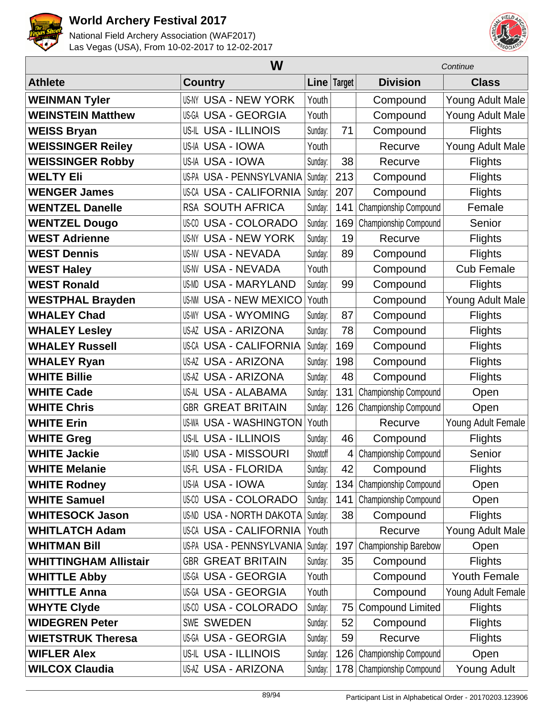



|                              |                                  | Continue |             |                         |                    |
|------------------------------|----------------------------------|----------|-------------|-------------------------|--------------------|
| <b>Athlete</b>               | <b>Country</b>                   |          | Line Target | <b>Division</b>         | <b>Class</b>       |
| <b>WEINMAN Tyler</b>         | <b>US-NY USA - NEW YORK</b>      | Youth    |             | Compound                | Young Adult Male   |
| <b>WEINSTEIN Matthew</b>     | <b>US-GA USA - GEORGIA</b>       | Youth    |             | Compound                | Young Adult Male   |
| <b>WEISS Bryan</b>           | <b>US-IL USA - ILLINOIS</b>      | Sunday:  | 71          | Compound                | <b>Flights</b>     |
| <b>WEISSINGER Reiley</b>     | US-IA USA - IOWA                 | Youth    |             | Recurve                 | Young Adult Male   |
| <b>WEISSINGER Robby</b>      | US-IA USA - IOWA                 | Sunday:  | 38          | Recurve                 | <b>Flights</b>     |
| <b>WELTY Eli</b>             | US-PA USA - PENNSYLVANIA         | Sunday:  | 213         | Compound                | <b>Flights</b>     |
| <b>WENGER James</b>          | <b>US-CA USA - CALIFORNIA</b>    | Sunday:  | 207         | Compound                | <b>Flights</b>     |
| <b>WENTZEL Danelle</b>       | <b>RSA SOUTH AFRICA</b>          | Sunday:  | 141         | Championship Compound   | Female             |
| <b>WENTZEL Dougo</b>         | <b>US-CO USA - COLORADO</b>      | Sunday:  | 169         | Championship Compound   | Senior             |
| <b>WEST Adrienne</b>         | <b>US-NY USA - NEW YORK</b>      | Sunday:  | 19          | Recurve                 | <b>Flights</b>     |
| <b>WEST Dennis</b>           | <b>US-NV USA - NEVADA</b>        | Sunday:  | 89          | Compound                | <b>Flights</b>     |
| <b>WEST Haley</b>            | <b>US-NV USA - NEVADA</b>        | Youth    |             | Compound                | <b>Cub Female</b>  |
| <b>WEST Ronald</b>           | <b>US-MD USA - MARYLAND</b>      | Sunday:  | 99          | Compound                | <b>Flights</b>     |
| <b>WESTPHAL Brayden</b>      | <b>USA - NEW MEXICO</b><br>US-NM | Youth    |             | Compound                | Young Adult Male   |
| <b>WHALEY Chad</b>           | <b>US-WY USA - WYOMING</b>       | Sunday:  | 87          | Compound                | <b>Flights</b>     |
| <b>WHALEY Lesley</b>         | <b>US-AZ USA - ARIZONA</b>       | Sunday:  | 78          | Compound                | <b>Flights</b>     |
| <b>WHALEY Russell</b>        | <b>US-CA USA - CALIFORNIA</b>    | Sunday:  | 169         | Compound                | <b>Flights</b>     |
| <b>WHALEY Ryan</b>           | <b>US-AZ USA - ARIZONA</b>       | Sunday:  | 198         | Compound                | <b>Flights</b>     |
| <b>WHITE Billie</b>          | <b>US-AZ USA - ARIZONA</b>       | Sunday:  | 48          | Compound                | Flights            |
| <b>WHITE Cade</b>            | US-AL USA - ALABAMA              | Sunday:  | 131         | Championship Compound   | Open               |
| <b>WHITE Chris</b>           | <b>GBR GREAT BRITAIN</b>         | Sunday:  | 126         | Championship Compound   | Open               |
| <b>WHITE Erin</b>            | <b>US-WA USA - WASHINGTON</b>    | Youth    |             | Recurve                 | Young Adult Female |
| <b>WHITE Greg</b>            | <b>US-IL USA - ILLINOIS</b>      | Sunday:  | 46          | Compound                | <b>Flights</b>     |
| <b>WHITE Jackie</b>          | <b>US-MO USA - MISSOURI</b>      | Shootoff | 4           | Championship Compound   | Senior             |
| <b>WHITE Melanie</b>         | US-FL USA - FLORIDA              | Sunday:  | 42          | Compound                | <b>Flights</b>     |
| <b>WHITE Rodney</b>          | US-IA USA - IOWA                 | Sunday:  | 134         | Championship Compound   | Open               |
| <b>WHITE Samuel</b>          | <b>US-CO USA - COLORADO</b>      | Sunday:  | 141         | Championship Compound   | Open               |
| <b>WHITESOCK Jason</b>       | US-ND USA - NORTH DAKOTA Sunday: |          | 38          | Compound                | <b>Flights</b>     |
| <b>WHITLATCH Adam</b>        | <b>US-CA USA - CALIFORNIA</b>    | Youth    |             | Recurve                 | Young Adult Male   |
| <b>WHITMAN Bill</b>          | US-PA USA - PENNSYLVANIA         | Sunday:  | 197         | Championship Barebow    | Open               |
| <b>WHITTINGHAM Allistair</b> | <b>GBR GREAT BRITAIN</b>         | Sunday:  | 35          | Compound                | <b>Flights</b>     |
| <b>WHITTLE Abby</b>          | US-GA USA - GEORGIA              | Youth    |             | Compound                | Youth Female       |
| <b>WHITTLE Anna</b>          | US-GA USA - GEORGIA              | Youth    |             | Compound                | Young Adult Female |
| <b>WHYTE Clyde</b>           | <b>US-CO USA - COLORADO</b>      | Sunday:  | 75          | <b>Compound Limited</b> | <b>Flights</b>     |
| <b>WIDEGREN Peter</b>        | <b>SWE SWEDEN</b>                | Sunday:  | 52          | Compound                | <b>Flights</b>     |
| <b>WIETSTRUK Theresa</b>     | US-GA USA - GEORGIA              | Sunday:  | 59          | Recurve                 | <b>Flights</b>     |
| <b>WIFLER Alex</b>           | US-IL USA - ILLINOIS             | Sunday:  | 126         | Championship Compound   | Open               |
| <b>WILCOX Claudia</b>        | <b>US-AZ USA - ARIZONA</b>       | Sunday:  | 178         | Championship Compound   | <b>Young Adult</b> |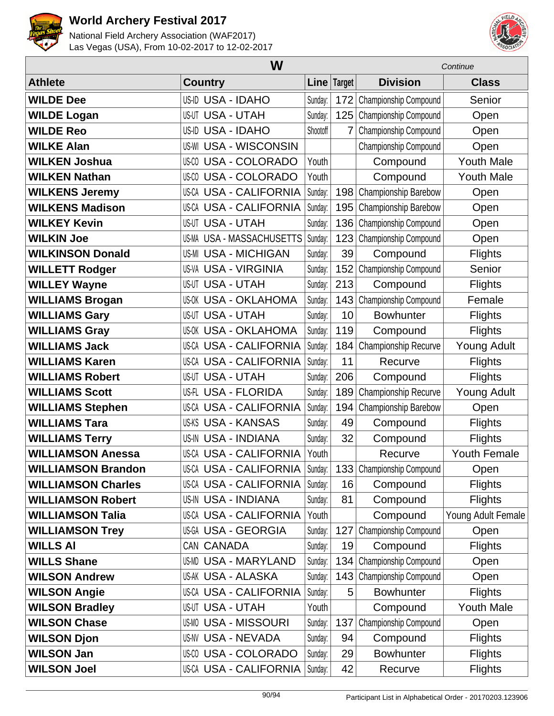



|                           | W                                |          |                | Continue                  |                     |  |
|---------------------------|----------------------------------|----------|----------------|---------------------------|---------------------|--|
| <b>Athlete</b>            | <b>Country</b>                   |          | Line Target    | <b>Division</b>           | <b>Class</b>        |  |
| <b>WILDE Dee</b>          | <b>US-ID USA - IDAHO</b>         | Sunday:  | 172            | Championship Compound     | Senior              |  |
| <b>WILDE Logan</b>        | <b>USA - UTAH</b><br>US-UT       | Sunday:  | 125            | Championship Compound     | Open                |  |
| <b>WILDE Reo</b>          | <b>USA - IDAHO</b><br>US-ID      | Shootoff | $\overline{7}$ | Championship Compound     | Open                |  |
| <b>WILKE Alan</b>         | US-WI<br><b>USA - WISCONSIN</b>  |          |                | Championship Compound     | Open                |  |
| <b>WILKEN Joshua</b>      | <b>US-CO USA - COLORADO</b>      | Youth    |                | Compound                  | <b>Youth Male</b>   |  |
| <b>WILKEN Nathan</b>      | <b>US-CO USA - COLORADO</b>      | Youth    |                | Compound                  | <b>Youth Male</b>   |  |
| <b>WILKENS Jeremy</b>     | <b>US-CA USA - CALIFORNIA</b>    | Sunday:  | 198            | Championship Barebow      | Open                |  |
| <b>WILKENS Madison</b>    | US-CA USA - CALIFORNIA           | Sunday:  | 195            | Championship Barebow      | Open                |  |
| <b>WILKEY Kevin</b>       | US-UT<br><b>USA - UTAH</b>       | Sunday:  | 136            | Championship Compound     | Open                |  |
| <b>WILKIN Joe</b>         | <b>US-MA USA - MASSACHUSETTS</b> | Sunday:  | 123            | Championship Compound     | Open                |  |
| <b>WILKINSON Donald</b>   | <b>US-MI USA - MICHIGAN</b>      | Sunday:  | 39             | Compound                  | <b>Flights</b>      |  |
| <b>WILLETT Rodger</b>     | <b>US-VA USA - VIRGINIA</b>      | Sunday:  | 152            | Championship Compound     | Senior              |  |
| <b>WILLEY Wayne</b>       | <b>US-UT USA - UTAH</b>          | Sunday:  | 213            | Compound                  | <b>Flights</b>      |  |
| <b>WILLIAMS Brogan</b>    | <b>US-OK USA - OKLAHOMA</b>      | Sunday:  |                | 143 Championship Compound | Female              |  |
| <b>WILLIAMS Gary</b>      | <b>US-UT USA - UTAH</b>          | Sunday:  | 10             | <b>Bowhunter</b>          | <b>Flights</b>      |  |
| <b>WILLIAMS Gray</b>      | <b>US-OK USA - OKLAHOMA</b>      | Sunday:  | 119            | Compound                  | <b>Flights</b>      |  |
| <b>WILLIAMS Jack</b>      | <b>US-CA USA - CALIFORNIA</b>    | Sunday:  | 184            | Championship Recurve      | <b>Young Adult</b>  |  |
| <b>WILLIAMS Karen</b>     | <b>US-CA USA - CALIFORNIA</b>    | Sunday:  | 11             | Recurve                   | <b>Flights</b>      |  |
| <b>WILLIAMS Robert</b>    | <b>US-UT USA - UTAH</b>          | Sunday:  | 206            | Compound                  | <b>Flights</b>      |  |
| <b>WILLIAMS Scott</b>     | US-FL USA - FLORIDA              | Sunday:  | 189            | Championship Recurve      | <b>Young Adult</b>  |  |
| <b>WILLIAMS Stephen</b>   | <b>US-CA USA - CALIFORNIA</b>    | Sunday:  | 194            | Championship Barebow      | Open                |  |
| <b>WILLIAMS Tara</b>      | <b>US-KS USA - KANSAS</b>        | Sunday:  | 49             | Compound                  | <b>Flights</b>      |  |
| <b>WILLIAMS Terry</b>     | <b>US-IN USA - INDIANA</b>       | Sunday:  | 32             | Compound                  | <b>Flights</b>      |  |
| <b>WILLIAMSON Anessa</b>  | <b>US-CA USA - CALIFORNIA</b>    | Youth    |                | Recurve                   | <b>Youth Female</b> |  |
| <b>WILLIAMSON Brandon</b> | US-CA USA - CALIFORNIA Sunday:   |          |                | 133 Championship Compound | Open                |  |
| <b>WILLIAMSON Charles</b> | <b>US-CA USA - CALIFORNIA</b>    | Sunday:  | 16             | Compound                  | <b>Flights</b>      |  |
| <b>WILLIAMSON Robert</b>  | <b>US-IN USA - INDIANA</b>       | Sunday:  | 81             | Compound                  | <b>Flights</b>      |  |
| <b>WILLIAMSON Talia</b>   | <b>US-CA USA - CALIFORNIA</b>    | Youth    |                | Compound                  | Young Adult Female  |  |
| <b>WILLIAMSON Trey</b>    | US-GA USA - GEORGIA              | Sunday:  | 127            | Championship Compound     | Open                |  |
| <b>WILLS AI</b>           | CAN CANADA                       | Sunday:  | 19             | Compound                  | <b>Flights</b>      |  |
| <b>WILLS Shane</b>        | US-MD USA - MARYLAND             | Sunday:  | 134            | Championship Compound     | Open                |  |
| <b>WILSON Andrew</b>      | US-AK USA - ALASKA               | Sunday:  | 143            | Championship Compound     | Open                |  |
| <b>WILSON Angie</b>       | <b>US-CA USA - CALIFORNIA</b>    | Sunday:  | 5              | <b>Bowhunter</b>          | <b>Flights</b>      |  |
| <b>WILSON Bradley</b>     | <b>US-UT USA - UTAH</b>          | Youth    |                | Compound                  | <b>Youth Male</b>   |  |
| <b>WILSON Chase</b>       | US-MO USA - MISSOURI             | Sunday:  | 137            | Championship Compound     | Open                |  |
| <b>WILSON Djon</b>        | <b>US-NV USA - NEVADA</b>        | Sunday:  | 94             | Compound                  | <b>Flights</b>      |  |
| <b>WILSON Jan</b>         | US-00 USA - COLORADO             | Sunday:  | 29             | <b>Bowhunter</b>          | <b>Flights</b>      |  |
| <b>WILSON Joel</b>        | <b>US-CA USA - CALIFORNIA</b>    | Sunday:  | 42             | Recurve                   | <b>Flights</b>      |  |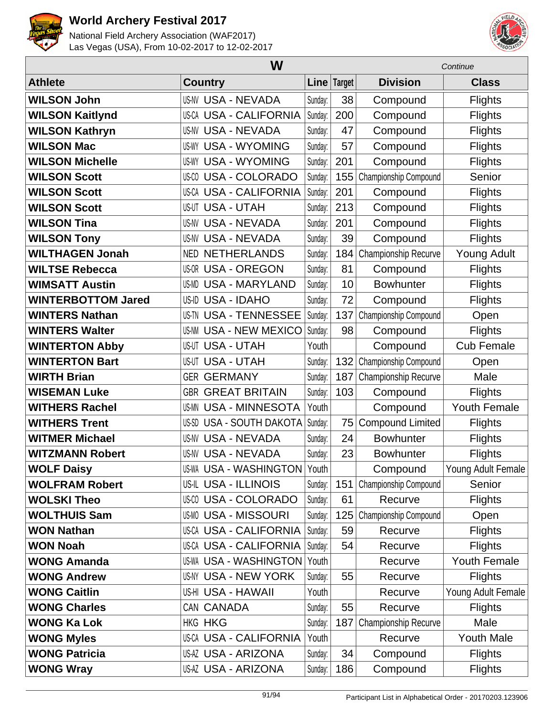



|                           | W                                  |         |             | Continue                |                     |  |
|---------------------------|------------------------------------|---------|-------------|-------------------------|---------------------|--|
| <b>Athlete</b>            | <b>Country</b>                     |         | Line Target | <b>Division</b>         | <b>Class</b>        |  |
| <b>WILSON John</b>        | <b>US-NV USA - NEVADA</b>          | Sunday: | 38          | Compound                | <b>Flights</b>      |  |
| <b>WILSON Kaitlynd</b>    | <b>US-CA USA - CALIFORNIA</b>      | Sunday: | 200         | Compound                | <b>Flights</b>      |  |
| <b>WILSON Kathryn</b>     | <b>US-NV USA - NEVADA</b>          | Sunday: | 47          | Compound                | <b>Flights</b>      |  |
| <b>WILSON Mac</b>         | <b>USA - WYOMING</b><br>US-WY      | Sunday: | 57          | Compound                | <b>Flights</b>      |  |
| <b>WILSON Michelle</b>    | <b>USA - WYOMING</b><br>US-WY      | Sunday: | 201         | Compound                | <b>Flights</b>      |  |
| <b>WILSON Scott</b>       | <b>USA - COLORADO</b><br>US-CO     | Sunday: | 155         | Championship Compound   | Senior              |  |
| <b>WILSON Scott</b>       | <b>US-CA USA - CALIFORNIA</b>      | Sunday: | 201         | Compound                | <b>Flights</b>      |  |
| <b>WILSON Scott</b>       | <b>US-UT USA - UTAH</b>            | Sunday: | 213         | Compound                | <b>Flights</b>      |  |
| <b>WILSON Tina</b>        | <b>USA - NEVADA</b><br>US-NV       | Sunday: | 201         | Compound                | <b>Flights</b>      |  |
| <b>WILSON Tony</b>        | <b>US-NV USA - NEVADA</b>          | Sunday: | 39          | Compound                | Flights             |  |
| <b>WILTHAGEN Jonah</b>    | <b>NED NETHERLANDS</b>             | Sunday: | 184         | Championship Recurve    | <b>Young Adult</b>  |  |
| <b>WILTSE Rebecca</b>     | <b>US-OR USA - OREGON</b>          | Sunday: | 81          | Compound                | <b>Flights</b>      |  |
| <b>WIMSATT Austin</b>     | <b>US-MD USA - MARYLAND</b>        | Sunday: | 10          | <b>Bowhunter</b>        | <b>Flights</b>      |  |
| <b>WINTERBOTTOM Jared</b> | US-ID USA - IDAHO                  | Sunday: | 72          | Compound                | <b>Flights</b>      |  |
| <b>WINTERS Nathan</b>     | US-TN USA - TENNESSEE              | Sunday: | 137         | Championship Compound   | Open                |  |
| <b>WINTERS Walter</b>     | <b>US-NM USA - NEW MEXICO</b>      | Sunday: | 98          | Compound                | <b>Flights</b>      |  |
| <b>WINTERTON Abby</b>     | <b>US-UT USA - UTAH</b>            | Youth   |             | Compound                | <b>Cub Female</b>   |  |
| <b>WINTERTON Bart</b>     | <b>USA - UTAH</b><br>US-UT         | Sunday: | 132         | Championship Compound   | Open                |  |
| <b>WIRTH Brian</b>        | <b>GER GERMANY</b>                 | Sunday: | 187         | Championship Recurve    | Male                |  |
| <b>WISEMAN Luke</b>       | <b>GBR GREAT BRITAIN</b>           | Sunday: | 103         | Compound                | <b>Flights</b>      |  |
| <b>WITHERS Rachel</b>     | <b>US-MN USA - MINNESOTA</b>       | Youth   |             | Compound                | <b>Youth Female</b> |  |
| <b>WITHERS Trent</b>      | <b>USA - SOUTH DAKOTA</b><br>US-SD | Sunday: | 75          | <b>Compound Limited</b> | <b>Flights</b>      |  |
| <b>WITMER Michael</b>     | <b>US-NV USA - NEVADA</b>          | Sunday: | 24          | <b>Bowhunter</b>        | <b>Flights</b>      |  |
| <b>WITZMANN Robert</b>    | <b>US-NV USA - NEVADA</b>          | Sunday: | 23          | <b>Bowhunter</b>        | <b>Flights</b>      |  |
| <b>WOLF Daisy</b>         | US-WA USA - WASHINGTON Youth       |         |             | Compound                | Young Adult Female  |  |
| <b>WOLFRAM Robert</b>     | <b>US-IL USA - ILLINOIS</b>        | Sunday: | 151         | Championship Compound   | Senior              |  |
| <b>WOLSKI Theo</b>        | US-00 USA - COLORADO               | Sunday: | 61          | Recurve                 | <b>Flights</b>      |  |
| <b>WOLTHUIS Sam</b>       | <b>US-MO USA - MISSOURI</b>        | Sunday: | 125         | Championship Compound   | Open                |  |
| <b>WON Nathan</b>         | <b>US-CA USA - CALIFORNIA</b>      | Sunday: | 59          | Recurve                 | <b>Flights</b>      |  |
| <b>WON Noah</b>           | US-CA USA - CALIFORNIA             | Sunday: | 54          | Recurve                 | <b>Flights</b>      |  |
| <b>WONG Amanda</b>        | <b>US-WA USA - WASHINGTON</b>      | Youth   |             | Recurve                 | Youth Female        |  |
| <b>WONG Andrew</b>        | US-NY USA - NEW YORK               | Sunday: | 55          | Recurve                 | <b>Flights</b>      |  |
| <b>WONG Caitlin</b>       | US-HI USA - HAWAII                 | Youth   |             | Recurve                 | Young Adult Female  |  |
| <b>WONG Charles</b>       | CAN CANADA                         | Sunday: | 55          | Recurve                 | <b>Flights</b>      |  |
| <b>WONG Ka Lok</b>        | <b>HKG HKG</b>                     | Sunday: | 187         | Championship Recurve    | Male                |  |
| <b>WONG Myles</b>         | US-CA USA - CALIFORNIA             | Youth   |             | Recurve                 | <b>Youth Male</b>   |  |
| <b>WONG Patricia</b>      | <b>US-AZ USA - ARIZONA</b>         | Sunday: | 34          | Compound                | <b>Flights</b>      |  |
| <b>WONG Wray</b>          | <b>US-AZ USA - ARIZONA</b>         | Sunday: | 186         | Compound                | <b>Flights</b>      |  |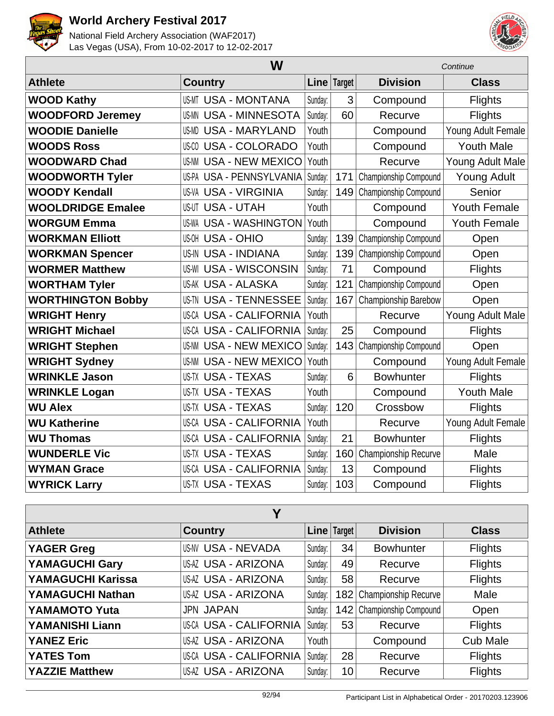



| W                        |                               |         | Continue      |                       |                     |
|--------------------------|-------------------------------|---------|---------------|-----------------------|---------------------|
| <b>Athlete</b>           | <b>Country</b>                |         | Line   Target | <b>Division</b>       | <b>Class</b>        |
| <b>WOOD Kathy</b>        | <b>US-MT USA - MONTANA</b>    | Sunday: | 3             | Compound              | <b>Flights</b>      |
| <b>WOODFORD Jeremey</b>  | <b>US-MN USA - MINNESOTA</b>  | Sunday: | 60            | Recurve               | <b>Flights</b>      |
| <b>WOODIE Danielle</b>   | <b>US-MD USA - MARYLAND</b>   | Youth   |               | Compound              | Young Adult Female  |
| <b>WOODS Ross</b>        | <b>US-CO USA - COLORADO</b>   | Youth   |               | Compound              | <b>Youth Male</b>   |
| <b>WOODWARD Chad</b>     | <b>US-NM USA - NEW MEXICO</b> | Youth   |               | Recurve               | Young Adult Male    |
| <b>WOODWORTH Tyler</b>   | US-PA USA - PENNSYLVANIA      | Sunday: | 171           | Championship Compound | <b>Young Adult</b>  |
| <b>WOODY Kendall</b>     | <b>US-VA USA - VIRGINIA</b>   | Sunday: | 149           | Championship Compound | Senior              |
| <b>WOOLDRIDGE Emalee</b> | <b>US-UT USA - UTAH</b>       | Youth   |               | Compound              | Youth Female        |
| <b>WORGUM Emma</b>       | <b>US-WA USA - WASHINGTON</b> | Youth   |               | Compound              | <b>Youth Female</b> |
| <b>WORKMAN Elliott</b>   | US-OH USA - OHIO              | Sunday: | 139           | Championship Compound | Open                |
| <b>WORKMAN Spencer</b>   | <b>US-IN USA - INDIANA</b>    | Sunday: | 139           | Championship Compound | Open                |
| <b>WORMER Matthew</b>    | <b>US-WI USA - WISCONSIN</b>  | Sunday: | 71            | Compound              | <b>Flights</b>      |
| <b>WORTHAM Tyler</b>     | <b>US-AK USA - ALASKA</b>     | Sunday: | 121           | Championship Compound | Open                |
| <b>WORTHINGTON Bobby</b> | <b>US-TN USA - TENNESSEE</b>  | Sunday: | 167           | Championship Barebow  | Open                |
| <b>WRIGHT Henry</b>      | <b>US-CA USA - CALIFORNIA</b> | Youth   |               | Recurve               | Young Adult Male    |
| <b>WRIGHT Michael</b>    | <b>US-CA USA - CALIFORNIA</b> | Sunday: | 25            | Compound              | <b>Flights</b>      |
| <b>WRIGHT Stephen</b>    | <b>US-NM USA - NEW MEXICO</b> | Sunday: | 143           | Championship Compound | Open                |
| <b>WRIGHT Sydney</b>     | <b>US-NM USA - NEW MEXICO</b> | Youth   |               | Compound              | Young Adult Female  |
| <b>WRINKLE Jason</b>     | <b>US-TX USA - TEXAS</b>      | Sunday: | 6             | <b>Bowhunter</b>      | <b>Flights</b>      |
| <b>WRINKLE Logan</b>     | <b>US-TX USA - TEXAS</b>      | Youth   |               | Compound              | <b>Youth Male</b>   |
| <b>WU Alex</b>           | <b>US-TX USA - TEXAS</b>      | Sunday: | 120           | Crossbow              | <b>Flights</b>      |
| <b>WU Katherine</b>      | <b>US-CA USA - CALIFORNIA</b> | Youth   |               | Recurve               | Young Adult Female  |
| <b>WU Thomas</b>         | <b>US-CA USA - CALIFORNIA</b> | Sunday: | 21            | <b>Bowhunter</b>      | <b>Flights</b>      |
| <b>WUNDERLE Vic</b>      | <b>US-TX USA - TEXAS</b>      | Sunday: | 160           | Championship Recurve  | Male                |
| <b>WYMAN Grace</b>       | <b>US-CA USA - CALIFORNIA</b> | Sunday: | 13            | Compound              | <b>Flights</b>      |
| <b>WYRICK Larry</b>      | <b>US-TX USA - TEXAS</b>      | Sunday: | 103           | Compound              | <b>Flights</b>      |

| Υ                      |                               |         |             |                             |                 |  |  |
|------------------------|-------------------------------|---------|-------------|-----------------------------|-----------------|--|--|
| <b>Athlete</b>         | <b>Country</b>                |         | Line Target | <b>Division</b>             | <b>Class</b>    |  |  |
| <b>YAGER Greg</b>      | <b>US-NV USA - NEVADA</b>     | Sunday: | 34          | <b>Bowhunter</b>            | <b>Flights</b>  |  |  |
| <b>YAMAGUCHI Gary</b>  | <b>US-AZ USA - ARIZONA</b>    | Sunday: | 49          | Recurve                     | <b>Flights</b>  |  |  |
| YAMAGUCHI Karissa      | <b>US-AZ USA - ARIZONA</b>    | Sunday: | 58          | Recurve                     | <b>Flights</b>  |  |  |
| YAMAGUCHI Nathan       | US-AZ USA - ARIZONA           | Sunday: |             | 182 Championship Recurve    | Male            |  |  |
| <b>YAMAMOTO Yuta</b>   | <b>JPN JAPAN</b>              | Sunday: |             | 142   Championship Compound | Open            |  |  |
| <b>YAMANISHI Liann</b> | <b>US-CA USA - CALIFORNIA</b> | Sunday: | 53          | Recurve                     | <b>Flights</b>  |  |  |
| <b>YANEZ Eric</b>      | US-AZ USA - ARIZONA           | Youth   |             | Compound                    | <b>Cub Male</b> |  |  |
| <b>YATES Tom</b>       | <b>US-CA USA - CALIFORNIA</b> | Sunday: | 28          | Recurve                     | <b>Flights</b>  |  |  |
| <b>YAZZIE Matthew</b>  | US-AZ USA - ARIZONA           | Sunday: | 10          | Recurve                     | <b>Flights</b>  |  |  |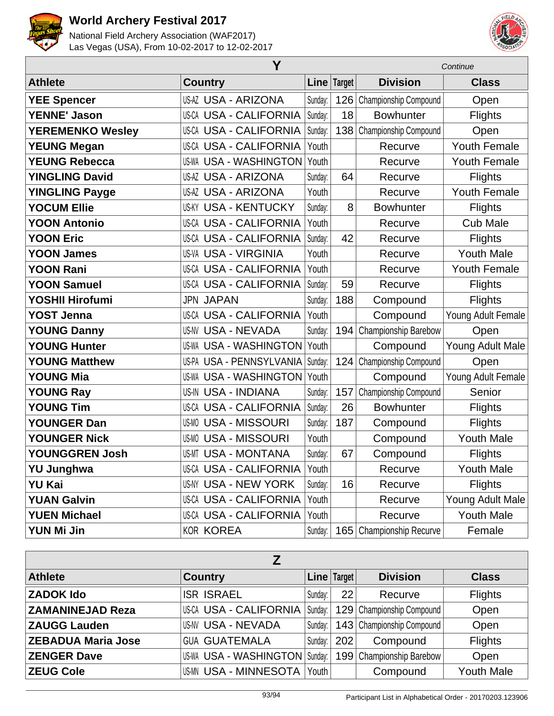



|                         | Y                             |         |             |                             | Continue            |  |  |
|-------------------------|-------------------------------|---------|-------------|-----------------------------|---------------------|--|--|
| <b>Athlete</b>          | <b>Country</b>                |         | Line Target | <b>Division</b>             | <b>Class</b>        |  |  |
| <b>YEE Spencer</b>      | <b>US-AZ USA - ARIZONA</b>    | Sunday: | 126         | Championship Compound       | Open                |  |  |
| <b>YENNE' Jason</b>     | <b>US-CA USA - CALIFORNIA</b> | Sunday: | 18          | <b>Bowhunter</b>            | <b>Flights</b>      |  |  |
| <b>YEREMENKO Wesley</b> | <b>US-CA USA - CALIFORNIA</b> | Sunday: | 138         | Championship Compound       | Open                |  |  |
| <b>YEUNG Megan</b>      | <b>US-CA USA - CALIFORNIA</b> | Youth   |             | Recurve                     | <b>Youth Female</b> |  |  |
| <b>YEUNG Rebecca</b>    | <b>US-WA USA - WASHINGTON</b> | Youth   |             | Recurve                     | <b>Youth Female</b> |  |  |
| <b>YINGLING David</b>   | <b>US-AZ USA - ARIZONA</b>    | Sunday: | 64          | Recurve                     | <b>Flights</b>      |  |  |
| <b>YINGLING Payge</b>   | <b>US-AZ USA - ARIZONA</b>    | Youth   |             | Recurve                     | <b>Youth Female</b> |  |  |
| <b>YOCUM Ellie</b>      | <b>US-KY USA - KENTUCKY</b>   | Sunday: | 8           | <b>Bowhunter</b>            | <b>Flights</b>      |  |  |
| <b>YOON Antonio</b>     | <b>US-CA USA - CALIFORNIA</b> | Youth   |             | Recurve                     | <b>Cub Male</b>     |  |  |
| <b>YOON Eric</b>        | <b>US-CA USA - CALIFORNIA</b> | Sunday: | 42          | Recurve                     | <b>Flights</b>      |  |  |
| <b>YOON James</b>       | <b>US-VA USA - VIRGINIA</b>   | Youth   |             | Recurve                     | <b>Youth Male</b>   |  |  |
| <b>YOON Rani</b>        | <b>US-CA USA - CALIFORNIA</b> | Youth   |             | Recurve                     | <b>Youth Female</b> |  |  |
| <b>YOON Samuel</b>      | <b>US-CA USA - CALIFORNIA</b> | Sunday: | 59          | Recurve                     | <b>Flights</b>      |  |  |
| YOSHII Hirofumi         | <b>JPN JAPAN</b>              | Sunday: | 188         | Compound                    | Flights             |  |  |
| <b>YOST Jenna</b>       | <b>US-CA USA - CALIFORNIA</b> | Youth   |             | Compound                    | Young Adult Female  |  |  |
| <b>YOUNG Danny</b>      | <b>US-NV USA - NEVADA</b>     | Sunday: | 194         | Championship Barebow        | Open                |  |  |
| <b>YOUNG Hunter</b>     | <b>US-WA USA - WASHINGTON</b> | Youth   |             | Compound                    | Young Adult Male    |  |  |
| <b>YOUNG Matthew</b>    | US-PA USA - PENNSYLVANIA      | Sunday: | 124         | Championship Compound       | Open                |  |  |
| <b>YOUNG Mia</b>        | <b>US-WA USA - WASHINGTON</b> | Youth   |             | Compound                    | Young Adult Female  |  |  |
| <b>YOUNG Ray</b>        | <b>US-IN USA - INDIANA</b>    | Sunday: | 157         | Championship Compound       | Senior              |  |  |
| <b>YOUNG Tim</b>        | <b>US-CA USA - CALIFORNIA</b> | Sunday: | 26          | <b>Bowhunter</b>            | <b>Flights</b>      |  |  |
| <b>YOUNGER Dan</b>      | <b>US-MO USA - MISSOURI</b>   | Sunday: | 187         | Compound                    | <b>Flights</b>      |  |  |
| <b>YOUNGER Nick</b>     | <b>US-MO USA - MISSOURI</b>   | Youth   |             | Compound                    | <b>Youth Male</b>   |  |  |
| <b>YOUNGGREN Josh</b>   | <b>US-MT USA - MONTANA</b>    | Sunday: | 67          | Compound                    | <b>Flights</b>      |  |  |
| YU Junghwa              | US-CA USA - CALIFORNIA Youth  |         |             | Recurve                     | Youth Male          |  |  |
| YU Kai                  | US-NY USA - NEW YORK          | Sunday: | 16          | Recurve                     | <b>Flights</b>      |  |  |
| <b>YUAN Galvin</b>      | US-CA USA - CALIFORNIA        | Youth   |             | Recurve                     | Young Adult Male    |  |  |
| <b>YUEN Michael</b>     | <b>US-CA USA - CALIFORNIA</b> | Youth   |             | Recurve                     | <b>Youth Male</b>   |  |  |
| YUN Mi Jin              | <b>KOR KOREA</b>              | Sunday: | 165         | <b>Championship Recurve</b> | Female              |  |  |

| <b>Athlete</b>            | <b>Country</b>                   |         | Line   Target | <b>Division</b>           | <b>Class</b>      |  |  |
|---------------------------|----------------------------------|---------|---------------|---------------------------|-------------------|--|--|
| <b>ZADOK Ido</b>          | <b>ISR ISRAEL</b>                | Sunday: | 22            | Recurve                   | <b>Flights</b>    |  |  |
| <b>ZAMANINEJAD Reza</b>   | <b>US-CA USA - CALIFORNIA</b>    | Sunday: |               | 129 Championship Compound | Open              |  |  |
| <b>ZAUGG Lauden</b>       | <b>US-NV USA - NEVADA</b>        | Sunday: |               | 143 Championship Compound | Open              |  |  |
| <b>ZEBADUA Maria Jose</b> | <b>GUA GUATEMALA</b>             | Sunday: | 202           | Compound                  | <b>Flights</b>    |  |  |
| <b>ZENGER Dave</b>        | US-WA USA - WASHINGTON   Sunday: |         |               | 199 Championship Barebow  | Open              |  |  |
| <b>ZEUG Cole</b>          | <b>US-MN USA - MINNESOTA</b>     | Youth   |               | Compound                  | <b>Youth Male</b> |  |  |